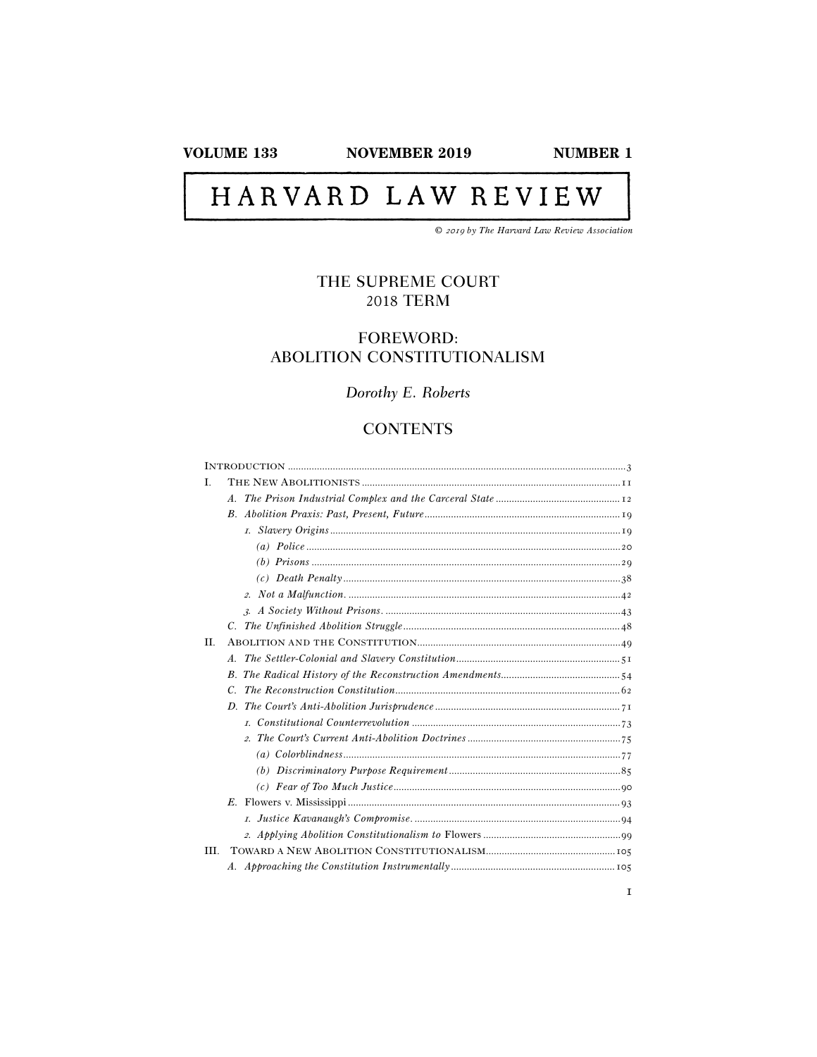**NOVEMBER 2019** 

# HARVARD LAW REVIEW

© 2019 by The Harvard Law Review Association

# THE SUPREME COURT **2018 TERM**

## **FOREWORD:** ABOLITION CONSTITUTIONALISM

# Dorothy E. Roberts

# **CONTENTS**

| L    |                 |  |
|------|-----------------|--|
|      | $\mathcal{A}$ . |  |
|      |                 |  |
|      |                 |  |
|      |                 |  |
|      |                 |  |
|      |                 |  |
|      |                 |  |
|      |                 |  |
|      |                 |  |
| II.  |                 |  |
|      | $\overline{A}$  |  |
|      |                 |  |
|      | C.              |  |
|      |                 |  |
|      |                 |  |
|      |                 |  |
|      |                 |  |
|      |                 |  |
|      |                 |  |
|      | E.              |  |
|      |                 |  |
|      |                 |  |
| III. |                 |  |
|      |                 |  |
|      |                 |  |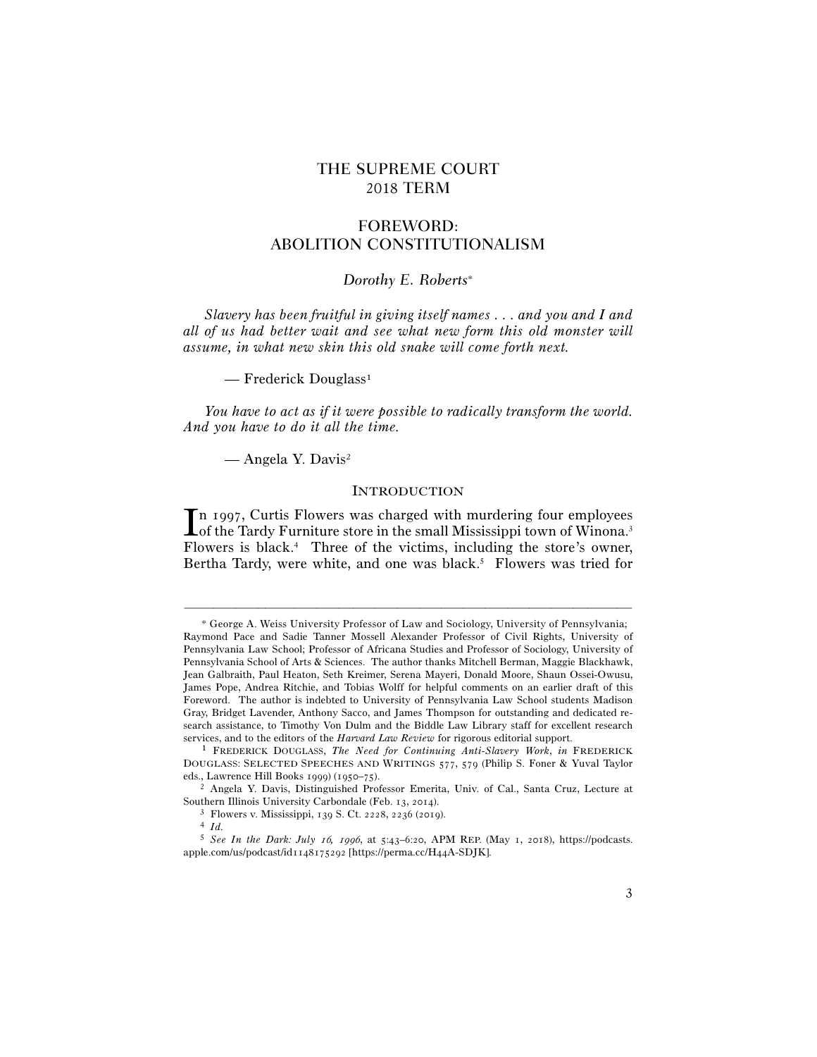## THE SUPREME COURT 2018 TERM

## FOREWORD: ABOLITION CONSTITUTIONALISM

## *Dorothy E. Roberts*<sup>∗</sup>

*Slavery has been fruitful in giving itself names . . . and you and I and all of us had better wait and see what new form this old monster will assume, in what new skin this old snake will come forth next.* 

— Frederick Douglass<sup>1</sup>

*You have to act as if it were possible to radically transform the world. And you have to do it all the time.* 

— Angela Y. Davis2

#### INTRODUCTION

n 1997, Curtis Flowers was charged with murdering four employees In 1997, Curtis Flowers was charged with murdering four employees of the Tardy Furniture store in the small Mississippi town of Winona.<sup>3</sup> Flowers is black.4 Three of the victims, including the store's owner, Bertha Tardy, were white, and one was black.<sup>5</sup> Flowers was tried for

<sup>∗</sup> George A. Weiss University Professor of Law and Sociology, University of Pennsylvania; Raymond Pace and Sadie Tanner Mossell Alexander Professor of Civil Rights, University of Pennsylvania Law School; Professor of Africana Studies and Professor of Sociology, University of Pennsylvania School of Arts & Sciences. The author thanks Mitchell Berman, Maggie Blackhawk, Jean Galbraith, Paul Heaton, Seth Kreimer, Serena Mayeri, Donald Moore, Shaun Ossei-Owusu, James Pope, Andrea Ritchie, and Tobias Wolff for helpful comments on an earlier draft of this Foreword. The author is indebted to University of Pennsylvania Law School students Madison Gray, Bridget Lavender, Anthony Sacco, and James Thompson for outstanding and dedicated research assistance, to Timothy Von Dulm and the Biddle Law Library staff for excellent research services, and to the editors of the *Harvard Law Review* for rigorous editorial support. 1 FREDERICK DOUGLASS, *The Need for Continuing Anti-Slavery Work*, *in* FREDERICK

DOUGLASS: SELECTED SPEECHES AND WRITINGS 577, 579 (Philip S. Foner & Yuval Taylor eds., Lawrence Hill Books 1999) (1950–75).

<sup>&</sup>lt;sup>2</sup> Angela Y. Davis, Distinguished Professor Emerita, Univ. of Cal., Santa Cruz, Lecture at Southern Illinois University Carbondale (Feb. 13, <sup>2014</sup>). 3 Flowers v. Mississippi, 139 S. Ct. 2228, 2236 (<sup>2019</sup>). 4 *Id.*

<sup>5</sup> *See In the Dark: July* 16*,* 1996, at 5:43–6:20, APM REP. (May 1, 2018), https://podcasts. apple.com/us/podcast/id1148175292 [https://perma.cc/H44A-SDJK].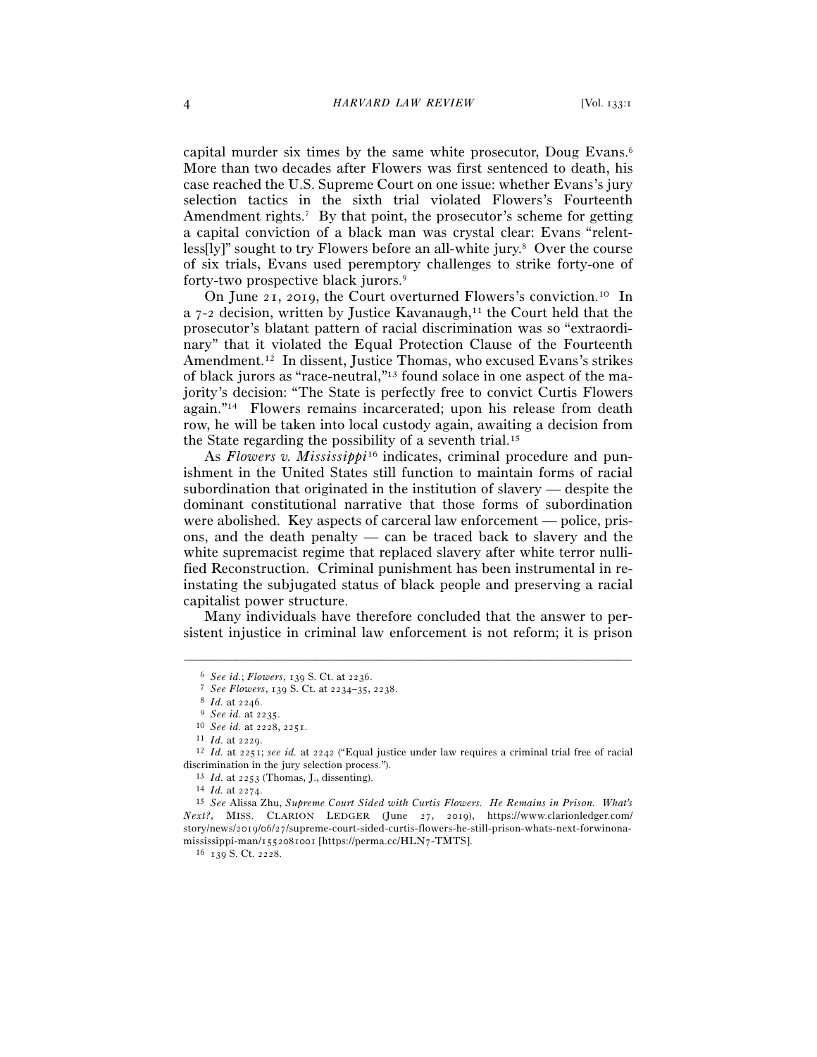capital murder six times by the same white prosecutor, Doug Evans.6 More than two decades after Flowers was first sentenced to death, his case reached the U.S. Supreme Court on one issue: whether Evans's jury selection tactics in the sixth trial violated Flowers's Fourteenth Amendment rights.<sup>7</sup> By that point, the prosecutor's scheme for getting a capital conviction of a black man was crystal clear: Evans "relentless[ly]" sought to try Flowers before an all-white jury.<sup>8</sup> Over the course of six trials, Evans used peremptory challenges to strike forty-one of forty-two prospective black jurors.9

On June 21, 2019, the Court overturned Flowers's conviction.10 In a  $7-2$  decision, written by Justice Kavanaugh,<sup>11</sup> the Court held that the prosecutor's blatant pattern of racial discrimination was so "extraordinary" that it violated the Equal Protection Clause of the Fourteenth Amendment.12 In dissent, Justice Thomas, who excused Evans's strikes of black jurors as "race-neutral,"13 found solace in one aspect of the majority's decision: "The State is perfectly free to convict Curtis Flowers again."14 Flowers remains incarcerated; upon his release from death row, he will be taken into local custody again, awaiting a decision from the State regarding the possibility of a seventh trial.15

As *Flowers v. Mississippi*16 indicates, criminal procedure and punishment in the United States still function to maintain forms of racial subordination that originated in the institution of slavery — despite the dominant constitutional narrative that those forms of subordination were abolished. Key aspects of carceral law enforcement — police, prisons, and the death penalty — can be traced back to slavery and the white supremacist regime that replaced slavery after white terror nullified Reconstruction. Criminal punishment has been instrumental in reinstating the subjugated status of black people and preserving a racial capitalist power structure.

Many individuals have therefore concluded that the answer to persistent injustice in criminal law enforcement is not reform; it is prison

<sup>6</sup> See id.; Flowers, 139 S. Ct. at 2236.<br>
7 See Flowers, 139 S. Ct. at 2234–35, 2238.<br>
8 Id. at 2246.<br>
9 See id. at 2235.<br>
10 See id. at 2228, 2251.<br>
11 Id. at 2229.<br>
12 Id. at 2251; see id. at 2242 ("Equal justice under l discrimination in the jury selection process.").<br><sup>13</sup> *Id.* at 2253 (Thomas, J., dissenting).<br><sup>14</sup> *Id.* at 2274.<br><sup>15</sup> *See* Alissa Zhu, *Supreme Court Sided with Curtis Flowers. He Remains in Prison. What's* 

*Next?*, MISS. CLARION LEDGER (June 27, 2019), https://www.clarionledger.com/ story/news/2019/06/27/supreme-court-sided-curtis-flowers-he-still-prison-whats-next-forwinonamississippi-man/1552081001 [https://perma.cc/HLN7-TMTS].  $^{16}$  139 S. Ct. 2228.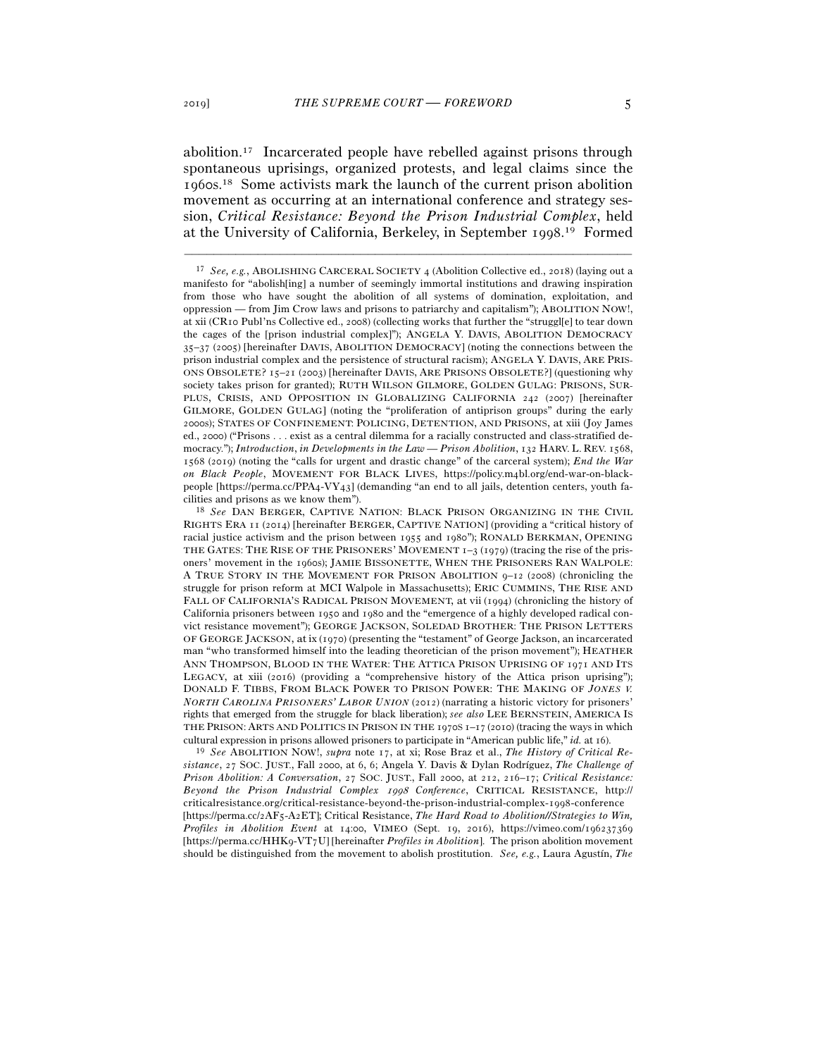abolition.17 Incarcerated people have rebelled against prisons through spontaneous uprisings, organized protests, and legal claims since the 1960s.18 Some activists mark the launch of the current prison abolition movement as occurring at an international conference and strategy session, *Critical Resistance: Beyond the Prison Industrial Complex*, held at the University of California, Berkeley, in September 1998.<sup>19</sup> Formed

–––––––––––––––––––––––––––––––––––––––––––––––––––––––––––––

*sistance*, 27 SOC. JUST., Fall 2000, at 6, 6; Angela Y. Davis & Dylan Rodríguez, *The Challenge of Prison Abolition: A Conversation*, 27 SOC. JUST., Fall 2000, at 212, 216–17; *Critical Resistance: Beyond the Prison Industrial Complex* 1998 *Conference*, CRITICAL RESISTANCE, http:// criticalresistance.org/critical-resistance-beyond-the-prison-industrial-complex-1998-conference [https://perma.cc/2AF5-A2ET]; Critical Resistance, *The Hard Road to Abolition//Strategies to Win, Profiles in Abolition Event* at 14:00, VIMEO (Sept. 19, 2016), https://vimeo.com/196237369 [https://perma.cc/HHK9-VT7U] [hereinafter *Profiles in Abolition*]. The prison abolition movement should be distinguished from the movement to abolish prostitution. *See, e.g.*, Laura Agustín, *The* 

<sup>17</sup> *See, e.g.*, ABOLISHING CARCERAL SOCIETY 4 (Abolition Collective ed., 2018) (laying out a manifesto for "abolish[ing] a number of seemingly immortal institutions and drawing inspiration from those who have sought the abolition of all systems of domination, exploitation, and oppression — from Jim Crow laws and prisons to patriarchy and capitalism"); ABOLITION NOW!, at xii (CR10 Publ'ns Collective ed., 2008) (collecting works that further the "struggl[e] to tear down the cages of the [prison industrial complex]"); ANGELA Y. DAVIS, ABOLITION DEMOCRACY 35–37 (2005) [hereinafter DAVIS, ABOLITION DEMOCRACY] (noting the connections between the prison industrial complex and the persistence of structural racism); ANGELA Y. DAVIS, ARE PRIS-ONS OBSOLETE? 15–21 (2003) [hereinafter DAVIS, ARE PRISONS OBSOLETE?] (questioning why society takes prison for granted); RUTH WILSON GILMORE, GOLDEN GULAG: PRISONS, SUR-PLUS, CRISIS, AND OPPOSITION IN GLOBALIZING CALIFORNIA 242 (2007) [hereinafter GILMORE, GOLDEN GULAG] (noting the "proliferation of antiprison groups" during the early 2000s); STATES OF CONFINEMENT: POLICING, DETENTION, AND PRISONS, at xiii (Joy James ed., 2000) ("Prisons . . . exist as a central dilemma for a racially constructed and class-stratified democracy."); *Introduction*, *in Developments in the Law — Prison Abolition*, 132 HARV. L. REV. 1568, 1568 (2019) (noting the "calls for urgent and drastic change" of the carceral system); *End the War on Black People*, MOVEMENT FOR BLACK LIVES, https://policy.m4bl.org/end-war-on-blackpeople [https://perma.cc/PPA4-VY43] (demanding "an end to all jails, detention centers, youth facilities and prisons as we know them"). 18 *See* DAN BERGER, CAPTIVE NATION: BLACK PRISON ORGANIZING IN THE CIVIL

RIGHTS ERA 11 (2014) [hereinafter BERGER, CAPTIVE NATION] (providing a "critical history of racial justice activism and the prison between 1955 and 1980"); RONALD BERKMAN, OPENING THE GATES: THE RISE OF THE PRISONERS' MOVEMENT  $I-3$  (1979) (tracing the rise of the prisoners' movement in the 1960s); JAMIE BISSONETTE, WHEN THE PRISONERS RAN WALPOLE: A TRUE STORY IN THE MOVEMENT FOR PRISON ABOLITION 9–12 (2008) (chronicling the struggle for prison reform at MCI Walpole in Massachusetts); ERIC CUMMINS, THE RISE AND FALL OF CALIFORNIA'S RADICAL PRISON MOVEMENT, at vii (1994) (chronicling the history of California prisoners between 1950 and 1980 and the "emergence of a highly developed radical convict resistance movement"); GEORGE JACKSON, SOLEDAD BROTHER: THE PRISON LETTERS OF GEORGE JACKSON, at ix (1970) (presenting the "testament" of George Jackson, an incarcerated man "who transformed himself into the leading theoretician of the prison movement"); HEATHER ANN THOMPSON, BLOOD IN THE WATER: THE ATTICA PRISON UPRISING OF 1971 AND ITS LEGACY, at xiii (2016) (providing a "comprehensive history of the Attica prison uprising"); DONALD F. TIBBS, FROM BLACK POWER TO PRISON POWER: THE MAKING OF *JONES V. NORTH CAROLINA PRISONERS' LABOR UNION* (2012) (narrating a historic victory for prisoners' rights that emerged from the struggle for black liberation); *see also* LEE BERNSTEIN, AMERICA IS THE PRISON: ARTS AND POLITICS IN PRISON IN THE 1970S 1–17 (2010) (tracing the ways in which cultural expression in prisons allowed prisoners to participate in "American public life," *id.* at <sup>16</sup>). 19 *See* ABOLITION NOW!, *supra* note 17, at xi; Rose Braz et al., *The History of Critical Re-*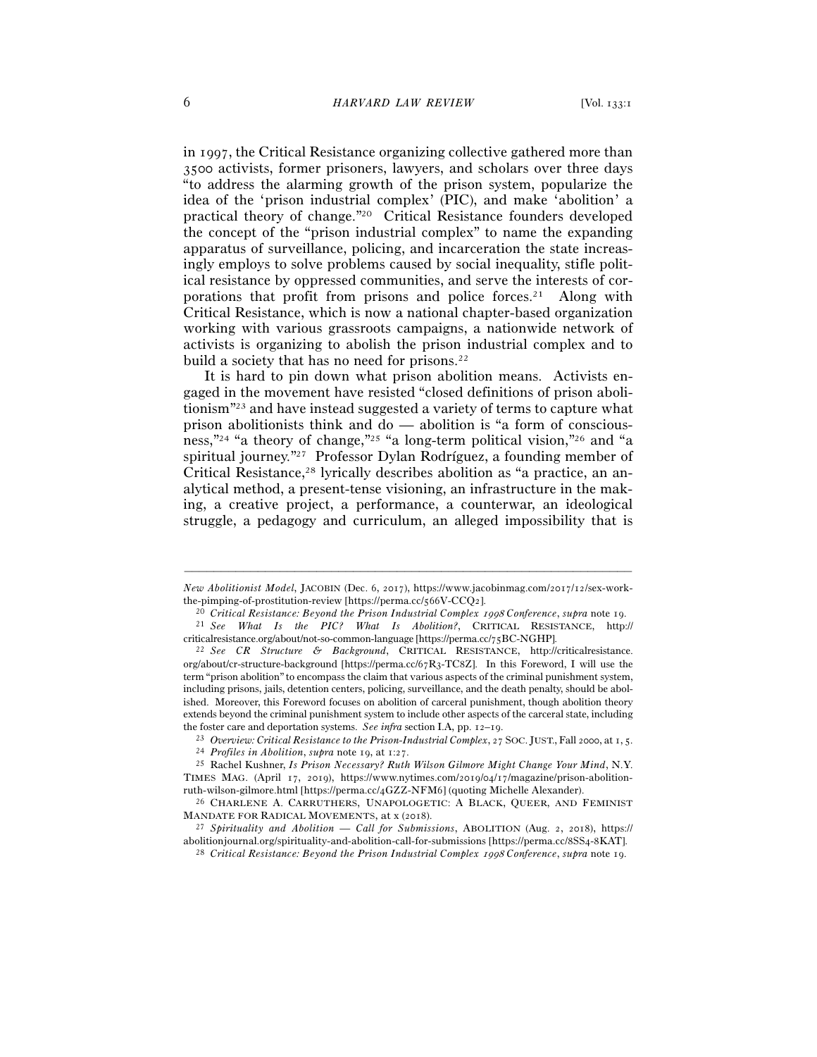in 1997, the Critical Resistance organizing collective gathered more than 3500 activists, former prisoners, lawyers, and scholars over three days "to address the alarming growth of the prison system, popularize the idea of the 'prison industrial complex' (PIC), and make 'abolition' a practical theory of change."20 Critical Resistance founders developed the concept of the "prison industrial complex" to name the expanding apparatus of surveillance, policing, and incarceration the state increasingly employs to solve problems caused by social inequality, stifle political resistance by oppressed communities, and serve the interests of corporations that profit from prisons and police forces.21 Along with Critical Resistance, which is now a national chapter-based organization working with various grassroots campaigns, a nationwide network of activists is organizing to abolish the prison industrial complex and to build a society that has no need for prisons.<sup>22</sup>

It is hard to pin down what prison abolition means. Activists engaged in the movement have resisted "closed definitions of prison abolitionism"23 and have instead suggested a variety of terms to capture what prison abolitionists think and do — abolition is "a form of consciousness,"24 "a theory of change,"25 "a long-term political vision,"26 and "a spiritual journey."27 Professor Dylan Rodríguez, a founding member of Critical Resistance,<sup>28</sup> lyrically describes abolition as "a practice, an analytical method, a present-tense visioning, an infrastructure in the making, a creative project, a performance, a counterwar, an ideological struggle, a pedagogy and curriculum, an alleged impossibility that is

<sup>–––––––––––––––––––––––––––––––––––––––––––––––––––––––––––––</sup> *New Abolitionist Model*, JACOBIN (Dec. 6, 2017), https://www.jacobinmag.com/2017/12/sex-work-

the-pimping-of-prostitution-review [https://perma.cc/566V-CCQ2].<br>
<sup>20</sup> Critical Resistance: Beyond the Prison Industrial Complex 1998 Conference, supra note 19.<br>
<sup>21</sup> See What Is the PIC? What Is Abolition?, CRITICAL RESI criticalresistance.org/about/not-so-common-language [https://perma.cc/<sup>75</sup>BC-NGHP]. 22 *See CR Structure & Background*, CRITICAL RESISTANCE, http://criticalresistance.

org/about/cr-structure-background [https://perma.cc/67R3-TC8Z]. In this Foreword, I will use the term "prison abolition" to encompass the claim that various aspects of the criminal punishment system, including prisons, jails, detention centers, policing, surveillance, and the death penalty, should be abolished. Moreover, this Foreword focuses on abolition of carceral punishment, though abolition theory extends beyond the criminal punishment system to include other aspects of the carceral state, including

the foster care and deportation systems. See infra section I.A, pp. 12–19.<br>
<sup>23</sup> Overview: Critical Resistance to the Prison-Industrial Complex, 27 Soc. JUST., Fall 2000, at 1, 5.<br>
<sup>24</sup> Profiles in Abolition, supra note 1

TIMES MAG. (April 17, 2019), https://www.nytimes.com/2019/04/17/magazine/prison-abolitionruth-wilson-gilmore.html [https://perma.cc/4GZZ-NFM<sup>6</sup>] (quoting Michelle Alexander). 26 CHARLENE A. CARRUTHERS, UNAPOLOGETIC: <sup>A</sup> BLACK, QUEER, AND FEMINIST

MANDATE FOR RADICAL MOVEMENTS, at x (<sup>2018</sup>). 27 *Spirituality and Abolition — Call for Submissions*, ABOLITION (Aug. 2, 2018), https://

abolitionjournal.org/spirituality-and-abolition-call-for-submissions [https://perma.cc/8SS4-<sup>8</sup>KAT]. 28 *Critical Resistance: Beyond the Prison Industrial Complex* 1998 *Conference*, *supra* note 19.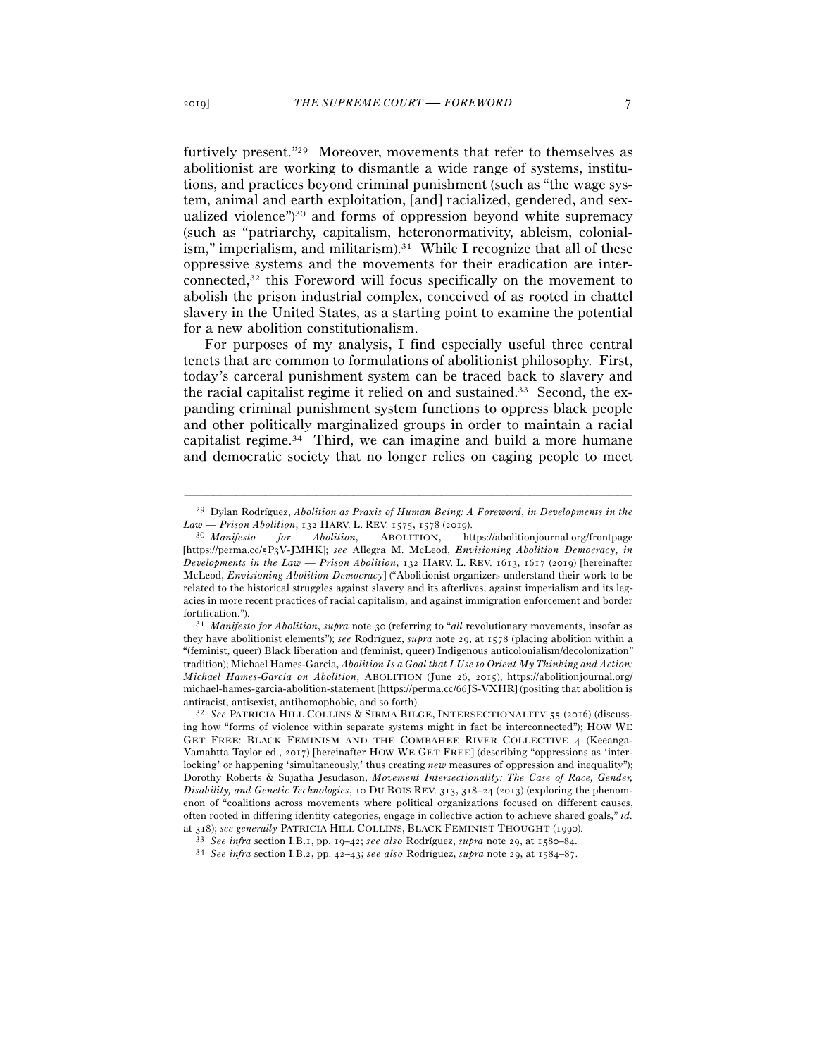furtively present."29 Moreover, movements that refer to themselves as abolitionist are working to dismantle a wide range of systems, institutions, and practices beyond criminal punishment (such as "the wage system, animal and earth exploitation, [and] racialized, gendered, and sexualized violence")30 and forms of oppression beyond white supremacy (such as "patriarchy, capitalism, heteronormativity, ableism, colonialism," imperialism, and militarism). $31$  While I recognize that all of these oppressive systems and the movements for their eradication are interconnected,32 this Foreword will focus specifically on the movement to abolish the prison industrial complex, conceived of as rooted in chattel slavery in the United States, as a starting point to examine the potential for a new abolition constitutionalism.

For purposes of my analysis, I find especially useful three central tenets that are common to formulations of abolitionist philosophy. First, today's carceral punishment system can be traced back to slavery and the racial capitalist regime it relied on and sustained.33 Second, the expanding criminal punishment system functions to oppress black people and other politically marginalized groups in order to maintain a racial capitalist regime.34 Third, we can imagine and build a more humane and democratic society that no longer relies on caging people to meet

they have abolitionist elements"); *see* Rodríguez, *supra* note 29, at 1578 (placing abolition within a "(feminist, queer) Black liberation and (feminist, queer) Indigenous anticolonialism/decolonization" tradition); Michael Hames-Garcia, *Abolition Is a Goal that I Use to Orient My Thinking and Action: Michael Hames-Garcia on Abolition*, ABOLITION (June 26, 2015), https://abolitionjournal.org/ michael-hames-garcia-abolition-statement [https://perma.cc/66JS-VXHR] (positing that abolition is antiracist, antisexist, antihomophobic, and so forth). 32 *See* PATRICIA HILL COLLINS & SIRMA BILGE, INTERSECTIONALITY <sup>55</sup> (2016) (discuss-

ing how "forms of violence within separate systems might in fact be interconnected"); HOW WE GET FREE: BLACK FEMINISM AND THE COMBAHEE RIVER COLLECTIVE 4 (Keeanga-Yamahtta Taylor ed., 2017) [hereinafter HOW WE GET FREE] (describing "oppressions as 'interlocking' or happening 'simultaneously,' thus creating *new* measures of oppression and inequality"); Dorothy Roberts & Sujatha Jesudason, *Movement Intersectionality: The Case of Race, Gender, Disability, and Genetic Technologies*, 10 DU BOIS REV. 313, 318–24 (2013) (exploring the phenomenon of "coalitions across movements where political organizations focused on different causes, often rooted in differing identity categories, engage in collective action to achieve shared goals," *id.*

<sup>–––––––––––––––––––––––––––––––––––––––––––––––––––––––––––––</sup> 29 Dylan Rodríguez, *Abolition as Praxis of Human Being: A Foreword*, *in Developments in the Law — Prison Abolition*, 132 HARV. L. REV. 1575, 1578 (<sup>2019</sup>). 30 *Manifesto for Abolition*, ABOLITION, https://abolitionjournal.org/frontpage

<sup>[</sup>https://perma.cc/5P3V-JMHK]; *see* Allegra M. McLeod, *Envisioning Abolition Democracy*, *in Developments in the Law — Prison Abolition*, 132 HARV. L. REV. 1613, 1617 (2019) [hereinafter McLeod, *Envisioning Abolition Democracy*] ("Abolitionist organizers understand their work to be related to the historical struggles against slavery and its afterlives, against imperialism and its legacies in more recent practices of racial capitalism, and against immigration enforcement and border fortification."). 31 *Manifesto for Abolition*, *supra* note 30 (referring to "*all* revolutionary movements, insofar as

at 318); see generally PATRICIA HILL COLLINS, BLACK FEMINIST THOUGHT (1990).<br><sup>33</sup> See infra section I.B.1, pp. 19–42; see also Rodríguez, supra note 29, at 1580–84.<br><sup>34</sup> See infra section I.B.2, pp. 42–43; see also Rodríg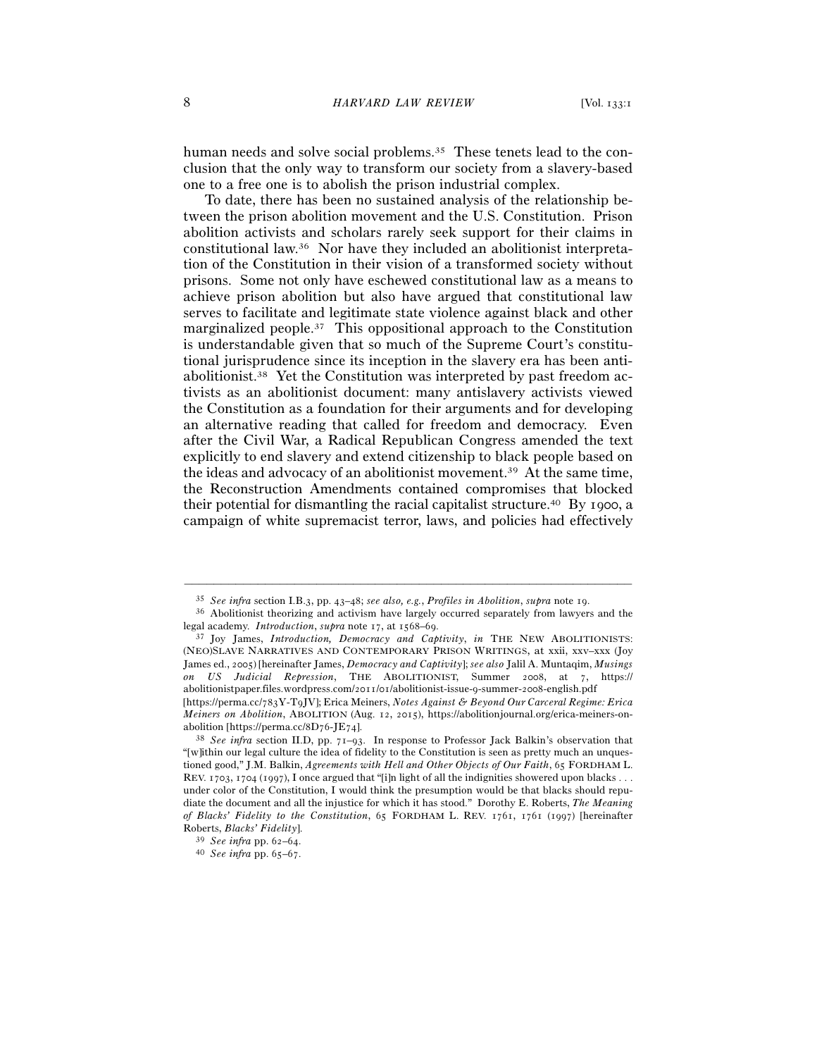human needs and solve social problems.<sup>35</sup> These tenets lead to the conclusion that the only way to transform our society from a slavery-based one to a free one is to abolish the prison industrial complex.

To date, there has been no sustained analysis of the relationship between the prison abolition movement and the U.S. Constitution. Prison abolition activists and scholars rarely seek support for their claims in constitutional law.36 Nor have they included an abolitionist interpretation of the Constitution in their vision of a transformed society without prisons. Some not only have eschewed constitutional law as a means to achieve prison abolition but also have argued that constitutional law serves to facilitate and legitimate state violence against black and other marginalized people.37 This oppositional approach to the Constitution is understandable given that so much of the Supreme Court's constitutional jurisprudence since its inception in the slavery era has been antiabolitionist.38 Yet the Constitution was interpreted by past freedom activists as an abolitionist document: many antislavery activists viewed the Constitution as a foundation for their arguments and for developing an alternative reading that called for freedom and democracy. Even after the Civil War, a Radical Republican Congress amended the text explicitly to end slavery and extend citizenship to black people based on the ideas and advocacy of an abolitionist movement.39 At the same time, the Reconstruction Amendments contained compromises that blocked their potential for dismantling the racial capitalist structure.40 By 1900, a campaign of white supremacist terror, laws, and policies had effectively

–––––––––––––––––––––––––––––––––––––––––––––––––––––––––––––

(NEO)SLAVE NARRATIVES AND CONTEMPORARY PRISON WRITINGS, at xxii, xxv–xxx (Joy James ed., 2005) [hereinafter James, *Democracy and Captivity*]; *see also* Jalil A. Muntaqim, *Musings on US Judicial Repression*, THE ABOLITIONIST, Summer 2008, at 7, https:// abolitionistpaper.files.wordpress.com/2011/01/abolitionist-issue-9-summer-2008-english.pdf

<sup>35</sup> *See infra* section I.B.3, pp. 43–48; *see also, e.g.*, *Profiles in Abolition*, *supra* note <sup>19</sup>. 36 Abolitionist theorizing and activism have largely occurred separately from lawyers and the legal academy. *Introduction*, *supra* note 17, at 1568–<sup>69</sup>. 37 Joy James, *Introduction, Democracy and Captivity*, *in* THE NEW ABOLITIONISTS:

<sup>[</sup>https://perma.cc/783Y-T9JV]; Erica Meiners, *Notes Against & Beyond Our Carceral Regime: Erica Meiners on Abolition*, ABOLITION (Aug. 12, 2015), https://abolitionjournal.org/erica-meiners-on-abolition [https://perma.cc/8D76-JE74].

<sup>&</sup>lt;sup>38</sup> See infra section II.D, pp. 71–93. In response to Professor Jack Balkin's observation that "[w]ithin our legal culture the idea of fidelity to the Constitution is seen as pretty much an unquestioned good," J.M. Balkin, *Agreements with Hell and Other Objects of Our Faith*, 65 FORDHAM L. REV. 1703, 1704 (1997), I once argued that "[i]n light of all the indignities showered upon blacks . . . under color of the Constitution, I would think the presumption would be that blacks should repudiate the document and all the injustice for which it has stood." Dorothy E. Roberts, *The Meaning of Blacks' Fidelity to the Constitution*, 65 FORDHAM L. REV. 1761, 1761 (1997) [hereinafter Roberts, *Blacks' Fidelity*]. 39 *See infra* pp. 62–<sup>64</sup>. 40 *See infra* pp. 65–67.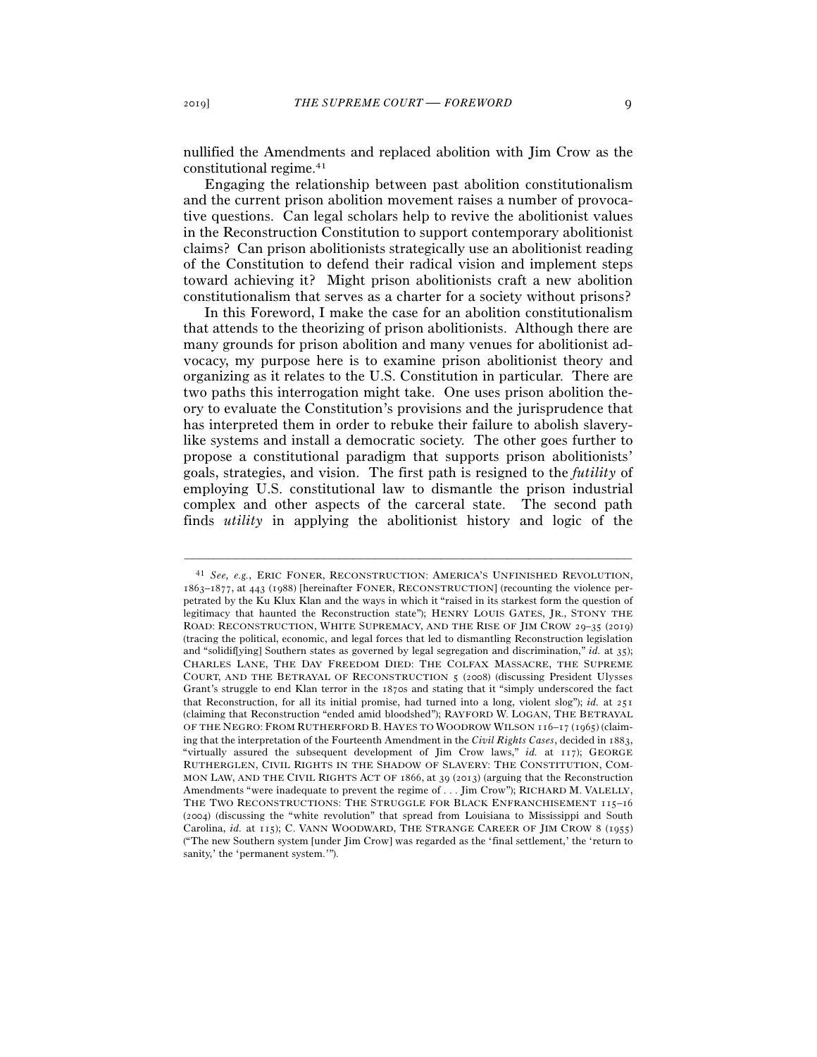nullified the Amendments and replaced abolition with Jim Crow as the constitutional regime.41

Engaging the relationship between past abolition constitutionalism and the current prison abolition movement raises a number of provocative questions. Can legal scholars help to revive the abolitionist values in the Reconstruction Constitution to support contemporary abolitionist claims? Can prison abolitionists strategically use an abolitionist reading of the Constitution to defend their radical vision and implement steps toward achieving it? Might prison abolitionists craft a new abolition constitutionalism that serves as a charter for a society without prisons?

In this Foreword, I make the case for an abolition constitutionalism that attends to the theorizing of prison abolitionists. Although there are many grounds for prison abolition and many venues for abolitionist advocacy, my purpose here is to examine prison abolitionist theory and organizing as it relates to the U.S. Constitution in particular. There are two paths this interrogation might take. One uses prison abolition theory to evaluate the Constitution's provisions and the jurisprudence that has interpreted them in order to rebuke their failure to abolish slaverylike systems and install a democratic society. The other goes further to propose a constitutional paradigm that supports prison abolitionists' goals, strategies, and vision. The first path is resigned to the *futility* of employing U.S. constitutional law to dismantle the prison industrial complex and other aspects of the carceral state. The second path finds *utility* in applying the abolitionist history and logic of the

<sup>41</sup> *See, e.g.*, ERIC FONER, RECONSTRUCTION: AMERICA'S UNFINISHED REVOLUTION, 1863–1877, at 443 (1988) [hereinafter FONER, RECONSTRUCTION] (recounting the violence perpetrated by the Ku Klux Klan and the ways in which it "raised in its starkest form the question of legitimacy that haunted the Reconstruction state"); HENRY LOUIS GATES, JR., STONY THE ROAD: RECONSTRUCTION, WHITE SUPREMACY, AND THE RISE OF JIM CROW 29–35 (2019) (tracing the political, economic, and legal forces that led to dismantling Reconstruction legislation and "solidif[ying] Southern states as governed by legal segregation and discrimination," *id.* at 35); CHARLES LANE, THE DAY FREEDOM DIED: THE COLFAX MASSACRE, THE SUPREME COURT, AND THE BETRAYAL OF RECONSTRUCTION 5 (2008) (discussing President Ulysses Grant's struggle to end Klan terror in the 1870s and stating that it "simply underscored the fact that Reconstruction, for all its initial promise, had turned into a long, violent slog"); *id.* at 251 (claiming that Reconstruction "ended amid bloodshed"); RAYFORD W. LOGAN, THE BETRAYAL OF THE NEGRO: FROM RUTHERFORD B. HAYES TO WOODROW WILSON 116–17 (1965) (claiming that the interpretation of the Fourteenth Amendment in the *Civil Rights Cases*, decided in 1883, "virtually assured the subsequent development of Jim Crow laws," *id.* at 117); GEORGE RUTHERGLEN, CIVIL RIGHTS IN THE SHADOW OF SLAVERY: THE CONSTITUTION, COM-MON LAW, AND THE CIVIL RIGHTS ACT OF 1866, at 39 (2013) (arguing that the Reconstruction Amendments "were inadequate to prevent the regime of . . . Jim Crow"); RICHARD M. VALELLY, THE TWO RECONSTRUCTIONS: THE STRUGGLE FOR BLACK ENFRANCHISEMENT 115-16 (2004) (discussing the "white revolution" that spread from Louisiana to Mississippi and South Carolina, *id.* at 115); C. VANN WOODWARD, THE STRANGE CAREER OF JIM CROW 8 (1955) ("The new Southern system [under Jim Crow] was regarded as the 'final settlement,' the 'return to sanity,' the 'permanent system.'").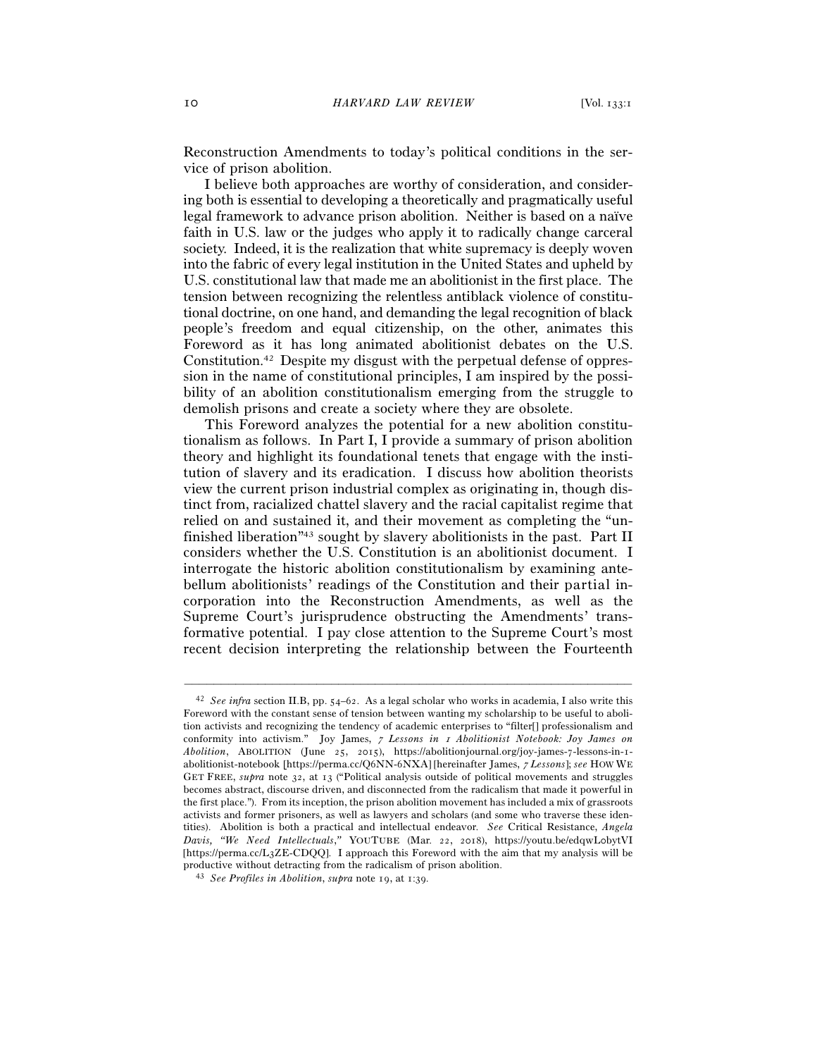Reconstruction Amendments to today's political conditions in the service of prison abolition.

I believe both approaches are worthy of consideration, and considering both is essential to developing a theoretically and pragmatically useful legal framework to advance prison abolition. Neither is based on a naïve faith in U.S. law or the judges who apply it to radically change carceral society. Indeed, it is the realization that white supremacy is deeply woven into the fabric of every legal institution in the United States and upheld by U.S. constitutional law that made me an abolitionist in the first place. The tension between recognizing the relentless antiblack violence of constitutional doctrine, on one hand, and demanding the legal recognition of black people's freedom and equal citizenship, on the other, animates this Foreword as it has long animated abolitionist debates on the U.S. Constitution.42 Despite my disgust with the perpetual defense of oppression in the name of constitutional principles, I am inspired by the possibility of an abolition constitutionalism emerging from the struggle to demolish prisons and create a society where they are obsolete.

This Foreword analyzes the potential for a new abolition constitutionalism as follows. In Part I, I provide a summary of prison abolition theory and highlight its foundational tenets that engage with the institution of slavery and its eradication. I discuss how abolition theorists view the current prison industrial complex as originating in, though distinct from, racialized chattel slavery and the racial capitalist regime that relied on and sustained it, and their movement as completing the "unfinished liberation"43 sought by slavery abolitionists in the past. Part II considers whether the U.S. Constitution is an abolitionist document. I interrogate the historic abolition constitutionalism by examining antebellum abolitionists' readings of the Constitution and their partial incorporation into the Reconstruction Amendments, as well as the Supreme Court's jurisprudence obstructing the Amendments' transformative potential. I pay close attention to the Supreme Court's most recent decision interpreting the relationship between the Fourteenth

<sup>42</sup> *See infra* section II.B, pp. 54–62. As a legal scholar who works in academia, I also write this Foreword with the constant sense of tension between wanting my scholarship to be useful to abolition activists and recognizing the tendency of academic enterprises to "filter[] professionalism and conformity into activism." Joy James, 7 *Lessons in* 1 *Abolitionist Notebook: Joy James on Abolition*, ABOLITION (June 25, 2015), https://abolitionjournal.org/joy-james-7-lessons-in-1 abolitionist-notebook [https://perma.cc/Q6NN-6NXA] [hereinafter James, 7 *Lessons*]; *see* HOW WE GET FREE, *supra* note 32, at 13 ("Political analysis outside of political movements and struggles becomes abstract, discourse driven, and disconnected from the radicalism that made it powerful in the first place."). From its inception, the prison abolition movement has included a mix of grassroots activists and former prisoners, as well as lawyers and scholars (and some who traverse these identities). Abolition is both a practical and intellectual endeavor. *See* Critical Resistance, *Angela Davis, "We Need Intellectuals*,*"* YOUTUBE (Mar. 22, 2018), https://youtu.be/edqwL0bytVI [https://perma.cc/L3ZE-CDQQ]. I approach this Foreword with the aim that my analysis will be productive without detracting from the radicalism of prison abolition. 43 *See Profiles in Abolition*, *supra* note 19, at 1:39.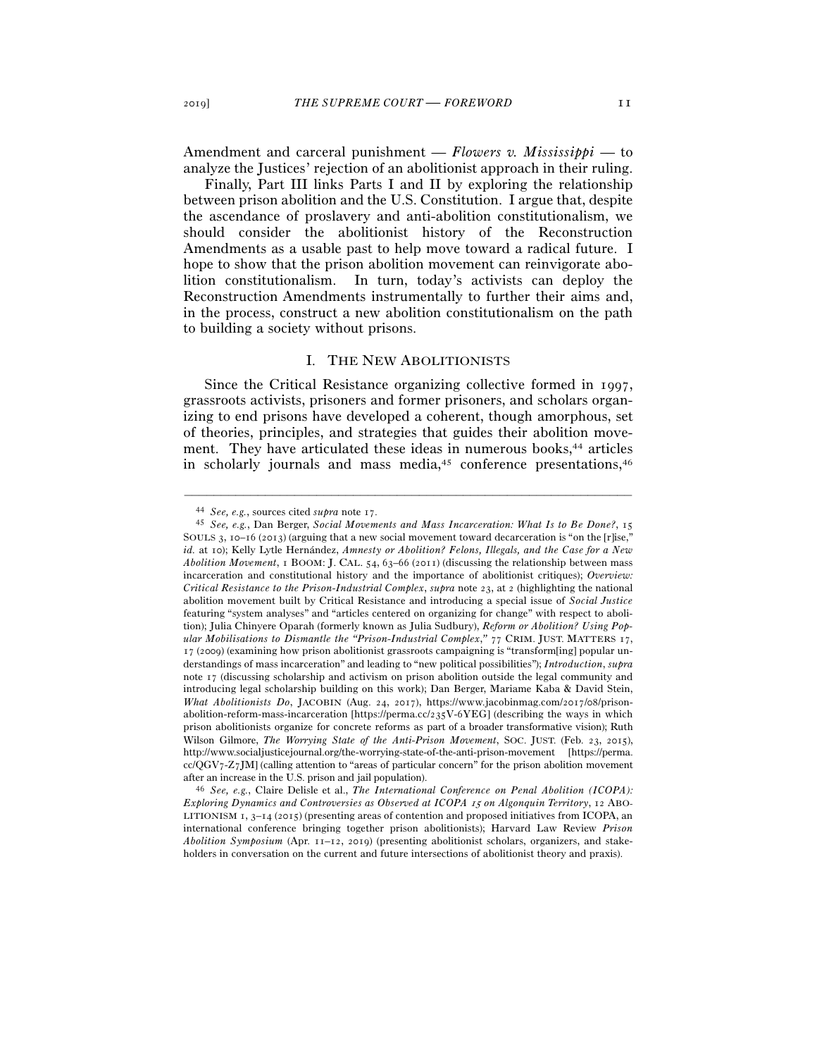Amendment and carceral punishment — *Flowers v. Mississippi* — to analyze the Justices' rejection of an abolitionist approach in their ruling.

Finally, Part III links Parts I and II by exploring the relationship between prison abolition and the U.S. Constitution. I argue that, despite the ascendance of proslavery and anti-abolition constitutionalism, we should consider the abolitionist history of the Reconstruction Amendments as a usable past to help move toward a radical future. I hope to show that the prison abolition movement can reinvigorate abolition constitutionalism. In turn, today's activists can deploy the Reconstruction Amendments instrumentally to further their aims and, in the process, construct a new abolition constitutionalism on the path to building a society without prisons.

#### I. THE NEW ABOLITIONISTS

Since the Critical Resistance organizing collective formed in 1997, grassroots activists, prisoners and former prisoners, and scholars organizing to end prisons have developed a coherent, though amorphous, set of theories, principles, and strategies that guides their abolition movement. They have articulated these ideas in numerous books,<sup>44</sup> articles in scholarly journals and mass media, $45$  conference presentations, $46$ 

<sup>44</sup> *See, e.g.*, sources cited *supra* note <sup>17</sup>. 45 *See, e.g.*, Dan Berger, *Social Movements and Mass Incarceration: What Is to Be Done?*, <sup>15</sup> SOULS 3, 10–16 (2013) (arguing that a new social movement toward decarceration is "on the [r]ise," *id.* at 10); Kelly Lytle Hernández, *Amnesty or Abolition? Felons, Illegals, and the Case for a New Abolition Movement*, 1 BOOM: J. CAL. 54, 63–66 (2011) (discussing the relationship between mass incarceration and constitutional history and the importance of abolitionist critiques); *Overview: Critical Resistance to the Prison-Industrial Complex*, *supra* note 23, at 2 (highlighting the national abolition movement built by Critical Resistance and introducing a special issue of *Social Justice* featuring "system analyses" and "articles centered on organizing for change" with respect to abolition); Julia Chinyere Oparah (formerly known as Julia Sudbury), *Reform or Abolition? Using Popular Mobilisations to Dismantle the "Prison-Industrial Complex*,*"* 77 CRIM. JUST. MATTERS 17, 17 (2009) (examining how prison abolitionist grassroots campaigning is "transform[ing] popular understandings of mass incarceration" and leading to "new political possibilities"); *Introduction*, *supra* note 17 (discussing scholarship and activism on prison abolition outside the legal community and introducing legal scholarship building on this work); Dan Berger, Mariame Kaba & David Stein, *What Abolitionists Do*, JACOBIN (Aug. 24, 2017), https://www.jacobinmag.com/2017/08/prisonabolition-reform-mass-incarceration [https://perma.cc/235V-6YEG] (describing the ways in which prison abolitionists organize for concrete reforms as part of a broader transformative vision); Ruth Wilson Gilmore, *The Worrying State of the Anti-Prison Movement*, SOC. JUST. (Feb. 23, 2015), http://www.socialjusticejournal.org/the-worrying-state-of-the-anti-prison-movement [https://perma. cc/QGV7-Z7JM] (calling attention to "areas of particular concern" for the prison abolition movement

after an increase in the U.S. prison and jail population). 46 *See, e.g.*, Claire Delisle et al., *The International Conference on Penal Abolition (ICOPA): Exploring Dynamics and Controversies as Observed at ICOPA* 15 *on Algonquin Territory*, 12 ABO-LITIONISM  $_1$ ,  $_3$ – $_1$  $_4$  (2015) (presenting areas of contention and proposed initiatives from ICOPA, an international conference bringing together prison abolitionists); Harvard Law Review *Prison Abolition Symposium* (Apr. 11–12, 2019) (presenting abolitionist scholars, organizers, and stakeholders in conversation on the current and future intersections of abolitionist theory and praxis).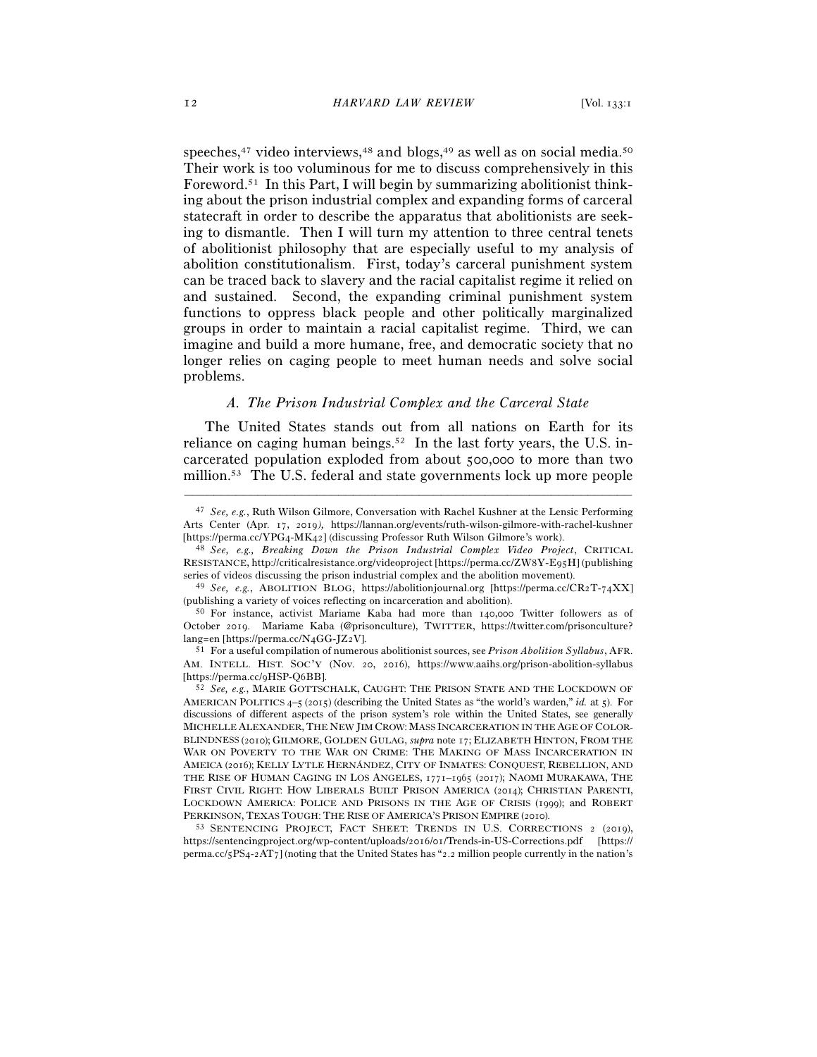speeches,<sup>47</sup> video interviews,<sup>48</sup> and blogs,<sup>49</sup> as well as on social media.<sup>50</sup> Their work is too voluminous for me to discuss comprehensively in this Foreword.51 In this Part, I will begin by summarizing abolitionist thinking about the prison industrial complex and expanding forms of carceral statecraft in order to describe the apparatus that abolitionists are seeking to dismantle. Then I will turn my attention to three central tenets of abolitionist philosophy that are especially useful to my analysis of abolition constitutionalism. First, today's carceral punishment system can be traced back to slavery and the racial capitalist regime it relied on and sustained. Second, the expanding criminal punishment system functions to oppress black people and other politically marginalized groups in order to maintain a racial capitalist regime. Third, we can imagine and build a more humane, free, and democratic society that no longer relies on caging people to meet human needs and solve social problems.

#### *A. The Prison Industrial Complex and the Carceral State*

The United States stands out from all nations on Earth for its reliance on caging human beings.<sup>52</sup> In the last forty years, the U.S. incarcerated population exploded from about 500,000 to more than two million.53 The U.S. federal and state governments lock up more people

<sup>47</sup> *See, e.g.*, Ruth Wilson Gilmore, Conversation with Rachel Kushner at the Lensic Performing Arts Center (Apr. 17, 2019*),* https://lannan.org/events/ruth-wilson*-*gilmore-with-rachel-kushner

<sup>[</sup>https://perma.cc/YPG4-MK<sup>42</sup>] (discussing Professor Ruth Wilson Gilmore's work). 48 *See, e.g., Breaking Down the Prison Industrial Complex Video Project*, CRITICAL RESISTANCE, http://criticalresistance.org/videoproject [https://perma.cc/ZW8Y-E95H] (publishing series of videos discussing the prison industrial complex and the abolition movement). 49 *See, e.g.*, ABOLITION BLOG, https://abolitionjournal.org [https://perma.cc/CR2T-74XX]

<sup>(</sup>publishing a variety of voices reflecting on incarceration and abolition).<br><sup>50</sup> For instance, activist Mariame Kaba had more than 140,000 Twitter followers as of

October 2019. Mariame Kaba (@prisonculture), TWITTER, https://twitter.com/prisonculture? lang=en [https://perma.cc/N4GG-JZ<sup>2</sup>V]. 51 For a useful compilation of numerous abolitionist sources, see *Prison Abolition Syllabus*, AFR.

AM. INTELL. HIST. SOC'Y (Nov. 20, 2016), https://www.aaihs.org/prison-abolition-syllabus [https://perma.cc/9HSP-Q<sup>6</sup>BB]. 52 *See, e.g.*, MARIE GOTTSCHALK, CAUGHT: THE PRISON STATE AND THE LOCKDOWN OF

AMERICAN POLITICS 4–5 (2015) (describing the United States as "the world's warden," *id.* at 5). For discussions of different aspects of the prison system's role within the United States, see generally MICHELLE ALEXANDER, THE NEW JIM CROW:MASS INCARCERATION IN THE AGE OF COLOR-BLINDNESS (2010); GILMORE, GOLDEN GULAG, *supra* note 17; ELIZABETH HINTON, FROM THE WAR ON POVERTY TO THE WAR ON CRIME: THE MAKING OF MASS INCARCERATION IN AMEICA (2016); KELLY LYTLE HERNÁNDEZ, CITY OF INMATES: CONQUEST, REBELLION, AND THE RISE OF HUMAN CAGING IN LOS ANGELES, 1771–1965 (2017); NAOMI MURAKAWA, THE FIRST CIVIL RIGHT: HOW LIBERALS BUILT PRISON AMERICA (2014); CHRISTIAN PARENTI, LOCKDOWN AMERICA: POLICE AND PRISONS IN THE AGE OF CRISIS (1999); and ROBERT PERKINSON, TEXAS TOUGH: THE RISE OF AMERICA'S PRISON EMPIRE (<sup>2010</sup>). 53 SENTENCING PROJECT, FACT SHEET: TRENDS IN U.S. CORRECTIONS <sup>2</sup> (2019),

https://sentencingproject.org/wp-content/uploads/2016/01/Trends-in-US-Corrections.pdf [https:// perma.cc/5PS4-2AT7] (noting that the United States has "2.2 million people currently in the nation's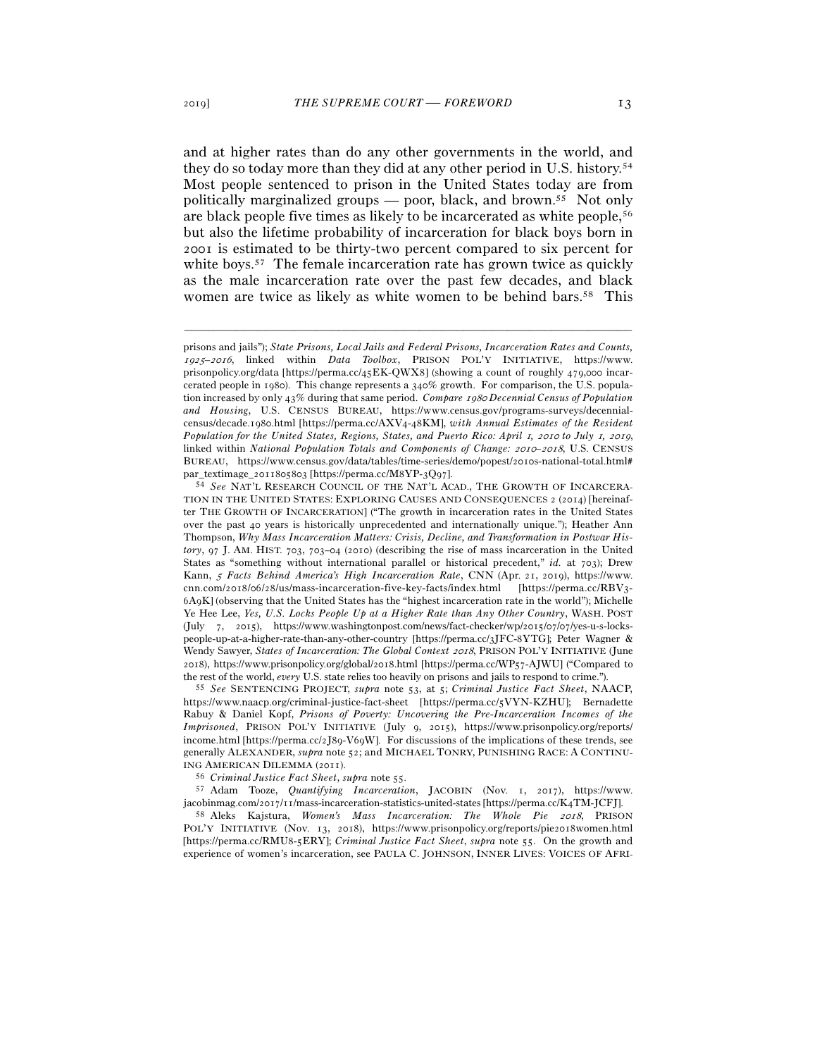and at higher rates than do any other governments in the world, and they do so today more than they did at any other period in U.S. history.54 Most people sentenced to prison in the United States today are from politically marginalized groups — poor, black, and brown.55 Not only are black people five times as likely to be incarcerated as white people,56 but also the lifetime probability of incarceration for black boys born in 2001 is estimated to be thirty-two percent compared to six percent for white boys.<sup>57</sup> The female incarceration rate has grown twice as quickly as the male incarceration rate over the past few decades, and black women are twice as likely as white women to be behind bars.<sup>58</sup> This

–––––––––––––––––––––––––––––––––––––––––––––––––––––––––––––

https://www.naacp.org/criminal-justice-fact-sheet [https://perma.cc/5VYN-KZHU]; Bernadette Rabuy & Daniel Kopf, *Prisons of Poverty: Uncovering the Pre-Incarceration Incomes of the Imprisoned*, PRISON POL'Y INITIATIVE (July 9, 2015), https://www.prisonpolicy.org/reports/ income.html [https://perma.cc/2J89-V69W]. For discussions of the implications of these trends, see generally ALEXANDER, *supra* note 52; and MICHAEL TONRY, PUNISHING RACE: A CONTINU-ING AMERICAN DILEMMA (<sup>2011</sup>). 56 *Criminal Justice Fact Sheet*, *supra* note <sup>55</sup>. 57 Adam Tooze, *Quantifying Incarceration*, JACOBIN (Nov. 1, 2017), https://www.

jacobinmag.com/2017/11/mass-incarceration-statistics-united-states [https://perma.cc/K<sup>4</sup>TM-JCFJ]. 58 Aleks Kajstura, *Women's Mass Incarceration: The Whole Pie* 2018, PRISON

POL'Y INITIATIVE (Nov. 13, 2018), https://www.prisonpolicy.org/reports/pie2018women.html [https://perma.cc/RMU8-5ERY]; *Criminal Justice Fact Sheet*, *supra* note 55. On the growth and experience of women's incarceration, see PAULA C. JOHNSON, INNER LIVES: VOICES OF AFRI-

prisons and jails"); *State Prisons, Local Jails and Federal Prisons, Incarceration Rates and Counts,*  <sup>1925</sup>–2016, linked within *Data Toolbox*, PRISON POL'Y INITIATIVE, https://www. prisonpolicy.org/data [https://perma.cc/45EK-QWX8] (showing a count of roughly 479,000 incarcerated people in 1980). This change represents a 340% growth. For comparison, the U.S. population increased by only 43% during that same period. *Compare* <sup>1980</sup> *Decennial Census of Population and Housing*, U.S. CENSUS BUREAU, https://www.census.gov/programs-surveys/decennialcensus/decade.1980.html [https://perma.cc/AXV4-48KM], *with Annual Estimates of the Resident Population for the United States, Regions, States, and Puerto Rico: April 1, 2010 to July 1, 2019,* linked within *National Population Totals and Components of Change:* 2010*–*2018, U.S. CENSUS BUREAU, https://www.census.gov/data/tables/time-series/demo/popest/2010s-national-total.html#

par\_textimage\_2011805803 [https://perma.cc/M8YP-3Q<sup>97</sup>]. 54 *See* NAT'L RESEARCH COUNCIL OF THE NAT'L ACAD., THE GROWTH OF INCARCERA-TION IN THE UNITED STATES: EXPLORING CAUSES AND CONSEQUENCES 2 (2014) [hereinafter THE GROWTH OF INCARCERATION] ("The growth in incarceration rates in the United States over the past 40 years is historically unprecedented and internationally unique."); Heather Ann Thompson, *Why Mass Incarceration Matters: Crisis, Decline, and Transformation in Postwar History*, 97 J. AM. HIST. 703, 703–04 (2010) (describing the rise of mass incarceration in the United States as "something without international parallel or historical precedent," *id.* at 703); Drew Kann, 5 *Facts Behind America's High Incarceration Rate*, CNN (Apr. 21, 2019), https://www. cnn.com/2018/06/28/us/mass-incarceration-five-key-facts/index.html [https://perma.cc/RBV3- 6A9K] (observing that the United States has the "highest incarceration rate in the world"); Michelle Ye Hee Lee, *Yes, U.S. Locks People Up at a Higher Rate than Any Other Country*, WASH. POST (July 7, 2015), https://www.washingtonpost.com/news/fact-checker/wp/2015/07/07/yes-u-s-lockspeople-up-at-a-higher-rate-than-any-other-country [https://perma.cc/3JFC-8YTG]; Peter Wagner & Wendy Sawyer, *States of Incarceration: The Global Context 2018*, PRISON POL'Y INITIATIVE (June 2018), https://www.prisonpolicy.org/global/2018.html [https://perma.cc/WP57-AJWU] ("Compared to the rest of the world, *every* U.S. state relies too heavily on prisons and jails to respond to crime."). 55 *See* SENTENCING PROJECT, *supra* note 53, at 5; *Criminal Justice Fact Sheet*, NAACP,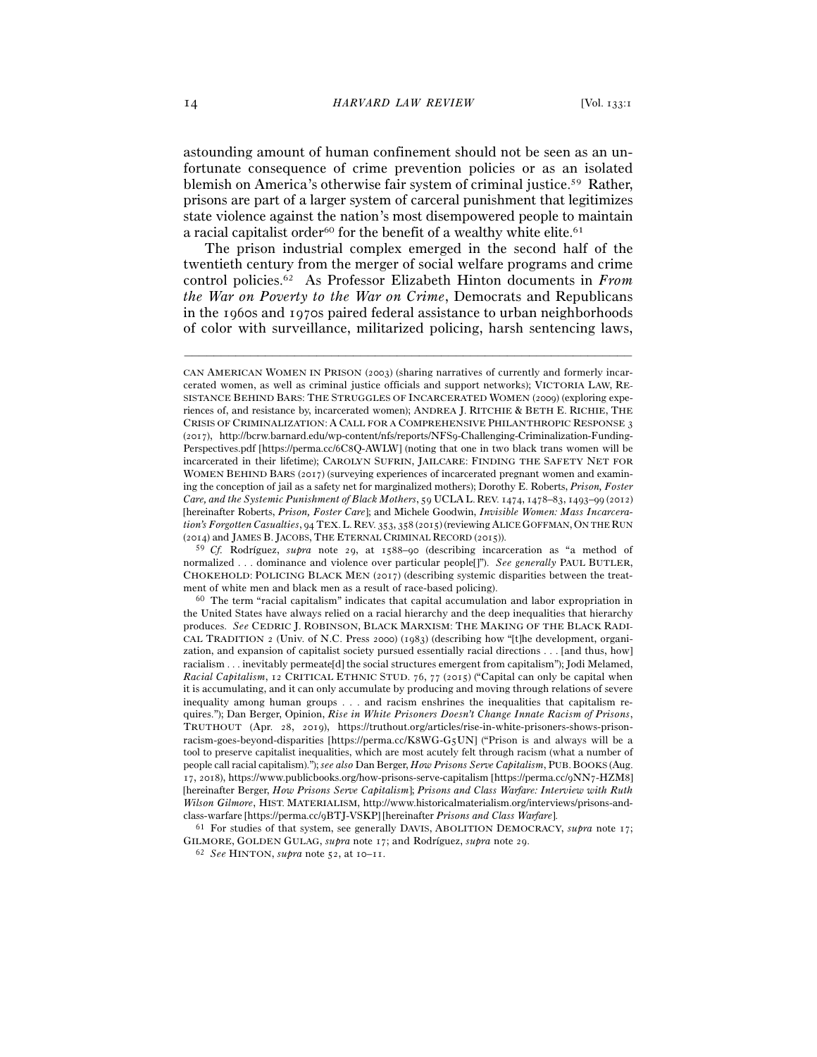astounding amount of human confinement should not be seen as an unfortunate consequence of crime prevention policies or as an isolated blemish on America's otherwise fair system of criminal justice.59 Rather, prisons are part of a larger system of carceral punishment that legitimizes state violence against the nation's most disempowered people to maintain a racial capitalist order<sup>60</sup> for the benefit of a wealthy white elite.<sup>61</sup>

The prison industrial complex emerged in the second half of the twentieth century from the merger of social welfare programs and crime control policies.62 As Professor Elizabeth Hinton documents in *From the War on Poverty to the War on Crime*, Democrats and Republicans in the 1960s and 1970s paired federal assistance to urban neighborhoods of color with surveillance, militarized policing, harsh sentencing laws,

–––––––––––––––––––––––––––––––––––––––––––––––––––––––––––––

GILMORE, GOLDEN GULAG, *supra* note 17; and Rodríguez, *supra* note <sup>29</sup>. 62 *See* HINTON, *supra* note 52, at 10–11.

CAN AMERICAN WOMEN IN PRISON (2003) (sharing narratives of currently and formerly incarcerated women, as well as criminal justice officials and support networks); VICTORIA LAW, RE-SISTANCE BEHIND BARS: THE STRUGGLES OF INCARCERATED WOMEN (2009) (exploring experiences of, and resistance by, incarcerated women); ANDREA J. RITCHIE & BETH E. RICHIE, THE CRISIS OF CRIMINALIZATION: A CALL FOR A COMPREHENSIVE PHILANTHROPIC RESPONSE 3 (2017), http://bcrw.barnard.edu/wp-content/nfs/reports/NFS9-Challenging-Criminalization-Funding-Perspectives.pdf [https://perma.cc/6C8Q-AWLW] (noting that one in two black trans women will be incarcerated in their lifetime); CAROLYN SUFRIN, JAILCARE: FINDING THE SAFETY NET FOR WOMEN BEHIND BARS (2017) (surveying experiences of incarcerated pregnant women and examining the conception of jail as a safety net for marginalized mothers); Dorothy E. Roberts, *Prison, Foster Care, and the Systemic Punishment of Black Mothers*, 59 UCLA L. REV. 1474, 1478–83, 1493–99 (2012) [hereinafter Roberts, *Prison, Foster Care*]; and Michele Goodwin, *Invisible Women: Mass Incarceration's Forgotten Casualties*, 94 TEX. L. REV. 353, 358 (2015) (reviewing ALICE GOFFMAN, ON THE RUN (2014) and JAMES B. JACOBS, THE ETERNAL CRIMINAL RECORD (2015)).

<sup>59</sup> *Cf.* Rodríguez, *supra* note 29, at 1588–90 (describing incarceration as "a method of normalized . . . dominance and violence over particular people[]"). *See generally* PAUL BUTLER, CHOKEHOLD: POLICING BLACK MEN (2017) (describing systemic disparities between the treatment of white men and black men as a result of race-based policing).  $$^{60}$  The term "racial capitalism" indicates that capital accumulation and labor expropriation in

the United States have always relied on a racial hierarchy and the deep inequalities that hierarchy produces. *See* CEDRIC J. ROBINSON, BLACK MARXISM: THE MAKING OF THE BLACK RADI-CAL TRADITION 2 (Univ. of N.C. Press 2000) (1983) (describing how "[t]he development, organization, and expansion of capitalist society pursued essentially racial directions . . . [and thus, how] racialism . . . inevitably permeate[d] the social structures emergent from capitalism"); Jodi Melamed, *Racial Capitalism*, 12 CRITICAL ETHNIC STUD. 76, 77 (2015) ("Capital can only be capital when it is accumulating, and it can only accumulate by producing and moving through relations of severe inequality among human groups . . . and racism enshrines the inequalities that capitalism requires."); Dan Berger, Opinion, *Rise in White Prisoners Doesn't Change Innate Racism of Prisons*, TRUTHOUT (Apr. 28, 2019), https://truthout.org/articles/rise-in-white-prisoners-shows-prisonracism-goes-beyond-disparities [https://perma.cc/K8WG-G5UN] ("Prison is and always will be a tool to preserve capitalist inequalities, which are most acutely felt through racism (what a number of people call racial capitalism)."); *see also* Dan Berger, *How Prisons Serve Capitalism*, PUB.BOOKS (Aug. 17, 2018), https://www.publicbooks.org/how-prisons-serve-capitalism [https://perma.cc/9NN7-HZM8] [hereinafter Berger, *How Prisons Serve Capitalism*]; *Prisons and Class Warfare: Interview with Ruth Wilson Gilmore*, HIST. MATERIALISM, http://www.historicalmaterialism.org/interviews/prisons-andclass-warfare [https://perma.cc/9BTJ-VSKP] [hereinafter *Prisons and Class Warfare*]. 61 For studies of that system, see generally DAVIS, ABOLITION DEMOCRACY, *supra* note 17;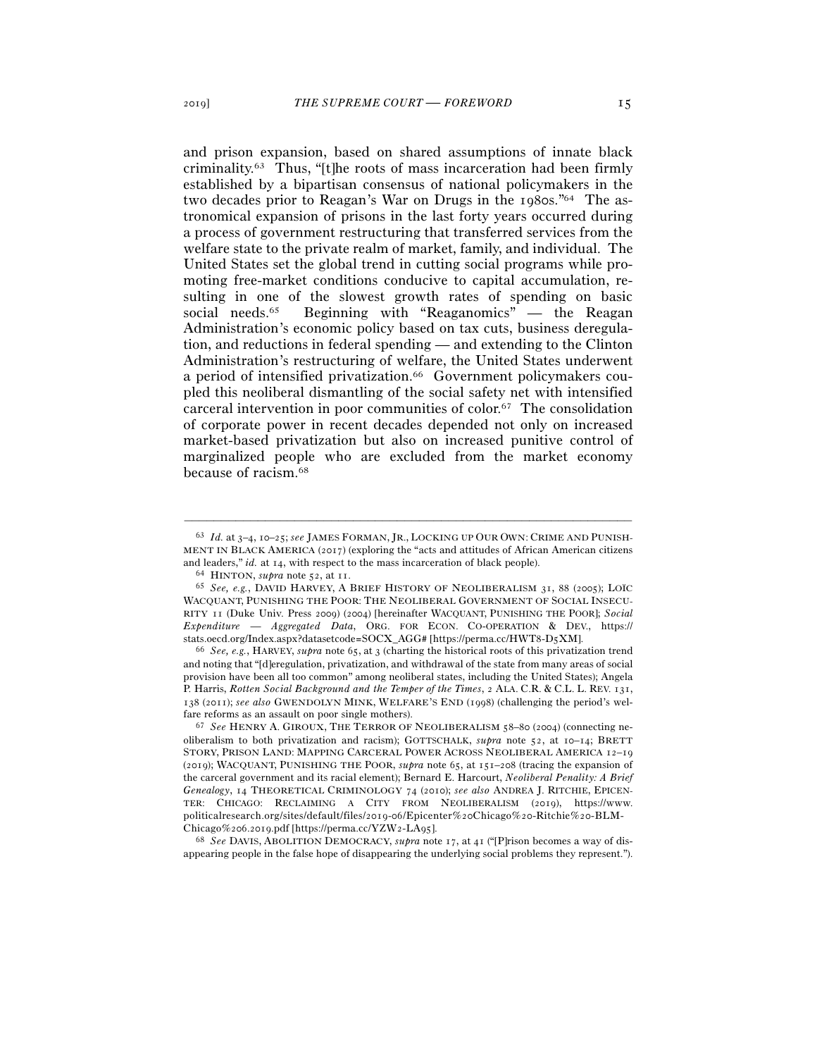and prison expansion, based on shared assumptions of innate black criminality.63 Thus, "[t]he roots of mass incarceration had been firmly established by a bipartisan consensus of national policymakers in the two decades prior to Reagan's War on Drugs in the 1980s."64 The astronomical expansion of prisons in the last forty years occurred during a process of government restructuring that transferred services from the welfare state to the private realm of market, family, and individual. The United States set the global trend in cutting social programs while promoting free-market conditions conducive to capital accumulation, resulting in one of the slowest growth rates of spending on basic social needs.65 Beginning with "Reaganomics" — the Reagan Administration's economic policy based on tax cuts, business deregulation, and reductions in federal spending — and extending to the Clinton Administration's restructuring of welfare, the United States underwent a period of intensified privatization.<sup>66</sup> Government policymakers coupled this neoliberal dismantling of the social safety net with intensified carceral intervention in poor communities of color.67 The consolidation of corporate power in recent decades depended not only on increased market-based privatization but also on increased punitive control of marginalized people who are excluded from the market economy because of racism.68

–––––––––––––––––––––––––––––––––––––––––––––––––––––––––––––

appearing people in the false hope of disappearing the underlying social problems they represent.").

<sup>63</sup> *Id.* at 3–4, 10–25; *see* JAMES FORMAN, JR., LOCKING UP OUR OWN: CRIME AND PUNISH-MENT IN BLACK AMERICA (2017) (exploring the "acts and attitudes of African American citizens and leaders," *id.* at 14, with respect to the mass incarceration of black people).<br><sup>64</sup> HINTON, *supra* note 52, at 11.<br><sup>65</sup> *See, e.g.*, DAVID HARVEY, A BRIEF HISTORY OF NEOLIBERALISM 31, 88 (2005); LOÏC

WACQUANT, PUNISHING THE POOR: THE NEOLIBERAL GOVERNMENT OF SOCIAL INSECU-RITY 11 (Duke Univ. Press 2009) (2004) [hereinafter WACQUANT, PUNISHING THE POOR]; *Social Expenditure* — *Aggregated Data*, ORG. FOR ECON. CO-OPERATION & DEV., https:// stats.oecd.org/Index.aspx?datasetcode=SOCX\_AGG# [https://perma.cc/HWT8-D<sup>5</sup>XM]. 66 *See, e.g.*, HARVEY, *supra* note 65, at <sup>3</sup> (charting the historical roots of this privatization trend

and noting that "[d]eregulation, privatization, and withdrawal of the state from many areas of social provision have been all too common" among neoliberal states, including the United States); Angela P. Harris, *Rotten Social Background and the Temper of the Times*, 2 ALA. C.R. & C.L. L. REV. 131, 138 (2011); *see also* GWENDOLYN MINK, WELFARE'S END (1998) (challenging the period's welfare reforms as an assault on poor single mothers). 67 *See* HENRY A. GIROUX, THE TERROR OF NEOLIBERALISM <sup>58</sup>–80 (2004) (connecting ne-

oliberalism to both privatization and racism); GOTTSCHALK, *supra* note 52, at 10–14; BRETT STORY, PRISON LAND: MAPPING CARCERAL POWER ACROSS NEOLIBERAL AMERICA 12–19 (2019); WACQUANT, PUNISHING THE POOR, *supra* note 65, at 151–208 (tracing the expansion of the carceral government and its racial element); Bernard E. Harcourt, *Neoliberal Penality: A Brief Genealogy*, 14 THEORETICAL CRIMINOLOGY 74 (2010); *see also* ANDREA J. RITCHIE, EPICEN-TER: CHICAGO: RECLAIMING A CITY FROM NEOLIBERALISM (2019), https://www. politicalresearch.org/sites/default/files/2019-06/Epicenter%20Chicago%20-Ritchie%20-BLM-Chicago%206.2019.pdf [https://perma.cc/YZW2-LA<sup>95</sup>]. 68 *See* DAVIS, ABOLITION DEMOCRACY, *supra* note 17, at 41 ("[P]rison becomes a way of dis-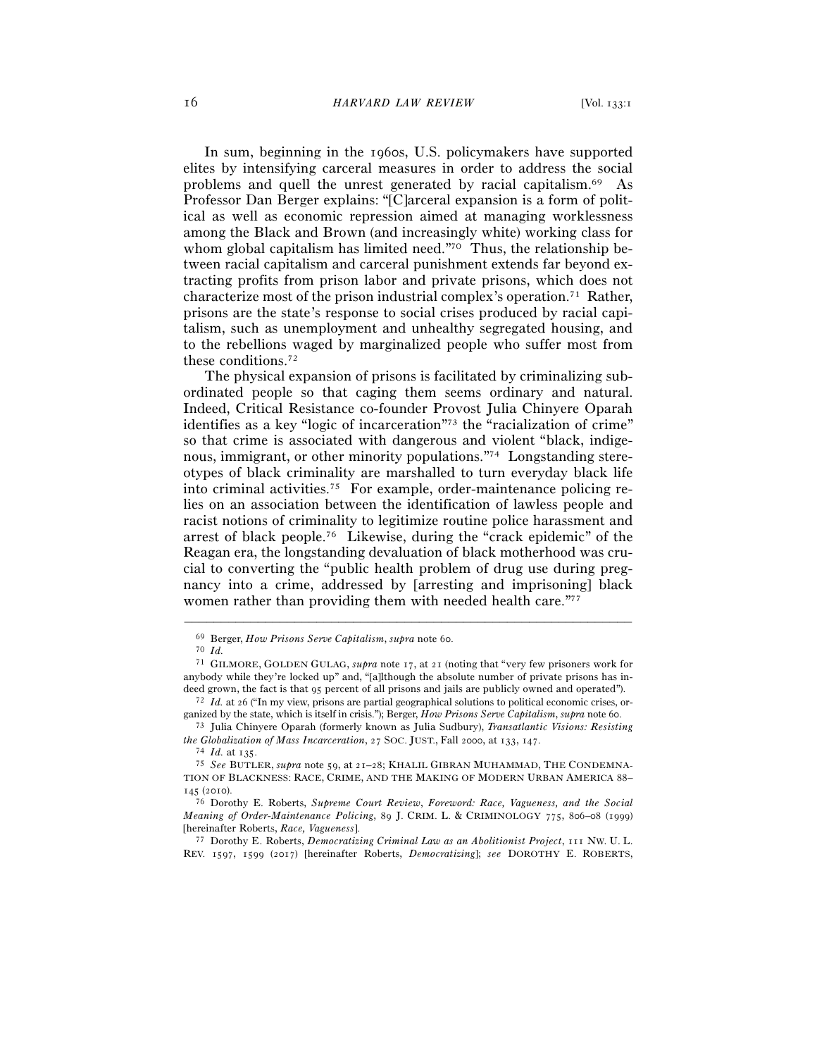In sum, beginning in the 1960s, U.S. policymakers have supported elites by intensifying carceral measures in order to address the social problems and quell the unrest generated by racial capitalism.69 As Professor Dan Berger explains: "[C]arceral expansion is a form of political as well as economic repression aimed at managing worklessness among the Black and Brown (and increasingly white) working class for whom global capitalism has limited need."<sup>70</sup> Thus, the relationship between racial capitalism and carceral punishment extends far beyond extracting profits from prison labor and private prisons, which does not characterize most of the prison industrial complex's operation.71 Rather, prisons are the state's response to social crises produced by racial capitalism, such as unemployment and unhealthy segregated housing, and to the rebellions waged by marginalized people who suffer most from these conditions.72

The physical expansion of prisons is facilitated by criminalizing subordinated people so that caging them seems ordinary and natural. Indeed, Critical Resistance co-founder Provost Julia Chinyere Oparah identifies as a key "logic of incarceration"73 the "racialization of crime" so that crime is associated with dangerous and violent "black, indigenous, immigrant, or other minority populations."74 Longstanding stereotypes of black criminality are marshalled to turn everyday black life into criminal activities.75 For example, order-maintenance policing relies on an association between the identification of lawless people and racist notions of criminality to legitimize routine police harassment and arrest of black people.76 Likewise, during the "crack epidemic" of the Reagan era, the longstanding devaluation of black motherhood was crucial to converting the "public health problem of drug use during pregnancy into a crime, addressed by [arresting and imprisoning] black women rather than providing them with needed health care."77

–––––––––––––––––––––––––––––––––––––––––––––––––––––––––––––

REV. 1597, 1599 (2017) [hereinafter Roberts, *Democratizing*]; *see* DOROTHY E. ROBERTS,

<sup>69</sup> Berger, *How Prisons Serve Capitalism*, *supra* note <sup>60</sup>. 70 *Id.*

<sup>71</sup> GILMORE, GOLDEN GULAG, *supra* note 17, at 21 (noting that "very few prisoners work for anybody while they're locked up" and, "[a]lthough the absolute number of private prisons has indeed grown, the fact is that 95 percent of all prisons and jails are publicly owned and operated").<br><sup>72</sup> *Id.* at 26 ("In my view, prisons are partial geographical solutions to political economic crises, or-

ganized by the state, which is itself in crisis."); Berger, *How Prisons Serve Capitalism*, *supra* note 60.<br><sup>73</sup> Julia Chinyere Oparah (formerly known as Julia Sudbury), *Transatlantic Visions: Resisting*<br>*the Globalizati* 

<sup>&</sup>lt;sup>74</sup> Id. at 135.<br><sup>75</sup> See BUTLER, *supra* note 59, at 21–28; KHALIL GIBRAN MUHAMMAD, THE CONDEMNA-TION OF BLACKNESS: RACE, CRIME, AND THE MAKING OF MODERN URBAN AMERICA 88– <sup>145</sup> (<sup>2010</sup>). 76 Dorothy E. Roberts, *Supreme Court Review*, *Foreword: Race, Vagueness, and the Social* 

*Meaning of Order-Maintenance Policing*, 89 J. CRIM. L. & CRIMINOLOGY 775, 806–08 (1999) [hereinafter Roberts, *Race, Vagueness*]. 77 Dorothy E. Roberts, *Democratizing Criminal Law as an Abolitionist Project*, 111 NW. U. L.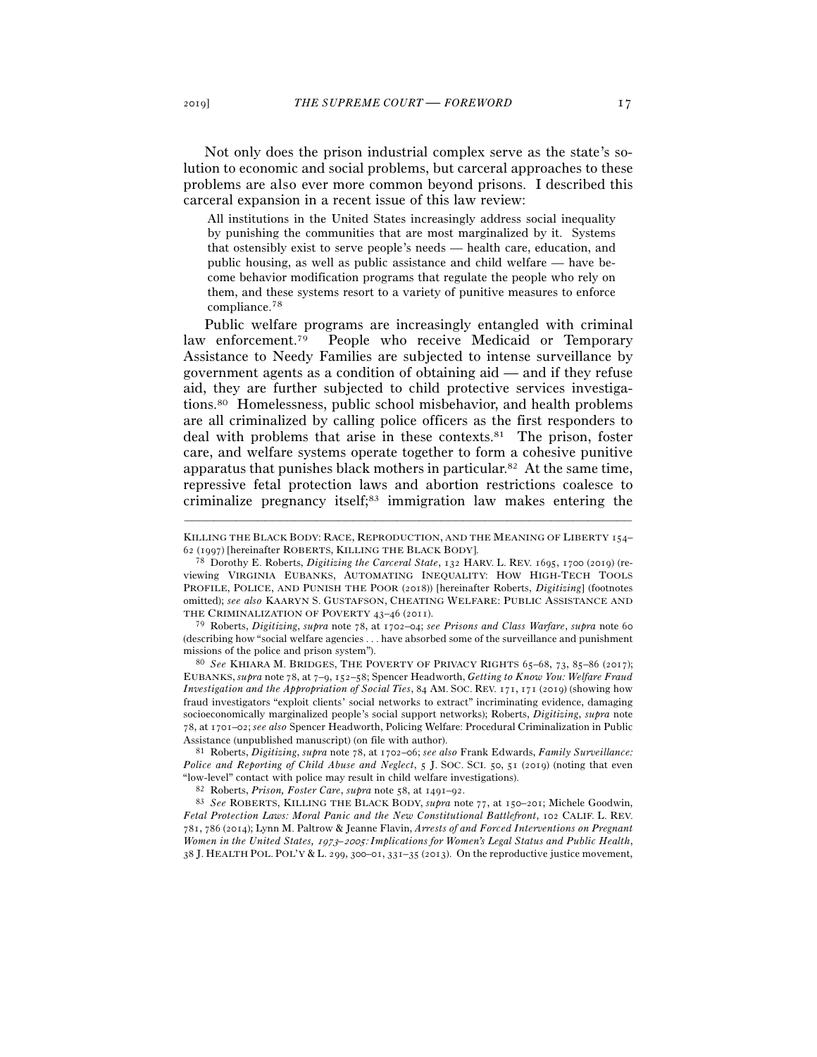Not only does the prison industrial complex serve as the state's solution to economic and social problems, but carceral approaches to these problems are also ever more common beyond prisons. I described this carceral expansion in a recent issue of this law review:

All institutions in the United States increasingly address social inequality by punishing the communities that are most marginalized by it. Systems that ostensibly exist to serve people's needs — health care, education, and public housing, as well as public assistance and child welfare — have become behavior modification programs that regulate the people who rely on them, and these systems resort to a variety of punitive measures to enforce compliance.78

Public welfare programs are increasingly entangled with criminal law enforcement.79 People who receive Medicaid or Temporary Assistance to Needy Families are subjected to intense surveillance by government agents as a condition of obtaining aid — and if they refuse aid, they are further subjected to child protective services investigations.80 Homelessness, public school misbehavior, and health problems are all criminalized by calling police officers as the first responders to deal with problems that arise in these contexts.81 The prison, foster care, and welfare systems operate together to form a cohesive punitive apparatus that punishes black mothers in particular.82 At the same time, repressive fetal protection laws and abortion restrictions coalesce to criminalize pregnancy itself;83 immigration law makes entering the

<sup>79</sup> Roberts, *Digitizing*, *supra* note 78, at 1702–04; *see Prisons and Class Warfare*, *supra* note 60 (describing how "social welfare agencies . . . have absorbed some of the surveillance and punishment missions of the police and prison system"). 80 *See* KHIARA M. BRIDGES, THE POVERTY OF PRIVACY RIGHTS <sup>65</sup>–68, 73, 85–86 (2017);

EUBANKS,*supra* note 78, at 7–9, 152–58; Spencer Headworth, *Getting to Know You: Welfare Fraud Investigation and the Appropriation of Social Ties*, 84 AM. SOC. REV. 171, 171 (2019) (showing how fraud investigators "exploit clients' social networks to extract" incriminating evidence, damaging socioeconomically marginalized people's social support networks); Roberts, *Digitizing*, *supra* note 78, at 1701–02; *see also* Spencer Headworth, Policing Welfare: Procedural Criminalization in Public Assistance (unpublished manuscript) (on file with author). 81 Roberts, *Digitizing*, *supra* note 78, at 1702–06; *see also* Frank Edwards, *Family Surveillance:* 

*Police and Reporting of Child Abuse and Neglect*, 5 J. SOC. SCI. 50, 51 (2019) (noting that even "low-level" contact with police may result in child welfare investigations).<br><sup>82</sup> Roberts, *Prison, Foster Care, supra* note 58, at 1491–92.<br><sup>83</sup> See ROBERTS, KILLING THE BLACK BODY, *supra* note 77, at 150–201; Michele Go

*Fetal Protection Laws: Moral Panic and the New Constitutional Battlefront*, 102 CALIF. L. REV. 781, 786 (2014); Lynn M. Paltrow & Jeanne Flavin, *Arrests of and Forced Interventions on Pregnant Women in the United States,* 1973*–*2005: *Implications for Women's Legal Status and Public Health*, 38 J. HEALTH POL. POL'Y & L. 299, 300*–*01, 331*–*35 (2013). On the reproductive justice movement,

<sup>–––––––––––––––––––––––––––––––––––––––––––––––––––––––––––––</sup> KILLING THE BLACK BODY: RACE, REPRODUCTION, AND THE MEANING OF LIBERTY 154–62 (1997) [hereinafter ROBERTS, KILLING THE BLACK BODY].

<sup>&</sup>lt;sup>78</sup> Dorothy E. Roberts, *Digitizing the Carceral State*, 132 HARV. L. REV. 1695, 1700 (2019) (reviewing VIRGINIA EUBANKS, AUTOMATING INEQUALITY: HOW HIGH-TECH TOOLS PROFILE, POLICE, AND PUNISH THE POOR (2018)) [hereinafter Roberts, *Digitizing*] (footnotes omitted); *see also* KAARYN S. GUSTAFSON, CHEATING WELFARE: PUBLIC ASSISTANCE AND THE CRIMINALIZATION OF POVERTY 43-46 (2011).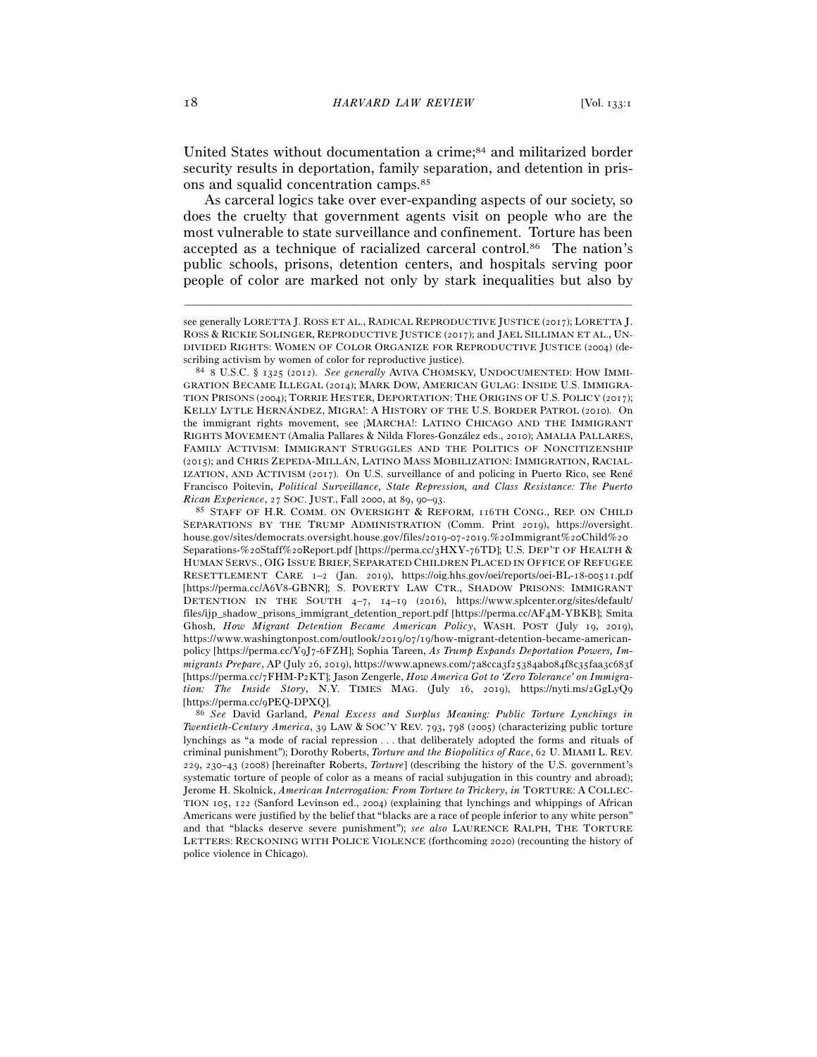United States without documentation a crime;<sup>84</sup> and militarized border security results in deportation, family separation, and detention in prisons and squalid concentration camps.85

As carceral logics take over ever-expanding aspects of our society, so does the cruelty that government agents visit on people who are the most vulnerable to state surveillance and confinement. Torture has been accepted as a technique of racialized carceral control.86 The nation's public schools, prisons, detention centers, and hospitals serving poor people of color are marked not only by stark inequalities but also by

–––––––––––––––––––––––––––––––––––––––––––––––––––––––––––––

*Twentieth-Century America*, 39 LAW & SOC'Y REV. 793, 798 (2005) (characterizing public torture lynchings as "a mode of racial repression . . . that deliberately adopted the forms and rituals of criminal punishment"); Dorothy Roberts, *Torture and the Biopolitics of Race*, 62 U. MIAMI L. REV. 229, 230–43 (2008) [hereinafter Roberts, *Torture*] (describing the history of the U.S. government's systematic torture of people of color as a means of racial subjugation in this country and abroad); Jerome H. Skolnick, *American Interrogation: From Torture to Trickery*, *in* TORTURE: A COLLEC-TION 105, 122 (Sanford Levinson ed., 2004) (explaining that lynchings and whippings of African Americans were justified by the belief that "blacks are a race of people inferior to any white person" and that "blacks deserve severe punishment"); *see also* LAURENCE RALPH, THE TORTURE LETTERS: RECKONING WITH POLICE VIOLENCE (forthcoming 2020) (recounting the history of police violence in Chicago).

see generally LORETTA J. ROSS ET AL., RADICAL REPRODUCTIVE JUSTICE (2017); LORETTA J. ROSS & RICKIE SOLINGER, REPRODUCTIVE JUSTICE (2017); and JAEL SILLIMAN ET AL., UN-DIVIDED RIGHTS: WOMEN OF COLOR ORGANIZE FOR REPRODUCTIVE JUSTICE (2004) (describing activism by women of color for reproductive justice).<br><sup>84</sup> 8 U.S.C. § 1325 (2012). *See generally* AVIVA CHOMSKY, UNDOCUMENTED: HOW IMMI-

GRATION BECAME ILLEGAL (2014); MARK DOW, AMERICAN GULAG: INSIDE U.S. IMMIGRA-TION PRISONS (2004); TORRIE HESTER, DEPORTATION: THE ORIGINS OF U.S. POLICY (2017); KELLY LYTLE HERNÁNDEZ, MIGRA!: A HISTORY OF THE U.S. BORDER PATROL (2010). On the immigrant rights movement, see ¡MARCHA!: LATINO CHICAGO AND THE IMMIGRANT RIGHTS MOVEMENT (Amalia Pallares & Nilda Flores-González eds., 2010); AMALIA PALLARES, FAMILY ACTIVISM: IMMIGRANT STRUGGLES AND THE POLITICS OF NONCITIZENSHIP (2015); and CHRIS ZEPEDA-MILLÁN, LATINO MASS MOBILIZATION: IMMIGRATION, RACIAL-IZATION, AND ACTIVISM (2017). On U.S. surveillance of and policing in Puerto Rico, see René Francisco Poitevin, *Political Surveillance, State Repression, and Class Resistance: The Puerto Rican Experience*, 27 SOC. JUST., Fall 2000, at 89, 90–93.<br><sup>85</sup> STAFF OF H.R. COMM. ON OVERSIGHT & REFORM, 116TH CONG., REP. ON CHILD

SEPARATIONS BY THE TRUMP ADMINISTRATION (Comm. Print 2019), https://oversight. house.gov/sites/democrats.oversight.house.gov/files/2019-07-2019.%20Immigrant%20Child%20 Separations-%20Staff%20Report.pdf [https://perma.cc/3HXY-76TD]; U.S. DEP'T OF HEALTH & HUMAN SERVS., OIG ISSUE BRIEF, SEPARATED CHILDREN PLACED IN OFFICE OF REFUGEE RESETTLEMENT CARE 1–2 (Jan. 2019), https://oig.hhs.gov/oei/reports/oei-BL-18-00511.pdf [https://perma.cc/A6V8-GBNR]; S. POVERTY LAW CTR., SHADOW PRISONS: IMMIGRANT DETENTION IN THE SOUTH 4–7, 14–19 (2016), https://www.splcenter.org/sites/default/ files/ijp\_shadow\_prisons\_immigrant\_detention\_report.pdf [https://perma.cc/AF4M-YBKB]; Smita Ghosh, *How Migrant Detention Became American Policy*, WASH. POST (July 19, 2019), https://www.washingtonpost.com/outlook/2019/07/19/how-migrant-detention-became-americanpolicy [https://perma.cc/Y9J7-6FZH]; Sophia Tareen, *As Trump Expands Deportation Powers, Immigrants Prepare*, AP (July 26, 2019), https://www.apnews.com/7a8cca3f25384ab084f8c35faa3c683f [https://perma.cc/7FHM-P2KT]; Jason Zengerle, *How America Got to 'Zero Tolerance' on Immigration: The Inside Story*, N.Y. TIMES MAG. (July 16, 2019), https://nyti.ms/2GgLyQ9 [https://perma.cc/<sup>9</sup>PEQ-DPXQ]. 86 *See* David Garland, *Penal Excess and Surplus Meaning: Public Torture Lynchings in*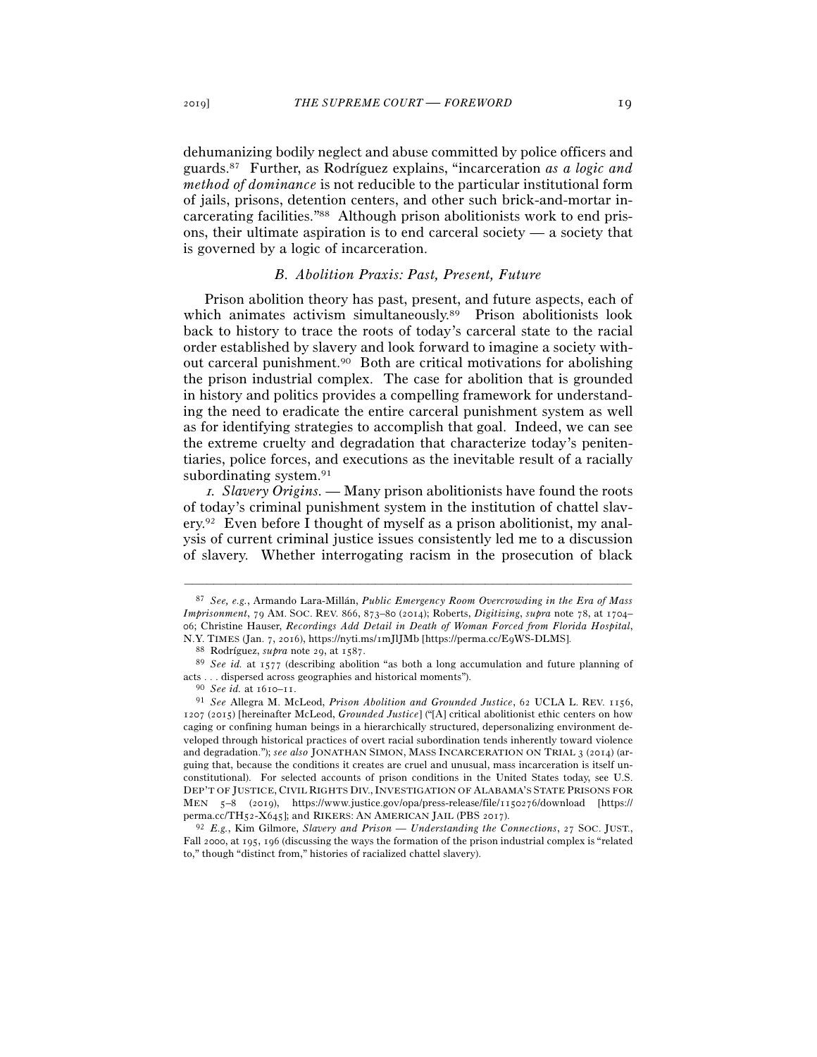dehumanizing bodily neglect and abuse committed by police officers and guards.87 Further, as Rodríguez explains, "incarceration *as a logic and method of dominance* is not reducible to the particular institutional form of jails, prisons, detention centers, and other such brick-and-mortar incarcerating facilities."88 Although prison abolitionists work to end prisons, their ultimate aspiration is to end carceral society — a society that is governed by a logic of incarceration.

### *B. Abolition Praxis: Past, Present, Future*

Prison abolition theory has past, present, and future aspects, each of which animates activism simultaneously.89 Prison abolitionists look back to history to trace the roots of today's carceral state to the racial order established by slavery and look forward to imagine a society without carceral punishment.90 Both are critical motivations for abolishing the prison industrial complex. The case for abolition that is grounded in history and politics provides a compelling framework for understanding the need to eradicate the entire carceral punishment system as well as for identifying strategies to accomplish that goal. Indeed, we can see the extreme cruelty and degradation that characterize today's penitentiaries, police forces, and executions as the inevitable result of a racially subordinating system.91

<sup>1</sup>*. Slavery Origins. —* Many prison abolitionists have found the roots of today's criminal punishment system in the institution of chattel slavery.92 Even before I thought of myself as a prison abolitionist, my analysis of current criminal justice issues consistently led me to a discussion of slavery. Whether interrogating racism in the prosecution of black

<sup>87</sup> *See, e.g.*, Armando Lara-Millán, *Public Emergency Room Overcrowding in the Era of Mass Imprisonment*, 79 AM. SOC. REV. 866, 873–80 (2014); Roberts, *Digitizing*, *supra* note 78, at 1704– 06; Christine Hauser, *Recordings Add Detail in Death of Woman Forced from Florida Hospital*,

<sup>%</sup> N.Y. TIMES (Jan. 7, 2016), https://nyti.ms/1mJlJMb [https://perma.cc/E9WS-DLMS].<br><sup>88</sup> Rodríguez, *supra* note 29, at 1587.<br><sup>89</sup> See id. at 1577 (describing abolition "as both a long accumulation and future planning of acts . . . dispersed across geographies and historical moments"). 90 *See id.* at 1610–<sup>11</sup>. 91 *See* Allegra M. McLeod, *Prison Abolition and Grounded Justice*, 62 UCLA L. REV. 1156,

<sup>1207</sup> (2015) [hereinafter McLeod, *Grounded Justice*] ("[A] critical abolitionist ethic centers on how caging or confining human beings in a hierarchically structured, depersonalizing environment developed through historical practices of overt racial subordination tends inherently toward violence and degradation."); *see also* JONATHAN SIMON, MASS INCARCERATION ON TRIAL 3 (2014) (arguing that, because the conditions it creates are cruel and unusual, mass incarceration is itself unconstitutional). For selected accounts of prison conditions in the United States today, see U.S. DEP'T OF JUSTICE, CIVIL RIGHTS DIV.,INVESTIGATION OF ALABAMA'S STATE PRISONS FOR MEN 5–8 (2019), https://www.justice.gov/opa/press-release/file/1150276/download [https://

perma.cc/TH52-X645]; and RIKERS: AN AMERICAN JAIL (PBS <sup>2017</sup>). 92 *E.g.*, Kim Gilmore, *Slavery and Prison — Understanding the Connections*, 27 SOC. JUST., Fall 2000, at 195, 196 (discussing the ways the formation of the prison industrial complex is "related to," though "distinct from," histories of racialized chattel slavery).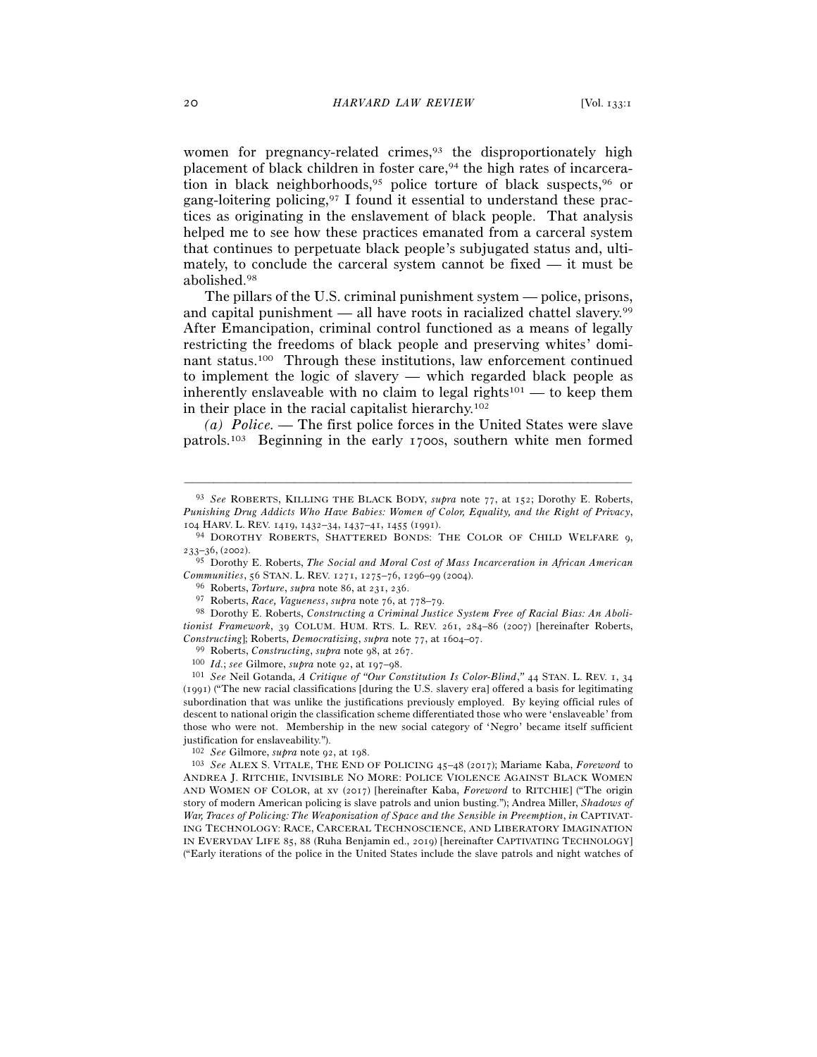women for pregnancy-related crimes,<sup>93</sup> the disproportionately high placement of black children in foster care,<sup>94</sup> the high rates of incarceration in black neighborhoods,<sup>95</sup> police torture of black suspects,<sup>96</sup> or gang-loitering policing,97 I found it essential to understand these practices as originating in the enslavement of black people. That analysis helped me to see how these practices emanated from a carceral system that continues to perpetuate black people's subjugated status and, ultimately, to conclude the carceral system cannot be fixed — it must be abolished.98

The pillars of the U.S. criminal punishment system — police, prisons, and capital punishment — all have roots in racialized chattel slavery.99 After Emancipation, criminal control functioned as a means of legally restricting the freedoms of black people and preserving whites' dominant status.100 Through these institutions, law enforcement continued to implement the logic of slavery — which regarded black people as inherently enslaveable with no claim to legal rights<sup>101</sup> — to keep them in their place in the racial capitalist hierarchy.102

*(a) Police. —* The first police forces in the United States were slave patrols.103 Beginning in the early 1700s, southern white men formed

<sup>93</sup> *See* ROBERTS, KILLING THE BLACK BODY, *supra* note 77, at 152; Dorothy E. Roberts, *Punishing Drug Addicts Who Have Babies: Women of Color, Equality, and the Right of Privacy*,

<sup>104</sup> HARV. L. REV. 1419, 1432–34, 1437–41, 1455 (1991). 94 DOROTHY ROBERTS, SHATTERED BONDS: THE COLOR OF CHILD WELFARE 9, 233–36, (2002).

<sup>95</sup> Dorothy E. Roberts, *The Social and Moral Cost of Mass Incarceration in African American*  Communities, 56 STAN. L. REV. 1271, 1275–76, 1296–99 (2004).<br>
<sup>96</sup> Roberts, *Torture, supra* note 86, at 231, 236.<br>
<sup>97</sup> Roberts, *Race, Vagueness, supra* note 76, at 778–79.<br>
<sup>98</sup> Dorothy E. Roberts, *Constructing a Crim* 

*tionist Framework*, 39 COLUM. HUM. RTS. L. REV. 261, 284–86 (2007) [hereinafter Roberts, Constructing]; Roberts, *Democratizing*, *supra* note 77, at 1604–07.<br><sup>99</sup> Roberts, *Constructing*, *supra* note 98, at 267.<br><sup>100</sup> *Id.*; *see* Gilmore, *supra* note 92, at 197–98.<br><sup>101</sup> *See* Neil Gotanda, *A Critique of* 

<sup>(</sup>1991) ("The new racial classifications [during the U.S. slavery era] offered a basis for legitimating subordination that was unlike the justifications previously employed. By keying official rules of descent to national origin the classification scheme differentiated those who were 'enslaveable' from those who were not. Membership in the new social category of 'Negro' became itself sufficient justification for enslaveability.").

<sup>102</sup> *See* Gilmore, *supra* note 92, at <sup>198</sup>. 103 *See* ALEX S. VITALE, THE END OF POLICING <sup>45</sup>–48 (2017); Mariame Kaba, *Foreword* to ANDREA J. RITCHIE, INVISIBLE NO MORE: POLICE VIOLENCE AGAINST BLACK WOMEN AND WOMEN OF COLOR, at xv (2017) [hereinafter Kaba, *Foreword* to RITCHIE] ("The origin story of modern American policing is slave patrols and union busting."); Andrea Miller, *Shadows of War, Traces of Policing: The Weaponization of Space and the Sensible in Preemption*, *in* CAPTIVAT-ING TECHNOLOGY: RACE, CARCERAL TECHNOSCIENCE, AND LIBERATORY IMAGINATION IN EVERYDAY LIFE 85, 88 (Ruha Benjamin ed., 2019) [hereinafter CAPTIVATING TECHNOLOGY] ("Early iterations of the police in the United States include the slave patrols and night watches of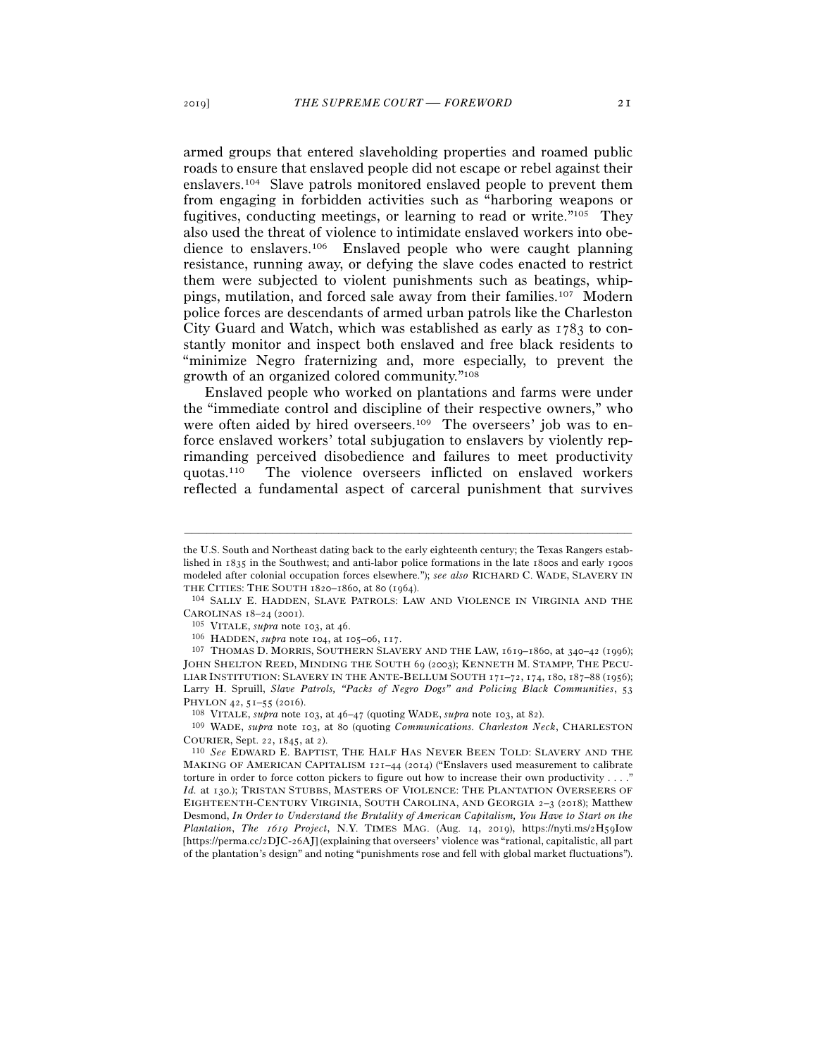armed groups that entered slaveholding properties and roamed public roads to ensure that enslaved people did not escape or rebel against their enslavers.104 Slave patrols monitored enslaved people to prevent them from engaging in forbidden activities such as "harboring weapons or fugitives, conducting meetings, or learning to read or write."105 They also used the threat of violence to intimidate enslaved workers into obedience to enslavers.106 Enslaved people who were caught planning resistance, running away, or defying the slave codes enacted to restrict them were subjected to violent punishments such as beatings, whippings, mutilation, and forced sale away from their families.107 Modern police forces are descendants of armed urban patrols like the Charleston City Guard and Watch, which was established as early as 1783 to constantly monitor and inspect both enslaved and free black residents to "minimize Negro fraternizing and, more especially, to prevent the growth of an organized colored community."108

Enslaved people who worked on plantations and farms were under the "immediate control and discipline of their respective owners," who were often aided by hired overseers.<sup>109</sup> The overseers' job was to enforce enslaved workers' total subjugation to enslavers by violently reprimanding perceived disobedience and failures to meet productivity quotas.110 The violence overseers inflicted on enslaved workers reflected a fundamental aspect of carceral punishment that survives

the U.S. South and Northeast dating back to the early eighteenth century; the Texas Rangers established in 1835 in the Southwest; and anti-labor police formations in the late 1800s and early 1900s modeled after colonial occupation forces elsewhere."); *see also* RICHARD C. WADE, SLAVERY IN THE CITIES: THE SOUTH 1820–1860, at 80 (1964).<br><sup>104</sup> SALLY E. HADDEN, SLAVE PATROLS: LAW AND VIOLENCE IN VIRGINIA AND THE

CAROLINAS 18–24 (2001).<br><sup>105</sup> VITALE, *supra* note 103, at 46.<br><sup>106</sup> HADDEN, *supra* note 104, at 105–06, 117.<br><sup>107</sup> THOMAS D. MORRIS, SOUTHERN SLAVERY AND THE LAW, 1619–1860, at 340–42 (1996);

JOHN SHELTON REED, MINDING THE SOUTH 69 (2003); KENNETH M. STAMPP, THE PECU-LIAR INSTITUTION: SLAVERY IN THE ANTE-BELLUM SOUTH 171-72, 174, 180, 187-88 (1956); Larry H. Spruill, *Slave Patrols, "Packs of Negro Dogs" and Policing Black Communities*, 53 PHYLON <sup>42</sup>, 51–55 (<sup>2016</sup>). 108 VITALE, *supra* note 103, at 46–47 (quoting WADE, *supra* note 103, at <sup>82</sup>). 109 WADE, *supra* note 103, at 80 (quoting *Communications. Charleston Neck*, CHARLESTON

COURIER, Sept. 22, 1845, at <sup>2</sup>). 110 *See* EDWARD E. BAPTIST, THE HALF HAS NEVER BEEN TOLD: SLAVERY AND THE MAKING OF AMERICAN CAPITALISM 121–44 (2014) ("Enslavers used measurement to calibrate torture in order to force cotton pickers to figure out how to increase their own productivity . . . ." *Id.* at 130.); TRISTAN STUBBS, MASTERS OF VIOLENCE: THE PLANTATION OVERSEERS OF EIGHTEENTH-CENTURY VIRGINIA, SOUTH CAROLINA, AND GEORGIA 2–3 (2018); Matthew Desmond, *In Order to Understand the Brutality of American Capitalism, You Have to Start on the Plantation*, *The* 1619 *Project*, N.Y. TIMES MAG. (Aug. 14, 2019), https://nyti.ms/2H59I0w [https://perma.cc/2DJC-26AJ] (explaining that overseers' violence was "rational, capitalistic, all part of the plantation's design" and noting "punishments rose and fell with global market fluctuations").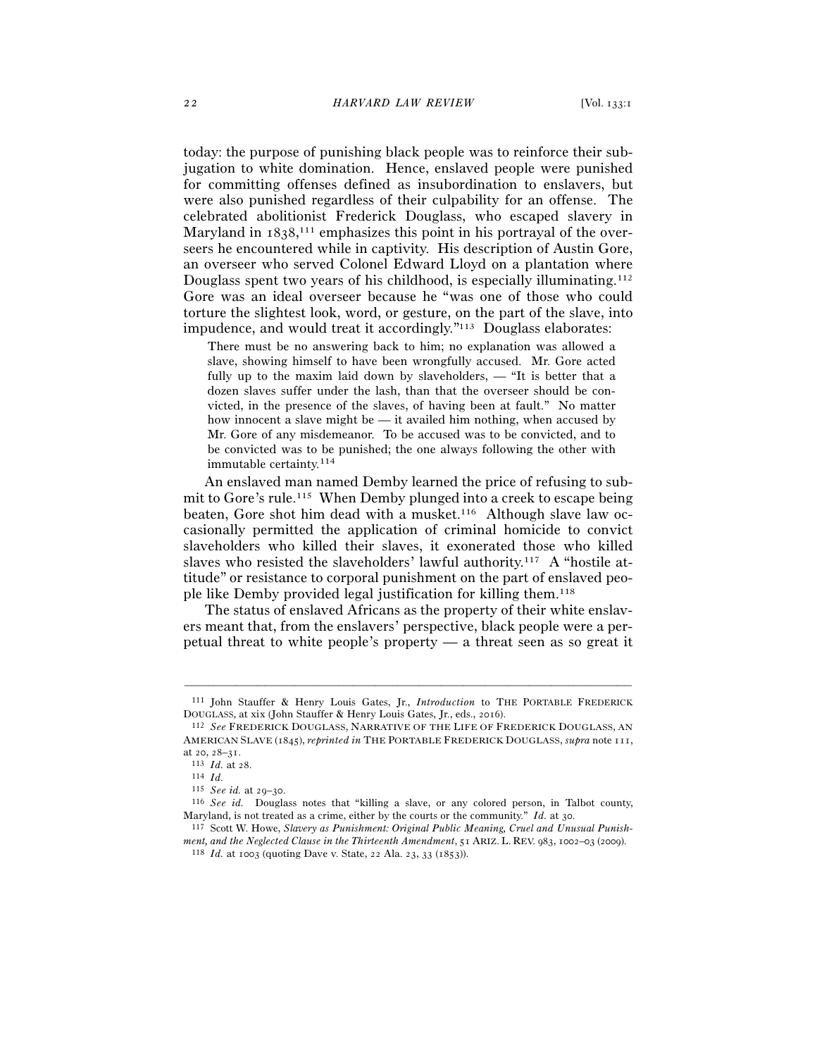today: the purpose of punishing black people was to reinforce their subjugation to white domination. Hence, enslaved people were punished for committing offenses defined as insubordination to enslavers, but were also punished regardless of their culpability for an offense. The celebrated abolitionist Frederick Douglass, who escaped slavery in Maryland in 1838,<sup>111</sup> emphasizes this point in his portrayal of the overseers he encountered while in captivity. His description of Austin Gore, an overseer who served Colonel Edward Lloyd on a plantation where Douglass spent two years of his childhood, is especially illuminating.112 Gore was an ideal overseer because he "was one of those who could torture the slightest look, word, or gesture, on the part of the slave, into impudence, and would treat it accordingly."113 Douglass elaborates:

There must be no answering back to him; no explanation was allowed a slave, showing himself to have been wrongfully accused. Mr. Gore acted fully up to the maxim laid down by slaveholders, — "It is better that a dozen slaves suffer under the lash, than that the overseer should be convicted, in the presence of the slaves, of having been at fault." No matter how innocent a slave might be — it availed him nothing, when accused by Mr. Gore of any misdemeanor. To be accused was to be convicted, and to be convicted was to be punished; the one always following the other with immutable certainty.114

An enslaved man named Demby learned the price of refusing to submit to Gore's rule.115 When Demby plunged into a creek to escape being beaten, Gore shot him dead with a musket.116 Although slave law occasionally permitted the application of criminal homicide to convict slaveholders who killed their slaves, it exonerated those who killed slaves who resisted the slaveholders' lawful authority.117 A "hostile attitude" or resistance to corporal punishment on the part of enslaved people like Demby provided legal justification for killing them.118

The status of enslaved Africans as the property of their white enslavers meant that, from the enslavers' perspective, black people were a perpetual threat to white people's property — a threat seen as so great it

<sup>–––––––––––––––––––––––––––––––––––––––––––––––––––––––––––––</sup> 111 John Stauffer & Henry Louis Gates, Jr., *Introduction* to THE PORTABLE FREDERICK DOUGLASS, at xix (John Stauffer & Henry Louis Gates, Jr., eds., <sup>2016</sup>). 112 *See* FREDERICK DOUGLASS, NARRATIVE OF THE LIFE OF FREDERICK DOUGLASS, AN

AMERICAN SLAVE (1845), *reprinted in* THE PORTABLE FREDERICK DOUGLASS, *supra* note 111, at 20, 28–<sup>31</sup>. 113 *Id.* at <sup>28</sup>. 114 *Id.*

<sup>&</sup>lt;sup>116</sup> *See id.* Douglass notes that "killing a slave, or any colored person, in Talbot county, Maryland, is not treated as a crime, either by the courts or the community." *Id.* at 30.<br><sup>117</sup> Scott W. Howe, *Slavery as Punishment: Original Public Meaning, Cruel and Unusual Punish-*

*ment, and the Neglected Clause in the Thirteenth Amendment*, 51 ARIZ. L. REV. 983, 1002–03 (<sup>2009</sup>). 118 *Id.* at 1003 (quoting Dave v. State, 22 Ala. 23, 33 (1853)).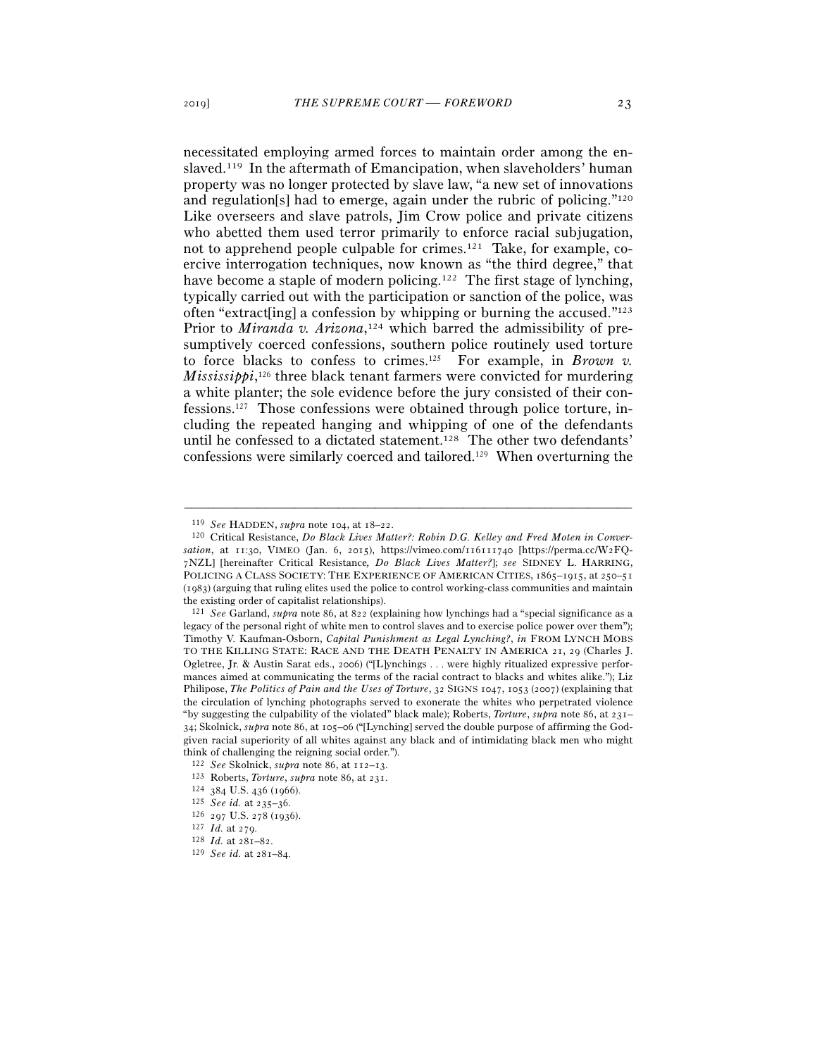necessitated employing armed forces to maintain order among the enslaved.119 In the aftermath of Emancipation, when slaveholders' human property was no longer protected by slave law, "a new set of innovations and regulation[s] had to emerge, again under the rubric of policing."120 Like overseers and slave patrols, Jim Crow police and private citizens who abetted them used terror primarily to enforce racial subjugation, not to apprehend people culpable for crimes.121 Take, for example, coercive interrogation techniques, now known as "the third degree," that have become a staple of modern policing.<sup>122</sup> The first stage of lynching, typically carried out with the participation or sanction of the police, was often "extract[ing] a confession by whipping or burning the accused."123 Prior to *Miranda v. Arizona*,<sup>124</sup> which barred the admissibility of presumptively coerced confessions, southern police routinely used torture to force blacks to confess to crimes.125 For example, in *Brown v.*  Mississippi,<sup>126</sup> three black tenant farmers were convicted for murdering a white planter; the sole evidence before the jury consisted of their confessions.127 Those confessions were obtained through police torture, including the repeated hanging and whipping of one of the defendants until he confessed to a dictated statement.128 The other two defendants' confessions were similarly coerced and tailored.129 When overturning the

<sup>&</sup>lt;sup>119</sup> *See* HADDEN, *supra* note 104, at 18–22.<br><sup>120</sup> Critical Resistance, *Do Black Lives Matter?: Robin D.G. Kelley and Fred Moten in Conversation*, at 11:30, VIMEO (Jan. 6, 2015), https://vimeo.com/116111740 [https://perma.cc/W2FQ-7NZL] [hereinafter Critical Resistance*, Do Black Lives Matter?*]; *see* SIDNEY L. HARRING, POLICING A CLASS SOCIETY: THE EXPERIENCE OF AMERICAN CITIES, 1865-1915, at 250-51 (1983) (arguing that ruling elites used the police to control working-class communities and maintain the existing order of capitalist relationships).

<sup>121</sup> *See* Garland, *supra* note 86, at 822 (explaining how lynchings had a "special significance as a legacy of the personal right of white men to control slaves and to exercise police power over them"); Timothy V. Kaufman-Osborn, *Capital Punishment as Legal Lynching?*, *in* FROM LYNCH MOBS TO THE KILLING STATE: RACE AND THE DEATH PENALTY IN AMERICA 21, 29 (Charles J. Ogletree, Jr. & Austin Sarat eds., 2006) ("[L]ynchings . . . were highly ritualized expressive performances aimed at communicating the terms of the racial contract to blacks and whites alike."); Liz Philipose, *The Politics of Pain and the Uses of Torture*, 32 SIGNS 1047, 1053 (2007) (explaining that the circulation of lynching photographs served to exonerate the whites who perpetrated violence "by suggesting the culpability of the violated" black male); Roberts, *Torture*, *supra* note 86, at 231– 34; Skolnick, *supra* note 86, at 105–06 ("[Lynching] served the double purpose of affirming the Godgiven racial superiority of all whites against any black and of intimidating black men who might think of challenging the reigning social order.").

<sup>122</sup> See Skolnick, supra note 86, at 112–13.<br>
123 Roberts, *Torture*, supra note 86, at 231.<br>
124 384 U.S. 436 (1966).<br>
125 See id. at 235–36.<br>
126 297 U.S. 278 (1936).<br>
127 Id. at 279.<br>
128 Id. at 281–82.<br>
129 See id. at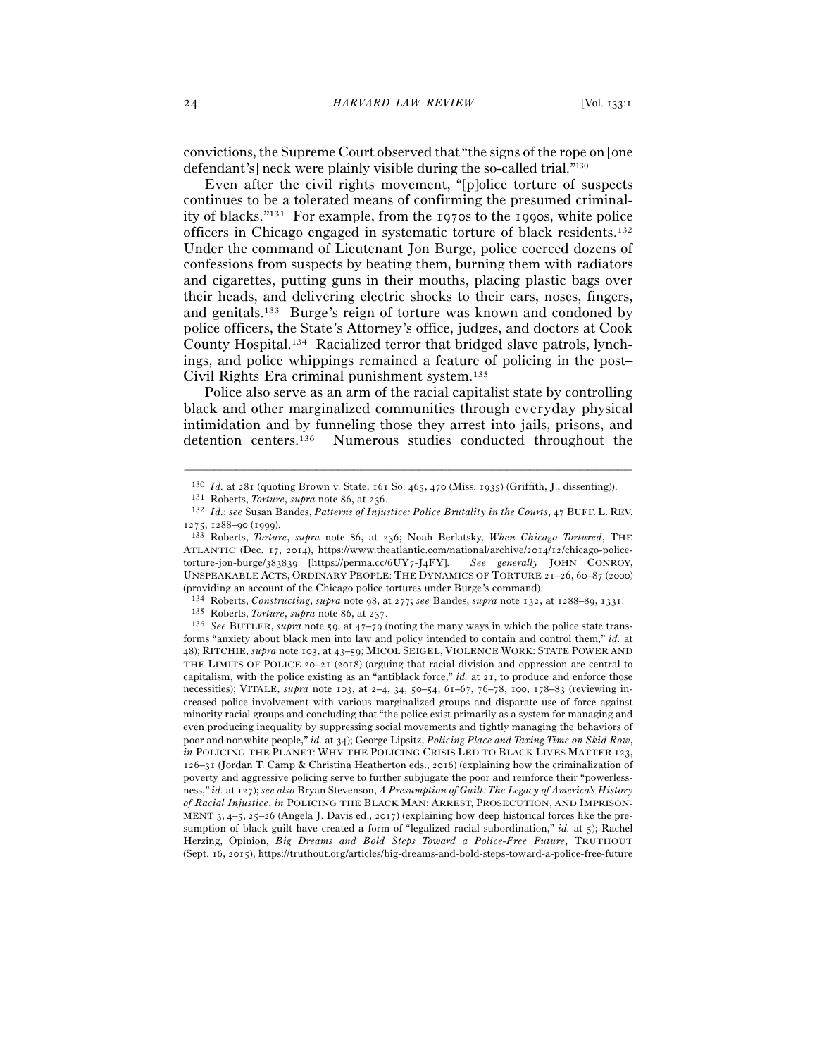convictions, the Supreme Court observed that "the signs of the rope on [one defendant's] neck were plainly visible during the so-called trial."130

Even after the civil rights movement, "[p]olice torture of suspects continues to be a tolerated means of confirming the presumed criminality of blacks."131 For example, from the 1970s to the 1990s, white police officers in Chicago engaged in systematic torture of black residents.132 Under the command of Lieutenant Jon Burge, police coerced dozens of confessions from suspects by beating them, burning them with radiators and cigarettes, putting guns in their mouths, placing plastic bags over their heads, and delivering electric shocks to their ears, noses, fingers, and genitals.133 Burge's reign of torture was known and condoned by police officers, the State's Attorney's office, judges, and doctors at Cook County Hospital.134 Racialized terror that bridged slave patrols, lynchings, and police whippings remained a feature of policing in the post– Civil Rights Era criminal punishment system.135

Police also serve as an arm of the racial capitalist state by controlling black and other marginalized communities through everyday physical intimidation and by funneling those they arrest into jails, prisons, and detention centers.136 Numerous studies conducted throughout the

<sup>–––––––––––––––––––––––––––––––––––––––––––––––––––––––––––––</sup> <sup>130</sup> *Id.* at 281 (quoting Brown v. State, 161 So. 465, 470 (Miss. 1935) (Griffith, J., dissenting)).<br><sup>131</sup> Roberts, *Torture, supra* note 86, at 236.<br><sup>132</sup> *Id.; see* Susan Bandes, *Patterns of Injustice: Police Brutali* 

<sup>1275</sup>, 1288–90 (1999). 133 Roberts, *Torture*, *supra* note 86, at 236; Noah Berlatsky, *When Chicago Tortured*, THE

ATLANTIC (Dec. 17, 2014), https://www.theatlantic.com/national/archive/2014/12/chicago-policetorture-jon-burge/383839 [https://perma.cc/6UY7-J4FY]. *See generally* JOHN CONROY, UNSPEAKABLE ACTS, ORDINARY PEOPLE: THE DYNAMICS OF TORTURE 21–26, 60–87 (2000)

<sup>(</sup>providing an account of the Chicago police tortures under Burge's command).<br><sup>134</sup> Roberts, *Constructing*, *supra* note 98, at 277; *see* Bandes, *supra* note 132, at 1288–89, 1331.<br><sup>135</sup> Roberts, *Torture*, *supra* note forms "anxiety about black men into law and policy intended to contain and control them," *id.* at 48); RITCHIE, *supra* note 103, at 43–59; MICOL SEIGEL, VIOLENCE WORK: STATE POWER AND THE LIMITS OF POLICE 20–21 (2018) (arguing that racial division and oppression are central to capitalism, with the police existing as an "antiblack force," *id.* at 21, to produce and enforce those necessities); VITALE, *supra* note 103, at 2–4, 34, 50–54, 61–67, 76–78, 100, 178–83 (reviewing increased police involvement with various marginalized groups and disparate use of force against minority racial groups and concluding that "the police exist primarily as a system for managing and even producing inequality by suppressing social movements and tightly managing the behaviors of poor and nonwhite people," *id.* at 34); George Lipsitz, *Policing Place and Taxing Time on Skid Row*, *in* POLICING THE PLANET: WHY THE POLICING CRISIS LED TO BLACK LIVES MATTER 123, 126–31 (Jordan T. Camp & Christina Heatherton eds., 2016) (explaining how the criminalization of poverty and aggressive policing serve to further subjugate the poor and reinforce their "powerlessness," *id.* at 127); *see also* Bryan Stevenson, *A Presumption of Guilt: The Legacy of America's History of Racial Injustice*, *in* POLICING THE BLACK MAN: ARREST, PROSECUTION, AND IMPRISON-MENT 3, 4–5, 25–26 (Angela J. Davis ed., 2017) (explaining how deep historical forces like the presumption of black guilt have created a form of "legalized racial subordination," *id.* at 5); Rachel Herzing, Opinion, *Big Dreams and Bold Steps Toward a Police-Free Future*, TRUTHOUT (Sept. 16, 2015), https://truthout.org/articles/big-dreams-and-bold-steps-toward-a-police-free-future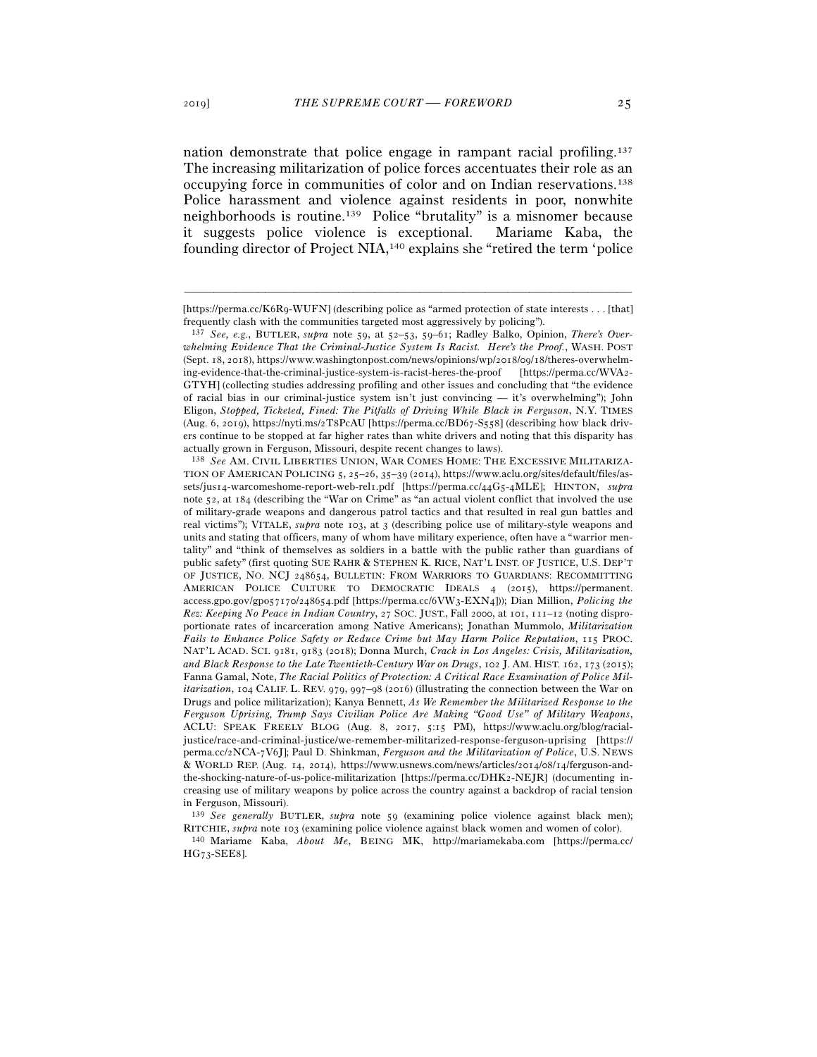nation demonstrate that police engage in rampant racial profiling.137 The increasing militarization of police forces accentuates their role as an occupying force in communities of color and on Indian reservations.138 Police harassment and violence against residents in poor, nonwhite neighborhoods is routine.139 Police "brutality" is a misnomer because it suggests police violence is exceptional. Mariame Kaba, the founding director of Project NIA,140 explains she "retired the term 'police

<sup>139</sup> *See generally* BUTLER, *supra* note 59 (examining police violence against black men); RITCHIE, *supra* note <sup>103</sup>(examining police violence against black women and women of color). 140 Mariame Kaba, *About Me*, BEING MK, http://mariamekaba.com [https://perma.cc/

HG73-SEE8].

<sup>–––––––––––––––––––––––––––––––––––––––––––––––––––––––––––––</sup> [https://perma.cc/K6R9-WUFN] (describing police as "armed protection of state interests . . . [that] frequently clash with the communities targeted most aggressively by policing").

<sup>137</sup> *See, e.g.*, BUTLER, *supra* note 59, at 52–53, 59–61; Radley Balko, Opinion, *There's Overwhelming Evidence That the Criminal-Justice System Is Racist. Here's the Proof.*, WASH. POST (Sept. 18, 2018), https://www.washingtonpost.com/news/opinions/wp/2018/09/18/theres-overwhelming-evidence-that-the-criminal-justice-system-is-racist-heres-the-proof [https://perma.cc/WVA2- GTYH] (collecting studies addressing profiling and other issues and concluding that "the evidence of racial bias in our criminal-justice system isn't just convincing — it's overwhelming"); John Eligon, *Stopped, Ticketed, Fined: The Pitfalls of Driving While Black in Ferguson*, N.Y. TIMES (Aug. 6, 2019), https://nyti.ms/2T8PcAU [https://perma.cc/BD67-S558] (describing how black drivers continue to be stopped at far higher rates than white drivers and noting that this disparity has actually grown in Ferguson, Missouri, despite recent changes to laws).

<sup>138</sup> *See* AM. CIVIL LIBERTIES UNION, WAR COMES HOME: THE EXCESSIVE MILITARIZA-TION OF AMERICAN POLICING 5, 25–26, 35–39 (2014), https://www.aclu.org/sites/default/files/assets/jus14-warcomeshome-report-web-rel1.pdf [https://perma.cc/44G5-4MLE]; HINTON, *supra* note 52, at 184 (describing the "War on Crime" as "an actual violent conflict that involved the use of military-grade weapons and dangerous patrol tactics and that resulted in real gun battles and real victims"); VITALE, *supra* note 103, at 3 (describing police use of military-style weapons and units and stating that officers, many of whom have military experience, often have a "warrior mentality" and "think of themselves as soldiers in a battle with the public rather than guardians of public safety" (first quoting SUE RAHR & STEPHEN K. RICE, NAT'L INST. OF JUSTICE, U.S. DEP'T OF JUSTICE, NO. NCJ 248654, BULLETIN: FROM WARRIORS TO GUARDIANS: RECOMMITTING AMERICAN POLICE CULTURE TO DEMOCRATIC IDEALS 4 (2015), https://permanent. access.gpo.gov/gpo57170/248654.pdf [https://perma.cc/6VW3-EXN4])); Dian Million, *Policing the Rez: Keeping No Peace in Indian Country*, 27 SOC. JUST., Fall 2000, at 101, 111–12 (noting disproportionate rates of incarceration among Native Americans); Jonathan Mummolo, *Militarization Fails to Enhance Police Safety or Reduce Crime but May Harm Police Reputation*, 115 PROC. NAT'L ACAD. SCI. 9181, 9183 (2018); Donna Murch, *Crack in Los Angeles: Crisis, Militarization, and Black Response to the Late Twentieth-Century War on Drugs*, 102 J. AM. HIST. 162, 173 (2015); Fanna Gamal, Note, *The Racial Politics of Protection: A Critical Race Examination of Police Militarization*, 104 CALIF. L. REV. 979, 997–98 (2016) (illustrating the connection between the War on Drugs and police militarization); Kanya Bennett, *As We Remember the Militarized Response to the Ferguson Uprising, Trump Says Civilian Police Are Making "Good Use" of Military Weapons*, ACLU: SPEAK FREELY BLOG (Aug. 8, 2017, 5:15 PM), https://www.aclu.org/blog/racialjustice/race-and-criminal-justice/we-remember-militarized-response-ferguson-uprising [https:// perma.cc/2NCA-7V6J]; Paul D. Shinkman, *Ferguson and the Militarization of Police*, U.S. NEWS & WORLD REP. (Aug. 14, 2014), https://www.usnews.com/news/articles/2014/08/14/ferguson-andthe-shocking-nature-of-us-police-militarization [https://perma.cc/DHK2-NEJR] (documenting increasing use of military weapons by police across the country against a backdrop of racial tension in Ferguson, Missouri).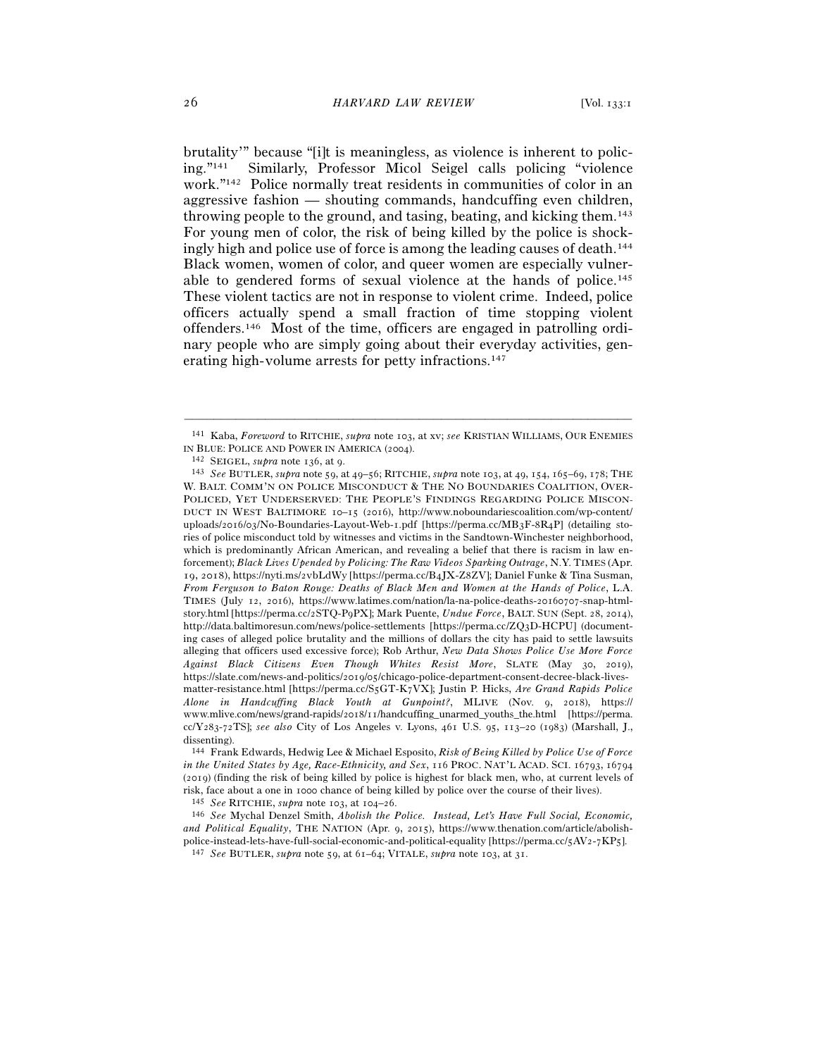brutality'" because "[i]t is meaningless, as violence is inherent to policing."141 Similarly, Professor Micol Seigel calls policing "violence work."142 Police normally treat residents in communities of color in an aggressive fashion — shouting commands, handcuffing even children, throwing people to the ground, and tasing, beating, and kicking them.143 For young men of color, the risk of being killed by the police is shockingly high and police use of force is among the leading causes of death.144 Black women, women of color, and queer women are especially vulnerable to gendered forms of sexual violence at the hands of police.145 These violent tactics are not in response to violent crime. Indeed, police officers actually spend a small fraction of time stopping violent offenders.146 Most of the time, officers are engaged in patrolling ordinary people who are simply going about their everyday activities, generating high-volume arrests for petty infractions.147

<sup>–––––––––––––––––––––––––––––––––––––––––––––––––––––––––––––</sup> <sup>141</sup> Kaba, *Foreword* to RITCHIE, *supra* note 103, at xv; *see* KRISTIAN WILLIAMS, OUR ENEMIES IN BLUE: POLICE AND POWER IN AMERICA (<sup>2004</sup>). 142 SEIGEL, *supra* note 136, at <sup>9</sup>. 143 *See* BUTLER, *supra* note 59, at 49–56; RITCHIE, *supra* note 103, at 49, 154, 165–69, 178; THE

W. BALT. COMM'N ON POLICE MISCONDUCT & THE NO BOUNDARIES COALITION, OVER-POLICED, YET UNDERSERVED: THE PEOPLE'S FINDINGS REGARDING POLICE MISCON-DUCT IN WEST BALTIMORE 10–15 (2016), http://www.noboundariescoalition.com/wp-content/ uploads/2016/03/No-Boundaries-Layout-Web-1.pdf [https://perma.cc/MB3F-8R4P] (detailing stories of police misconduct told by witnesses and victims in the Sandtown-Winchester neighborhood, which is predominantly African American, and revealing a belief that there is racism in law enforcement); *Black Lives Upended by Policing: The Raw Videos Sparking Outrage*, N.Y. TIMES (Apr. 19, 2018), https://nyti.ms/2vbLdWy [https://perma.cc/B4JX-Z8ZV]; Daniel Funke & Tina Susman, *From Ferguson to Baton Rouge: Deaths of Black Men and Women at the Hands of Police*, L.A. TIMES (July 12, 2016), https://www.latimes.com/nation/la-na-police-deaths-20160707-snap-htmlstory.html [https://perma.cc/2STQ-P9PX]; Mark Puente, *Undue Force*, BALT. SUN (Sept. 28, 2014), http://data.baltimoresun.com/news/police-settlements [https://perma.cc/ZQ3D-HCPU] (documenting cases of alleged police brutality and the millions of dollars the city has paid to settle lawsuits alleging that officers used excessive force); Rob Arthur, *New Data Shows Police Use More Force Against Black Citizens Even Though Whites Resist More*, SLATE (May 30, 2019), https://slate.com/news-and-politics/2019/05/chicago-police-department-consent-decree-black-livesmatter-resistance.html [https://perma.cc/S5GT-K7VX]; Justin P. Hicks, *Are Grand Rapids Police Alone in Handcuffing Black Youth at Gunpoint?*, MLIVE (Nov. 9, 2018), https:// www.mlive.com/news/grand-rapids/2018/11/handcuffing\_unarmed\_youths\_the.html [https://perma. cc/Y283-72TS]; *see also* City of Los Angeles v. Lyons, 461 U.S. 95, 113–20 (1983) (Marshall, J., dissenting).

<sup>144</sup> Frank Edwards, Hedwig Lee & Michael Esposito, *Risk of Being Killed by Police Use of Force in the United States by Age, Race-Ethnicity, and Sex*, 116 PROC. NAT'L ACAD. SCI. 16793, 16794 (2019) (finding the risk of being killed by police is highest for black men, who, at current levels of risk, face about a one in 1000 chance of being killed by police over the course of their lives).<br><sup>145</sup> See RITCHIE, supra note 103, at 104–26.<br><sup>146</sup> See Mychal Denzel Smith, *Abolish the Police. Instead, Let's Have Full* 

*and Political Equality*, THE NATION (Apr. 9, 2015), https://www.thenation.com/article/abolishpolice-instead-lets-have-full-social-economic-and-political-equality [https://perma.cc/5AV2-7KP<sup>5</sup>]. 147 *See* BUTLER, *supra* note 59, at 61–64; VITALE, *supra* note 103, at 31.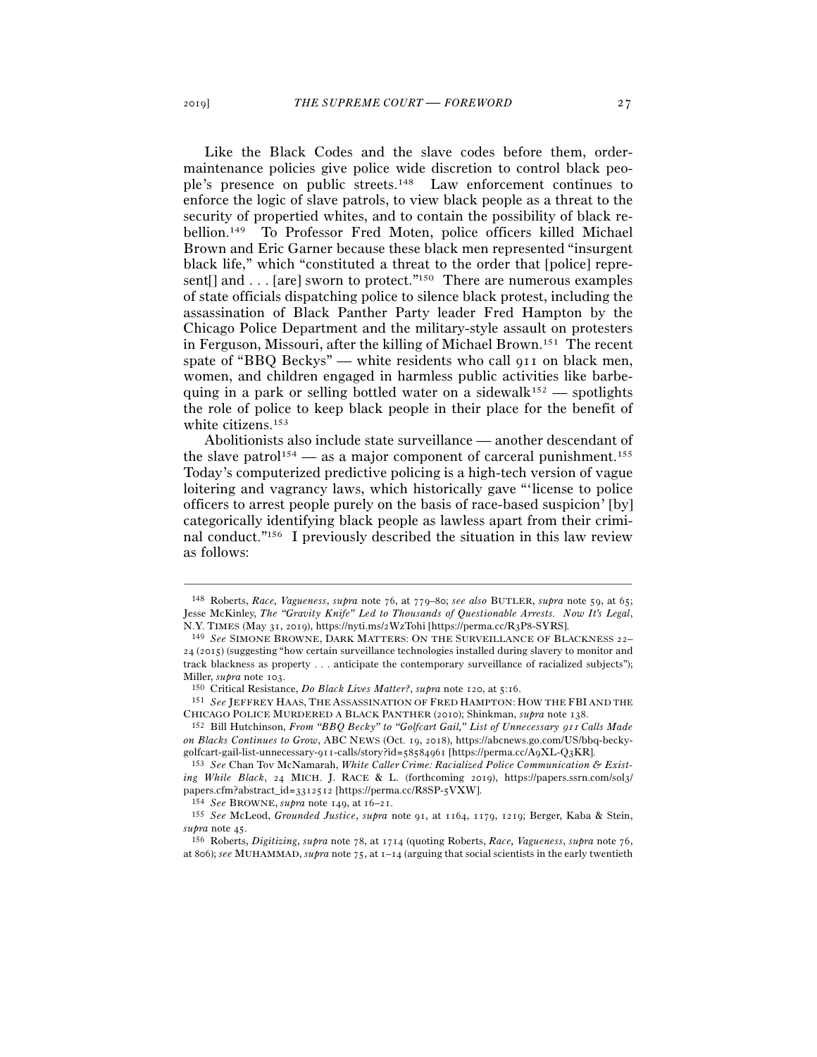Like the Black Codes and the slave codes before them, ordermaintenance policies give police wide discretion to control black people's presence on public streets.148 Law enforcement continues to enforce the logic of slave patrols, to view black people as a threat to the security of propertied whites, and to contain the possibility of black rebellion.149 To Professor Fred Moten, police officers killed Michael Brown and Eric Garner because these black men represented "insurgent black life," which "constituted a threat to the order that [police] represent[] and . . . [are] sworn to protect."150 There are numerous examples of state officials dispatching police to silence black protest, including the assassination of Black Panther Party leader Fred Hampton by the Chicago Police Department and the military-style assault on protesters in Ferguson, Missouri, after the killing of Michael Brown.151 The recent spate of "BBQ Beckys" — white residents who call 911 on black men, women, and children engaged in harmless public activities like barbequing in a park or selling bottled water on a sidewalk<sup>152</sup> — spotlights the role of police to keep black people in their place for the benefit of white citizens.153

Abolitionists also include state surveillance — another descendant of the slave patrol<sup>154</sup> — as a major component of carceral punishment.<sup>155</sup> Today's computerized predictive policing is a high-tech version of vague loitering and vagrancy laws, which historically gave "'license to police officers to arrest people purely on the basis of race-based suspicion' [by] categorically identifying black people as lawless apart from their criminal conduct."156 I previously described the situation in this law review as follows:

<sup>148</sup> Roberts, *Race, Vagueness*, *supra* note 76, at 779–80; *see also* BUTLER, *supra* note 59, at 65; Jesse McKinley, *The "Gravity Knife" Led to Thousands of Questionable Arrests. Now It's Legal*, N.Y. TIMES (May 31, 2019), https://nyti.ms/2WzTohi [https://perma.cc/R3P<sup>8</sup>-SYRS]. 149 *See* SIMONE BROWNE, DARK MATTERS: ON THE SURVEILLANCE OF BLACKNESS <sup>22</sup>–

<sup>24</sup> (2015) (suggesting "how certain surveillance technologies installed during slavery to monitor and track blackness as property . . . anticipate the contemporary surveillance of racialized subjects"); Miller, *supra* note 103.<br><sup>150</sup> Critical Resistance, *Do Black Lives Matter?*, *supra* note 120, at 5:16.<br><sup>151</sup> *See* JEFFREY HAAS, THE ASSASSINATION OF FRED HAMPTON: HOW THE FBI AND THE

CHICAGO POLICE MURDERED <sup>A</sup> BLACK PANTHER (2010); Shinkman, *supra* note <sup>138</sup>. 152 Bill Hutchinson, *From "BBQ Becky" to "Golfcart Gail," List of Unnecessary* 911 *Calls Made* 

*on Blacks Continues to Grow*, ABC NEWS (Oct. 19, 2018), https://abcnews.go.com/US/bbq-beckygolfcart-gail-list-unnecessary-911-calls/story?id=58584961 [https://perma.cc/A9XL-Q3KR]. 153 *See* Chan Tov McNamarah, *White Caller Crime: Racialized Police Communication & Exist-*

*ing While Black*, 24 MICH. J. RACE & L. (forthcoming 2019), https://papers.ssrn.com/sol3/ papers.cfm?abstract\_id=3312512 [https://perma.cc/R8SP-5VXW].<br><sup>154</sup> See BROWNE, *supra* note 149, at 16–21.<br><sup>155</sup> See McLeod, *Grounded Justice*, *supra* note 91, at 1164, 1179, 1219; Berger, Kaba & Stein,

*supra* note <sup>45</sup>. 156 Roberts, *Digitizing*, *supra* note 78, at 1714 (quoting Roberts, *Race, Vagueness*, *supra* note 76,

at 806); *see* MUHAMMAD, *supra* note 75, at 1–14 (arguing that social scientists in the early twentieth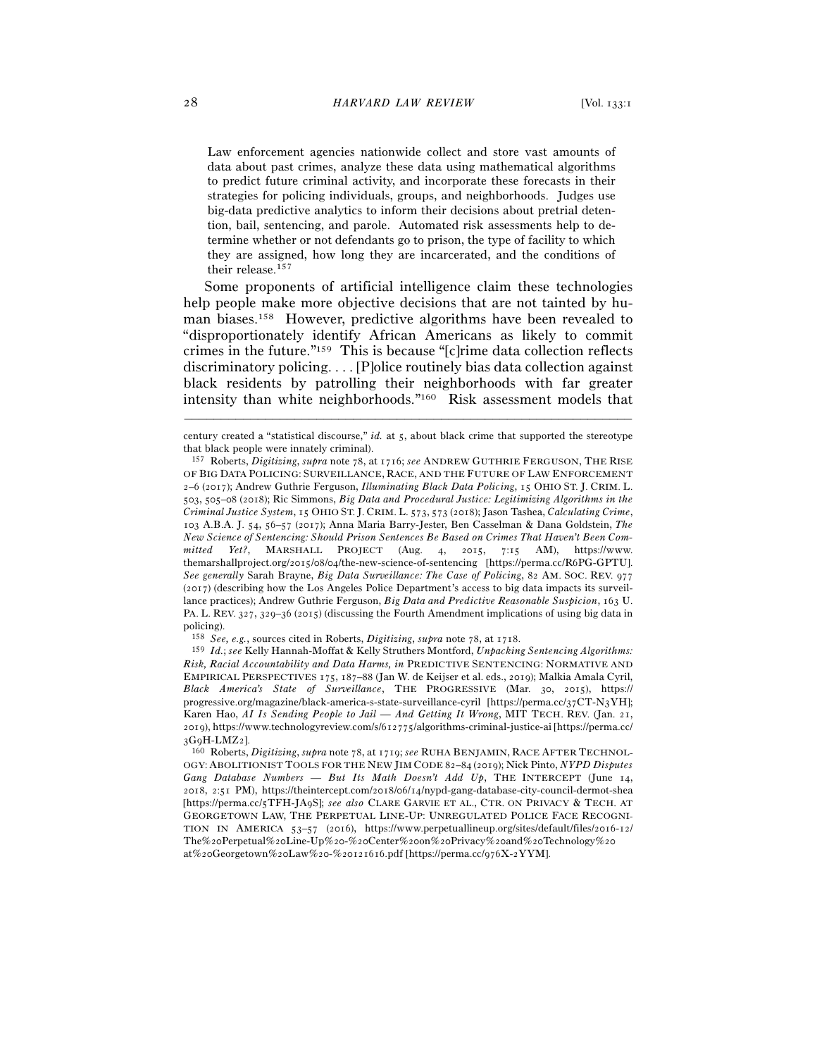Law enforcement agencies nationwide collect and store vast amounts of data about past crimes, analyze these data using mathematical algorithms to predict future criminal activity, and incorporate these forecasts in their strategies for policing individuals, groups, and neighborhoods. Judges use big-data predictive analytics to inform their decisions about pretrial detention, bail, sentencing, and parole. Automated risk assessments help to determine whether or not defendants go to prison, the type of facility to which they are assigned, how long they are incarcerated, and the conditions of their release.157

 Some proponents of artificial intelligence claim these technologies help people make more objective decisions that are not tainted by human biases.158 However, predictive algorithms have been revealed to "disproportionately identify African Americans as likely to commit crimes in the future."159 This is because "[c]rime data collection reflects discriminatory policing. . . . [P]olice routinely bias data collection against black residents by patrolling their neighborhoods with far greater intensity than white neighborhoods."160 Risk assessment models that

<sup>–––––––––––––––––––––––––––––––––––––––––––––––––––––––––––––</sup> century created a "statistical discourse," *id.* at 5, about black crime that supported the stereotype that black people were innately criminal).

<sup>157</sup> Roberts, *Digitizing*, *supra* note 78, at 1716; *see* ANDREW GUTHRIE FERGUSON, THE RISE OF BIG DATA POLICING: SURVEILLANCE, RACE, AND THE FUTURE OF LAW ENFORCEMENT 2–6 (2017); Andrew Guthrie Ferguson, *Illuminating Black Data Policing*, 15 OHIO ST. J. CRIM. L. 503, 505–08 (2018); Ric Simmons, *Big Data and Procedural Justice: Legitimizing Algorithms in the Criminal Justice System*, 15 OHIO ST. J. CRIM. L. 573, 573 (2018); Jason Tashea, *Calculating Crime*, 103 A.B.A. J. 54, 56–57 (2017); Anna Maria Barry-Jester, Ben Casselman & Dana Goldstein, *The New Science of Sentencing: Should Prison Sentences Be Based on Crimes That Haven't Been Committed Yet?*, MARSHALL PROJECT (Aug. 4, 2015, 7:15 AM), https://www. themarshallproject.org/2015/08/04/the-new-science-of-sentencing [https://perma.cc/R6PG-GPTU]. *See generally* Sarah Brayne, *Big Data Surveillance: The Case of Policing*, 82 AM. SOC. REV. 977 (2017) (describing how the Los Angeles Police Department's access to big data impacts its surveillance practices); Andrew Guthrie Ferguson, *Big Data and Predictive Reasonable Suspicion*, 163 U. PA. L. REV. 327, 329–36 (2015) (discussing the Fourth Amendment implications of using big data in policing).

<sup>158</sup> *See, e.g.*, sources cited in Roberts, *Digitizing*, *supra* note 78, at <sup>1718</sup>. 159 *Id.*; *see* Kelly Hannah-Moffat & Kelly Struthers Montford, *Unpacking Sentencing Algorithms: Risk, Racial Accountability and Data Harms, in* PREDICTIVE SENTENCING: NORMATIVE AND EMPIRICAL PERSPECTIVES 175, 187–88 (Jan W. de Keijser et al. eds., 2019); Malkia Amala Cyril, *Black America's State of Surveillance*, THE PROGRESSIVE (Mar. 30, 2015), https:// progressive.org/magazine/black-america-s-state-surveillance-cyril [https://perma.cc/37CT-N3YH]; Karen Hao, *AI Is Sending People to Jail — And Getting It Wrong*, MIT TECH. REV. (Jan. 21, 2019), https://www.technologyreview.com/s/612775/algorithms-criminal-justice-ai [https://perma.cc/ <sup>3</sup>G9H-LMZ<sup>2</sup>]. 160 Roberts, *Digitizing*, *supra* note 78, at 1719; *see* RUHA BENJAMIN, RACE AFTER TECHNOL-

OGY: ABOLITIONIST TOOLS FOR THE NEW JIM CODE 82–84 (2019); Nick Pinto, *NYPD Disputes Gang Database Numbers — But Its Math Doesn't Add Up*, THE INTERCEPT (June 14, 2018, 2:51 PM), https://theintercept.com/2018/06/14/nypd-gang-database-city-council-dermot-shea [https://perma.cc/5TFH-JA9S]; *see also* CLARE GARVIE ET AL., CTR. ON PRIVACY & TECH. AT GEORGETOWN LAW, THE PERPETUAL LINE-UP: UNREGULATED POLICE FACE RECOGNI-TION IN AMERICA 53–57 (2016), https://www.perpetuallineup.org/sites/default/files/2016-12/ The%20Perpetual%20Line-Up%20-%20Center%20on%20Privacy%20and%20Technology%20 at%20Georgetown%20Law%20-%20121616.pdf [https://perma.cc/976X-2YYM].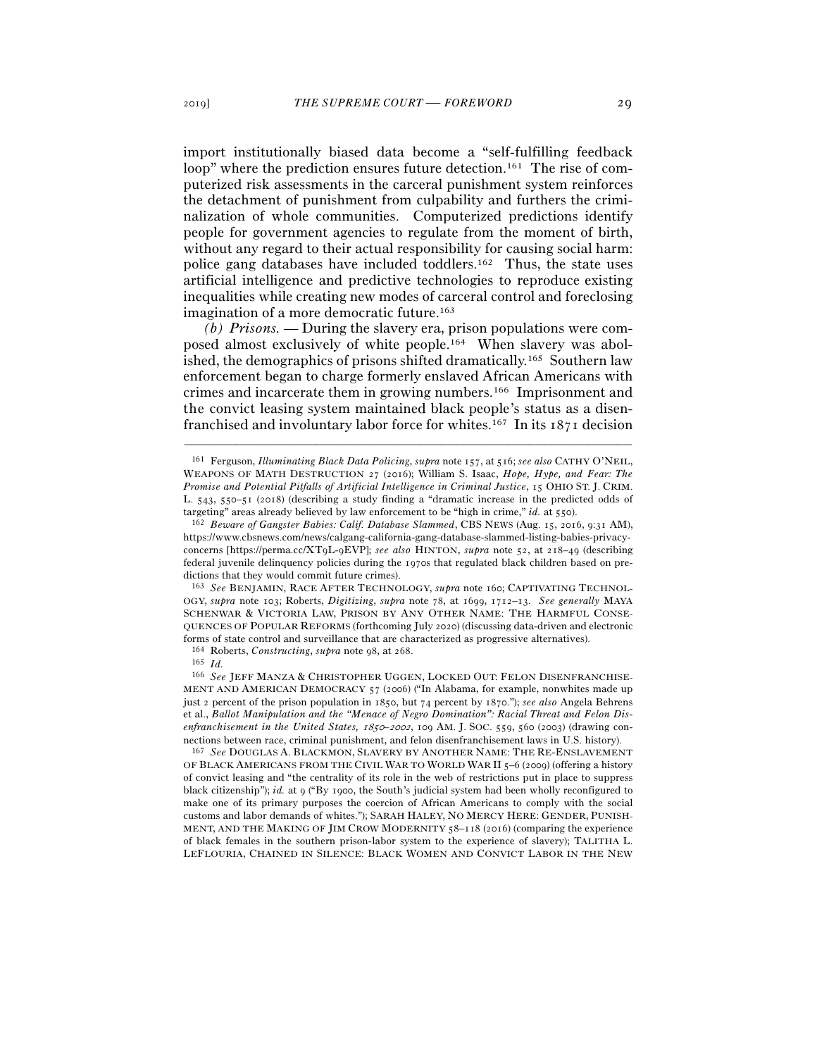import institutionally biased data become a "self-fulfilling feedback loop" where the prediction ensures future detection.<sup>161</sup> The rise of computerized risk assessments in the carceral punishment system reinforces the detachment of punishment from culpability and furthers the criminalization of whole communities. Computerized predictions identify people for government agencies to regulate from the moment of birth, without any regard to their actual responsibility for causing social harm: police gang databases have included toddlers.162 Thus, the state uses artificial intelligence and predictive technologies to reproduce existing inequalities while creating new modes of carceral control and foreclosing imagination of a more democratic future.<sup>163</sup>

*(b) Prisons. —* During the slavery era, prison populations were composed almost exclusively of white people.164 When slavery was abolished, the demographics of prisons shifted dramatically.165 Southern law enforcement began to charge formerly enslaved African Americans with crimes and incarcerate them in growing numbers.166 Imprisonment and the convict leasing system maintained black people's status as a disenfranchised and involuntary labor force for whites.167 In its 1871 decision

–––––––––––––––––––––––––––––––––––––––––––––––––––––––––––––

<sup>163</sup> *See* BENJAMIN, RACE AFTER TECHNOLOGY, *supra* note 160; CAPTIVATING TECHNOL-OGY, *supra* note 103; Roberts, *Digitizing*, *supra* note 78, at 1699, 1712–13. *See generally* MAYA SCHENWAR & VICTORIA LAW, PRISON BY ANY OTHER NAME: THE HARMFUL CONSE-QUENCES OF POPULAR REFORMS (forthcoming July 2020) (discussing data-driven and electronic forms of state control and surveillance that are characterized as progressive alternatives).

<sup>164</sup> Roberts, *Constructing*, *supra* note 98, at <sup>268</sup>. 165 *Id.*

OF BLACK AMERICANS FROM THE CIVIL WAR TO WORLD WAR II 5–6 (2009) (offering a history of convict leasing and "the centrality of its role in the web of restrictions put in place to suppress black citizenship"); *id.* at 9 ("By 1900, the South's judicial system had been wholly reconfigured to make one of its primary purposes the coercion of African Americans to comply with the social customs and labor demands of whites."); SARAH HALEY, NO MERCY HERE: GENDER, PUNISH-MENT, AND THE MAKING OF JIM CROW MODERNITY 58–118 (2016) (comparing the experience of black females in the southern prison-labor system to the experience of slavery); TALITHA L. LEFLOURIA, CHAINED IN SILENCE: BLACK WOMEN AND CONVICT LABOR IN THE NEW

<sup>161</sup> Ferguson, *Illuminating Black Data Policing*, *supra* note 157, at 516; *see also* CATHY O'NEIL, WEAPONS OF MATH DESTRUCTION 27 (2016); William S. Isaac, *Hope, Hype, and Fear: The Promise and Potential Pitfalls of Artificial Intelligence in Criminal Justice*, 15 OHIO ST. J. CRIM. L. 543, 550–51 (2018) (describing a study finding a "dramatic increase in the predicted odds of targeting" areas already believed by law enforcement to be "high in crime," *id.* at <sup>550</sup>). 162 *Beware of Gangster Babies: Calif. Database Slammed*, CBS NEWS (Aug. 15, 2016, 9:31 AM),

https://www.cbsnews.com/news/calgang-california-gang-database-slammed-listing-babies-privacyconcerns [https://perma.cc/XT9L-9EVP]; *see also* HINTON, *supra* note 52, at 218–49 (describing federal juvenile delinquency policies during the 1970s that regulated black children based on predictions that they would commit future crimes).

<sup>166</sup> *See* JEFF MANZA & CHRISTOPHER UGGEN, LOCKED OUT: FELON DISENFRANCHISE-MENT AND AMERICAN DEMOCRACY 57 (2006) ("In Alabama, for example, nonwhites made up just 2 percent of the prison population in 1850, but 74 percent by 1870."); *see also* Angela Behrens et al., *Ballot Manipulation and the "Menace of Negro Domination": Racial Threat and Felon Disenfranchisement in the United States,* 1850*–*2002, 109 AM. J. SOC. 559, 560 (2003) (drawing connections between race, criminal punishment, and felon disenfranchisement laws in U.S. history). 167 *See* DOUGLAS A. BLACKMON, SLAVERY BY ANOTHER NAME: THE RE-ENSLAVEMENT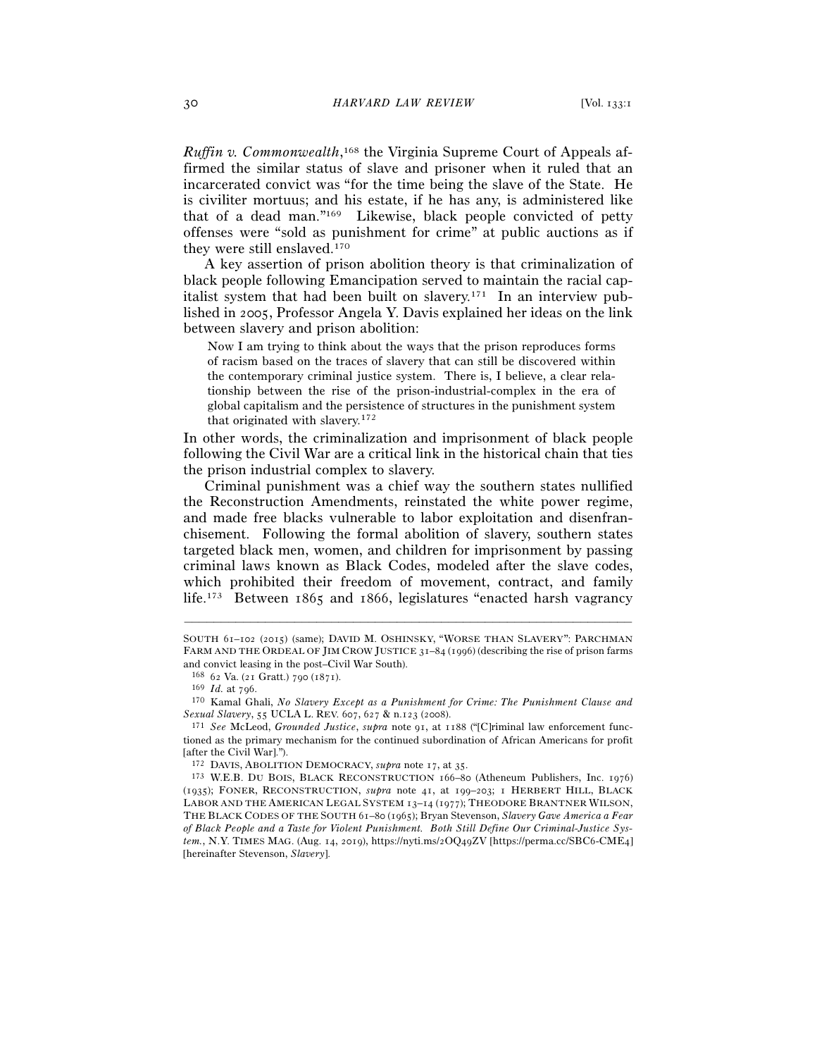*Ruffin v. Commonwealth*, 168 the Virginia Supreme Court of Appeals affirmed the similar status of slave and prisoner when it ruled that an incarcerated convict was "for the time being the slave of the State. He is civiliter mortuus; and his estate, if he has any, is administered like that of a dead man."169 Likewise, black people convicted of petty offenses were "sold as punishment for crime" at public auctions as if they were still enslaved.170

A key assertion of prison abolition theory is that criminalization of black people following Emancipation served to maintain the racial capitalist system that had been built on slavery.171 In an interview published in 2005, Professor Angela Y. Davis explained her ideas on the link between slavery and prison abolition:

Now I am trying to think about the ways that the prison reproduces forms of racism based on the traces of slavery that can still be discovered within the contemporary criminal justice system. There is, I believe, a clear relationship between the rise of the prison-industrial-complex in the era of global capitalism and the persistence of structures in the punishment system that originated with slavery.172

In other words, the criminalization and imprisonment of black people following the Civil War are a critical link in the historical chain that ties the prison industrial complex to slavery.

Criminal punishment was a chief way the southern states nullified the Reconstruction Amendments, reinstated the white power regime, and made free blacks vulnerable to labor exploitation and disenfranchisement. Following the formal abolition of slavery, southern states targeted black men, women, and children for imprisonment by passing criminal laws known as Black Codes, modeled after the slave codes, which prohibited their freedom of movement, contract, and family life.173 Between 1865 and 1866, legislatures "enacted harsh vagrancy

SOUTH 61–102 (2015) (same); DAVID M. OSHINSKY, "WORSE THAN SLAVERY": PARCHMAN FARM AND THE ORDEAL OF JIM CROW JUSTICE 31–84 (1996) (describing the rise of prison farms and convict leasing in the post–Civil War South).

<sup>168</sup> <sup>62</sup> Va. (21 Gratt.) 790 (<sup>1871</sup>). 169 *Id.* at <sup>796</sup>. 170 Kamal Ghali, *No Slavery Except as a Punishment for Crime: The Punishment Clause and Sexual Slavery*, 55 UCLA L. REV. 607, 627 & n.123 (<sup>2008</sup>). 171 *See* McLeod, *Grounded Justice*, *supra* note 91, at 1188 ("[C]riminal law enforcement func-

tioned as the primary mechanism for the continued subordination of African Americans for profit [after the Civil War].").<br><sup>172</sup> DAVIS, ABOLITION DEMOCRACY, *supra* note 17, at 35.

<sup>&</sup>lt;sup>173</sup> W.E.B. DU BOIS, BLACK RECONSTRUCTION 166-80 (Atheneum Publishers, Inc. 1976) (1935); FONER, RECONSTRUCTION, *supra* note 41, at 199–203; 1 HERBERT HILL, BLACK LABOR AND THE AMERICAN LEGAL SYSTEM 13–14 (1977); THEODORE BRANTNER WILSON, THE BLACK CODES OF THE SOUTH 61–80 (1965); Bryan Stevenson, *Slavery Gave America a Fear of Black People and a Taste for Violent Punishment. Both Still Define Our Criminal-Justice System.*, N.Y. TIMES MAG. (Aug. 14, 2019), https://nyti.ms/2OQ49ZV [https://perma.cc/SBC6-CME4] [hereinafter Stevenson, *Slavery*].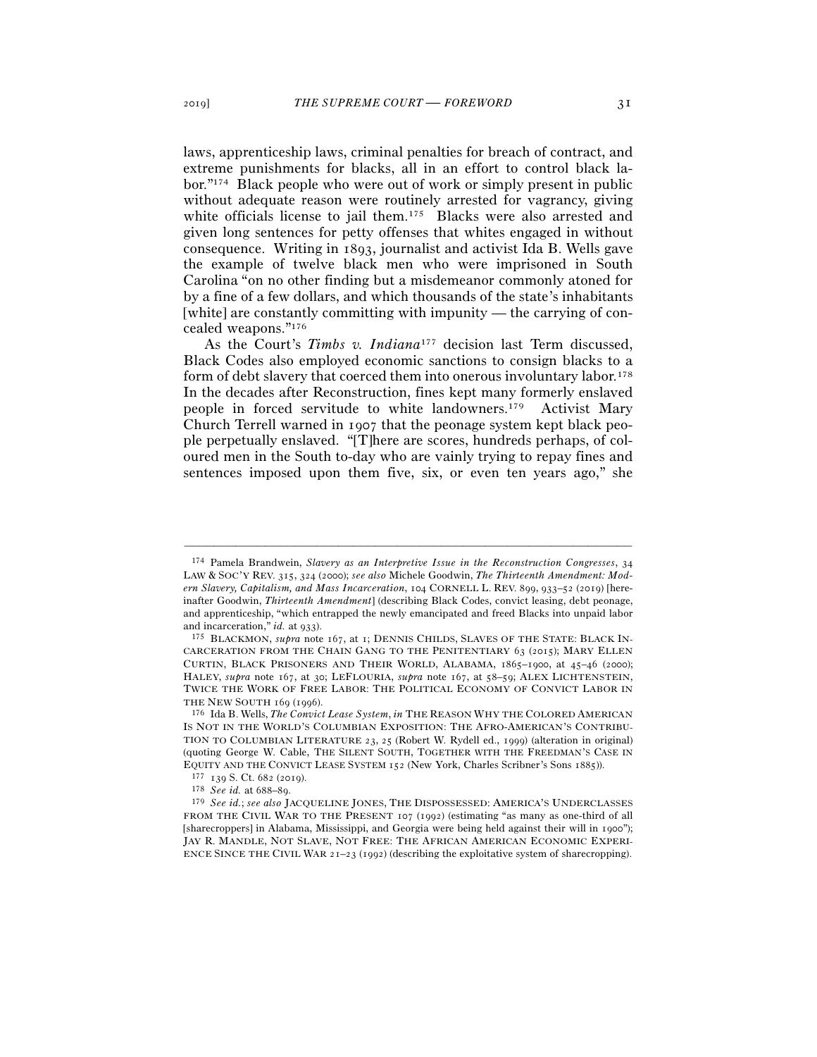laws, apprenticeship laws, criminal penalties for breach of contract, and extreme punishments for blacks, all in an effort to control black labor."174 Black people who were out of work or simply present in public without adequate reason were routinely arrested for vagrancy, giving white officials license to jail them.<sup>175</sup> Blacks were also arrested and given long sentences for petty offenses that whites engaged in without consequence. Writing in 1893, journalist and activist Ida B. Wells gave the example of twelve black men who were imprisoned in South Carolina "on no other finding but a misdemeanor commonly atoned for by a fine of a few dollars, and which thousands of the state's inhabitants [white] are constantly committing with impunity — the carrying of concealed weapons."176

As the Court's *Timbs v. Indiana*<sup>177</sup> decision last Term discussed, Black Codes also employed economic sanctions to consign blacks to a form of debt slavery that coerced them into onerous involuntary labor.178 In the decades after Reconstruction, fines kept many formerly enslaved people in forced servitude to white landowners.179 Activist Mary Church Terrell warned in 1907 that the peonage system kept black people perpetually enslaved. "[T]here are scores, hundreds perhaps, of coloured men in the South to-day who are vainly trying to repay fines and sentences imposed upon them five, six, or even ten years ago," she

<sup>174</sup> Pamela Brandwein, *Slavery as an Interpretive Issue in the Reconstruction Congresses*, 34 LAW & SOC'Y REV. 315, 324 (2000); *see also* Michele Goodwin, *The Thirteenth Amendment: Modern Slavery, Capitalism, and Mass Incarceration*, 104 CORNELL L. REV. 899, 933–52 (2019) [hereinafter Goodwin, *Thirteenth Amendment*] (describing Black Codes, convict leasing, debt peonage, and apprenticeship, "which entrapped the newly emancipated and freed Blacks into unpaid labor and incarceration," *id.* at 933).<br><sup>175</sup> BLACKMON, *supra* note 167, at 1; DENNIS CHILDS, SLAVES OF THE STATE: BLACK IN-

CARCERATION FROM THE CHAIN GANG TO THE PENITENTIARY 63 (2015); MARY ELLEN CURTIN, BLACK PRISONERS AND THEIR WORLD, ALABAMA, 1865–1900, at 45–46 (2000); HALEY, *supra* note 167, at 30; LEFLOURIA, *supra* note 167, at 58–59; ALEX LICHTENSTEIN, TWICE THE WORK OF FREE LABOR: THE POLITICAL ECONOMY OF CONVICT LABOR IN THE NEW SOUTH 169 (1996).<br><sup>176</sup> Ida B. Wells, *The Convict Lease System, in* THE REASON WHY THE COLORED AMERICAN

IS NOT IN THE WORLD'S COLUMBIAN EXPOSITION: THE AFRO-AMERICAN'S CONTRIBU-TION TO COLUMBIAN LITERATURE 23, 25 (Robert W. Rydell ed., 1999) (alteration in original) (quoting George W. Cable, THE SILENT SOUTH, TOGETHER WITH THE FREEDMAN'S CASE IN EQUITY AND THE CONVICT LEASE SYSTEM 152 (New York, Charles Scribner's Sons 1885)).<br>  $177$  139 S. Ct. 682 (2019).<br>  $178$  See id. at 688–89.<br>  $179$  See id.; see also JACQUELINE JONES, THE DISPOSSESSED: AMERICA'S UNDERCLASSE

FROM THE CIVIL WAR TO THE PRESENT 107 (1992) (estimating "as many as one-third of all [sharecroppers] in Alabama, Mississippi, and Georgia were being held against their will in 1900"); JAY R. MANDLE, NOT SLAVE, NOT FREE: THE AFRICAN AMERICAN ECONOMIC EXPERI-ENCE SINCE THE CIVIL WAR 21–23 (1992) (describing the exploitative system of sharecropping).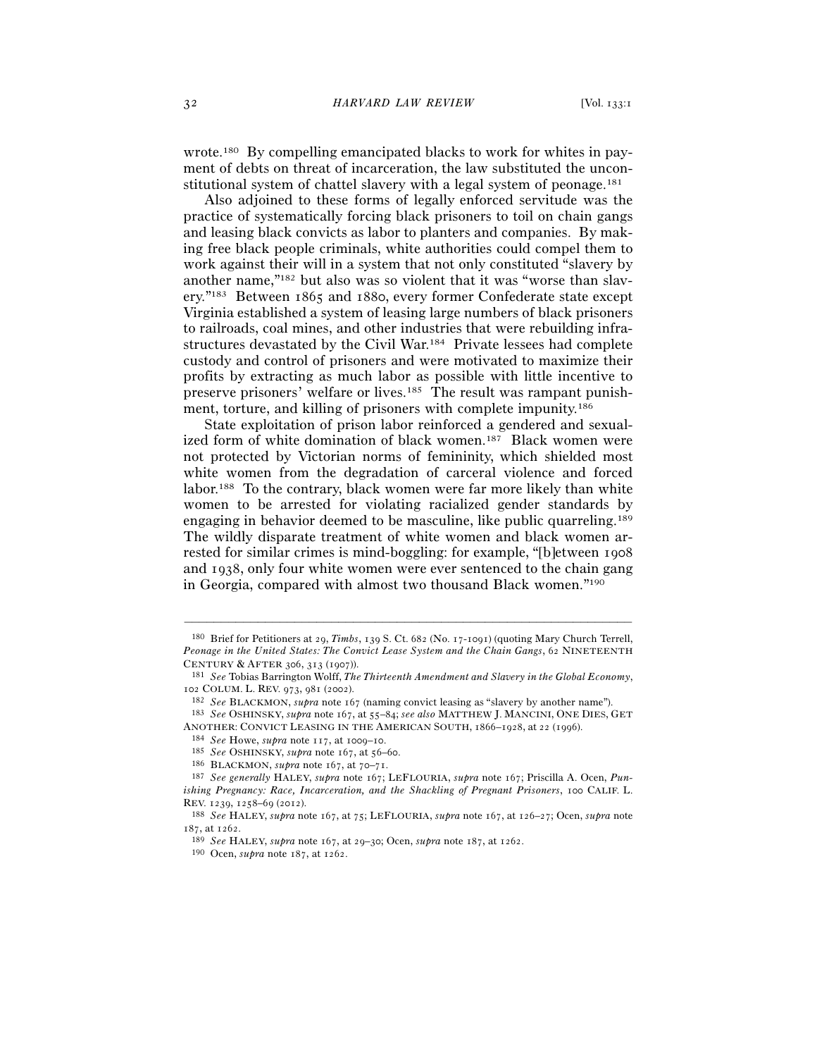wrote.180 By compelling emancipated blacks to work for whites in payment of debts on threat of incarceration, the law substituted the unconstitutional system of chattel slavery with a legal system of peonage.<sup>181</sup>

Also adjoined to these forms of legally enforced servitude was the practice of systematically forcing black prisoners to toil on chain gangs and leasing black convicts as labor to planters and companies. By making free black people criminals, white authorities could compel them to work against their will in a system that not only constituted "slavery by another name,"182 but also was so violent that it was "worse than slavery."183 Between 1865 and 1880, every former Confederate state except Virginia established a system of leasing large numbers of black prisoners to railroads, coal mines, and other industries that were rebuilding infrastructures devastated by the Civil War.184 Private lessees had complete custody and control of prisoners and were motivated to maximize their profits by extracting as much labor as possible with little incentive to preserve prisoners' welfare or lives.185 The result was rampant punishment, torture, and killing of prisoners with complete impunity.186

State exploitation of prison labor reinforced a gendered and sexualized form of white domination of black women.187 Black women were not protected by Victorian norms of femininity, which shielded most white women from the degradation of carceral violence and forced labor.188 To the contrary, black women were far more likely than white women to be arrested for violating racialized gender standards by engaging in behavior deemed to be masculine, like public quarreling.189 The wildly disparate treatment of white women and black women arrested for similar crimes is mind-boggling: for example, "[b]etween 1908 and 1938, only four white women were ever sentenced to the chain gang in Georgia, compared with almost two thousand Black women."190

<sup>180</sup> Brief for Petitioners at 29, *Timbs*, 139 S. Ct. 682 (No. 17-1091) (quoting Mary Church Terrell, *Peonage in the United States: The Convict Lease System and the Chain Gangs*, 62 NINETEENTH CENTURY & AFTER 306, 313 (1907)).

<sup>&</sup>lt;sup>181</sup> See Tobias Barrington Wolff, *The Thirteenth Amendment and Slavery in the Global Economy*, 102 COLUM. L. REV. 973, 981 (2002).<br><sup>182</sup> See BLACKMON, supra note 167 (naming convict leasing as "slavery by another name").<br><sup>183</sup> See OSHINSKY, supra note 167, at 55–84; see also MATTHEW J. MANCINI, ONE DIES, GET

ANOTHER: CONVICT LEASING IN THE AMERICAN SOUTH, 1866–1928, at 22 (1996).<br>
<sup>184</sup> *See* Howe, *supra* note 117, at 1009–10.<br>
<sup>185</sup> *See* OSHINSKY, *supra* note 167, at 56–60.<br>
<sup>186</sup> BLACKMON, *supra* note 167, at 70–71.<br>
<sup>1</sup>

*ishing Pregnancy: Race, Incarceration, and the Shackling of Pregnant Prisoners*, 100 CALIF. L. REV. 1239, 1258–69 (<sup>2012</sup>). 188 *See* HALEY, *supra* note 167, at 75; LEFLOURIA, *supra* note 167, at 126–27; Ocen, *supra* note

<sup>187</sup>, at <sup>1262</sup>. 189 *See* HALEY, *supra* note 167, at 29–30; Ocen, *supra* note 187, at <sup>1262</sup>. 190 Ocen, *supra* note 187, at 1262.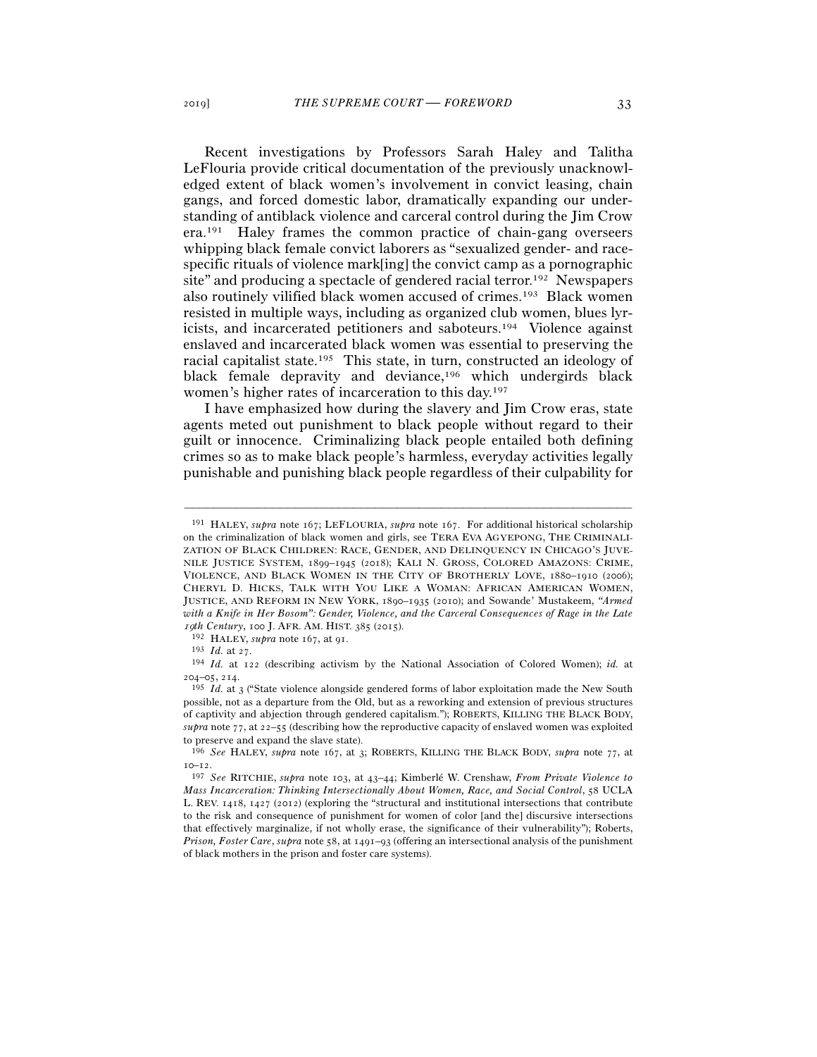Recent investigations by Professors Sarah Haley and Talitha LeFlouria provide critical documentation of the previously unacknowledged extent of black women's involvement in convict leasing, chain gangs, and forced domestic labor, dramatically expanding our understanding of antiblack violence and carceral control during the Jim Crow era.191 Haley frames the common practice of chain-gang overseers whipping black female convict laborers as "sexualized gender- and racespecific rituals of violence mark[ing] the convict camp as a pornographic site" and producing a spectacle of gendered racial terror.192 Newspapers also routinely vilified black women accused of crimes.193 Black women resisted in multiple ways, including as organized club women, blues lyricists, and incarcerated petitioners and saboteurs.194 Violence against enslaved and incarcerated black women was essential to preserving the racial capitalist state.195 This state, in turn, constructed an ideology of black female depravity and deviance,<sup>196</sup> which undergirds black women's higher rates of incarceration to this day.197

I have emphasized how during the slavery and Jim Crow eras, state agents meted out punishment to black people without regard to their guilt or innocence. Criminalizing black people entailed both defining crimes so as to make black people's harmless, everyday activities legally punishable and punishing black people regardless of their culpability for

<sup>191</sup> HALEY, *supra* note 167; LEFLOURIA, *supra* note 167. For additional historical scholarship on the criminalization of black women and girls, see TERA EVA AGYEPONG, THE CRIMINALI-ZATION OF BLACK CHILDREN: RACE, GENDER, AND DELINQUENCY IN CHICAGO'S JUVE-NILE JUSTICE SYSTEM, 1899–1945 (2018); KALI N. GROSS, COLORED AMAZONS: CRIME, VIOLENCE, AND BLACK WOMEN IN THE CITY OF BROTHERLY LOVE, 1880–1910 (2006); CHERYL D. HICKS, TALK WITH YOU LIKE A WOMAN: AFRICAN AMERICAN WOMEN, JUSTICE, AND REFORM IN NEW YORK, 1890–1935 (2010); and Sowande' Mustakeem, *"Armed with a Knife in Her Bosom": Gender, Violence, and the Carceral Consequences of Rage in the Late*  19*th Century*, 100 J. AFR. AM. HIST. 385 (2015).<br><sup>192</sup> HALEY, *supra* note 167, at 91.<br><sup>193</sup> *Id.* at 27.<br><sup>194</sup> *Id.* at 122 (describing activism by the National Association of Colored Women); *id.* at

<sup>204</sup>–05, <sup>214</sup>. 195 *Id.* at 3 ("State violence alongside gendered forms of labor exploitation made the New South

possible, not as a departure from the Old, but as a reworking and extension of previous structures of captivity and abjection through gendered capitalism."); ROBERTS, KILLING THE BLACK BODY, *supra* note 77, at 22–55 (describing how the reproductive capacity of enslaved women was exploited to preserve and expand the slave state).

<sup>196</sup> *See* HALEY, *supra* note 167, at 3; ROBERTS, KILLING THE BLACK BODY, *supra* note 77, at

<sup>10</sup>–<sup>12</sup>. 197 *See* RITCHIE, *supra* note 103, at 43–44; Kimberlé W. Crenshaw, *From Private Violence to Mass Incarceration: Thinking Intersectionally About Women, Race, and Social Control*, 58 UCLA L. REV. 1418, 1427 (2012) (exploring the "structural and institutional intersections that contribute to the risk and consequence of punishment for women of color [and the] discursive intersections that effectively marginalize, if not wholly erase, the significance of their vulnerability"); Roberts, *Prison, Foster Care*, *supra* note 58, at 1491–93 (offering an intersectional analysis of the punishment of black mothers in the prison and foster care systems).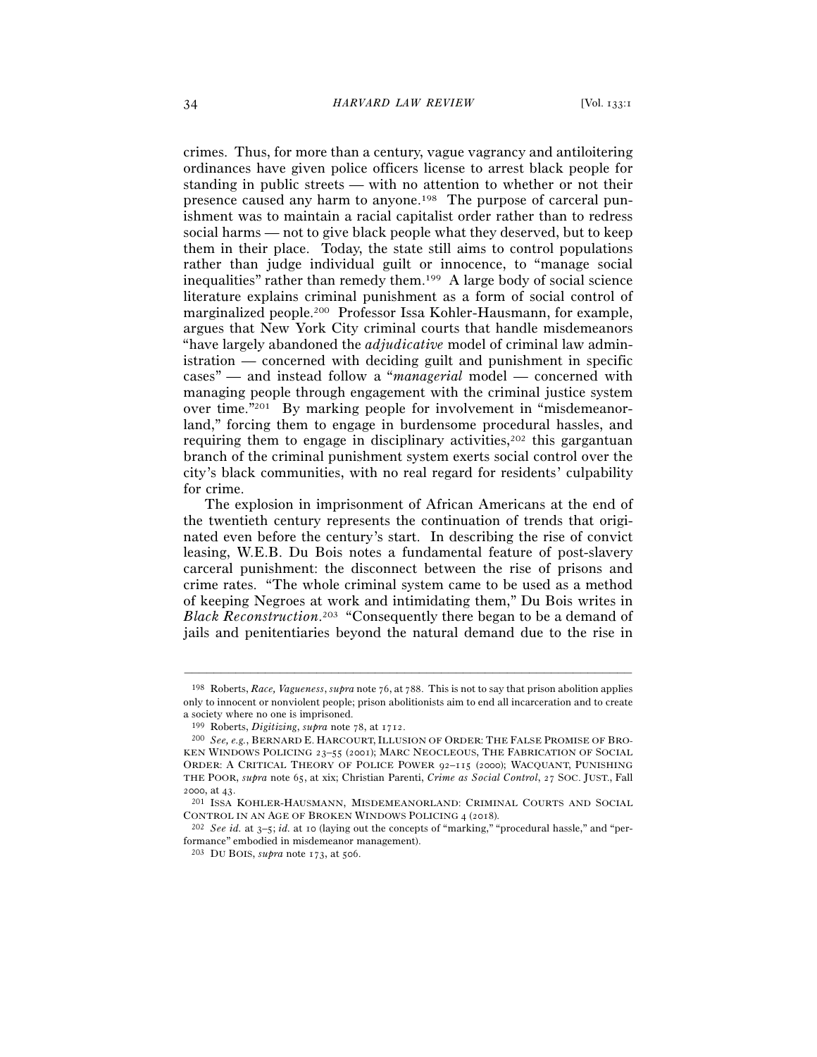crimes. Thus, for more than a century, vague vagrancy and antiloitering ordinances have given police officers license to arrest black people for standing in public streets — with no attention to whether or not their presence caused any harm to anyone.198 The purpose of carceral punishment was to maintain a racial capitalist order rather than to redress social harms — not to give black people what they deserved, but to keep them in their place. Today, the state still aims to control populations rather than judge individual guilt or innocence, to "manage social inequalities" rather than remedy them.199 A large body of social science literature explains criminal punishment as a form of social control of marginalized people.200 Professor Issa Kohler-Hausmann, for example, argues that New York City criminal courts that handle misdemeanors "have largely abandoned the *adjudicative* model of criminal law administration — concerned with deciding guilt and punishment in specific cases" — and instead follow a "*managerial* model — concerned with managing people through engagement with the criminal justice system over time."201 By marking people for involvement in "misdemeanorland," forcing them to engage in burdensome procedural hassles, and requiring them to engage in disciplinary activities, $202$  this gargantuan branch of the criminal punishment system exerts social control over the city's black communities, with no real regard for residents' culpability for crime.

The explosion in imprisonment of African Americans at the end of the twentieth century represents the continuation of trends that originated even before the century's start. In describing the rise of convict leasing, W.E.B. Du Bois notes a fundamental feature of post-slavery carceral punishment: the disconnect between the rise of prisons and crime rates. "The whole criminal system came to be used as a method of keeping Negroes at work and intimidating them," Du Bois writes in *Black Reconstruction*. 203 "Consequently there began to be a demand of jails and penitentiaries beyond the natural demand due to the rise in

<sup>198</sup> Roberts, *Race, Vagueness*, *supra* note 76, at 788. This is not to say that prison abolition applies only to innocent or nonviolent people; prison abolitionists aim to end all incarceration and to create a society where no one is imprisoned.

<sup>&</sup>lt;sup>199</sup> Roberts, *Digitizing*, *supra* note 78, at 1712.<br><sup>200</sup> *See, e.g.*, BERNARD E. HARCOURT, ILLUSION OF ORDER: THE FALSE PROMISE OF BRO-KEN WINDOWS POLICING 23-55 (2001); MARC NEOCLEOUS, THE FABRICATION OF SOCIAL ORDER: A CRITICAL THEORY OF POLICE POWER 92–115 (2000); WACQUANT, PUNISHING THE POOR, *supra* note 65, at xix; Christian Parenti, *Crime as Social Control*, 27 SOC. JUST., Fall <sup>2000</sup>, at <sup>43</sup>. 201 ISSA KOHLER-HAUSMANN, MISDEMEANORLAND: CRIMINAL COURTS AND SOCIAL

CONTROL IN AN AGE OF BROKEN WINDOWS POLICING <sup>4</sup> (<sup>2018</sup>). 202 *See id.* at 3–5; *id.* at 10 (laying out the concepts of "marking," "procedural hassle," and "performance" embodied in misdemeanor management).

<sup>203</sup> DU BOIS, *supra* note 173, at 506.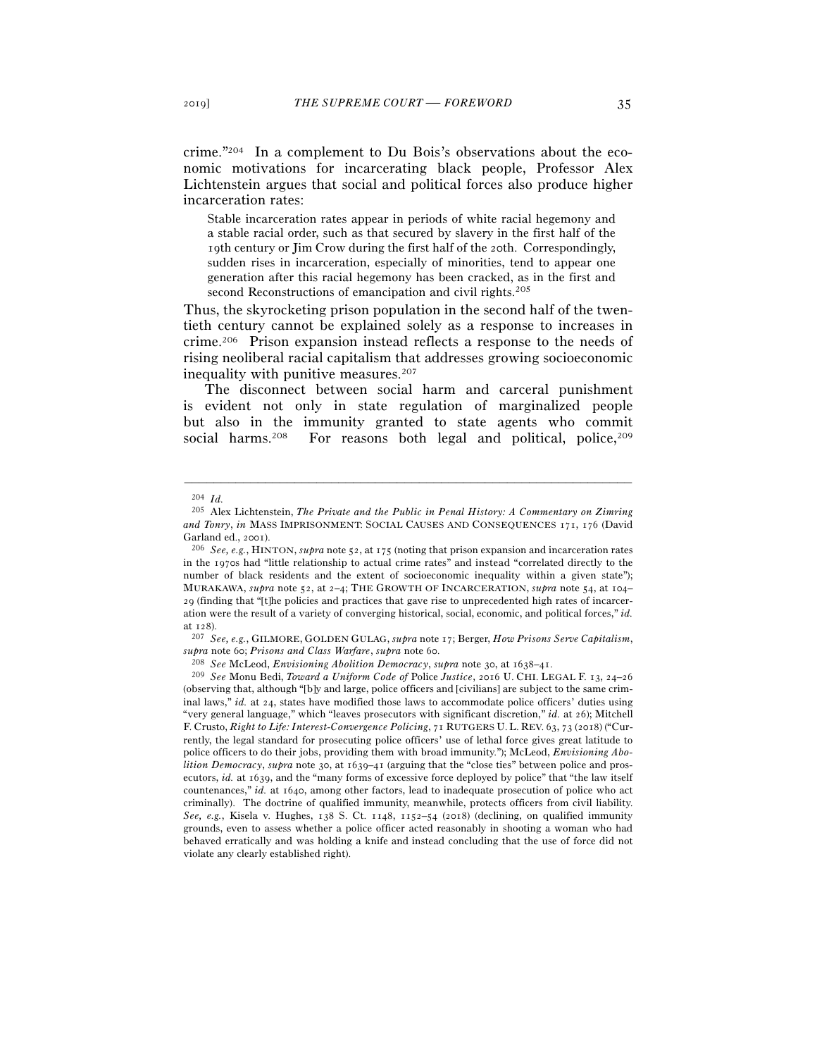crime."204 In a complement to Du Bois's observations about the economic motivations for incarcerating black people, Professor Alex Lichtenstein argues that social and political forces also produce higher incarceration rates:

Stable incarceration rates appear in periods of white racial hegemony and a stable racial order, such as that secured by slavery in the first half of the 19th century or Jim Crow during the first half of the 20th. Correspondingly, sudden rises in incarceration, especially of minorities, tend to appear one generation after this racial hegemony has been cracked, as in the first and second Reconstructions of emancipation and civil rights.<sup>205</sup>

Thus, the skyrocketing prison population in the second half of the twentieth century cannot be explained solely as a response to increases in crime.206 Prison expansion instead reflects a response to the needs of rising neoliberal racial capitalism that addresses growing socioeconomic inequality with punitive measures.207

The disconnect between social harm and carceral punishment is evident not only in state regulation of marginalized people but also in the immunity granted to state agents who commit social harms.<sup>208</sup> For reasons both legal and political, police,<sup>209</sup>

<sup>204</sup> *Id.*

<sup>205</sup> Alex Lichtenstein, *The Private and the Public in Penal History: A Commentary on Zimring and Tonry*, *in* MASS IMPRISONMENT: SOCIAL CAUSES AND CONSEQUENCES 171, 176 (David Garland ed., 2001).<br><sup>206</sup> *See, e.g.*, HINTON, *supra* note 52, at 175 (noting that prison expansion and incarceration rates

in the 1970s had "little relationship to actual crime rates" and instead "correlated directly to the number of black residents and the extent of socioeconomic inequality within a given state"); MURAKAWA, *supra* note 52, at 2–4; THE GROWTH OF INCARCERATION, *supra* note 54, at 104– 29 (finding that "[t]he policies and practices that gave rise to unprecedented high rates of incarceration were the result of a variety of converging historical, social, economic, and political forces," *id.*

at <sup>128</sup>). 207 *See, e.g.*, GILMORE, GOLDEN GULAG, *supra* note 17; Berger, *How Prisons Serve Capitalism*, supra note 60; Prisons and Class Warfare, supra note 60.<br><sup>208</sup> See McLeod, Envisioning Abolition Democracy, supra note 30, at 1638–41.<br><sup>209</sup> See Monu Bedi, Toward a Uniform Code of Police Justice, 2016 U. CHI. LEGAL F. 13,

<sup>(</sup>observing that, although "[b]y and large, police officers and [civilians] are subject to the same criminal laws," *id.* at 24, states have modified those laws to accommodate police officers' duties using "very general language," which "leaves prosecutors with significant discretion," *id.* at 26); Mitchell F. Crusto, *Right to Life: Interest-Convergence Policing*, 71 RUTGERS U.L. REV. 63, 73 (2018) ("Currently, the legal standard for prosecuting police officers' use of lethal force gives great latitude to police officers to do their jobs, providing them with broad immunity."); McLeod, *Envisioning Abolition Democracy*, *supra* note 30, at 1639–41 (arguing that the "close ties" between police and prosecutors, *id.* at 1639, and the "many forms of excessive force deployed by police" that "the law itself countenances," *id.* at 1640, among other factors, lead to inadequate prosecution of police who act criminally). The doctrine of qualified immunity, meanwhile, protects officers from civil liability. *See, e.g.*, Kisela v. Hughes, 138 S. Ct. 1148, 1152–54 (2018) (declining, on qualified immunity grounds, even to assess whether a police officer acted reasonably in shooting a woman who had behaved erratically and was holding a knife and instead concluding that the use of force did not violate any clearly established right).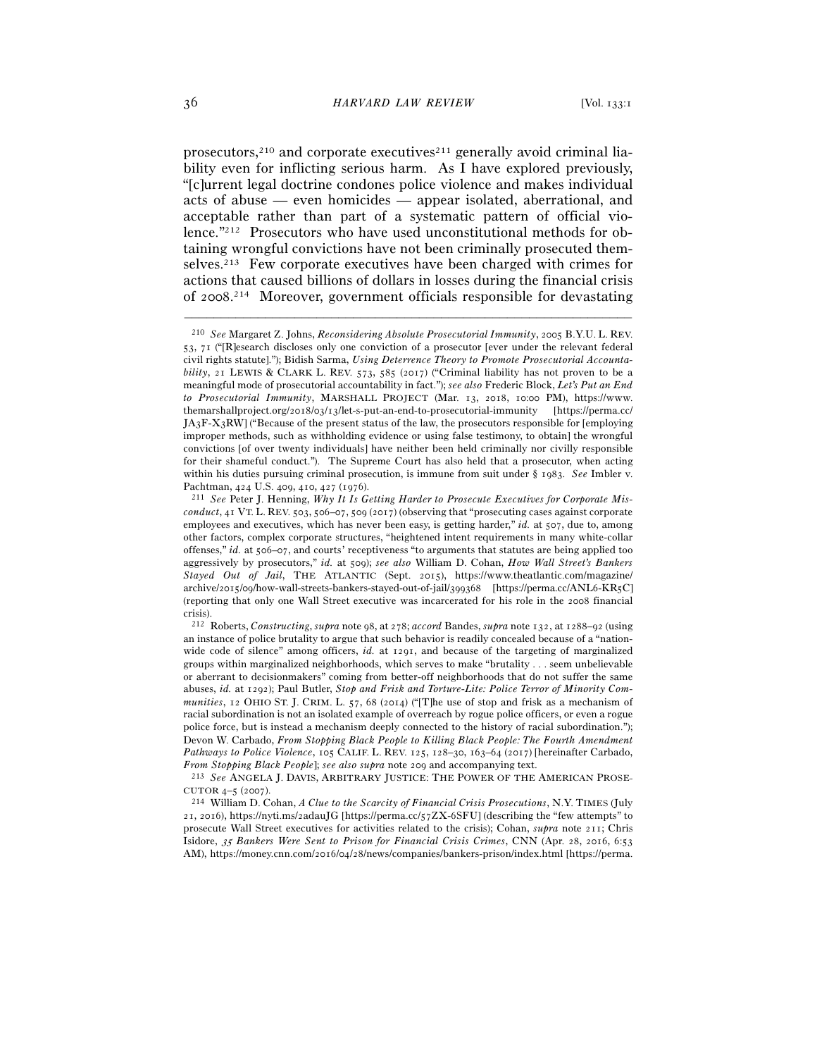prosecutors, $2^{10}$  and corporate executives $2^{11}$  generally avoid criminal liability even for inflicting serious harm. As I have explored previously, "[c]urrent legal doctrine condones police violence and makes individual acts of abuse — even homicides — appear isolated, aberrational, and acceptable rather than part of a systematic pattern of official violence."212 Prosecutors who have used unconstitutional methods for obtaining wrongful convictions have not been criminally prosecuted themselves.213 Few corporate executives have been charged with crimes for actions that caused billions of dollars in losses during the financial crisis of 2008. 214 Moreover, government officials responsible for devastating

–––––––––––––––––––––––––––––––––––––––––––––––––––––––––––––

*From Stopping Black People*]; *see also supra* note <sup>209</sup>and accompanying text. 213 *See* ANGELA J. DAVIS, ARBITRARY JUSTICE: THE POWER OF THE AMERICAN PROSE-CUTOR <sup>4</sup>–5 (<sup>2007</sup>). 214 William D. Cohan, *A Clue to the Scarcity of Financial Crisis Prosecutions*, N.Y. TIMES (July

21, 2016), https://nyti.ms/2adauJG [https://perma.cc/57ZX-6SFU] (describing the "few attempts" to prosecute Wall Street executives for activities related to the crisis); Cohan, *supra* note 211; Chris Isidore, 35 *Bankers Were Sent to Prison for Financial Crisis Crimes*, CNN (Apr. 28, 2016, 6:53 AM), https://money.cnn.com/2016/04/28/news/companies/bankers-prison/index.html [https://perma.

<sup>210</sup> *See* Margaret Z. Johns, *Reconsidering Absolute Prosecutorial Immunity*, 2005 B.Y.U. L. REV. 53, 71 ("[R]esearch discloses only one conviction of a prosecutor [ever under the relevant federal civil rights statute]."); Bidish Sarma, *Using Deterrence Theory to Promote Prosecutorial Accountability*, 21 LEWIS & CLARK L. REV. 573, 585 (2017) ("Criminal liability has not proven to be a meaningful mode of prosecutorial accountability in fact."); *see also* Frederic Block, *Let's Put an End to Prosecutorial Immunity*, MARSHALL PROJECT (Mar. 13, 2018, 10:00 PM), https://www. themarshallproject.org/2018/03/13/let-s-put-an-end-to-prosecutorial-immunity [https://perma.cc/ JA3F-X3RW] ("Because of the present status of the law, the prosecutors responsible for [employing improper methods, such as withholding evidence or using false testimony, to obtain] the wrongful convictions [of over twenty individuals] have neither been held criminally nor civilly responsible for their shameful conduct."). The Supreme Court has also held that a prosecutor, when acting within his duties pursuing criminal prosecution, is immune from suit under § 1983. *See* Imbler v. Pachtman, 424 U.S. 409, 410, 427 (<sup>1976</sup>). 211 *See* Peter J. Henning, *Why It Is Getting Harder to Prosecute Executives for Corporate Mis-*

*conduct*, 41 VT. L. REV. 503, 506–07, 509 (2017) (observing that "prosecuting cases against corporate employees and executives, which has never been easy, is getting harder," *id.* at 507, due to, among other factors, complex corporate structures, "heightened intent requirements in many white-collar offenses," *id.* at 506–07, and courts' receptiveness "to arguments that statutes are being applied too aggressively by prosecutors," *id.* at 509); *see also* William D. Cohan, *How Wall Street's Bankers Stayed Out of Jail*, THE ATLANTIC (Sept. 2015), https://www.theatlantic.com/magazine/ archive/2015/09/how-wall-streets-bankers-stayed-out-of-jail/399368 [https://perma.cc/ANL6-KR5C] (reporting that only one Wall Street executive was incarcerated for his role in the 2008 financial crisis).

<sup>212</sup> Roberts, *Constructing*, *supra* note 98, at 278; *accord* Bandes, *supra* note 132, at 1288–92 (using an instance of police brutality to argue that such behavior is readily concealed because of a "nationwide code of silence" among officers, *id.* at 1291, and because of the targeting of marginalized groups within marginalized neighborhoods, which serves to make "brutality . . . seem unbelievable or aberrant to decisionmakers" coming from better-off neighborhoods that do not suffer the same abuses, *id.* at 1292); Paul Butler, *Stop and Frisk and Torture-Lite: Police Terror of Minority Communities*, 12 OHIO ST. J. CRIM. L. 57, 68 (2014) ("[T]he use of stop and frisk as a mechanism of racial subordination is not an isolated example of overreach by rogue police officers, or even a rogue police force, but is instead a mechanism deeply connected to the history of racial subordination."); Devon W. Carbado, *From Stopping Black People to Killing Black People: The Fourth Amendment Pathways to Police Violence*, 105 CALIF. L. REV. 125, 128–30, 163–64 (2017) [hereinafter Carbado,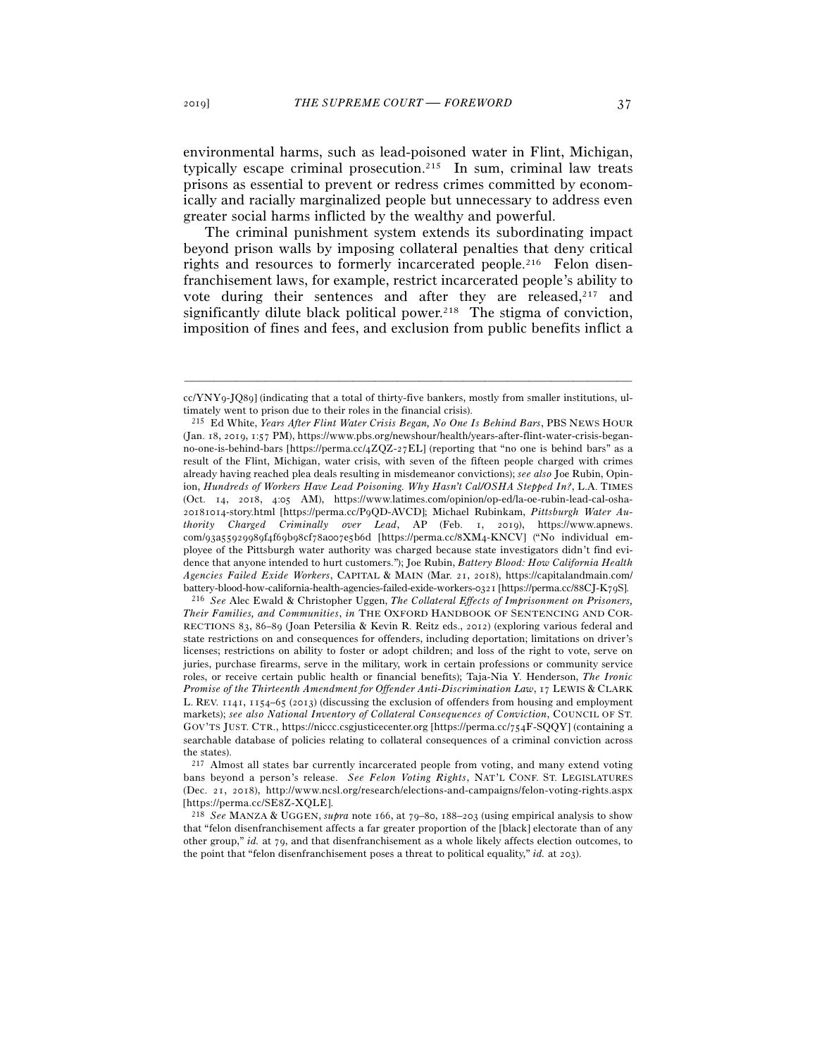environmental harms, such as lead-poisoned water in Flint, Michigan, typically escape criminal prosecution.215 In sum, criminal law treats prisons as essential to prevent or redress crimes committed by economically and racially marginalized people but unnecessary to address even greater social harms inflicted by the wealthy and powerful.

The criminal punishment system extends its subordinating impact beyond prison walls by imposing collateral penalties that deny critical rights and resources to formerly incarcerated people.<sup>216</sup> Felon disenfranchisement laws, for example, restrict incarcerated people's ability to vote during their sentences and after they are released, $217$  and significantly dilute black political power.<sup>218</sup> The stigma of conviction, imposition of fines and fees, and exclusion from public benefits inflict a

*Their Families, and Communities*, *in* THE OXFORD HANDBOOK OF SENTENCING AND COR-RECTIONS 83, 86–89 (Joan Petersilia & Kevin R. Reitz eds., 2012) (exploring various federal and state restrictions on and consequences for offenders, including deportation; limitations on driver's licenses; restrictions on ability to foster or adopt children; and loss of the right to vote, serve on juries, purchase firearms, serve in the military, work in certain professions or community service roles, or receive certain public health or financial benefits); Taja-Nia Y. Henderson, *The Ironic Promise of the Thirteenth Amendment for Offender Anti-Discrimination Law*, 17 LEWIS & CLARK L. REV. 1141, 1154–65 (2013) (discussing the exclusion of offenders from housing and employment markets); *see also National Inventory of Collateral Consequences of Conviction*, COUNCIL OF ST. GOV'TS JUST. CTR., https://niccc.csgjusticecenter.org [https://perma.cc/754F-SQQY] (containing a searchable database of policies relating to collateral consequences of a criminal conviction across the states).

217 Almost all states bar currently incarcerated people from voting, and many extend voting bans beyond a person's release. *See Felon Voting Rights*, NAT'L CONF. ST. LEGISLATURES (Dec. 21, 2018), http://www.ncsl.org/research/elections-and-campaigns/felon-voting-rights.aspx [https://perma.cc/SE<sup>8</sup>Z-XQLE]. 218 *See* MANZA & UGGEN, *supra* note 166, at 79–80, 188–203 (using empirical analysis to show

<sup>–––––––––––––––––––––––––––––––––––––––––––––––––––––––––––––</sup> cc/YNY9-JQ89] (indicating that a total of thirty-five bankers, mostly from smaller institutions, ultimately went to prison due to their roles in the financial crisis). 215 Ed White, *Years After Flint Water Crisis Began, No One Is Behind Bars*, PBS NEWS HOUR

<sup>(</sup>Jan. 18, 2019, 1:57 PM), https://www.pbs.org/newshour/health/years-after-flint-water-crisis-beganno-one-is-behind-bars [https://perma.cc/4ZQZ-27EL] (reporting that "no one is behind bars" as a result of the Flint, Michigan, water crisis, with seven of the fifteen people charged with crimes already having reached plea deals resulting in misdemeanor convictions); *see also* Joe Rubin, Opinion, *Hundreds of Workers Have Lead Poisoning. Why Hasn't Cal/OSHA Stepped In?*, L.A. TIMES (Oct. 14, 2018, 4:05 AM), https://www.latimes.com/opinion/op-ed/la-oe-rubin-lead-cal-osha-20181014-story.html [https://perma.cc/P9QD-AVCD]; Michael Rubinkam, *Pittsburgh Water Authority Charged Criminally over Lead*, AP (Feb. 1, 2019), https://www.apnews. com/93a55929989f4f69b98cf78a007e5b6d [https://perma.cc/8XM4-KNCV] ("No individual employee of the Pittsburgh water authority was charged because state investigators didn't find evidence that anyone intended to hurt customers."); Joe Rubin, *Battery Blood: How California Health Agencies Failed Exide Workers*, CAPITAL & MAIN (Mar. 21, 2018), https://capitalandmain.com/ battery-blood-how-california-health-agencies-failed-exide-workers-0321 [https://perma.cc/88CJ-K<sup>79</sup>S]. 216 *See* Alec Ewald & Christopher Uggen, *The Collateral Effects of Imprisonment on Prisoners,* 

that "felon disenfranchisement affects a far greater proportion of the [black] electorate than of any other group," *id.* at 79, and that disenfranchisement as a whole likely affects election outcomes, to the point that "felon disenfranchisement poses a threat to political equality," *id.* at 203).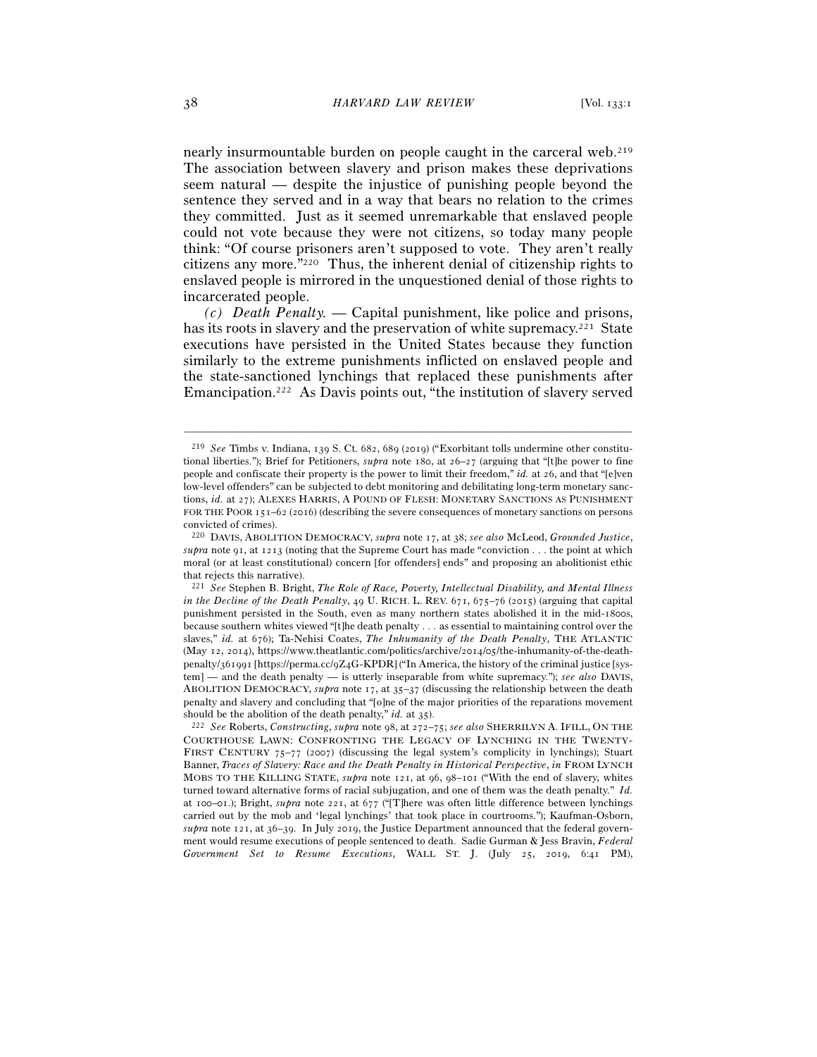nearly insurmountable burden on people caught in the carceral web.<sup>219</sup> The association between slavery and prison makes these deprivations seem natural — despite the injustice of punishing people beyond the sentence they served and in a way that bears no relation to the crimes they committed. Just as it seemed unremarkable that enslaved people could not vote because they were not citizens, so today many people think: "Of course prisoners aren't supposed to vote. They aren't really citizens any more."220 Thus, the inherent denial of citizenship rights to enslaved people is mirrored in the unquestioned denial of those rights to incarcerated people.

*(c) Death Penalty. —* Capital punishment, like police and prisons, has its roots in slavery and the preservation of white supremacy.<sup>221</sup> State executions have persisted in the United States because they function similarly to the extreme punishments inflicted on enslaved people and the state-sanctioned lynchings that replaced these punishments after Emancipation.222 As Davis points out, "the institution of slavery served

–––––––––––––––––––––––––––––––––––––––––––––––––––––––––––––

COURTHOUSE LAWN: CONFRONTING THE LEGACY OF LYNCHING IN THE TWENTY-FIRST CENTURY 75–77 (2007) (discussing the legal system's complicity in lynchings); Stuart Banner, *Traces of Slavery: Race and the Death Penalty in Historical Perspective*, *in* FROM LYNCH MOBS TO THE KILLING STATE, *supra* note 121, at 96, 98–101 ("With the end of slavery, whites turned toward alternative forms of racial subjugation, and one of them was the death penalty." *Id.* at 100–01.); Bright, *supra* note 221, at 677 ("[T]here was often little difference between lynchings carried out by the mob and 'legal lynchings' that took place in courtrooms."); Kaufman-Osborn, *supra* note 121, at 36–39. In July 2019, the Justice Department announced that the federal government would resume executions of people sentenced to death. Sadie Gurman & Jess Bravin, *Federal Government Set to Resume Executions*, WALL ST. J. (July 25, 2019, 6:41 PM),

<sup>219</sup> *See* Timbs v. Indiana, 139 S. Ct. 682, 689 (2019) ("Exorbitant tolls undermine other constitutional liberties."); Brief for Petitioners, *supra* note 180, at 26–27 (arguing that "[t]he power to fine people and confiscate their property is the power to limit their freedom," *id.* at 26, and that "[e]ven low-level offenders" can be subjected to debt monitoring and debilitating long-term monetary sanctions, *id.* at 27); ALEXES HARRIS, A POUND OF FLESH: MONETARY SANCTIONS AS PUNISHMENT FOR THE POOR 151–62 (2016) (describing the severe consequences of monetary sanctions on persons convicted of crimes).

<sup>220</sup> DAVIS, ABOLITION DEMOCRACY, *supra* note 17, at 38; *see also* McLeod, *Grounded Justice*, *supra* note 91, at 1213 (noting that the Supreme Court has made "conviction . . . the point at which moral (or at least constitutional) concern [for offenders] ends" and proposing an abolitionist ethic that rejects this narrative).

<sup>221</sup> *See* Stephen B. Bright, *The Role of Race, Poverty, Intellectual Disability, and Mental Illness in the Decline of the Death Penalty*, 49 U. RICH. L. REV. 671, 675–76 (2015) (arguing that capital punishment persisted in the South, even as many northern states abolished it in the mid-1800s, because southern whites viewed "[t]he death penalty . . . as essential to maintaining control over the slaves," *id.* at 676); Ta-Nehisi Coates, *The Inhumanity of the Death Penalty*, THE ATLANTIC (May 12, 2014), https://www.theatlantic.com/politics/archive/2014/05/the-inhumanity-of-the-deathpenalty/361991 [https://perma.cc/9Z4G-KPDR] ("In America, the history of the criminal justice [system] — and the death penalty — is utterly inseparable from white supremacy."); *see also* DAVIS, ABOLITION DEMOCRACY, *supra* note 17, at 35–37 (discussing the relationship between the death penalty and slavery and concluding that "[o]ne of the major priorities of the reparations movement should be the abolition of the death penalty," *id.* at <sup>35</sup>). 222 *See* Roberts, *Constructing*, *supra* note 98, at 272–75; *see also* SHERRILYN A. IFILL, ON THE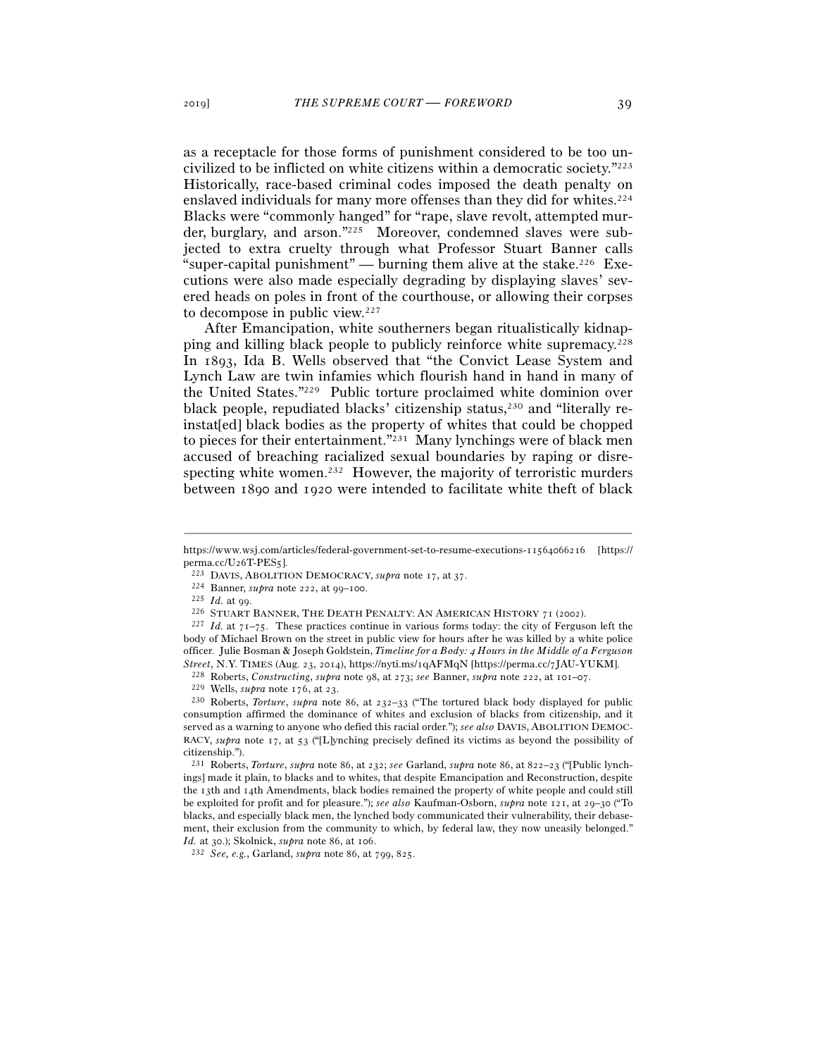as a receptacle for those forms of punishment considered to be too uncivilized to be inflicted on white citizens within a democratic society."223 Historically, race-based criminal codes imposed the death penalty on enslaved individuals for many more offenses than they did for whites.224 Blacks were "commonly hanged" for "rape, slave revolt, attempted murder, burglary, and arson."225 Moreover, condemned slaves were subjected to extra cruelty through what Professor Stuart Banner calls "super-capital punishment" — burning them alive at the stake.<sup>226</sup> Executions were also made especially degrading by displaying slaves' severed heads on poles in front of the courthouse, or allowing their corpses to decompose in public view.227

After Emancipation, white southerners began ritualistically kidnapping and killing black people to publicly reinforce white supremacy.228 In 1893, Ida B. Wells observed that "the Convict Lease System and Lynch Law are twin infamies which flourish hand in hand in many of the United States."229 Public torture proclaimed white dominion over black people, repudiated blacks' citizenship status,<sup>230</sup> and "literally reinstat[ed] black bodies as the property of whites that could be chopped to pieces for their entertainment."231 Many lynchings were of black men accused of breaching racialized sexual boundaries by raping or disrespecting white women.232 However, the majority of terroristic murders between 1890 and 1920 were intended to facilitate white theft of black

consumption affirmed the dominance of whites and exclusion of blacks from citizenship, and it served as a warning to anyone who defied this racial order."); *see also* DAVIS, ABOLITION DEMOC-RACY, *supra* note 17, at 53 ("[L]ynching precisely defined its victims as beyond the possibility of citizenship.").

<sup>231</sup> Roberts, *Torture*, *supra* note 86, at 232; *see* Garland, *supra* note 86, at 822–23 ("[Public lynchings] made it plain, to blacks and to whites, that despite Emancipation and Reconstruction, despite the 13th and 14th Amendments, black bodies remained the property of white people and could still be exploited for profit and for pleasure."); *see also* Kaufman-Osborn, *supra* note 121, at 29–30 ("To blacks, and especially black men, the lynched body communicated their vulnerability, their debasement, their exclusion from the community to which, by federal law, they now uneasily belonged." *Id.* at 30.); Skolnick, *supra* note 86, at 106.<br><sup>232</sup> *See, e.g.*, Garland, *supra* note 86, at 799, 825.

<sup>–––––––––––––––––––––––––––––––––––––––––––––––––––––––––––––</sup> https://www.wsj.com/articles/federal-government-set-to-resume-executions-11564066216 [https://

perma.cc/U26T-PES5].<br>
<sup>223</sup> DAVIS, ABOLITION DEMOCRACY, *supra* note 17, at 37.<br>
<sup>224</sup> Banner, *supra* note 222, at 99–100.<br>
<sup>225</sup> *Id.* at 99.<br>
<sup>226</sup> STUART BANNER, THE DEATH PENALTY: AN AMERICAN HISTORY 71 (2002).<br>
<sup>226</sup> body of Michael Brown on the street in public view for hours after he was killed by a white police officer. Julie Bosman & Joseph Goldstein, *Timeline for a Body:* 4 *Hours in the Middle of a Ferguson*  Street, N.Y. TIMES (Aug. 23, 2014), https://pyti.ms/1qAFMqN [https://perma.cc/7JAU-YUKM].<br><sup>228</sup> Roberts, *Constructing*, *supra* note 98, at 273; *see* Banner, *supra* note 222, at 101–07.<br><sup>229</sup> Wells, *supra* note 176, a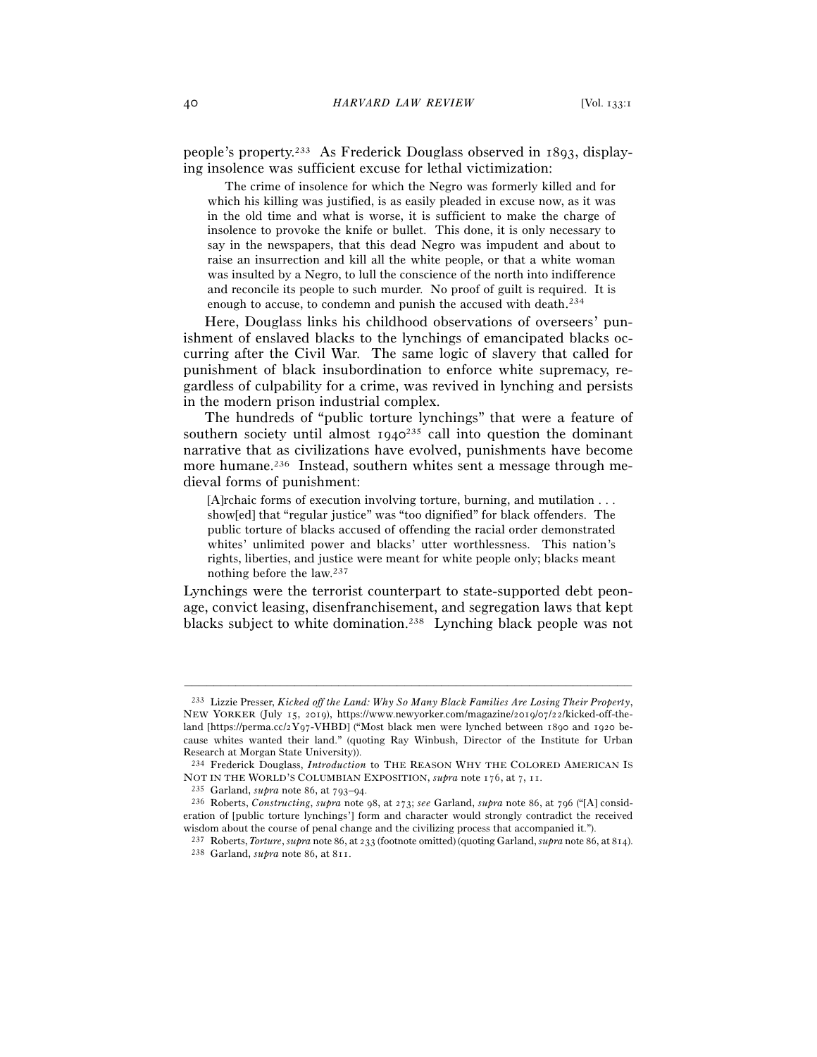people's property.233 As Frederick Douglass observed in 1893, displaying insolence was sufficient excuse for lethal victimization:

 The crime of insolence for which the Negro was formerly killed and for which his killing was justified, is as easily pleaded in excuse now, as it was in the old time and what is worse, it is sufficient to make the charge of insolence to provoke the knife or bullet. This done, it is only necessary to say in the newspapers, that this dead Negro was impudent and about to raise an insurrection and kill all the white people, or that a white woman was insulted by a Negro, to lull the conscience of the north into indifference and reconcile its people to such murder. No proof of guilt is required. It is enough to accuse, to condemn and punish the accused with death. 234

Here, Douglass links his childhood observations of overseers' punishment of enslaved blacks to the lynchings of emancipated blacks occurring after the Civil War. The same logic of slavery that called for punishment of black insubordination to enforce white supremacy, regardless of culpability for a crime, was revived in lynching and persists in the modern prison industrial complex.

The hundreds of "public torture lynchings" that were a feature of southern society until almost  $1940^{235}$  call into question the dominant narrative that as civilizations have evolved, punishments have become more humane.<sup>236</sup> Instead, southern whites sent a message through medieval forms of punishment:

[A]rchaic forms of execution involving torture, burning, and mutilation . . . show[ed] that "regular justice" was "too dignified" for black offenders. The public torture of blacks accused of offending the racial order demonstrated whites' unlimited power and blacks' utter worthlessness. This nation's rights, liberties, and justice were meant for white people only; blacks meant nothing before the law.237

Lynchings were the terrorist counterpart to state-supported debt peonage, convict leasing, disenfranchisement, and segregation laws that kept blacks subject to white domination.238 Lynching black people was not

<sup>233</sup> Lizzie Presser, *Kicked off the Land: Why So Many Black Families Are Losing Their Property*, NEW YORKER (July 15, 2019), https://www.newyorker.com/magazine/2019/07/22/kicked-off-theland [https://perma.cc/2Y97-VHBD] ("Most black men were lynched between 1890 and 1920 because whites wanted their land." (quoting Ray Winbush, Director of the Institute for Urban Research at Morgan State University)).

<sup>234</sup> Frederick Douglass, *Introduction* to THE REASON WHY THE COLORED AMERICAN IS NOT IN THE WORLD'S COLUMBIAN EXPOSITION, *supra* note 176, at 7, 11.<br><sup>235</sup> Garland, *supra* note 86, at 793–94.<br><sup>236</sup> Roberts, *Constructing*, *supra* note 98, at 273; *see* Garland, *supra* note 86, at 796 ("[A] consid-

eration of [public torture lynchings'] form and character would strongly contradict the received wisdom about the course of penal change and the civilizing process that accompanied it.").

<sup>237</sup> Roberts, *Torture*, *supra* note 86, at 233 (footnote omitted) (quoting Garland, *supra* note 86, at <sup>814</sup>). 238 Garland, *supra* note 86, at 811.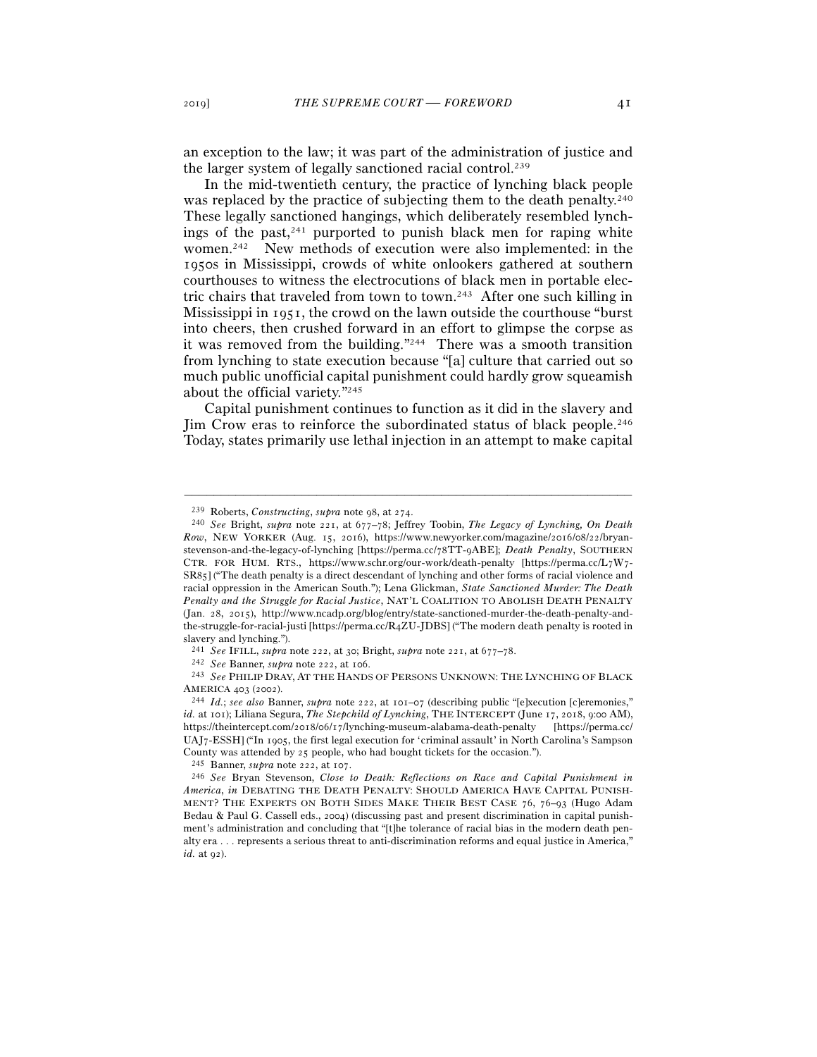an exception to the law; it was part of the administration of justice and the larger system of legally sanctioned racial control.239

In the mid-twentieth century, the practice of lynching black people was replaced by the practice of subjecting them to the death penalty.<sup>240</sup> These legally sanctioned hangings, which deliberately resembled lynchings of the past, $241$  purported to punish black men for raping white women.242 New methods of execution were also implemented: in the 1950s in Mississippi, crowds of white onlookers gathered at southern courthouses to witness the electrocutions of black men in portable electric chairs that traveled from town to town.243 After one such killing in Mississippi in 1951, the crowd on the lawn outside the courthouse "burst into cheers, then crushed forward in an effort to glimpse the corpse as it was removed from the building."244 There was a smooth transition from lynching to state execution because "[a] culture that carried out so much public unofficial capital punishment could hardly grow squeamish about the official variety."245

Capital punishment continues to function as it did in the slavery and Jim Crow eras to reinforce the subordinated status of black people.246 Today, states primarily use lethal injection in an attempt to make capital

<sup>239</sup> Roberts, *Constructing*, *supra* note 98, at <sup>274</sup>. 240 *See* Bright, *supra* note 221, at 677–78; Jeffrey Toobin, *The Legacy of Lynching, On Death Row*, NEW YORKER (Aug. 15, 2016), https://www.newyorker.com/magazine/2016/08/22/bryanstevenson-and-the-legacy-of-lynching [https://perma.cc/78TT-9ABE]; *Death Penalty*, SOUTHERN CTR. FOR HUM. RTS., https://www.schr.org/our-work/death-penalty [https://perma.cc/L7W7- SR85] ("The death penalty is a direct descendant of lynching and other forms of racial violence and racial oppression in the American South."); Lena Glickman, *State Sanctioned Murder: The Death Penalty and the Struggle for Racial Justice*, NAT'L COALITION TO ABOLISH DEATH PENALTY (Jan. 28, 2015), http://www.ncadp.org/blog/entry/state-sanctioned-murder-the-death-penalty-andthe-struggle-for-racial-justi [https://perma.cc/R4ZU-JDBS] ("The modern death penalty is rooted in slavery and lynching.").

<sup>&</sup>lt;sup>241</sup> See IFILL, supra note 222, at 30; Bright, supra note 221, at 677–78.<br><sup>242</sup> See Banner, supra note 222, at 106.<br><sup>243</sup> See PHILIP DRAY, AT THE HANDS OF PERSONS UNKNOWN: THE LYNCHING OF BLACK AMERICA 403 (2002).

<sup>244</sup> *Id.*; *see also* Banner, *supra* note 222, at 101–07 (describing public "[e]xecution [c]eremonies," *id.* at 101); Liliana Segura, *The Stepchild of Lynching*, THE INTERCEPT (June 17, 2018, 9:00 AM), https://theintercept.com/2018/06/17/lynching-museum-alabama-death-penalty [https://perma.cc/ UAJ7-ESSH] ("In 1905, the first legal execution for 'criminal assault' in North Carolina's Sampson County was attended by <sup>25</sup> people, who had bought tickets for the occasion."). 245 Banner, *supra* note 222, at <sup>107</sup>. 246 *See* Bryan Stevenson, *Close to Death: Reflections on Race and Capital Punishment in* 

*America*, *in* DEBATING THE DEATH PENALTY: SHOULD AMERICA HAVE CAPITAL PUNISH-MENT? THE EXPERTS ON BOTH SIDES MAKE THEIR BEST CASE 76, 76–93 (Hugo Adam Bedau & Paul G. Cassell eds., 2004) (discussing past and present discrimination in capital punishment's administration and concluding that "[t]he tolerance of racial bias in the modern death penalty era . . . represents a serious threat to anti-discrimination reforms and equal justice in America," *id.* at 92).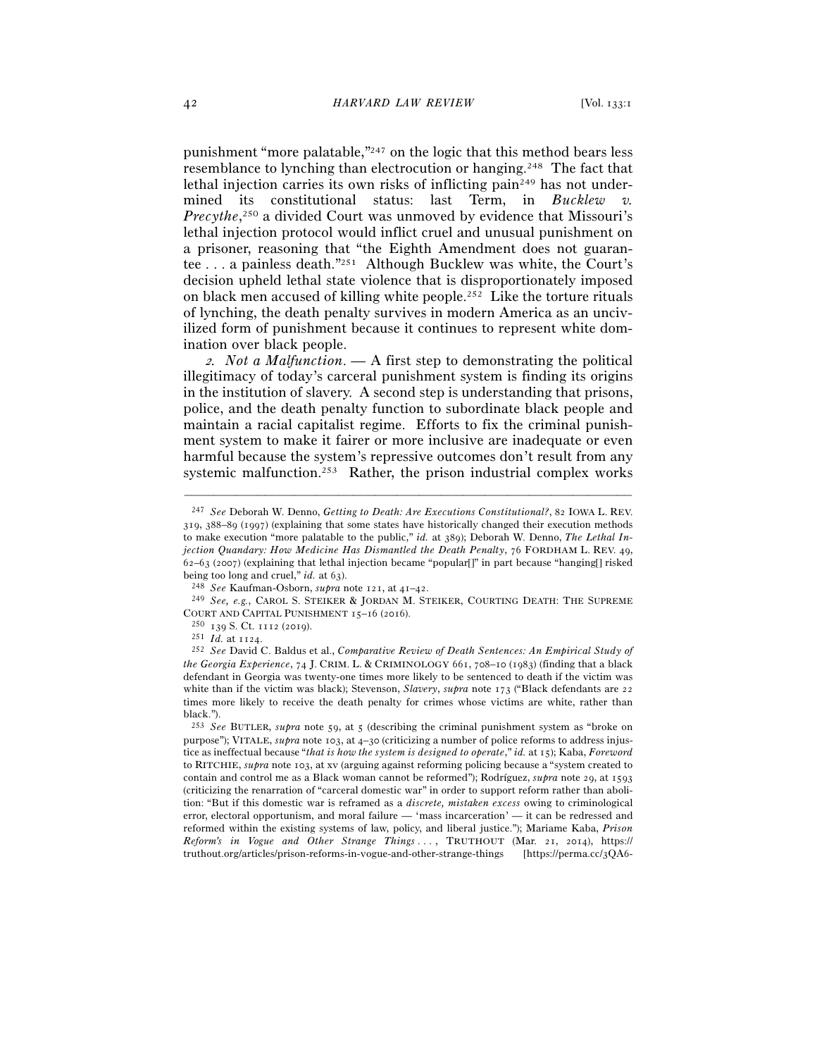punishment "more palatable,"247 on the logic that this method bears less resemblance to lynching than electrocution or hanging.248 The fact that lethal injection carries its own risks of inflicting pain<sup>249</sup> has not undermined its constitutional status: last Term, in *Bucklew v.*  Precythe,<sup>250</sup> a divided Court was unmoved by evidence that Missouri's lethal injection protocol would inflict cruel and unusual punishment on a prisoner, reasoning that "the Eighth Amendment does not guarantee . . . a painless death."251 Although Bucklew was white, the Court's decision upheld lethal state violence that is disproportionately imposed on black men accused of killing white people.252 Like the torture rituals of lynching, the death penalty survives in modern America as an uncivilized form of punishment because it continues to represent white domination over black people.

<sup>2</sup>*. Not a Malfunction*. *—* A first step to demonstrating the political illegitimacy of today's carceral punishment system is finding its origins in the institution of slavery. A second step is understanding that prisons, police, and the death penalty function to subordinate black people and maintain a racial capitalist regime. Efforts to fix the criminal punishment system to make it fairer or more inclusive are inadequate or even harmful because the system's repressive outcomes don't result from any systemic malfunction.253 Rather, the prison industrial complex works

<sup>247</sup> *See* Deborah W. Denno, *Getting to Death: Are Executions Constitutional?*, 82 IOWA L. REV. 319, 388–89 (1997) (explaining that some states have historically changed their execution methods to make execution "more palatable to the public," *id.* at 389); Deborah W. Denno, *The Lethal Injection Quandary: How Medicine Has Dismantled the Death Penalty*, 76 FORDHAM L. REV. 49, 62–63 (2007) (explaining that lethal injection became "popular[]" in part because "hanging[] risked being too long and cruel," *id.* at 63).

<sup>&</sup>lt;sup>248</sup> *See* Kaufman-Osborn, *supra* note 121, at 41–42.<br><sup>249</sup> *See*, *e.g.*, CAROL S. STEIKER & JORDAN M. STEIKER, COURTING DEATH: THE SUPREME COURT AND CAPITAL PUNISHMENT <sup>15</sup>–16 (<sup>2016</sup>). 250 <sup>139</sup> S. Ct. 1112 (<sup>2019</sup>). 251 *Id.* at <sup>1124</sup>. 252 *See* David C. Baldus et al., *Comparative Review of Death Sentences: An Empirical Study of* 

*the Georgia Experience*, 74 J. CRIM. L. & CRIMINOLOGY 661, 708–10 (1983) (finding that a black defendant in Georgia was twenty-one times more likely to be sentenced to death if the victim was white than if the victim was black); Stevenson, *Slavery*, *supra* note 173 ("Black defendants are 22 times more likely to receive the death penalty for crimes whose victims are white, rather than black.").

<sup>253</sup> *See* BUTLER, *supra* note 59, at 5 (describing the criminal punishment system as "broke on purpose"); VITALE, *supra* note 103, at 4–30 (criticizing a number of police reforms to address injustice as ineffectual because "*that is how the system is designed to operate*," *id.* at 15); Kaba, *Foreword* to RITCHIE, *supra* note 103, at xv (arguing against reforming policing because a "system created to contain and control me as a Black woman cannot be reformed"); Rodríguez, *supra* note 29, at 1593 (criticizing the renarration of "carceral domestic war" in order to support reform rather than abolition: "But if this domestic war is reframed as a *discrete, mistaken excess* owing to criminological error, electoral opportunism, and moral failure — 'mass incarceration' — it can be redressed and reformed within the existing systems of law, policy, and liberal justice."); Mariame Kaba, *Prison Reform's in Vogue and Other Strange Things . . .* , TRUTHOUT (Mar. 21, 2014), https:// truthout.org/articles/prison-reforms-in-vogue-and-other-strange-things [https://perma.cc/3QA6-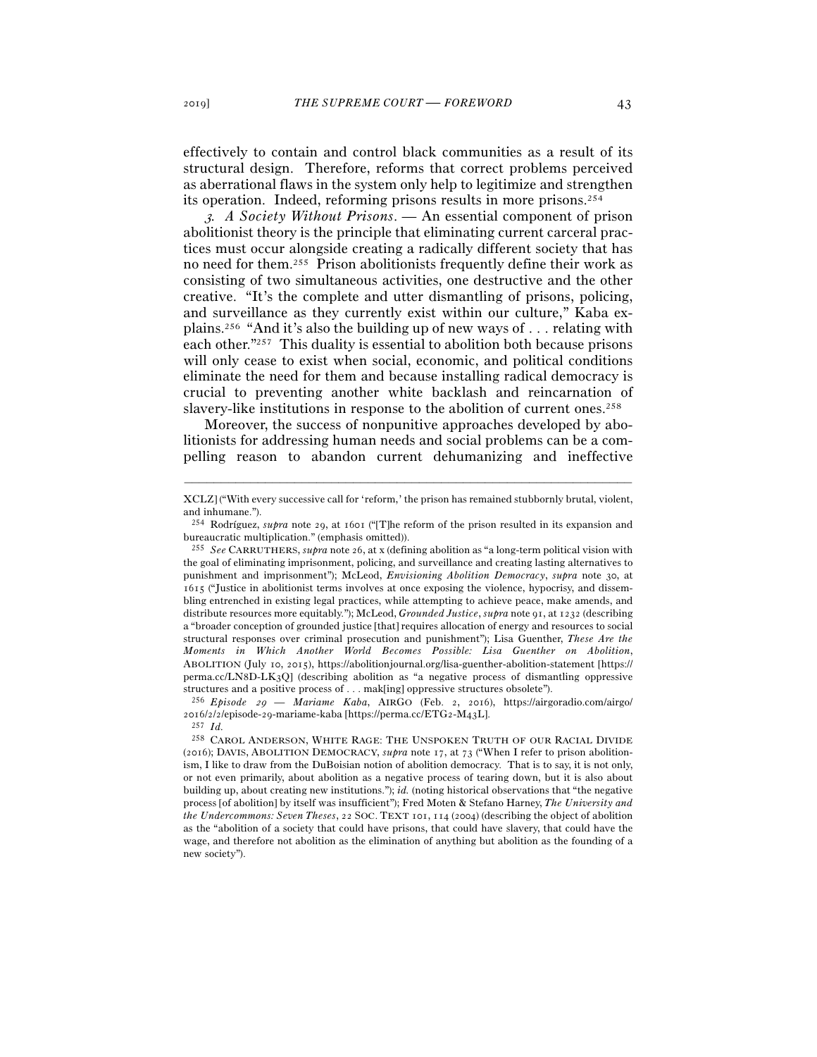effectively to contain and control black communities as a result of its structural design. Therefore, reforms that correct problems perceived as aberrational flaws in the system only help to legitimize and strengthen its operation. Indeed, reforming prisons results in more prisons.254

<sup>3</sup>*. A Society Without Prisons*. *—* An essential component of prison abolitionist theory is the principle that eliminating current carceral practices must occur alongside creating a radically different society that has no need for them.255 Prison abolitionists frequently define their work as consisting of two simultaneous activities, one destructive and the other creative. "It's the complete and utter dismantling of prisons, policing, and surveillance as they currently exist within our culture," Kaba explains.256 "And it's also the building up of new ways of . . . relating with each other."257 This duality is essential to abolition both because prisons will only cease to exist when social, economic, and political conditions eliminate the need for them and because installing radical democracy is crucial to preventing another white backlash and reincarnation of slavery-like institutions in response to the abolition of current ones.258

Moreover, the success of nonpunitive approaches developed by abolitionists for addressing human needs and social problems can be a compelling reason to abandon current dehumanizing and ineffective

<sup>–––––––––––––––––––––––––––––––––––––––––––––––––––––––––––––</sup> XCLZ] ("With every successive call for 'reform,' the prison has remained stubbornly brutal, violent, and inhumane.").

<sup>&</sup>lt;sup>254</sup> Rodríguez, *supra* note 29, at 1601 ("The reform of the prison resulted in its expansion and bureaucratic multiplication." (emphasis omitted)).

<sup>255</sup> *See* CARRUTHERS, *supra* note 26, at x (defining abolition as "a long-term political vision with the goal of eliminating imprisonment, policing, and surveillance and creating lasting alternatives to punishment and imprisonment"); McLeod, *Envisioning Abolition Democracy*, *supra* note 30, at 1615 ("Justice in abolitionist terms involves at once exposing the violence, hypocrisy, and dissembling entrenched in existing legal practices, while attempting to achieve peace, make amends, and distribute resources more equitably."); McLeod, *Grounded Justice*, *supra* note 91, at 1232 (describing a "broader conception of grounded justice [that] requires allocation of energy and resources to social structural responses over criminal prosecution and punishment"); Lisa Guenther, *These Are the Moments in Which Another World Becomes Possible: Lisa Guenther on Abolition*, ABOLITION (July 10, 2015), https://abolitionjournal.org/lisa-guenther-abolition-statement [https:// perma.cc/LN8D-LK3Q] (describing abolition as "a negative process of dismantling oppressive structures and a positive process of . . . mak[ing] oppressive structures obsolete"). 256 *Episode* 29 — *Mariame Kaba*, AIRGO (Feb. 2, 2016), https://airgoradio.com/airgo/

<sup>2016/2/2/</sup>episode-29-mariame-kaba [https://perma.cc/ETG2-M<sub>43</sub>L]. <sup>257</sup> *Id.* 

<sup>258</sup> CAROL ANDERSON, WHITE RAGE: THE UNSPOKEN TRUTH OF OUR RACIAL DIVIDE (2016); DAVIS, ABOLITION DEMOCRACY, *supra* note 17, at 73 ("When I refer to prison abolitionism, I like to draw from the DuBoisian notion of abolition democracy. That is to say, it is not only, or not even primarily, about abolition as a negative process of tearing down, but it is also about building up, about creating new institutions."); *id.* (noting historical observations that "the negative process [of abolition] by itself was insufficient"); Fred Moten & Stefano Harney, *The University and the Undercommons: Seven Theses*, 22 SOC. TEXT 101, 114 (2004) (describing the object of abolition as the "abolition of a society that could have prisons, that could have slavery, that could have the wage, and therefore not abolition as the elimination of anything but abolition as the founding of a new society").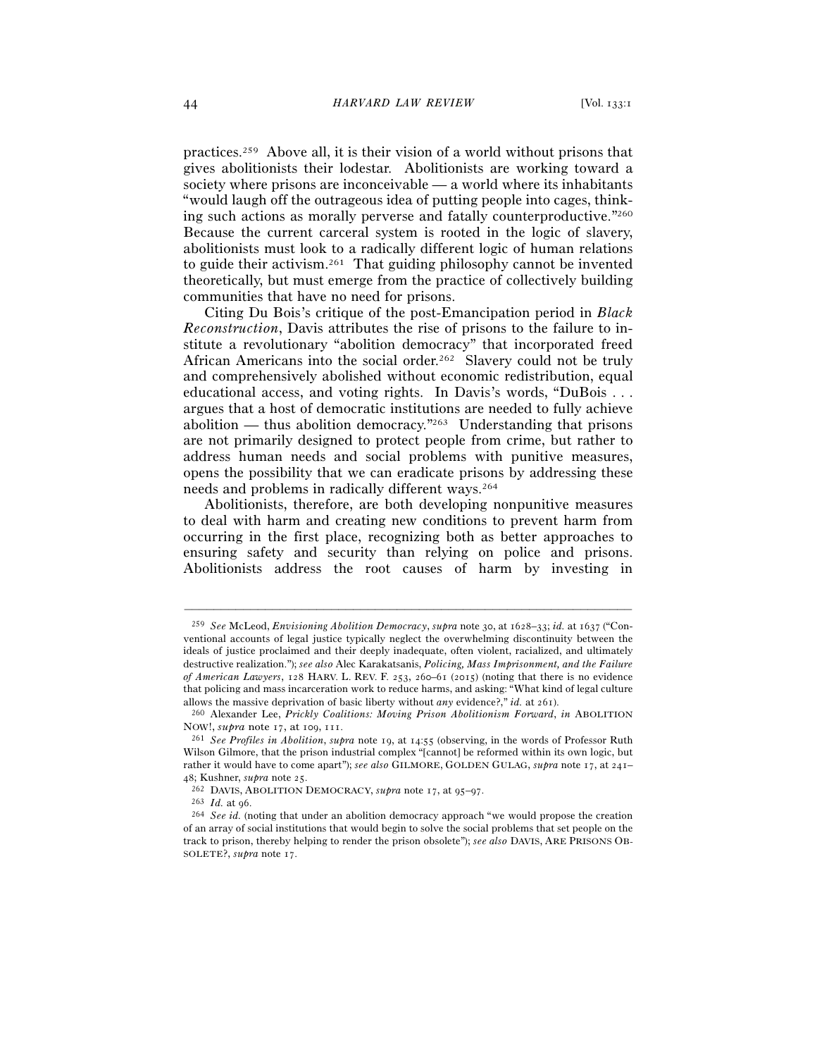practices.259 Above all, it is their vision of a world without prisons that gives abolitionists their lodestar. Abolitionists are working toward a society where prisons are inconceivable — a world where its inhabitants "would laugh off the outrageous idea of putting people into cages, thinking such actions as morally perverse and fatally counterproductive."260 Because the current carceral system is rooted in the logic of slavery, abolitionists must look to a radically different logic of human relations to guide their activism.261 That guiding philosophy cannot be invented theoretically, but must emerge from the practice of collectively building communities that have no need for prisons.

Citing Du Bois's critique of the post-Emancipation period in *Black Reconstruction*, Davis attributes the rise of prisons to the failure to institute a revolutionary "abolition democracy" that incorporated freed African Americans into the social order.<sup>262</sup> Slavery could not be truly and comprehensively abolished without economic redistribution, equal educational access, and voting rights. In Davis's words, "DuBois . . . argues that a host of democratic institutions are needed to fully achieve abolition — thus abolition democracy.<sup> $v_{263}$ </sup> Understanding that prisons are not primarily designed to protect people from crime, but rather to address human needs and social problems with punitive measures, opens the possibility that we can eradicate prisons by addressing these needs and problems in radically different ways.264

Abolitionists, therefore, are both developing nonpunitive measures to deal with harm and creating new conditions to prevent harm from occurring in the first place, recognizing both as better approaches to ensuring safety and security than relying on police and prisons. Abolitionists address the root causes of harm by investing in

<sup>259</sup> *See* McLeod, *Envisioning Abolition Democracy*, *supra* note 30, at 1628–33; *id.* at 1637 ("Conventional accounts of legal justice typically neglect the overwhelming discontinuity between the ideals of justice proclaimed and their deeply inadequate, often violent, racialized, and ultimately destructive realization."); *see also* Alec Karakatsanis, *Policing, Mass Imprisonment, and the Failure of American Lawyers*, 128 HARV. L. REV. F. 253, 260–61 (2015) (noting that there is no evidence that policing and mass incarceration work to reduce harms, and asking: "What kind of legal culture allows the massive deprivation of basic liberty without *any* evidence?," *id.* at <sup>261</sup>). 260 Alexander Lee, *Prickly Coalitions: Moving Prison Abolitionism Forward*, *in* ABOLITION

NOW!, *supra* note 17, at <sup>109</sup>, <sup>111</sup>. 261 *See Profiles in Abolition*, *supra* note 19, at 14:55 (observing, in the words of Professor Ruth

Wilson Gilmore, that the prison industrial complex "[cannot] be reformed within its own logic, but rather it would have to come apart"); *see also* GILMORE, GOLDEN GULAG, *supra* note 17, at 241– 48; Kushner, *supra* note 25.<br><sup>262</sup> DAVIS, ABOLITION DEMOCRACY, *supra* note 17, at 95–97.<br><sup>263</sup> *Id.* at 96.<br><sup>264</sup> *See id.* (noting that under an abolition democracy approach "we would propose the creation

of an array of social institutions that would begin to solve the social problems that set people on the track to prison, thereby helping to render the prison obsolete"); *see also* DAVIS, ARE PRISONS OB-SOLETE?, *supra* note 17.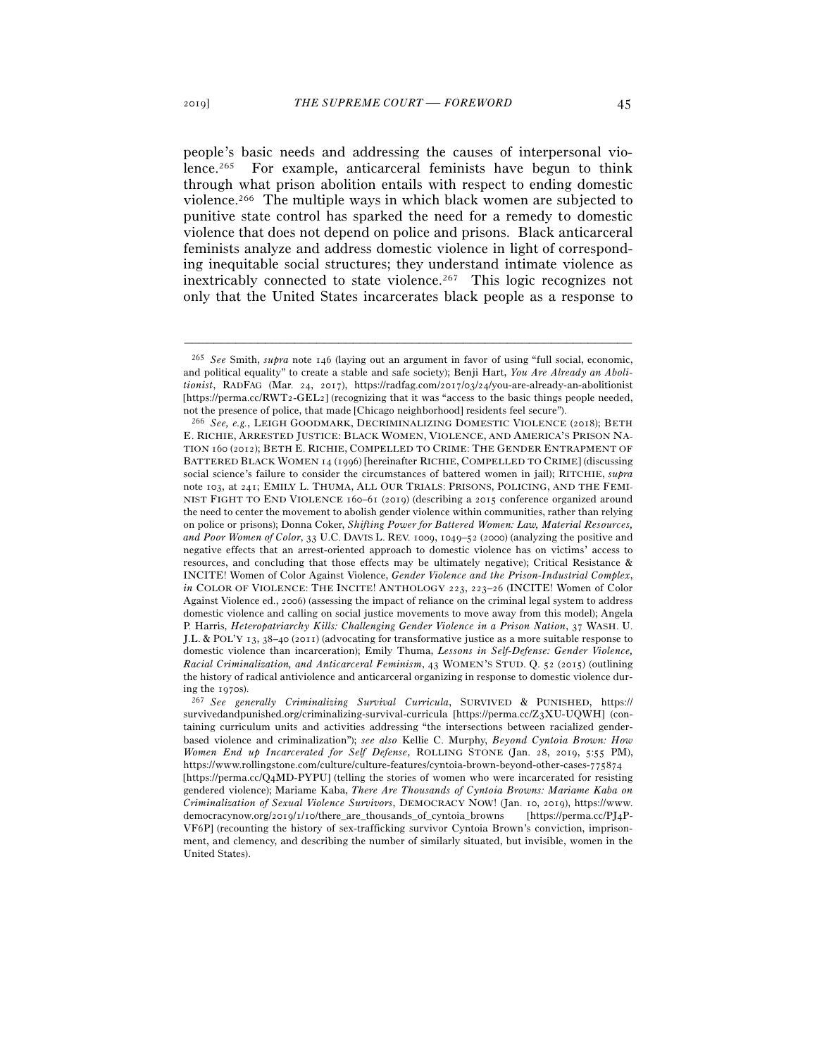people's basic needs and addressing the causes of interpersonal violence.265 For example, anticarceral feminists have begun to think through what prison abolition entails with respect to ending domestic violence.266 The multiple ways in which black women are subjected to punitive state control has sparked the need for a remedy to domestic violence that does not depend on police and prisons. Black anticarceral feminists analyze and address domestic violence in light of corresponding inequitable social structures; they understand intimate violence as inextricably connected to state violence.<sup>267</sup> This logic recognizes not only that the United States incarcerates black people as a response to

<sup>265</sup> *See* Smith, *supra* note 146 (laying out an argument in favor of using "full social, economic, and political equality" to create a stable and safe society); Benji Hart, *You Are Already an Abolitionist*, RADFAG (Mar. 24, 2017), https://radfag.com/2017/03/24/you-are-already-an-abolitionist [https://perma.cc/RWT2-GEL2] (recognizing that it was "access to the basic things people needed,

not the presence of police, that made [Chicago neighborhood] residents feel secure"). 266 *See, e.g.*, LEIGH GOODMARK, DECRIMINALIZING DOMESTIC VIOLENCE (2018); BETH E. RICHIE, ARRESTED JUSTICE: BLACK WOMEN, VIOLENCE, AND AMERICA'S PRISON NA-TION 160 (2012); BETH E. RICHIE, COMPELLED TO CRIME: THE GENDER ENTRAPMENT OF BATTERED BLACK WOMEN 14 (1996) [hereinafter RICHIE, COMPELLED TO CRIME] (discussing social science's failure to consider the circumstances of battered women in jail); RITCHIE, *supra* note 103, at 241; EMILY L. THUMA, ALL OUR TRIALS: PRISONS, POLICING, AND THE FEMI-NIST FIGHT TO END VIOLENCE 160–61 (2019) (describing a 2015 conference organized around the need to center the movement to abolish gender violence within communities, rather than relying on police or prisons); Donna Coker, *Shifting Power for Battered Women: Law, Material Resources, and Poor Women of Color*, 33 U.C. DAVIS L. REV. 1009, 1049–52 (2000) (analyzing the positive and negative effects that an arrest-oriented approach to domestic violence has on victims' access to resources, and concluding that those effects may be ultimately negative); Critical Resistance & INCITE! Women of Color Against Violence, *Gender Violence and the Prison-Industrial Complex*, *in* COLOR OF VIOLENCE: THE INCITE! ANTHOLOGY 223, 223–26 (INCITE! Women of Color Against Violence ed., 2006) (assessing the impact of reliance on the criminal legal system to address domestic violence and calling on social justice movements to move away from this model); Angela P. Harris, *Heteropatriarchy Kills: Challenging Gender Violence in a Prison Nation*, 37 WASH. U. J.L. & POL'Y 13, 38–40 (2011) (advocating for transformative justice as a more suitable response to domestic violence than incarceration); Emily Thuma, *Lessons in Self-Defense: Gender Violence, Racial Criminalization, and Anticarceral Feminism*, 43 WOMEN'S STUD. Q. 52 (2015) (outlining the history of radical antiviolence and anticarceral organizing in response to domestic violence during the <sup>1970</sup>s). 267 *See generally Criminalizing Survival Curricula*, SURVIVED & PUNISHED, https://

survivedandpunished.org/criminalizing-survival-curricula [https://perma.cc/Z3XU-UQWH] (containing curriculum units and activities addressing "the intersections between racialized genderbased violence and criminalization"); *see also* Kellie C. Murphy, *Beyond Cyntoia Brown: How Women End up Incarcerated for Self Defense*, ROLLING STONE (Jan. 28, 2019, 5:55 PM), https://www.rollingstone.com/culture/culture-features/cyntoia-brown-beyond-other-cases-775874 [https://perma.cc/Q4MD-PYPU] (telling the stories of women who were incarcerated for resisting gendered violence); Mariame Kaba, *There Are Thousands of Cyntoia Browns: Mariame Kaba on Criminalization of Sexual Violence Survivors*, DEMOCRACY NOW! (Jan. 10, 2019), https://www. democracynow.org/2019/1/10/there\_are\_thousands\_of\_cyntoia\_browns [https://perma.cc/PJ4P-VF6P] (recounting the history of sex-trafficking survivor Cyntoia Brown's conviction, imprisonment, and clemency, and describing the number of similarly situated, but invisible, women in the United States).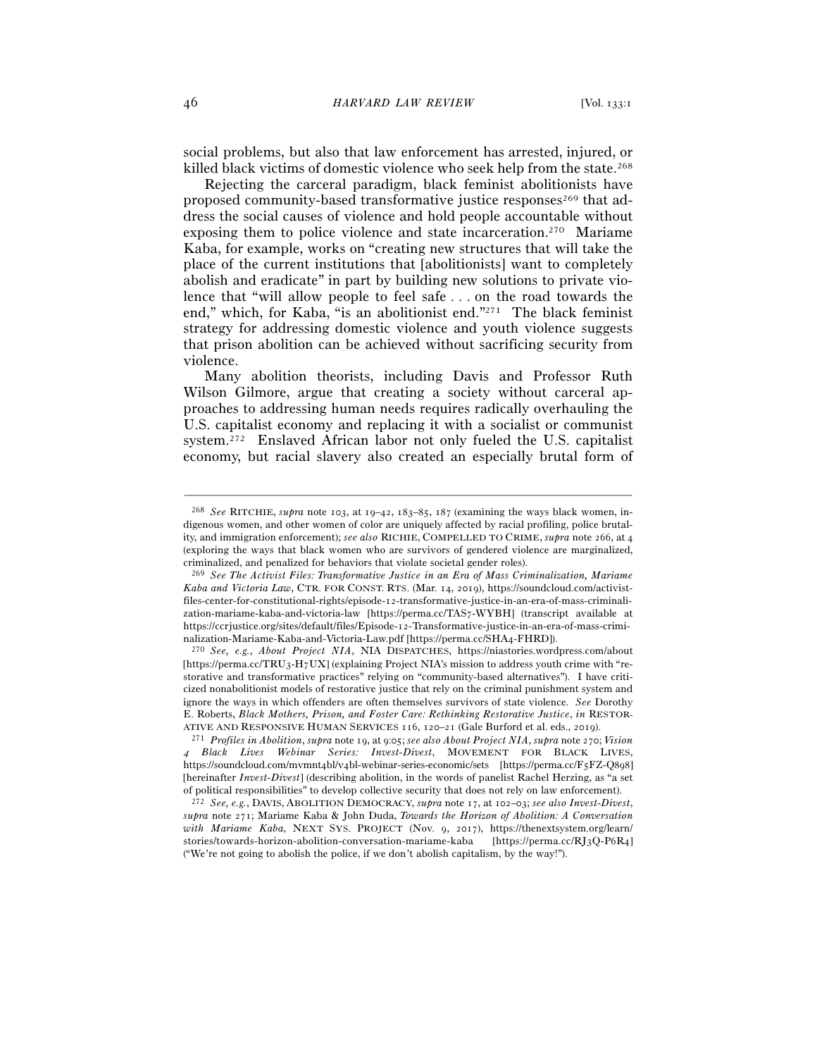social problems, but also that law enforcement has arrested, injured, or killed black victims of domestic violence who seek help from the state.268

Rejecting the carceral paradigm, black feminist abolitionists have proposed community-based transformative justice responses<sup>269</sup> that address the social causes of violence and hold people accountable without exposing them to police violence and state incarceration.<sup>270</sup> Mariame Kaba, for example, works on "creating new structures that will take the place of the current institutions that [abolitionists] want to completely abolish and eradicate" in part by building new solutions to private violence that "will allow people to feel safe . . . on the road towards the end," which, for Kaba, "is an abolitionist end."271 The black feminist strategy for addressing domestic violence and youth violence suggests that prison abolition can be achieved without sacrificing security from violence.

Many abolition theorists, including Davis and Professor Ruth Wilson Gilmore, argue that creating a society without carceral approaches to addressing human needs requires radically overhauling the U.S. capitalist economy and replacing it with a socialist or communist system.272 Enslaved African labor not only fueled the U.S. capitalist economy, but racial slavery also created an especially brutal form of

<sup>268</sup> *See* RITCHIE, *supra* note 103, at 19–42, 183–85, 187 (examining the ways black women, indigenous women, and other women of color are uniquely affected by racial profiling, police brutality, and immigration enforcement); *see also* RICHIE, COMPELLED TO CRIME, *supra* note 266, at 4 (exploring the ways that black women who are survivors of gendered violence are marginalized, criminalized, and penalized for behaviors that violate societal gender roles).

<sup>269</sup> *See The Activist Files: Transformative Justice in an Era of Mass Criminalization, Mariame Kaba and Victoria Law*, CTR. FOR CONST. RTS. (Mar. 14, 2019), https://soundcloud.com/activistfiles-center-for-constitutional-rights/episode-12-transformative-justice-in-an-era-of-mass-criminalization-mariame-kaba-and-victoria-law [https://perma.cc/TAS7-WYBH] (transcript available at https://ccrjustice.org/sites/default/files/Episode-12-Transformative-justice-in-an-era-of-mass-criminalization-Mariame-Kaba-and-Victoria-Law.pdf [https://perma.cc/SHA<sup>4</sup>-FHRD]). 270 *See, e.g.*, *About Project NIA*, NIA DISPATCHES, https://niastories.wordpress.com/about

<sup>[</sup>https://perma.cc/TRU3-H7UX] (explaining Project NIA's mission to address youth crime with "restorative and transformative practices" relying on "community-based alternatives"). I have criticized nonabolitionist models of restorative justice that rely on the criminal punishment system and ignore the ways in which offenders are often themselves survivors of state violence. *See* Dorothy E. Roberts, *Black Mothers, Prison, and Foster Care: Rethinking Restorative Justice*, *in* RESTOR-ATIVE AND RESPONSIVE HUMAN SERVICES 116, 120-21 (Gale Burford et al. eds., 2019).<br><sup>271</sup> Profiles in Abolition, supra note 19, at 9:05; see also About Project NIA, supra note 270; Vision

<sup>4</sup> *Black Lives Webinar Series: Invest-Divest*, MOVEMENT FOR BLACK LIVES, https://soundcloud.com/mvmnt4bl/v4bl-webinar-series-economic/sets [https://perma.cc/F5FZ-Q898] [hereinafter *Invest-Divest*] (describing abolition, in the words of panelist Rachel Herzing, as "a set of political responsibilities" to develop collective security that does not rely on law enforcement). 272 *See, e.g.*, DAVIS, ABOLITION DEMOCRACY, *supra* note 17, at 102–03; *see also Invest-Divest*,

*supra* note 271; Mariame Kaba & John Duda, *Towards the Horizon of Abolition: A Conversation with Mariame Kaba*, NEXT SYS. PROJECT (Nov. 9, 2017), https://thenextsystem.org/learn/ stories/towards-horizon-abolition-conversation-mariame-kaba [https://perma.cc/RJ3Q-P6R4] ("We're not going to abolish the police, if we don't abolish capitalism, by the way!").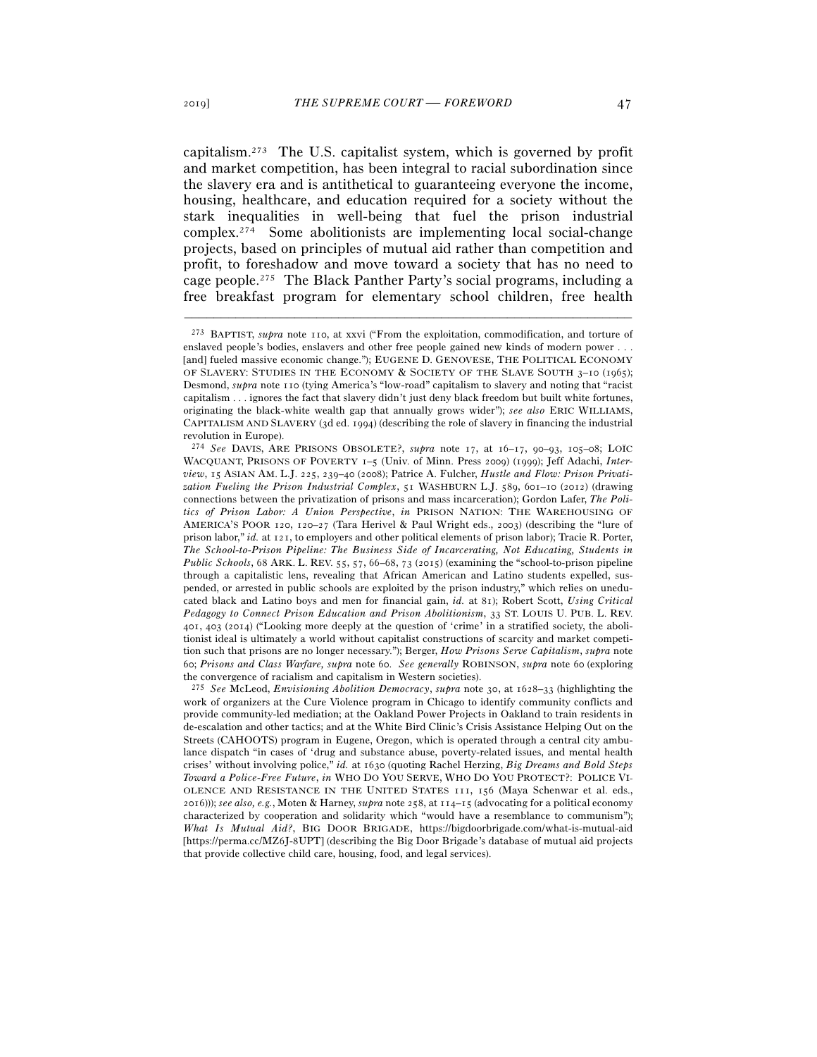capitalism.273 The U.S. capitalist system, which is governed by profit and market competition, has been integral to racial subordination since the slavery era and is antithetical to guaranteeing everyone the income, housing, healthcare, and education required for a society without the stark inequalities in well-being that fuel the prison industrial complex.274 Some abolitionists are implementing local social-change projects, based on principles of mutual aid rather than competition and profit, to foreshadow and move toward a society that has no need to cage people.275 The Black Panther Party's social programs, including a free breakfast program for elementary school children, free health

–––––––––––––––––––––––––––––––––––––––––––––––––––––––––––––

<sup>275</sup> *See* McLeod, *Envisioning Abolition Democracy*, *supra* note 30, at 1628–33 (highlighting the work of organizers at the Cure Violence program in Chicago to identify community conflicts and provide community-led mediation; at the Oakland Power Projects in Oakland to train residents in de-escalation and other tactics; and at the White Bird Clinic's Crisis Assistance Helping Out on the Streets (CAHOOTS) program in Eugene, Oregon, which is operated through a central city ambulance dispatch "in cases of 'drug and substance abuse, poverty-related issues, and mental health crises' without involving police," *id.* at 1630 (quoting Rachel Herzing, *Big Dreams and Bold Steps Toward a Police-Free Future*, *in* WHO DO YOU SERVE, WHO DO YOU PROTECT?: POLICE VI-OLENCE AND RESISTANCE IN THE UNITED STATES 111, 156 (Maya Schenwar et al. eds., 2016))); *see also, e.g.*, Moten & Harney, *supra* note 258, at 114–15 (advocating for a political economy characterized by cooperation and solidarity which "would have a resemblance to communism"); *What Is Mutual Aid?*, BIG DOOR BRIGADE, https://bigdoorbrigade.com/what-is-mutual-aid [https://perma.cc/MZ6J-8UPT] (describing the Big Door Brigade's database of mutual aid projects that provide collective child care, housing, food, and legal services).

<sup>273</sup> BAPTIST, *supra* note 110, at xxvi ("From the exploitation, commodification, and torture of enslaved people's bodies, enslavers and other free people gained new kinds of modern power . . . [and] fueled massive economic change."); EUGENE D. GENOVESE, THE POLITICAL ECONOMY OF SLAVERY: STUDIES IN THE ECONOMY & SOCIETY OF THE SLAVE SOUTH 3-10 (1965); Desmond, *supra* note 110 (tying America's "low-road" capitalism to slavery and noting that "racist capitalism . . . ignores the fact that slavery didn't just deny black freedom but built white fortunes, originating the black-white wealth gap that annually grows wider"); *see also* ERIC WILLIAMS, CAPITALISM AND SLAVERY (3d ed. 1994) (describing the role of slavery in financing the industrial revolution in Europe).

<sup>274</sup> *See* DAVIS, ARE PRISONS OBSOLETE?, *supra* note 17, at 16–17, 90–93, 105–08; LOÏC WACQUANT, PRISONS OF POVERTY 1–5 (Univ. of Minn. Press 2009) (1999); Jeff Adachi, *Interview*, 15 ASIAN AM. L.J. 225, 239–40 (2008); Patrice A. Fulcher, *Hustle and Flow: Prison Privatization Fueling the Prison Industrial Complex*, 51 WASHBURN L.J. 589, 601–10 (2012) (drawing connections between the privatization of prisons and mass incarceration); Gordon Lafer, *The Politics of Prison Labor: A Union Perspective*, *in* PRISON NATION: THE WAREHOUSING OF AMERICA'S POOR 120, 120–27 (Tara Herivel & Paul Wright eds., 2003) (describing the "lure of prison labor," *id.* at 121, to employers and other political elements of prison labor); Tracie R. Porter, *The School-to-Prison Pipeline: The Business Side of Incarcerating, Not Educating, Students in Public Schools*, 68 ARK. L. REV. 55, 57, 66–68, 73 (2015) (examining the "school-to-prison pipeline through a capitalistic lens, revealing that African American and Latino students expelled, suspended, or arrested in public schools are exploited by the prison industry," which relies on uneducated black and Latino boys and men for financial gain, *id.* at 81); Robert Scott, *Using Critical Pedagogy to Connect Prison Education and Prison Abolitionism*, 33 ST. LOUIS U. PUB. L. REV. 401, 403 (2014) ("Looking more deeply at the question of 'crime' in a stratified society, the abolitionist ideal is ultimately a world without capitalist constructions of scarcity and market competition such that prisons are no longer necessary."); Berger, *How Prisons Serve Capitalism*, *supra* note 60; *Prisons and Class Warfare, supra* note 60. *See generally* ROBINSON, *supra* note 60 (exploring the convergence of racialism and capitalism in Western societies).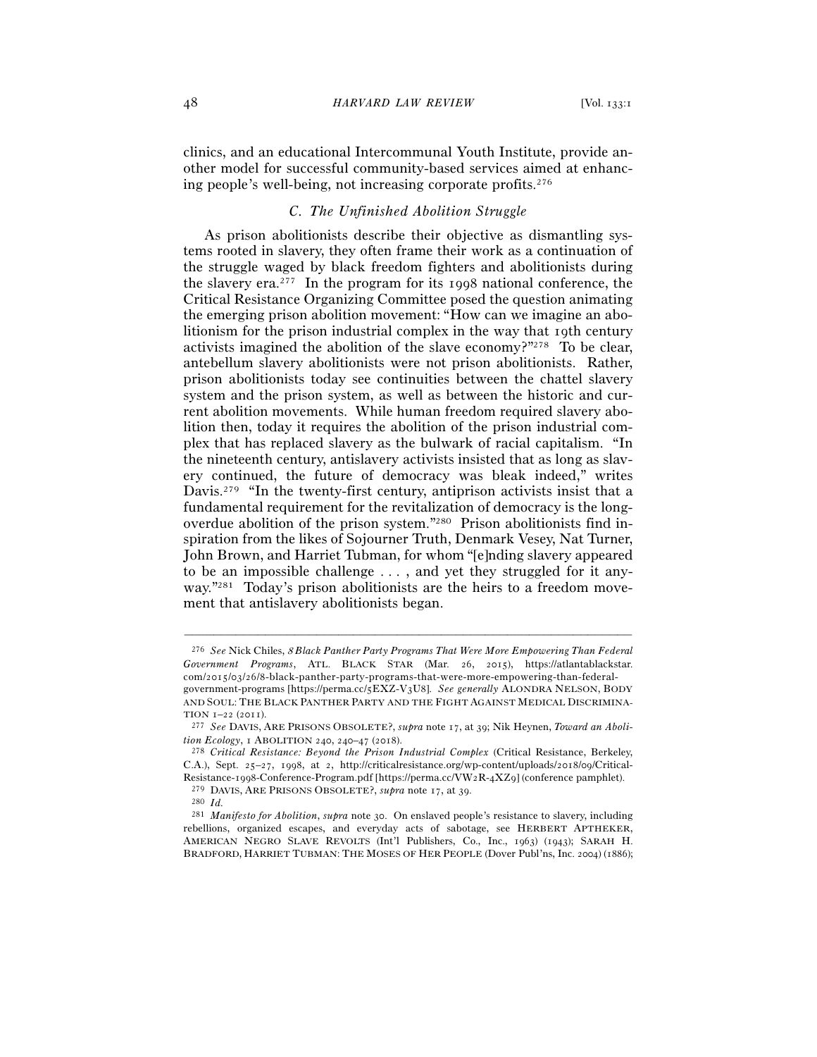clinics, and an educational Intercommunal Youth Institute, provide another model for successful community-based services aimed at enhancing people's well-being, not increasing corporate profits.276

# *C. The Unfinished Abolition Struggle*

As prison abolitionists describe their objective as dismantling systems rooted in slavery, they often frame their work as a continuation of the struggle waged by black freedom fighters and abolitionists during the slavery era.277 In the program for its 1998 national conference, the Critical Resistance Organizing Committee posed the question animating the emerging prison abolition movement: "How can we imagine an abolitionism for the prison industrial complex in the way that 19th century activists imagined the abolition of the slave economy?"278 To be clear, antebellum slavery abolitionists were not prison abolitionists. Rather, prison abolitionists today see continuities between the chattel slavery system and the prison system, as well as between the historic and current abolition movements. While human freedom required slavery abolition then, today it requires the abolition of the prison industrial complex that has replaced slavery as the bulwark of racial capitalism. "In the nineteenth century, antislavery activists insisted that as long as slavery continued, the future of democracy was bleak indeed," writes Davis.<sup>279</sup> "In the twenty-first century, antiprison activists insist that a fundamental requirement for the revitalization of democracy is the longoverdue abolition of the prison system."280 Prison abolitionists find inspiration from the likes of Sojourner Truth, Denmark Vesey, Nat Turner, John Brown, and Harriet Tubman, for whom "[e]nding slavery appeared to be an impossible challenge . . . , and yet they struggled for it anyway."<sup>281</sup> Today's prison abolitionists are the heirs to a freedom movement that antislavery abolitionists began.

<sup>276</sup> *See* Nick Chiles, <sup>8</sup> *Black Panther Party Programs That Were More Empowering Than Federal Government Programs*, ATL. BLACK STAR (Mar. 26, 2015), https://atlantablackstar. com/2015/03/26/8-black-panther-party-programs-that-were-more-empowering-than-federalgovernment-programs [https://perma.cc/5EXZ-V3U8]. *See generally* ALONDRA NELSON, BODY AND SOUL: THE BLACK PANTHER PARTY AND THE FIGHT AGAINST MEDICAL DISCRIMINA-TION <sup>1</sup>–22 (<sup>2011</sup>). 277 *See* DAVIS, ARE PRISONS OBSOLETE?, *supra* note 17, at 39; Nik Heynen, *Toward an Aboli-*

*tion Ecology*, 1 ABOLITION <sup>240</sup>, 240–47 (<sup>2018</sup>). 278 *Critical Resistance: Beyond the Prison Industrial Complex* (Critical Resistance, Berkeley,

C.A.), Sept. 25–27, 1998, at 2, http://criticalresistance.org/wp-content/uploads/2018/09/Critical-Resistance-1998-Conference-Program.pdf [https://perma.cc/VW2R-4XZ9] (conference pamphlet).

<sup>279</sup> DAVIS, ARE PRISONS OBSOLETE?, *supra* note 17, at <sup>39</sup>. 280 *Id.*

<sup>281</sup> *Manifesto for Abolition*, *supra* note 30. On enslaved people's resistance to slavery, including rebellions, organized escapes, and everyday acts of sabotage, see HERBERT APTHEKER, AMERICAN NEGRO SLAVE REVOLTS (Int'l Publishers, Co., Inc., 1963) (1943); SARAH H. BRADFORD, HARRIET TUBMAN: THE MOSES OF HER PEOPLE (Dover Publ'ns, Inc. 2004) (1886);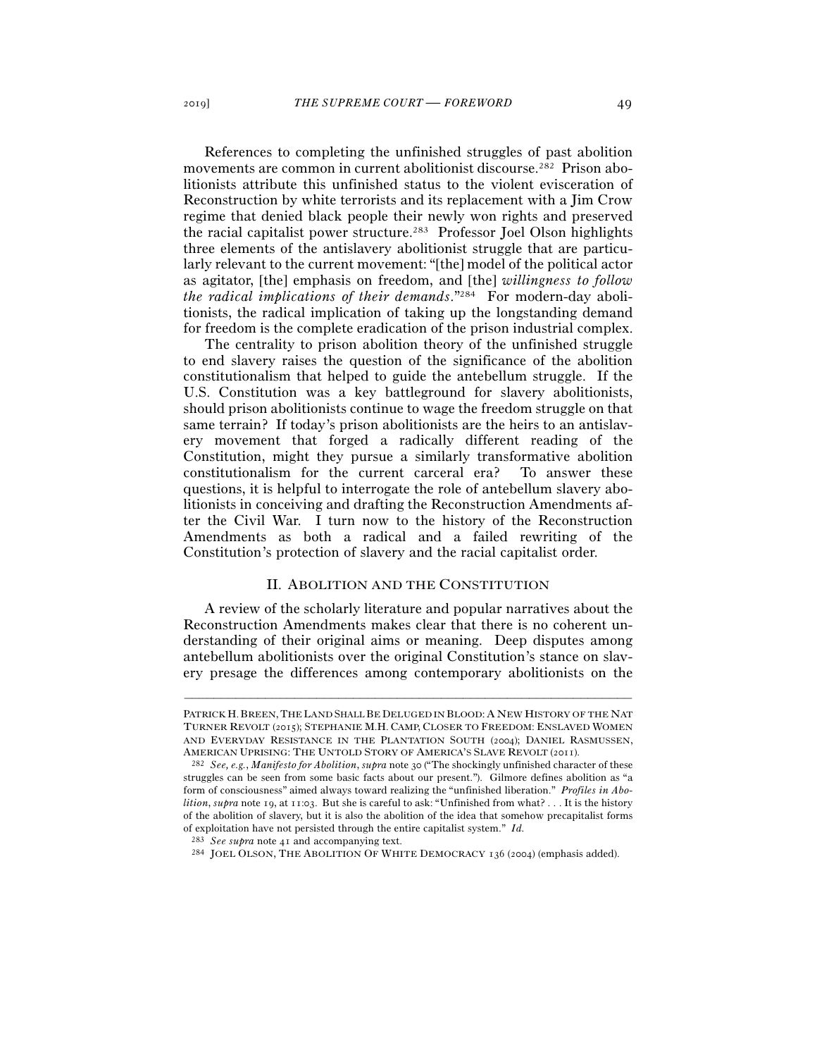References to completing the unfinished struggles of past abolition movements are common in current abolitionist discourse.282 Prison abolitionists attribute this unfinished status to the violent evisceration of Reconstruction by white terrorists and its replacement with a Jim Crow regime that denied black people their newly won rights and preserved the racial capitalist power structure.283 Professor Joel Olson highlights three elements of the antislavery abolitionist struggle that are particularly relevant to the current movement: "[the] model of the political actor as agitator, [the] emphasis on freedom, and [the] *willingness to follow the radical implications of their demands*."284 For modern-day abolitionists, the radical implication of taking up the longstanding demand for freedom is the complete eradication of the prison industrial complex.

The centrality to prison abolition theory of the unfinished struggle to end slavery raises the question of the significance of the abolition constitutionalism that helped to guide the antebellum struggle. If the U.S. Constitution was a key battleground for slavery abolitionists, should prison abolitionists continue to wage the freedom struggle on that same terrain? If today's prison abolitionists are the heirs to an antislavery movement that forged a radically different reading of the Constitution, might they pursue a similarly transformative abolition constitutionalism for the current carceral era? To answer these questions, it is helpful to interrogate the role of antebellum slavery abolitionists in conceiving and drafting the Reconstruction Amendments after the Civil War. I turn now to the history of the Reconstruction Amendments as both a radical and a failed rewriting of the Constitution's protection of slavery and the racial capitalist order.

#### II. ABOLITION AND THE CONSTITUTION

A review of the scholarly literature and popular narratives about the Reconstruction Amendments makes clear that there is no coherent understanding of their original aims or meaning. Deep disputes among antebellum abolitionists over the original Constitution's stance on slavery presage the differences among contemporary abolitionists on the

PATRICK H. BREEN, THE LAND SHALL BE DELUGED IN BLOOD: A NEW HISTORY OF THE NAT TURNER REVOLT (2015); STEPHANIE M.H. CAMP, CLOSER TO FREEDOM: ENSLAVED WOMEN AND EVERYDAY RESISTANCE IN THE PLANTATION SOUTH (2004); DANIEL RASMUSSEN, AMERICAN UPRISING: THE UNTOLD STORY OF AMERICA'S SLAVE REVOLT (<sup>2011</sup>). 282 *See, e.g.*, *Manifesto for Abolition*, *supra* note 30 ("The shockingly unfinished character of these

struggles can be seen from some basic facts about our present."). Gilmore defines abolition as "a form of consciousness" aimed always toward realizing the "unfinished liberation." *Profiles in Abolition*, *supra* note 19, at 11:03. But she is careful to ask: "Unfinished from what? . . . It is the history of the abolition of slavery, but it is also the abolition of the idea that somehow precapitalist forms of exploitation have not persisted through the entire capitalist system." *Id.*

<sup>283</sup> *See supra* note <sup>41</sup> and accompanying text. 284 JOEL OLSON, THE ABOLITION OF WHITE DEMOCRACY <sup>136</sup> (2004) (emphasis added).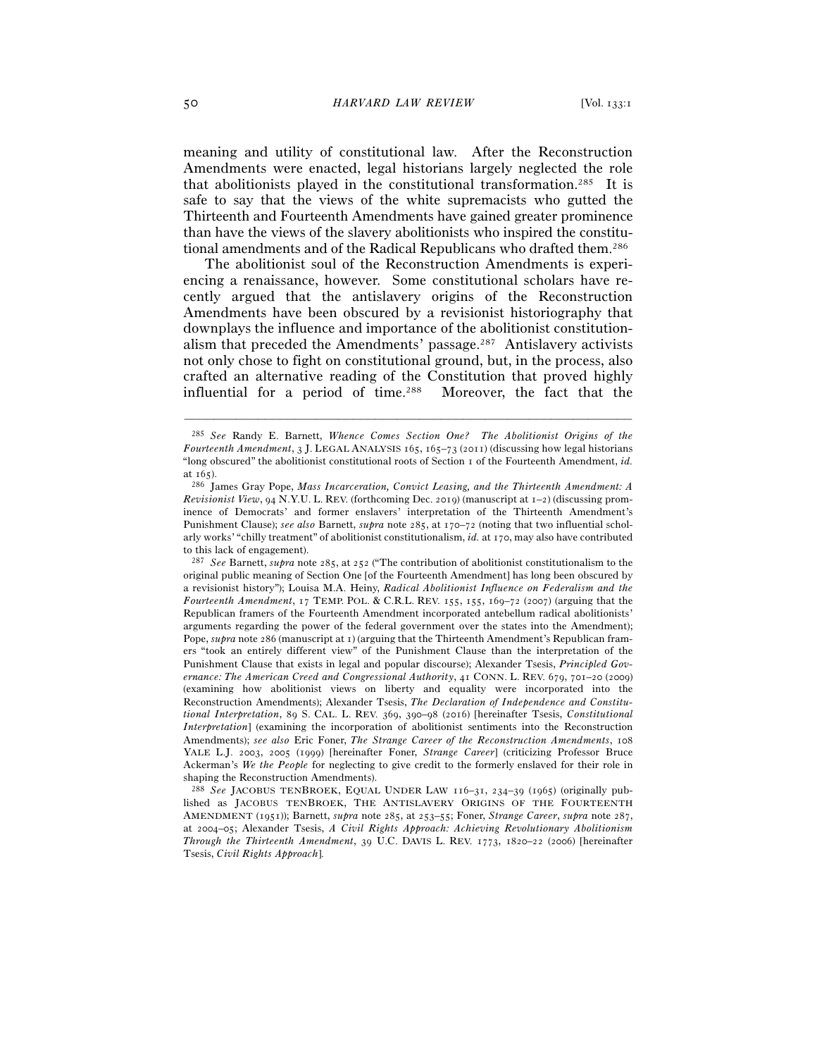meaning and utility of constitutional law. After the Reconstruction Amendments were enacted, legal historians largely neglected the role that abolitionists played in the constitutional transformation.285 It is safe to say that the views of the white supremacists who gutted the Thirteenth and Fourteenth Amendments have gained greater prominence than have the views of the slavery abolitionists who inspired the constitutional amendments and of the Radical Republicans who drafted them.286

The abolitionist soul of the Reconstruction Amendments is experiencing a renaissance, however. Some constitutional scholars have recently argued that the antislavery origins of the Reconstruction Amendments have been obscured by a revisionist historiography that downplays the influence and importance of the abolitionist constitutionalism that preceded the Amendments' passage.287 Antislavery activists not only chose to fight on constitutional ground, but, in the process, also crafted an alternative reading of the Constitution that proved highly influential for a period of time.288 Moreover, the fact that the

<sup>285</sup> *See* Randy E. Barnett, *Whence Comes Section One? The Abolitionist Origins of the Fourteenth Amendment*, 3 J. LEGAL ANALYSIS 165, 165–73 (2011) (discussing how legal historians "long obscured" the abolitionist constitutional roots of Section 1 of the Fourteenth Amendment, *id.* at <sup>165</sup>). 286 James Gray Pope, *Mass Incarceration, Convict Leasing, and the Thirteenth Amendment: A* 

*Revisionist View*, 94 N.Y.U. L. REV. (forthcoming Dec. 2019) (manuscript at 1–2) (discussing prominence of Democrats' and former enslavers' interpretation of the Thirteenth Amendment's Punishment Clause); *see also* Barnett, *supra* note 285, at 170–72 (noting that two influential scholarly works' "chilly treatment" of abolitionist constitutionalism, *id.* at 170, may also have contributed to this lack of engagement).

<sup>287</sup> *See* Barnett, *supra* note 285, at 252 ("The contribution of abolitionist constitutionalism to the original public meaning of Section One [of the Fourteenth Amendment] has long been obscured by a revisionist history"); Louisa M.A. Heiny, *Radical Abolitionist Influence on Federalism and the Fourteenth Amendment*, 17 TEMP. POL. & C.R.L. REV. 155, 155, 169–72 (2007) (arguing that the Republican framers of the Fourteenth Amendment incorporated antebellum radical abolitionists' arguments regarding the power of the federal government over the states into the Amendment); Pope, *supra* note 286 (manuscript at 1) (arguing that the Thirteenth Amendment's Republican framers "took an entirely different view" of the Punishment Clause than the interpretation of the Punishment Clause that exists in legal and popular discourse); Alexander Tsesis, *Principled Governance: The American Creed and Congressional Authority*, 41 CONN. L. REV. 679, 701–20 (2009) (examining how abolitionist views on liberty and equality were incorporated into the Reconstruction Amendments); Alexander Tsesis, *The Declaration of Independence and Constitutional Interpretation*, 89 S. CAL. L. REV. 369, 390–98 (2016) [hereinafter Tsesis, *Constitutional Interpretation*] (examining the incorporation of abolitionist sentiments into the Reconstruction Amendments); *see also* Eric Foner, *The Strange Career of the Reconstruction Amendments*, 108 YALE L.J. 2003, 2005 (1999) [hereinafter Foner, *Strange Career*] (criticizing Professor Bruce Ackerman's *We the People* for neglecting to give credit to the formerly enslaved for their role in shaping the Reconstruction Amendments).

<sup>288</sup> *See* JACOBUS TENBROEK, EQUAL UNDER LAW 116–31, 234–39 (1965) (originally published as JACOBUS TENBROEK, THE ANTISLAVERY ORIGINS OF THE FOURTEENTH AMENDMENT (1951)); Barnett, *supra* note 285, at 253–55; Foner, *Strange Career*, *supra* note 287, at 2004–05; Alexander Tsesis, *A Civil Rights Approach: Achieving Revolutionary Abolitionism Through the Thirteenth Amendment*, 39 U.C. DAVIS L. REV. 1773, 1820–22 (2006) [hereinafter Tsesis, *Civil Rights Approach*].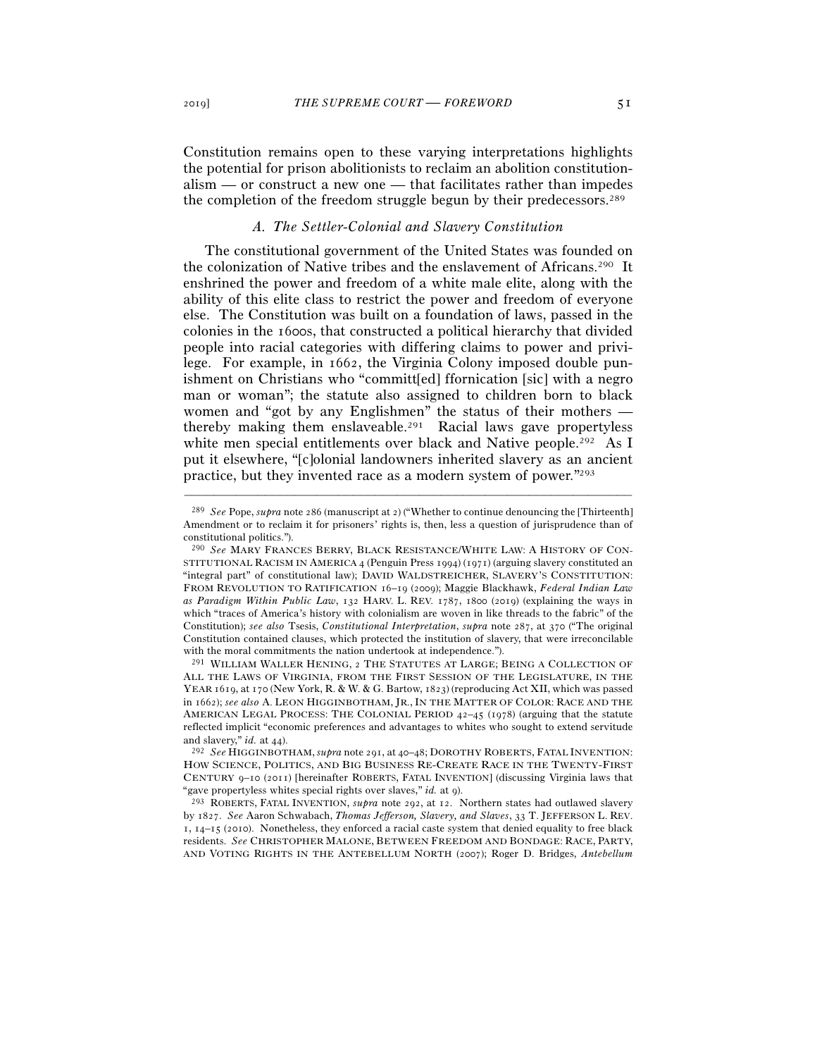Constitution remains open to these varying interpretations highlights the potential for prison abolitionists to reclaim an abolition constitutionalism — or construct a new one — that facilitates rather than impedes the completion of the freedom struggle begun by their predecessors.289

# *A. The Settler-Colonial and Slavery Constitution*

The constitutional government of the United States was founded on the colonization of Native tribes and the enslavement of Africans.290 It enshrined the power and freedom of a white male elite, along with the ability of this elite class to restrict the power and freedom of everyone else. The Constitution was built on a foundation of laws, passed in the colonies in the 1600s, that constructed a political hierarchy that divided people into racial categories with differing claims to power and privilege. For example, in 1662, the Virginia Colony imposed double punishment on Christians who "committ[ed] ffornication [sic] with a negro man or woman"; the statute also assigned to children born to black women and "got by any Englishmen" the status of their mothers thereby making them enslaveable.291 Racial laws gave propertyless white men special entitlements over black and Native people.<sup>292</sup> As I put it elsewhere, "[c]olonial landowners inherited slavery as an ancient practice, but they invented race as a modern system of power."293

–––––––––––––––––––––––––––––––––––––––––––––––––––––––––––––

<sup>291</sup> WILLIAM WALLER HENING, 2 THE STATUTES AT LARGE; BEING A COLLECTION OF ALL THE LAWS OF VIRGINIA, FROM THE FIRST SESSION OF THE LEGISLATURE, IN THE YEAR 1619, at 170 (New York, R. & W. & G. Bartow, 1823) (reproducing Act XII, which was passed in 1662); *see also* A. LEON HIGGINBOTHAM, JR., IN THE MATTER OF COLOR: RACE AND THE AMERICAN LEGAL PROCESS: THE COLONIAL PERIOD  $42-45$  (1978) (arguing that the statute reflected implicit "economic preferences and advantages to whites who sought to extend servitude and slavery," *id.* at <sup>44</sup>). 292 *See* HIGGINBOTHAM,*supra* note 291, at 40–48; DOROTHY ROBERTS, FATAL INVENTION:

HOW SCIENCE, POLITICS, AND BIG BUSINESS RE-CREATE RACE IN THE TWENTY-FIRST CENTURY 9–10 (2011) [hereinafter ROBERTS, FATAL INVENTION] (discussing Virginia laws that "gave propertyless whites special rights over slaves," *id.* at <sup>9</sup>). 293 ROBERTS, FATAL INVENTION, *supra* note 292, at 12. Northern states had outlawed slavery

by 1827. *See* Aaron Schwabach, *Thomas Jefferson, Slavery, and Slaves*, 33 T. JEFFERSON L. REV.  $1, 14-15$  (2010). Nonetheless, they enforced a racial caste system that denied equality to free black residents. *See* CHRISTOPHER MALONE, BETWEEN FREEDOM AND BONDAGE: RACE, PARTY, AND VOTING RIGHTS IN THE ANTEBELLUM NORTH (2007); Roger D. Bridges, *Antebellum* 

<sup>289</sup> *See* Pope, *supra* note 286 (manuscript at 2) ("Whether to continue denouncing the [Thirteenth] Amendment or to reclaim it for prisoners' rights is, then, less a question of jurisprudence than of constitutional politics.").

<sup>290</sup> *See* MARY FRANCES BERRY, BLACK RESISTANCE/WHITE LAW: A HISTORY OF CON-STITUTIONAL RACISM IN AMERICA 4 (Penguin Press 1994) (1971) (arguing slavery constituted an "integral part" of constitutional law); DAVID WALDSTREICHER, SLAVERY'S CONSTITUTION: FROM REVOLUTION TO RATIFICATION 16–19 (2009); Maggie Blackhawk, *Federal Indian Law as Paradigm Within Public Law*, 132 HARV. L. REV. 1787, 1800 (2019) (explaining the ways in which "traces of America's history with colonialism are woven in like threads to the fabric" of the Constitution); *see also* Tsesis, *Constitutional Interpretation*, *supra* note 287, at 370 ("The original Constitution contained clauses, which protected the institution of slavery, that were irreconcilable with the moral commitments the nation undertook at independence.").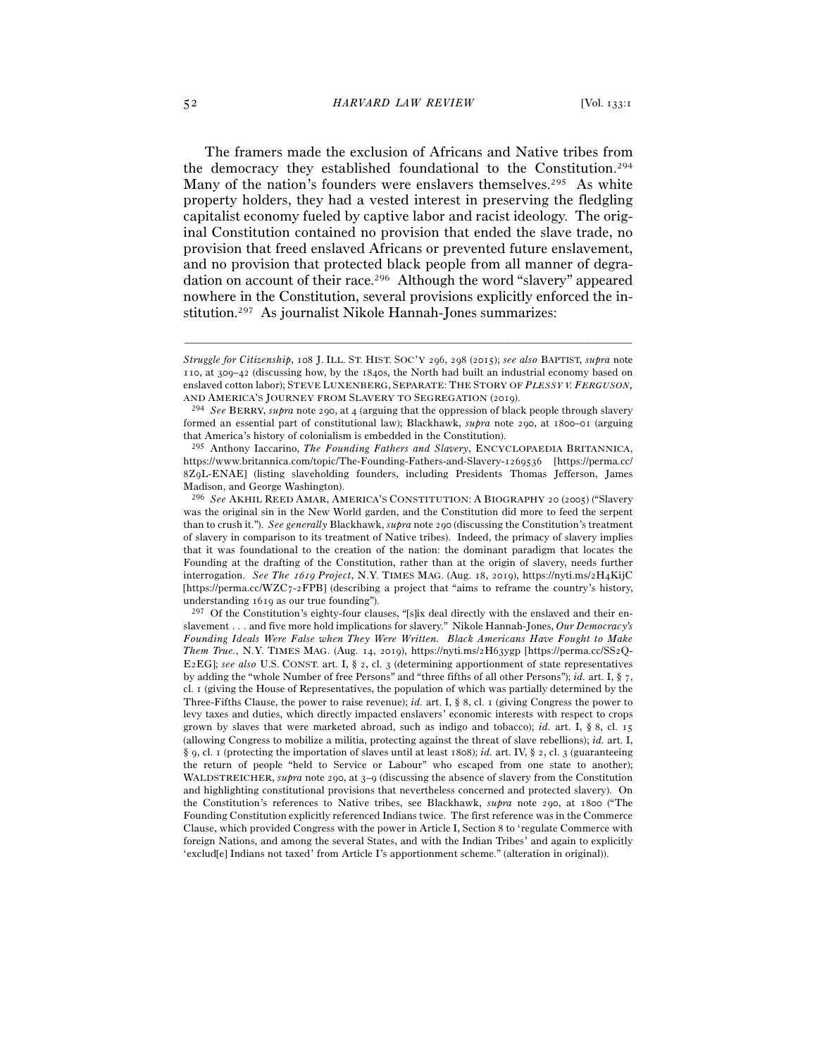The framers made the exclusion of Africans and Native tribes from the democracy they established foundational to the Constitution.294 Many of the nation's founders were enslavers themselves.<sup>295</sup> As white property holders, they had a vested interest in preserving the fledgling capitalist economy fueled by captive labor and racist ideology. The original Constitution contained no provision that ended the slave trade, no provision that freed enslaved Africans or prevented future enslavement, and no provision that protected black people from all manner of degradation on account of their race.296 Although the word "slavery" appeared nowhere in the Constitution, several provisions explicitly enforced the institution.297 As journalist Nikole Hannah-Jones summarizes:

*Struggle for Citizenship*, 108 J. ILL. ST. HIST. SOC'Y 296, 298 (2015); *see also* BAPTIST, *supra* note 110, at 309–42 (discussing how, by the 1840s, the North had built an industrial economy based on enslaved cotton labor); STEVE LUXENBERG, SEPARATE: THE STORY OF *PLESSY V. FERGUSON,*

AND AMERICA'S JOURNEY FROM SLAVERY TO SEGREGATION (<sup>2019</sup>). 294 *See* BERRY, *supra* note 290, at 4 (arguing that the oppression of black people through slavery formed an essential part of constitutional law); Blackhawk, *supra* note 290, at 1800–01 (arguing that America's history of colonialism is embedded in the Constitution).

<sup>295</sup> Anthony Iaccarino, *The Founding Fathers and Slavery*, ENCYCLOPAEDIA BRITANNICA, https://www.britannica.com/topic/The-Founding-Fathers-and-Slavery-1269536 [https://perma.cc/ 8Z9L-ENAE] (listing slaveholding founders, including Presidents Thomas Jefferson, James Madison, and George Washington).

<sup>296</sup> *See* AKHIL REED AMAR, AMERICA'S CONSTITUTION: A BIOGRAPHY 20 (2005) ("Slavery was the original sin in the New World garden, and the Constitution did more to feed the serpent than to crush it."). *See generally* Blackhawk, *supra* note 290 (discussing the Constitution's treatment of slavery in comparison to its treatment of Native tribes). Indeed, the primacy of slavery implies that it was foundational to the creation of the nation: the dominant paradigm that locates the Founding at the drafting of the Constitution, rather than at the origin of slavery, needs further interrogation. *See The* 1619 *Project*, N.Y. TIMES MAG. (Aug. 18, 2019), https://nyti.ms/2H4KijC [https://perma.cc/WZC7-2FPB] (describing a project that "aims to reframe the country's history, understanding 1619 as our true founding").

<sup>297</sup> Of the Constitution's eighty-four clauses, "[s]ix deal directly with the enslaved and their enslavement . . . and five more hold implications for slavery." Nikole Hannah-Jones, *Our Democracy's Founding Ideals Were False when They Were Written. Black Americans Have Fought to Make Them True.*, N.Y. TIMES MAG. (Aug. 14, 2019), https://nyti.ms/2H63ygp [https://perma.cc/SS2Q-E2EG]; *see also* U.S. CONST. art. I, § 2, cl. 3 (determining apportionment of state representatives by adding the "whole Number of free Persons" and "three fifths of all other Persons"); *id.* art. I, § 7, cl. 1 (giving the House of Representatives, the population of which was partially determined by the Three-Fifths Clause, the power to raise revenue); *id.* art. I, § 8, cl. 1 (giving Congress the power to levy taxes and duties, which directly impacted enslavers' economic interests with respect to crops grown by slaves that were marketed abroad, such as indigo and tobacco); *id.* art. I, § 8, cl. 15 (allowing Congress to mobilize a militia, protecting against the threat of slave rebellions); *id.* art. I, § 9, cl. 1 (protecting the importation of slaves until at least 1808); *id.* art. IV, § 2, cl. 3 (guaranteeing the return of people "held to Service or Labour" who escaped from one state to another); WALDSTREICHER, *supra* note 290, at 3–9 (discussing the absence of slavery from the Constitution and highlighting constitutional provisions that nevertheless concerned and protected slavery). On the Constitution's references to Native tribes, see Blackhawk, *supra* note 290, at 1800 ("The Founding Constitution explicitly referenced Indians twice. The first reference was in the Commerce Clause, which provided Congress with the power in Article I, Section 8 to 'regulate Commerce with foreign Nations, and among the several States, and with the Indian Tribes' and again to explicitly 'exclud[e] Indians not taxed' from Article I's apportionment scheme." (alteration in original)).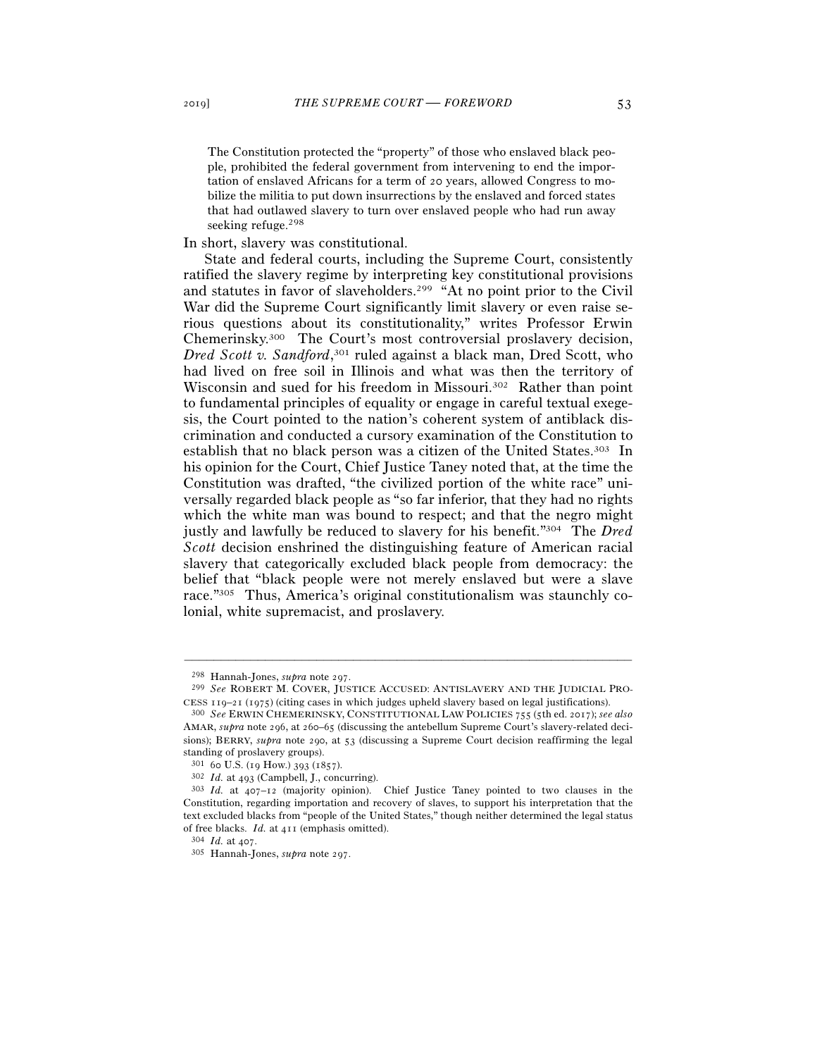The Constitution protected the "property" of those who enslaved black people, prohibited the federal government from intervening to end the importation of enslaved Africans for a term of 20 years, allowed Congress to mobilize the militia to put down insurrections by the enslaved and forced states that had outlawed slavery to turn over enslaved people who had run away seeking refuge.298

In short, slavery was constitutional.

State and federal courts, including the Supreme Court, consistently ratified the slavery regime by interpreting key constitutional provisions and statutes in favor of slaveholders.299 "At no point prior to the Civil War did the Supreme Court significantly limit slavery or even raise serious questions about its constitutionality," writes Professor Erwin Chemerinsky.300 The Court's most controversial proslavery decision, *Dred Scott v. Sandford*, 301 ruled against a black man, Dred Scott, who had lived on free soil in Illinois and what was then the territory of Wisconsin and sued for his freedom in Missouri.<sup>302</sup> Rather than point to fundamental principles of equality or engage in careful textual exegesis, the Court pointed to the nation's coherent system of antiblack discrimination and conducted a cursory examination of the Constitution to establish that no black person was a citizen of the United States.303 In his opinion for the Court, Chief Justice Taney noted that, at the time the Constitution was drafted, "the civilized portion of the white race" universally regarded black people as "so far inferior, that they had no rights which the white man was bound to respect; and that the negro might justly and lawfully be reduced to slavery for his benefit."304 The *Dred Scott* decision enshrined the distinguishing feature of American racial slavery that categorically excluded black people from democracy: the belief that "black people were not merely enslaved but were a slave race."305 Thus, America's original constitutionalism was staunchly colonial, white supremacist, and proslavery.

<sup>298</sup> Hannah-Jones, *supra* note <sup>297</sup>. 299 *See* ROBERT M. COVER, JUSTICE ACCUSED: ANTISLAVERY AND THE JUDICIAL PRO-CESS <sup>119</sup>–21 (<sup>1975</sup>) (citing cases in which judges upheld slavery based on legal justifications). 300 *See* ERWIN CHEMERINSKY, CONSTITUTIONAL LAW POLICIES <sup>755</sup> (5th ed. 2017); *see also*

AMAR, *supra* note 296, at 260–65 (discussing the antebellum Supreme Court's slavery-related decisions); BERRY, *supra* note 290, at 53 (discussing a Supreme Court decision reaffirming the legal standing of proslavery groups).<br> $301\,60$  U.S. (19 How.) 393 (1857).

<sup>301</sup> <sup>60</sup> U.S. (19 How.) 393 (<sup>1857</sup>). 302 *Id.* at <sup>493</sup> (Campbell, J., concurring). 303 *Id.* at 407–12 (majority opinion). Chief Justice Taney pointed to two clauses in the Constitution, regarding importation and recovery of slaves, to support his interpretation that the text excluded blacks from "people of the United States," though neither determined the legal status of free blacks. *Id.* at <sup>411</sup> (emphasis omitted). 304 *Id.* at <sup>407</sup>. 305 Hannah-Jones, *supra* note 297.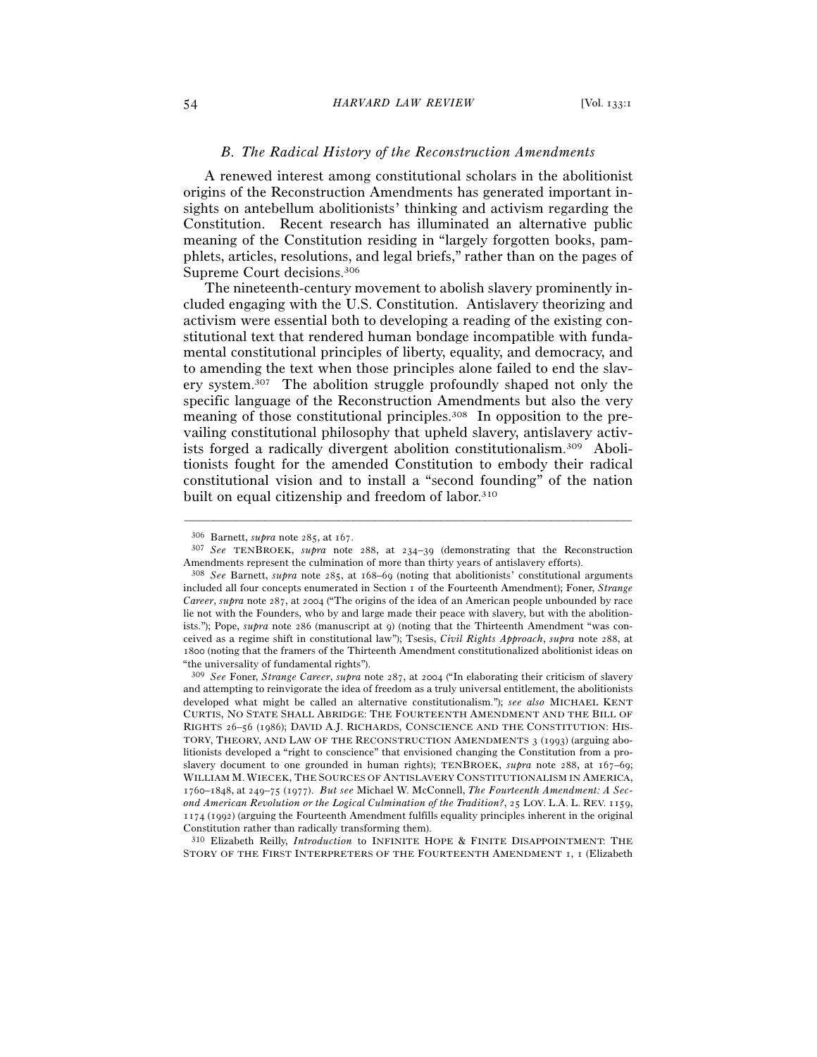## *B. The Radical History of the Reconstruction Amendments*

A renewed interest among constitutional scholars in the abolitionist origins of the Reconstruction Amendments has generated important insights on antebellum abolitionists' thinking and activism regarding the Constitution. Recent research has illuminated an alternative public meaning of the Constitution residing in "largely forgotten books, pamphlets, articles, resolutions, and legal briefs," rather than on the pages of Supreme Court decisions.306

The nineteenth-century movement to abolish slavery prominently included engaging with the U.S. Constitution. Antislavery theorizing and activism were essential both to developing a reading of the existing constitutional text that rendered human bondage incompatible with fundamental constitutional principles of liberty, equality, and democracy, and to amending the text when those principles alone failed to end the slavery system.307 The abolition struggle profoundly shaped not only the specific language of the Reconstruction Amendments but also the very meaning of those constitutional principles.308 In opposition to the prevailing constitutional philosophy that upheld slavery, antislavery activists forged a radically divergent abolition constitutionalism.309 Abolitionists fought for the amended Constitution to embody their radical constitutional vision and to install a "second founding" of the nation built on equal citizenship and freedom of labor.<sup>310</sup>

–––––––––––––––––––––––––––––––––––––––––––––––––––––––––––––

310 Elizabeth Reilly, *Introduction* to INFINITE HOPE & FINITE DISAPPOINTMENT: THE STORY OF THE FIRST INTERPRETERS OF THE FOURTEENTH AMENDMENT 1, 1 (Elizabeth

<sup>306</sup> Barnett, *supra* note 285, at <sup>167</sup>. 307 *See* TENBROEK, *supra* note 288, at 234–39 (demonstrating that the Reconstruction Amendments represent the culmination of more than thirty years of antislavery efforts).

<sup>308</sup> *See* Barnett, *supra* note 285, at 168–69 (noting that abolitionists' constitutional arguments included all four concepts enumerated in Section 1 of the Fourteenth Amendment); Foner, *Strange Career*, *supra* note 287, at 2004 ("The origins of the idea of an American people unbounded by race lie not with the Founders, who by and large made their peace with slavery, but with the abolitionists."); Pope, *supra* note 286 (manuscript at 9) (noting that the Thirteenth Amendment "was conceived as a regime shift in constitutional law"); Tsesis, *Civil Rights Approach*, *supra* note 288, at 1800 (noting that the framers of the Thirteenth Amendment constitutionalized abolitionist ideas on "the universality of fundamental rights").

<sup>309</sup> *See* Foner, *Strange Career*, *supra* note 287, at 2004 ("In elaborating their criticism of slavery and attempting to reinvigorate the idea of freedom as a truly universal entitlement, the abolitionists developed what might be called an alternative constitutionalism."); *see also* MICHAEL KENT CURTIS, NO STATE SHALL ABRIDGE: THE FOURTEENTH AMENDMENT AND THE BILL OF RIGHTS 26–56 (1986); DAVID A.J. RICHARDS, CONSCIENCE AND THE CONSTITUTION: HIS-TORY, THEORY, AND LAW OF THE RECONSTRUCTION AMENDMENTS 3 (1993) (arguing abolitionists developed a "right to conscience" that envisioned changing the Constitution from a proslavery document to one grounded in human rights); TENBROEK, *supra* note 288, at 167–69; WILLIAM M. WIECEK, THE SOURCES OF ANTISLAVERY CONSTITUTIONALISM IN AMERICA, 1760–1848, at 249–75 (1977). *But see* Michael W. McConnell, *The Fourteenth Amendment: A Second American Revolution or the Logical Culmination of the Tradition?*, 25 LOY. L.A. L. REV. 1159, 1174 (1992) (arguing the Fourteenth Amendment fulfills equality principles inherent in the original Constitution rather than radically transforming them).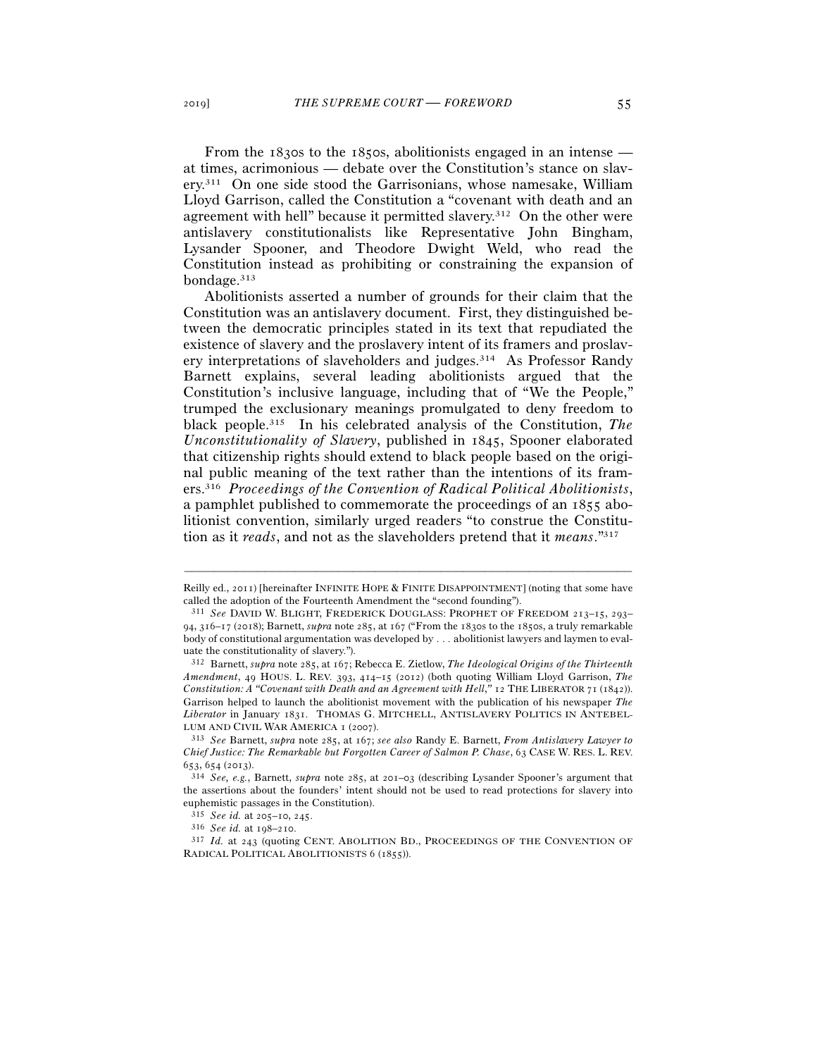From the 1830s to the 1850s, abolitionists engaged in an intense at times, acrimonious — debate over the Constitution's stance on slavery.311 On one side stood the Garrisonians, whose namesake, William Lloyd Garrison, called the Constitution a "covenant with death and an agreement with hell" because it permitted slavery.312 On the other were antislavery constitutionalists like Representative John Bingham, Lysander Spooner, and Theodore Dwight Weld, who read the Constitution instead as prohibiting or constraining the expansion of bondage.313

Abolitionists asserted a number of grounds for their claim that the Constitution was an antislavery document. First, they distinguished between the democratic principles stated in its text that repudiated the existence of slavery and the proslavery intent of its framers and proslavery interpretations of slaveholders and judges.314 As Professor Randy Barnett explains, several leading abolitionists argued that the Constitution's inclusive language, including that of "We the People," trumped the exclusionary meanings promulgated to deny freedom to black people.315 In his celebrated analysis of the Constitution, *The Unconstitutionality of Slavery*, published in 1845, Spooner elaborated that citizenship rights should extend to black people based on the original public meaning of the text rather than the intentions of its framers.316 *Proceedings of the Convention of Radical Political Abolitionists*, a pamphlet published to commemorate the proceedings of an 1855 abolitionist convention, similarly urged readers "to construe the Constitution as it *reads*, and not as the slaveholders pretend that it *means*."317

<sup>–––––––––––––––––––––––––––––––––––––––––––––––––––––––––––––</sup> Reilly ed., 2011) [hereinafter INFINITE HOPE & FINITE DISAPPOINTMENT] (noting that some have called the adoption of the Fourteenth Amendment the "second founding").

<sup>311</sup> *See* DAVID W. BLIGHT, FREDERICK DOUGLASS: PROPHET OF FREEDOM 213–15, 293– 94, 316–17 (2018); Barnett, *supra* note 285, at 167 ("From the 1830s to the 1850s, a truly remarkable body of constitutional argumentation was developed by . . . abolitionist lawyers and laymen to evaluate the constitutionality of slavery.").

<sup>312</sup> Barnett, *supra* note 285, at 167; Rebecca E. Zietlow, *The Ideological Origins of the Thirteenth Amendment*, 49 HOUS. L. REV. 393, 414–15 (2012) (both quoting William Lloyd Garrison, *The Constitution: A "Covenant with Death and an Agreement with Hell*,*"* 12 THE LIBERATOR 71 (1842)). Garrison helped to launch the abolitionist movement with the publication of his newspaper *The Liberator* in January 1831. THOMAS G. MITCHELL, ANTISLAVERY POLITICS IN ANTEBEL-LUM AND CIVIL WAR AMERICA <sup>1</sup> (<sup>2007</sup>). 313 *See* Barnett, *supra* note 285, at 167; *see also* Randy E. Barnett, *From Antislavery Lawyer to* 

*Chief Justice: The Remarkable but Forgotten Career of Salmon P. Chase*, 63 CASE W. RES. L. REV. <sup>653</sup>, 654 (<sup>2013</sup>). 314 *See, e.g.*, Barnett, *supra* note 285, at 201–03 (describing Lysander Spooner's argument that

the assertions about the founders' intent should not be used to read protections for slavery into euphemistic passages in the Constitution).<br> $315\,$  See id. at 205–10, 245.

<sup>&</sup>lt;sup>316</sup> *See id.* at 198–210. <br><sup>317</sup> *Id.* at 243 (quoting CENT. ABOLITION BD., PROCEEDINGS OF THE CONVENTION OF RADICAL POLITICAL ABOLITIONISTS 6 (1855)).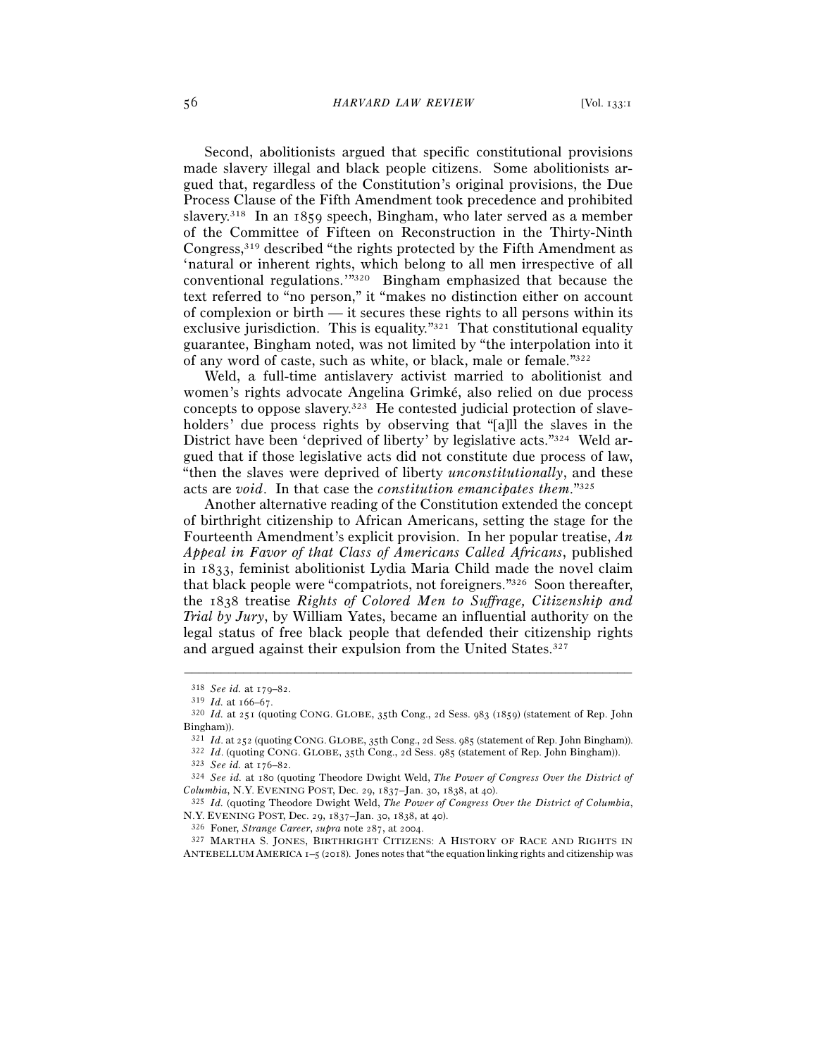Second, abolitionists argued that specific constitutional provisions made slavery illegal and black people citizens. Some abolitionists argued that, regardless of the Constitution's original provisions, the Due Process Clause of the Fifth Amendment took precedence and prohibited slavery.<sup>318</sup> In an 1859 speech, Bingham, who later served as a member of the Committee of Fifteen on Reconstruction in the Thirty-Ninth Congress,319 described "the rights protected by the Fifth Amendment as 'natural or inherent rights, which belong to all men irrespective of all conventional regulations.'"320 Bingham emphasized that because the text referred to "no person," it "makes no distinction either on account of complexion or birth — it secures these rights to all persons within its exclusive jurisdiction. This is equality."321 That constitutional equality guarantee, Bingham noted, was not limited by "the interpolation into it of any word of caste, such as white, or black, male or female."322

Weld, a full-time antislavery activist married to abolitionist and women's rights advocate Angelina Grimké, also relied on due process concepts to oppose slavery.323 He contested judicial protection of slaveholders' due process rights by observing that "[a]ll the slaves in the District have been 'deprived of liberty' by legislative acts."324 Weld argued that if those legislative acts did not constitute due process of law, "then the slaves were deprived of liberty *unconstitutionally*, and these acts are *void*. In that case the *constitution emancipates them*."325

Another alternative reading of the Constitution extended the concept of birthright citizenship to African Americans, setting the stage for the Fourteenth Amendment's explicit provision. In her popular treatise, *An Appeal in Favor of that Class of Americans Called Africans*, published in 1833, feminist abolitionist Lydia Maria Child made the novel claim that black people were "compatriots, not foreigners."326 Soon thereafter, the 1838 treatise *Rights of Colored Men to Suffrage, Citizenship and Trial by Jury*, by William Yates, became an influential authority on the legal status of free black people that defended their citizenship rights and argued against their expulsion from the United States.327

–––––––––––––––––––––––––––––––––––––––––––––––––––––––––––––

ANTEBELLUM AMERICA 1–5 (2018). Jones notes that "the equation linking rights and citizenship was

<sup>318</sup> *See id.* at 179–<sup>82</sup>. 319 *Id.* at 166–67.

<sup>320</sup> *Id.* at 251 (quoting CONG. GLOBE, 35th Cong., 2d Sess. 983 (1859) (statement of Rep. John Bingham)).

<sup>&</sup>lt;sup>321</sup> *Id.* at 252 (quoting CONG. GLOBE, 35th Cong., 2d Sess. 985 (statement of Rep. John Bingham)).<br><sup>322</sup> *Id.* (quoting CONG. GLOBE, 35th Cong., 2d Sess. 985 (statement of Rep. John Bingham)).<br><sup>323</sup> *See id.* at 176–82.

*Columbia*, N.Y. EVENING POST, Dec. 29, 1837–Jan. 30, 1838, at <sup>40</sup>). 325 *Id.* (quoting Theodore Dwight Weld, *The Power of Congress Over the District of Columbia*,

N.Y. EVENING POST, Dec. 29, 1837–Jan. 30, 1838, at 40).<br><sup>326</sup> Foner, *Strange Career*, *supra* note 287, at 2004.<br><sup>327</sup> MARTHA S. JONES, BIRTHRIGHT CITIZENS: A HISTORY OF RACE AND RIGHTS IN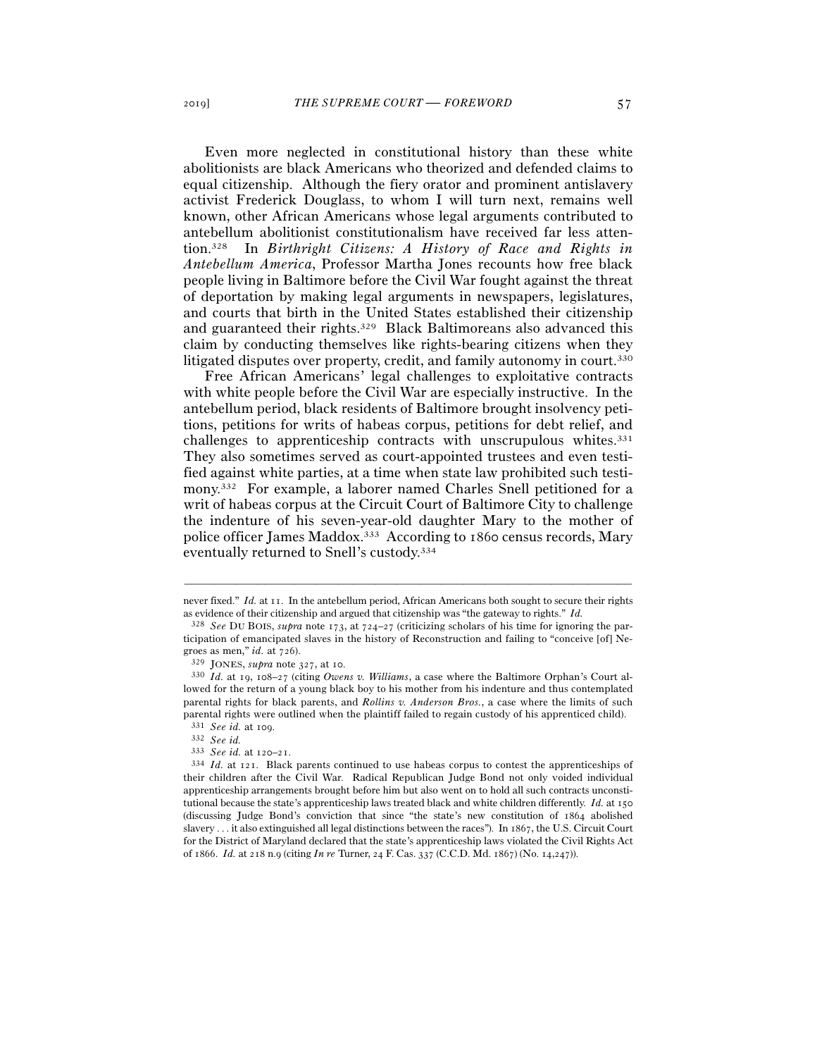Even more neglected in constitutional history than these white abolitionists are black Americans who theorized and defended claims to equal citizenship. Although the fiery orator and prominent antislavery activist Frederick Douglass, to whom I will turn next, remains well known, other African Americans whose legal arguments contributed to antebellum abolitionist constitutionalism have received far less attention.328 In *Birthright Citizens: A History of Race and Rights in Antebellum America*, Professor Martha Jones recounts how free black people living in Baltimore before the Civil War fought against the threat of deportation by making legal arguments in newspapers, legislatures, and courts that birth in the United States established their citizenship and guaranteed their rights.329 Black Baltimoreans also advanced this claim by conducting themselves like rights-bearing citizens when they litigated disputes over property, credit, and family autonomy in court.<sup>330</sup>

Free African Americans' legal challenges to exploitative contracts with white people before the Civil War are especially instructive. In the antebellum period, black residents of Baltimore brought insolvency petitions, petitions for writs of habeas corpus, petitions for debt relief, and challenges to apprenticeship contracts with unscrupulous whites.<sup>331</sup> They also sometimes served as court-appointed trustees and even testified against white parties, at a time when state law prohibited such testimony.332 For example, a laborer named Charles Snell petitioned for a writ of habeas corpus at the Circuit Court of Baltimore City to challenge the indenture of his seven-year-old daughter Mary to the mother of police officer James Maddox.333 According to 1860 census records, Mary eventually returned to Snell's custody.334

<sup>–––––––––––––––––––––––––––––––––––––––––––––––––––––––––––––</sup> never fixed." *Id.* at 11. In the antebellum period, African Americans both sought to secure their rights as evidence of their citizenship and argued that citizenship was "the gateway to rights." *Id.*

<sup>328</sup> *See* DU BOIS, *supra* note 173, at 724–27 (criticizing scholars of his time for ignoring the participation of emancipated slaves in the history of Reconstruction and failing to "conceive [of] Negroes as men," *id.* at  $726$ ).<br><sup>329</sup> JONES, *supra* note 327, at 10.

<sup>330</sup> *Id.* at 19, 108–27 (citing *Owens v. Williams*, a case where the Baltimore Orphan's Court allowed for the return of a young black boy to his mother from his indenture and thus contemplated parental rights for black parents, and *Rollins v. Anderson Bros.*, a case where the limits of such parental rights were outlined when the plaintiff failed to regain custody of his apprenticed child). 331 *See id.* at 109.<br>332 *See id.* at 120–21.

<sup>&</sup>lt;sup>334</sup> *Id.* at 121. Black parents continued to use habeas corpus to contest the apprenticeships of their children after the Civil War. Radical Republican Judge Bond not only voided individual apprenticeship arrangements brought before him but also went on to hold all such contracts unconstitutional because the state's apprenticeship laws treated black and white children differently. *Id.* at 150 (discussing Judge Bond's conviction that since "the state's new constitution of 1864 abolished slavery . . . it also extinguished all legal distinctions between the races"). In 1867, the U.S. Circuit Court for the District of Maryland declared that the state's apprenticeship laws violated the Civil Rights Act of 1866. *Id.* at 218 n.9 (citing *In re* Turner, 24 F. Cas. 337 (C.C.D. Md. 1867) (No. 14,247)).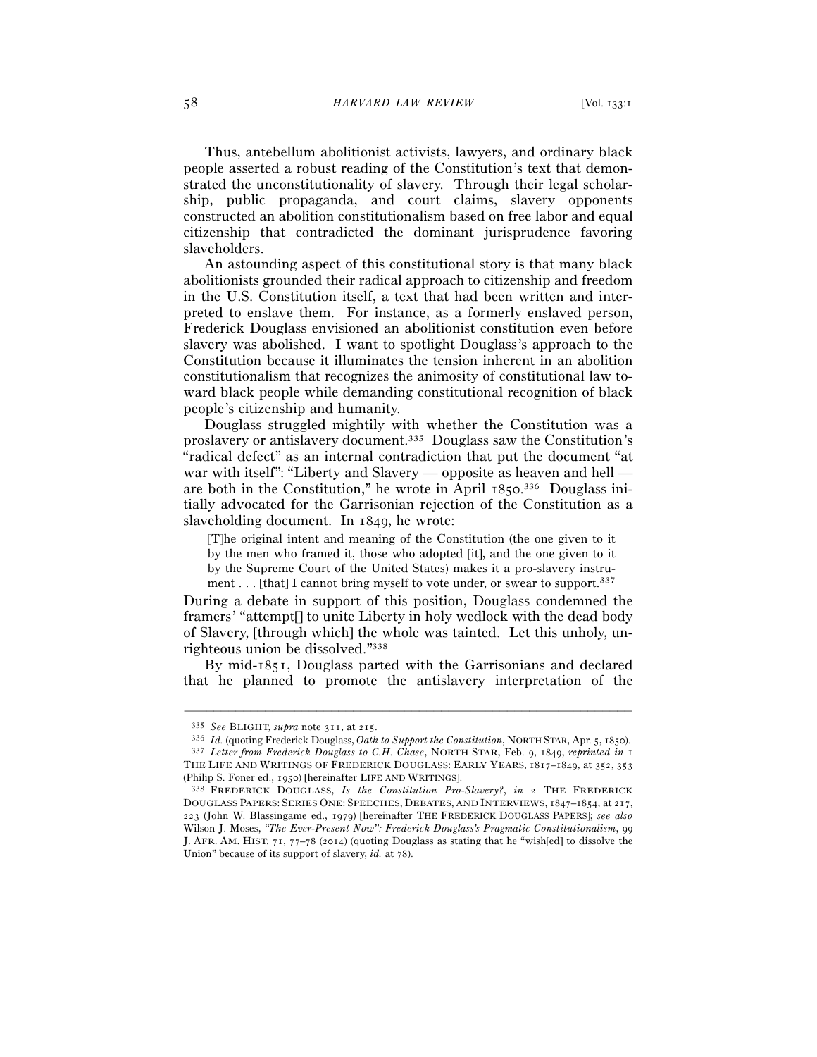Thus, antebellum abolitionist activists, lawyers, and ordinary black people asserted a robust reading of the Constitution's text that demonstrated the unconstitutionality of slavery. Through their legal scholarship, public propaganda, and court claims, slavery opponents constructed an abolition constitutionalism based on free labor and equal citizenship that contradicted the dominant jurisprudence favoring slaveholders.

An astounding aspect of this constitutional story is that many black abolitionists grounded their radical approach to citizenship and freedom in the U.S. Constitution itself, a text that had been written and interpreted to enslave them. For instance, as a formerly enslaved person, Frederick Douglass envisioned an abolitionist constitution even before slavery was abolished. I want to spotlight Douglass's approach to the Constitution because it illuminates the tension inherent in an abolition constitutionalism that recognizes the animosity of constitutional law toward black people while demanding constitutional recognition of black people's citizenship and humanity.

Douglass struggled mightily with whether the Constitution was a proslavery or antislavery document.335 Douglass saw the Constitution's "radical defect" as an internal contradiction that put the document "at war with itself": "Liberty and Slavery — opposite as heaven and hell are both in the Constitution," he wrote in April 1850. 336 Douglass initially advocated for the Garrisonian rejection of the Constitution as a slaveholding document. In 1849, he wrote:

[T]he original intent and meaning of the Constitution (the one given to it by the men who framed it, those who adopted [it], and the one given to it by the Supreme Court of the United States) makes it a pro-slavery instrument . . . [that] I cannot bring myself to vote under, or swear to support.<sup>337</sup>

During a debate in support of this position, Douglass condemned the framers' "attempt[] to unite Liberty in holy wedlock with the dead body of Slavery, [through which] the whole was tainted. Let this unholy, unrighteous union be dissolved."338

By mid-1851, Douglass parted with the Garrisonians and declared that he planned to promote the antislavery interpretation of the

<sup>&</sup>lt;sup>335</sup> See BLIGHT, supra note 311, at 215.<br><sup>336</sup> Id. (quoting Frederick Douglass, Oath to Support the Constitution, NORTH STAR, Apr. 5, 1850).<br><sup>337</sup> Letter from Frederick Douglass to C.H. Chase, NORTH STAR, Feb. 9, 1849, re THE LIFE AND WRITINGS OF FREDERICK DOUGLASS: EARLY YEARS, 1817–1849, at 352, 353 (Philip S. Foner ed., <sup>1950</sup>) [hereinafter LIFE AND WRITINGS]. 338 FREDERICK DOUGLASS, *Is the Constitution Pro-Slavery?*, *in* <sup>2</sup> THE FREDERICK

DOUGLASS PAPERS: SERIES ONE: SPEECHES, DEBATES, AND INTERVIEWS, 1847–1854, at 217, 223 (John W. Blassingame ed., 1979) [hereinafter THE FREDERICK DOUGLASS PAPERS]; *see also* Wilson J. Moses, *"The Ever-Present Now": Frederick Douglass's Pragmatic Constitutionalism*, 99 J. AFR. AM. HIST.  $71$ ,  $77-78$  (2014) (quoting Douglass as stating that he "wish[ed] to dissolve the Union" because of its support of slavery, *id.* at 78).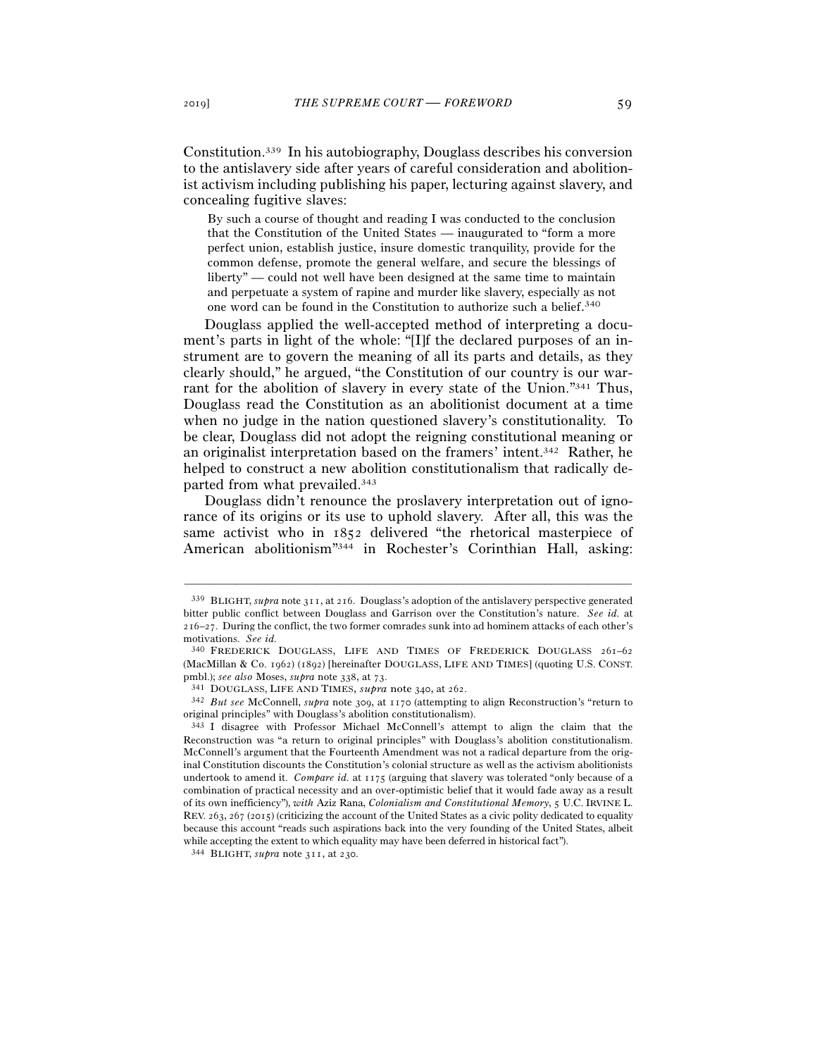Constitution.339 In his autobiography, Douglass describes his conversion to the antislavery side after years of careful consideration and abolitionist activism including publishing his paper, lecturing against slavery, and concealing fugitive slaves:

By such a course of thought and reading I was conducted to the conclusion that the Constitution of the United States — inaugurated to "form a more perfect union, establish justice, insure domestic tranquility, provide for the common defense, promote the general welfare, and secure the blessings of liberty" — could not well have been designed at the same time to maintain and perpetuate a system of rapine and murder like slavery, especially as not one word can be found in the Constitution to authorize such a belief. 340

Douglass applied the well-accepted method of interpreting a document's parts in light of the whole: "[I]f the declared purposes of an instrument are to govern the meaning of all its parts and details, as they clearly should," he argued, "the Constitution of our country is our warrant for the abolition of slavery in every state of the Union."341 Thus, Douglass read the Constitution as an abolitionist document at a time when no judge in the nation questioned slavery's constitutionality. To be clear, Douglass did not adopt the reigning constitutional meaning or an originalist interpretation based on the framers' intent.342 Rather, he helped to construct a new abolition constitutionalism that radically departed from what prevailed.343

Douglass didn't renounce the proslavery interpretation out of ignorance of its origins or its use to uphold slavery. After all, this was the same activist who in 1852 delivered "the rhetorical masterpiece of American abolitionism"344 in Rochester's Corinthian Hall, asking:

<sup>339</sup> BLIGHT, *supra* note 311, at 216. Douglass's adoption of the antislavery perspective generated bitter public conflict between Douglass and Garrison over the Constitution's nature. *See id.* at 216–27. During the conflict, the two former comrades sunk into ad hominem attacks of each other's motivations. *See id.*

<sup>340</sup> FREDERICK DOUGLASS, LIFE AND TIMES OF FREDERICK DOUGLASS 261–62 (MacMillan & Co. 1962) (1892) [hereinafter DOUGLASS, LIFE AND TIMES] (quoting U.S. CONST. pmbl.); see also Moses, supra note 338, at 73.<br>341 DOUGLASS, LIFE AND TIMES, supra note 340, at 262.<br>342 But see McConnell, supra note 309, at 1170 (attempting to align Reconstruction's "return to

original principles" with Douglass's abolition constitutionalism).

<sup>343</sup> I disagree with Professor Michael McConnell's attempt to align the claim that the Reconstruction was "a return to original principles" with Douglass's abolition constitutionalism. McConnell's argument that the Fourteenth Amendment was not a radical departure from the original Constitution discounts the Constitution's colonial structure as well as the activism abolitionists undertook to amend it. *Compare id.* at 1175 (arguing that slavery was tolerated "only because of a combination of practical necessity and an over-optimistic belief that it would fade away as a result of its own inefficiency"), *with* Aziz Rana, *Colonialism and Constitutional Memory*, 5 U.C. IRVINE L. REV. 263, 267 (2015) (criticizing the account of the United States as a civic polity dedicated to equality because this account "reads such aspirations back into the very founding of the United States, albeit while accepting the extent to which equality may have been deferred in historical fact").

<sup>344</sup> BLIGHT, *supra* note 311, at 230.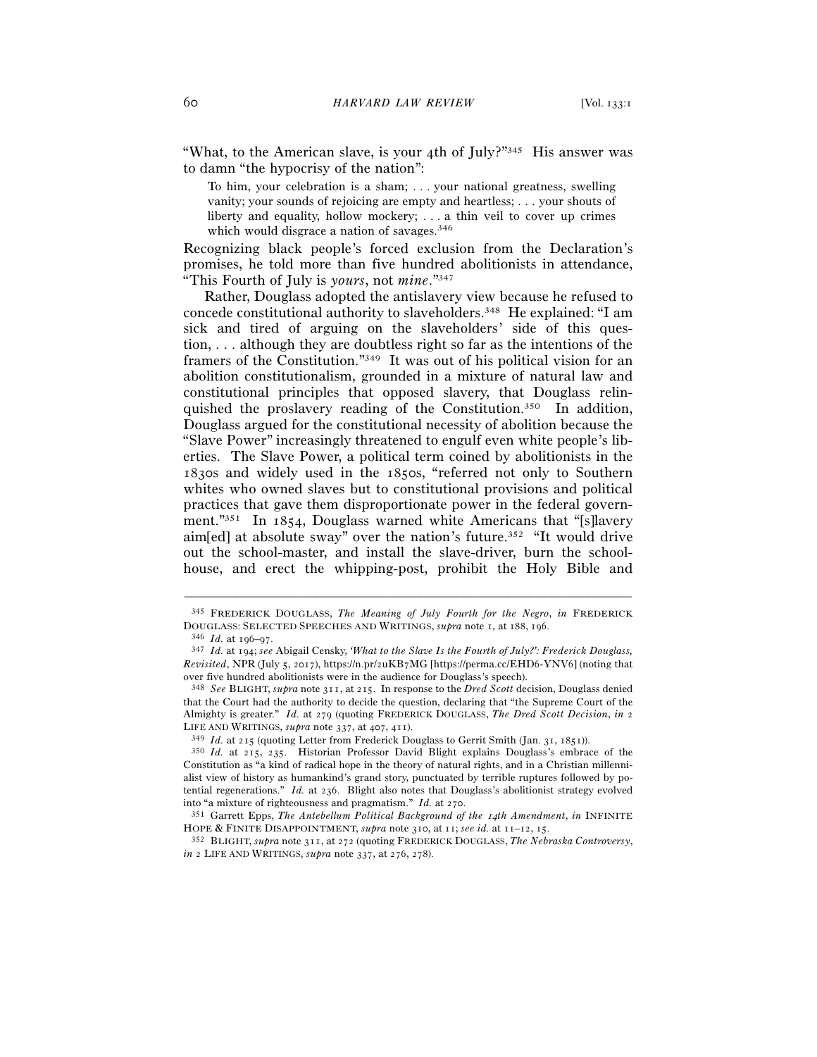"What, to the American slave, is your 4th of July?"345 His answer was to damn "the hypocrisy of the nation":

To him, your celebration is a sham; . . . your national greatness, swelling vanity; your sounds of rejoicing are empty and heartless; . . . your shouts of liberty and equality, hollow mockery; . . . a thin veil to cover up crimes which would disgrace a nation of savages.<sup>346</sup>

Recognizing black people's forced exclusion from the Declaration's promises, he told more than five hundred abolitionists in attendance, "This Fourth of July is *yours*, not *mine*."347

Rather, Douglass adopted the antislavery view because he refused to concede constitutional authority to slaveholders.348 He explained: "I am sick and tired of arguing on the slaveholders' side of this question, . . . although they are doubtless right so far as the intentions of the framers of the Constitution."349 It was out of his political vision for an abolition constitutionalism, grounded in a mixture of natural law and constitutional principles that opposed slavery, that Douglass relinquished the proslavery reading of the Constitution.<sup>350</sup> In addition, Douglass argued for the constitutional necessity of abolition because the "Slave Power" increasingly threatened to engulf even white people's liberties. The Slave Power, a political term coined by abolitionists in the 1830s and widely used in the 1850s, "referred not only to Southern whites who owned slaves but to constitutional provisions and political practices that gave them disproportionate power in the federal government."351 In 1854, Douglass warned white Americans that "[s]lavery aim[ed] at absolute sway" over the nation's future.<sup>352</sup> "It would drive out the school-master, and install the slave-driver, burn the schoolhouse, and erect the whipping-post, prohibit the Holy Bible and

<sup>–––––––––––––––––––––––––––––––––––––––––––––––––––––––––––––</sup> 345 FREDERICK DOUGLASS, *The Meaning of July Fourth for the Negro*, *in* FREDERICK DOUGLASS: SELECTED SPEECHES AND WRITINGS, *supra* note 1, at 188, 196.

<sup>346</sup> *Id.* at 196–<sup>97</sup>. 347 *Id.* at 194; *see* Abigail Censky, *'What to the Slave Is the Fourth of July?': Frederick Douglass, Revisited*, NPR (July 5, 2017), https://n.pr/2uKB7MG [https://perma.cc/EHD6-YNV6] (noting that over five hundred abolitionists were in the audience for Douglass's speech).

<sup>348</sup> *See* BLIGHT, *supra* note 311, at 215. In response to the *Dred Scott* decision, Douglass denied that the Court had the authority to decide the question, declaring that "the Supreme Court of the Almighty is greater." *Id.* at 279 (quoting FREDERICK DOUGLASS, *The Dred Scott Decision*, *in* 2 LIFE AND WRITINGS, *supra* note 337, at 407, 411).<br><sup>349</sup> *Id.* at 215 (quoting Letter from Frederick Douglass to Gerrit Smith (Jan. 31, 1851)).<br><sup>350</sup> *Id.* at 215, 235. Historian Professor David Blight explains Douglass's

Constitution as "a kind of radical hope in the theory of natural rights, and in a Christian millennialist view of history as humankind's grand story, punctuated by terrible ruptures followed by potential regenerations." *Id.* at 236. Blight also notes that Douglass's abolitionist strategy evolved into "a mixture of righteousness and pragmatism." *Id.* at <sup>270</sup>. 351 Garrett Epps, *The Antebellum Political Background of the* 14*th Amendment*, *in* INFINITE

HOPE & FINITE DISAPPOINTMENT, *supra* note 310, at <sup>11</sup>; *see id.* at 11–12, <sup>15</sup>. 352 BLIGHT, *supra* note 311, at 272 (quoting FREDERICK DOUGLASS, *The Nebraska Controversy*,

*in* 2 LIFE AND WRITINGS, *supra* note 337, at 276, 278).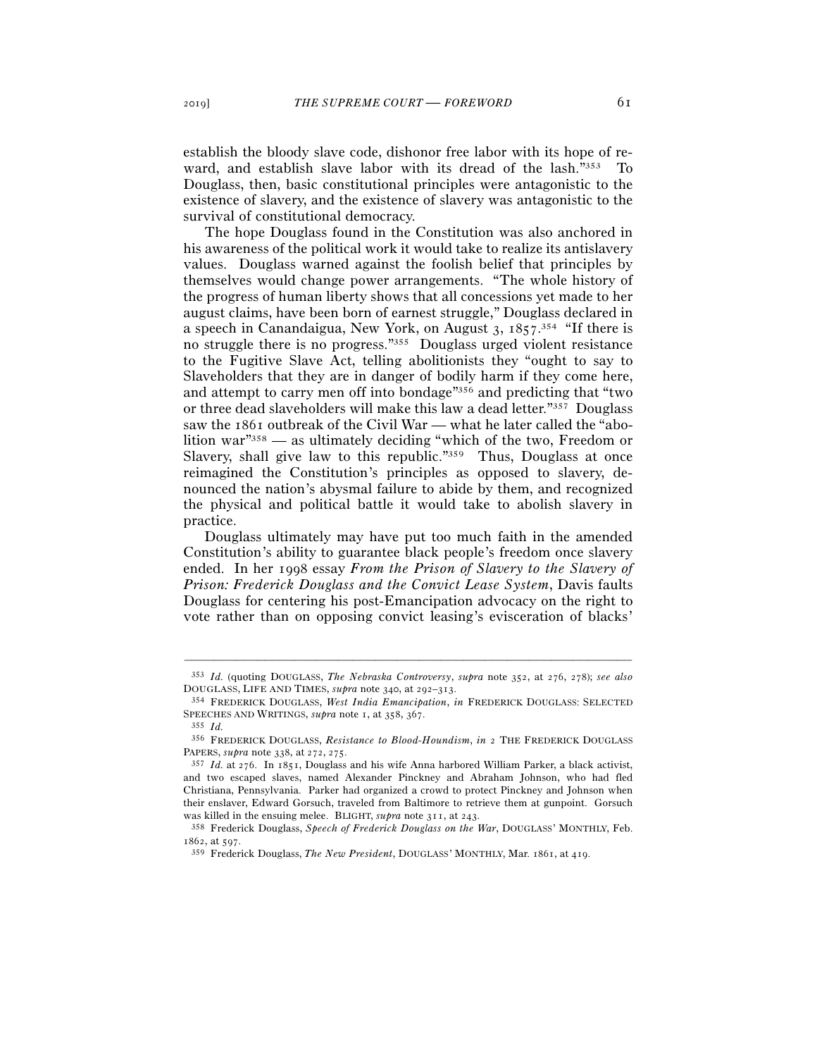establish the bloody slave code, dishonor free labor with its hope of reward, and establish slave labor with its dread of the lash."353 To Douglass, then, basic constitutional principles were antagonistic to the existence of slavery, and the existence of slavery was antagonistic to the survival of constitutional democracy.

The hope Douglass found in the Constitution was also anchored in his awareness of the political work it would take to realize its antislavery values. Douglass warned against the foolish belief that principles by themselves would change power arrangements. "The whole history of the progress of human liberty shows that all concessions yet made to her august claims, have been born of earnest struggle," Douglass declared in a speech in Canandaigua, New York, on August  $3$ ,  $1857$ <sup>354</sup> "If there is no struggle there is no progress."355 Douglass urged violent resistance to the Fugitive Slave Act, telling abolitionists they "ought to say to Slaveholders that they are in danger of bodily harm if they come here, and attempt to carry men off into bondage"356 and predicting that "two or three dead slaveholders will make this law a dead letter."357 Douglass saw the 1861 outbreak of the Civil War — what he later called the "abolition war"358 — as ultimately deciding "which of the two, Freedom or Slavery, shall give law to this republic."359 Thus, Douglass at once reimagined the Constitution's principles as opposed to slavery, denounced the nation's abysmal failure to abide by them, and recognized the physical and political battle it would take to abolish slavery in practice.

Douglass ultimately may have put too much faith in the amended Constitution's ability to guarantee black people's freedom once slavery ended. In her 1998 essay *From the Prison of Slavery to the Slavery of Prison: Frederick Douglass and the Convict Lease System*, Davis faults Douglass for centering his post-Emancipation advocacy on the right to vote rather than on opposing convict leasing's evisceration of blacks'

<sup>–––––––––––––––––––––––––––––––––––––––––––––––––––––––––––––</sup> <sup>353</sup> *Id.* (quoting DOUGLASS, *The Nebraska Controversy*, *supra* note 352, at 276, 278); *see also* DOUGLASS, LIFE AND TIMES, *supra* note 340, at 292–<sup>313</sup>. 354 FREDERICK DOUGLASS, *West India Emancipation*, *in* FREDERICK DOUGLASS: SELECTED

SPEECHES AND WRITINGS, *supra* note 1, at 358, 367.<br><sup>355</sup> *Id.* 

<sup>356</sup> FREDERICK DOUGLASS, *Resistance to Blood-Houndism*, *in* 2 THE FREDERICK DOUGLASS PAPERS, *supra* note 338, at 272, 275.

<sup>357</sup> *Id.* at 276. In 1851, Douglass and his wife Anna harbored William Parker, a black activist, and two escaped slaves, named Alexander Pinckney and Abraham Johnson, who had fled Christiana, Pennsylvania. Parker had organized a crowd to protect Pinckney and Johnson when their enslaver, Edward Gorsuch, traveled from Baltimore to retrieve them at gunpoint. Gorsuch was killed in the ensuing melee. BLIGHT, *supra* note 311, at 243.<br><sup>358</sup> Frederick Douglass, *Speech of Frederick Douglass on the War*, DOUGLASS' MONTHLY, Feb.

<sup>1862</sup>, at <sup>597</sup>. 359 Frederick Douglass, *The New President*, DOUGLASS' MONTHLY, Mar. 1861, at 419.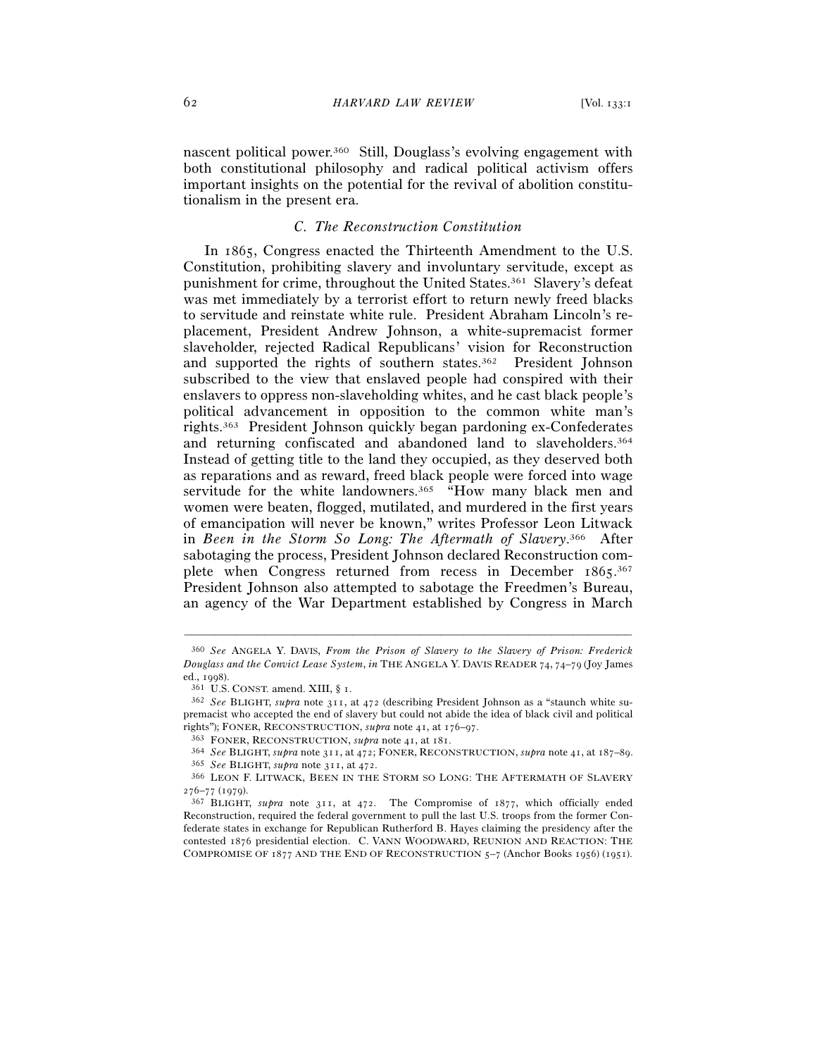nascent political power.360 Still, Douglass's evolving engagement with both constitutional philosophy and radical political activism offers important insights on the potential for the revival of abolition constitutionalism in the present era.

# *C. The Reconstruction Constitution*

In 1865, Congress enacted the Thirteenth Amendment to the U.S. Constitution, prohibiting slavery and involuntary servitude, except as punishment for crime, throughout the United States.361 Slavery's defeat was met immediately by a terrorist effort to return newly freed blacks to servitude and reinstate white rule. President Abraham Lincoln's replacement, President Andrew Johnson, a white-supremacist former slaveholder, rejected Radical Republicans' vision for Reconstruction and supported the rights of southern states.362 President Johnson subscribed to the view that enslaved people had conspired with their enslavers to oppress non-slaveholding whites, and he cast black people's political advancement in opposition to the common white man's rights.363 President Johnson quickly began pardoning ex-Confederates and returning confiscated and abandoned land to slaveholders.364 Instead of getting title to the land they occupied, as they deserved both as reparations and as reward, freed black people were forced into wage servitude for the white landowners.<sup>365</sup> "How many black men and women were beaten, flogged, mutilated, and murdered in the first years of emancipation will never be known," writes Professor Leon Litwack in *Been in the Storm So Long: The Aftermath of Slavery*. 366 After sabotaging the process, President Johnson declared Reconstruction complete when Congress returned from recess in December 1865.<sup>367</sup> President Johnson also attempted to sabotage the Freedmen's Bureau, an agency of the War Department established by Congress in March

<sup>360</sup> *See* ANGELA Y. DAVIS, *From the Prison of Slavery to the Slavery of Prison: Frederick Douglass and the Convict Lease System*, *in* THE ANGELA Y. DAVIS READER 74, 74–79 (Joy James ed., 1998).<br><sup>361</sup> U.S. CONST. amend. XIII, § 1.<br><sup>362</sup> *See* BLIGHT, *supra* note 311, at 472 (describing President Johnson as a "staunch white su-

premacist who accepted the end of slavery but could not abide the idea of black civil and political rights"); FONER, RECONSTRUCTION, *supra* note 41, at  $176-97$ .

<sup>363</sup> FONER, RECONSTRUCTION, *supra* note 41, at 181.<br>
364 See BLIGHT, *supra* note 311, at 472; FONER, RECONSTRUCTION, *supra* note 41, at 187–89.<br>
365 See BLIGHT, *supra* note 311, at 472.<br>
366 LEON F. LITWACK, BEEN IN TH

 $276-77$  (1979).<br><sup>367</sup> BLIGHT, *supra* note 311, at 472. The Compromise of 1877, which officially ended

Reconstruction, required the federal government to pull the last U.S. troops from the former Confederate states in exchange for Republican Rutherford B. Hayes claiming the presidency after the contested 1876 presidential election. C. VANN WOODWARD, REUNION AND REACTION: THE COMPROMISE OF 1877 AND THE END OF RECONSTRUCTION 5–7 (Anchor Books 1956) (1951).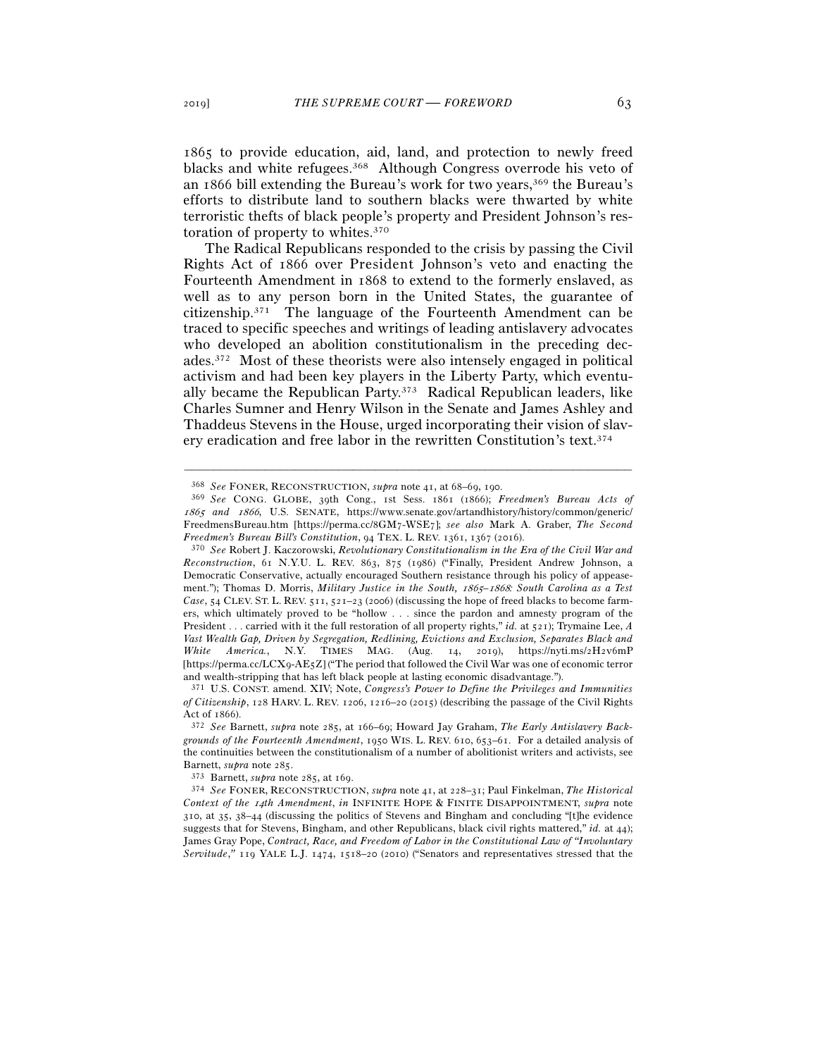1865 to provide education, aid, land, and protection to newly freed blacks and white refugees.<sup>368</sup> Although Congress overrode his veto of an  $1866$  bill extending the Bureau's work for two years,<sup>369</sup> the Bureau's efforts to distribute land to southern blacks were thwarted by white terroristic thefts of black people's property and President Johnson's restoration of property to whites.370

The Radical Republicans responded to the crisis by passing the Civil Rights Act of 1866 over President Johnson's veto and enacting the Fourteenth Amendment in 1868 to extend to the formerly enslaved, as well as to any person born in the United States, the guarantee of citizenship.371 The language of the Fourteenth Amendment can be traced to specific speeches and writings of leading antislavery advocates who developed an abolition constitutionalism in the preceding decades.372 Most of these theorists were also intensely engaged in political activism and had been key players in the Liberty Party, which eventually became the Republican Party.373 Radical Republican leaders, like Charles Sumner and Henry Wilson in the Senate and James Ashley and Thaddeus Stevens in the House, urged incorporating their vision of slavery eradication and free labor in the rewritten Constitution's text.374

<sup>368</sup> *See* FONER, RECONSTRUCTION, *supra* note 41, at 68–69, <sup>190</sup>. 369 *See* CONG. GLOBE, 39th Cong., 1st Sess. 1861 (1866); *Freedmen's Bureau Acts of*  1865 *and* 1866, U.S. SENATE, https://www.senate.gov/artandhistory/history/common/generic/ FreedmensBureau.htm [https://perma.cc/8GM7-WSE7]; *see also* Mark A. Graber, *The Second Freedmen's Bureau Bill's Constitution*, 94 TEX. L. REV. 1361, 1367 (<sup>2016</sup>). 370 *See* Robert J. Kaczorowski, *Revolutionary Constitutionalism in the Era of the Civil War and* 

*Reconstruction*, 61 N.Y.U. L. REV. 863, 875 (1986) ("Finally, President Andrew Johnson, a Democratic Conservative, actually encouraged Southern resistance through his policy of appeasement."); Thomas D. Morris, *Military Justice in the South,* 1865*–*1868*: South Carolina as a Test Case*, 54 CLEV. ST. L. REV. 511, 521–23 (2006) (discussing the hope of freed blacks to become farmers, which ultimately proved to be "hollow . . . since the pardon and amnesty program of the President . . . carried with it the full restoration of all property rights," *id.* at 521); Trymaine Lee, *A Vast Wealth Gap, Driven by Segregation, Redlining, Evictions and Exclusion, Separates Black and White America.*, N.Y. TIMES MAG. (Aug. 14, 2019), https://nyti.ms/2H2v6mP [https://perma.cc/LCX9-AE5Z] ("The period that followed the Civil War was one of economic terror and wealth-stripping that has left black people at lasting economic disadvantage.").

<sup>371</sup> U.S. CONST. amend. XIV; Note, *Congress's Power to Define the Privileges and Immunities of Citizenship*, 128 HARV. L. REV. 1206, 1216–20 (2015) (describing the passage of the Civil Rights

Act of <sup>1866</sup>). 372 *See* Barnett, *supra* note 285, at 166–69; Howard Jay Graham, *The Early Antislavery Backgrounds of the Fourteenth Amendment*, 1950 WIS. L. REV. 610, 653–61. For a detailed analysis of the continuities between the constitutionalism of a number of abolitionist writers and activists, see Barnett, *supra* note <sup>285</sup>. 373 Barnett, *supra* note 285, at <sup>169</sup>. 374 *See* FONER, RECONSTRUCTION, *supra* note 41, at 228–31; Paul Finkelman, *The Historical* 

*Context of the* 14*th Amendment*, *in* INFINITE HOPE & FINITE DISAPPOINTMENT, *supra* note 310, at 35, 38–44 (discussing the politics of Stevens and Bingham and concluding "[t]he evidence suggests that for Stevens, Bingham, and other Republicans, black civil rights mattered," *id.* at 44); James Gray Pope, *Contract, Race, and Freedom of Labor in the Constitutional Law of "Involuntary Servitude*,*"* 119 YALE L.J. 1474, 1518–20 (2010) ("Senators and representatives stressed that the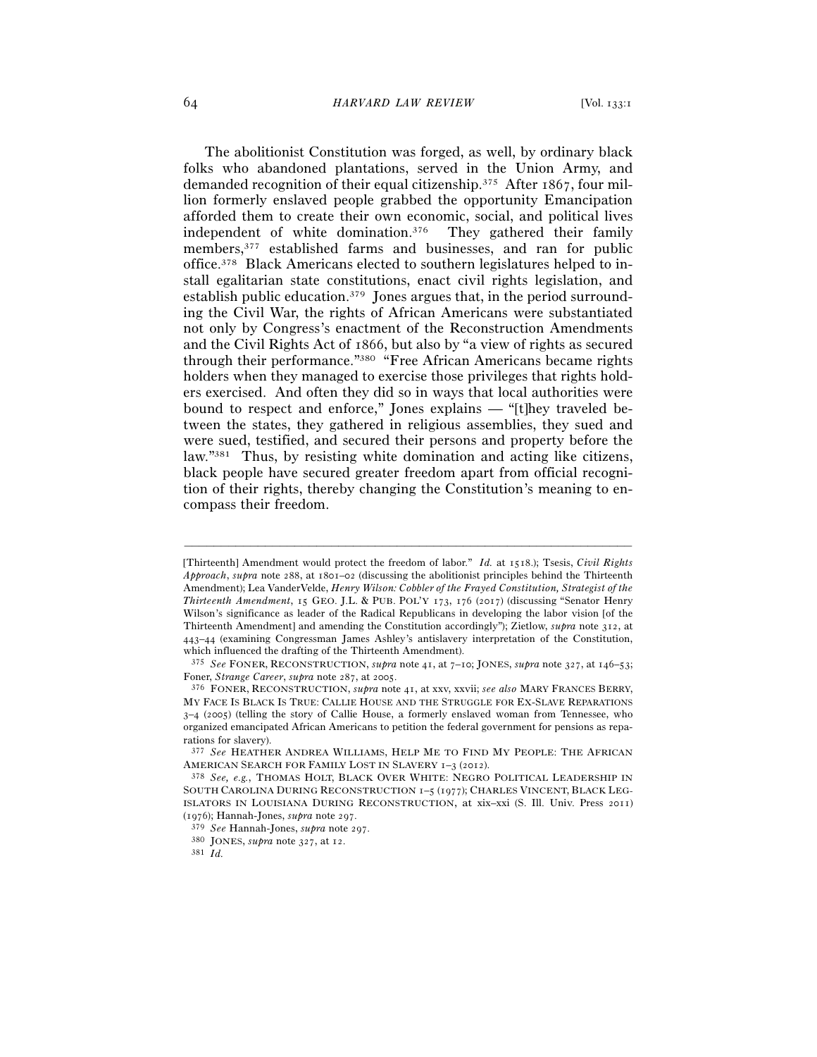The abolitionist Constitution was forged, as well, by ordinary black folks who abandoned plantations, served in the Union Army, and demanded recognition of their equal citizenship.375 After 1867, four million formerly enslaved people grabbed the opportunity Emancipation afforded them to create their own economic, social, and political lives independent of white domination.376 They gathered their family members,377 established farms and businesses, and ran for public office.378 Black Americans elected to southern legislatures helped to install egalitarian state constitutions, enact civil rights legislation, and establish public education.379 Jones argues that, in the period surrounding the Civil War, the rights of African Americans were substantiated not only by Congress's enactment of the Reconstruction Amendments and the Civil Rights Act of 1866, but also by "a view of rights as secured through their performance."380 "Free African Americans became rights holders when they managed to exercise those privileges that rights holders exercised. And often they did so in ways that local authorities were bound to respect and enforce," Jones explains — "[t]hey traveled between the states, they gathered in religious assemblies, they sued and were sued, testified, and secured their persons and property before the law."381 Thus, by resisting white domination and acting like citizens, black people have secured greater freedom apart from official recognition of their rights, thereby changing the Constitution's meaning to encompass their freedom.

<sup>[</sup>Thirteenth] Amendment would protect the freedom of labor." *Id.* at 1518.); Tsesis, *Civil Rights Approach*, *supra* note 288, at 1801–02 (discussing the abolitionist principles behind the Thirteenth Amendment); Lea VanderVelde, *Henry Wilson: Cobbler of the Frayed Constitution, Strategist of the Thirteenth Amendment*, 15 GEO. J.L. & PUB. POL'Y 173, 176 (2017) (discussing "Senator Henry Wilson's significance as leader of the Radical Republicans in developing the labor vision [of the Thirteenth Amendment] and amending the Constitution accordingly"); Zietlow, *supra* note 312, at 443–44 (examining Congressman James Ashley's antislavery interpretation of the Constitution, which influenced the drafting of the Thirteenth Amendment).

<sup>375</sup> *See* FONER, RECONSTRUCTION, *supra* note 41, at 7–10; JONES, *supra* note 327, at 146–53; Foner, *Strange Career*, *supra* note 287, at <sup>2005</sup>. 376 FONER, RECONSTRUCTION, *supra* note 41, at xxv, xxvii; *see also* MARY FRANCES BERRY,

MY FACE IS BLACK IS TRUE: CALLIE HOUSE AND THE STRUGGLE FOR EX-SLAVE REPARATIONS 3–4 (2005) (telling the story of Callie House, a formerly enslaved woman from Tennessee, who organized emancipated African Americans to petition the federal government for pensions as reparations for slavery).

<sup>377</sup> *See* HEATHER ANDREA WILLIAMS, HELP ME TO FIND MY PEOPLE: THE AFRICAN

AMERICAN SEARCH FOR FAMILY LOST IN SLAVERY 1-3 (2012).<br><sup>378</sup> *See, e.g.*, THOMAS HOLT, BLACK OVER WHITE: NEGRO POLITICAL LEADERSHIP IN SOUTH CAROLINA DURING RECONSTRUCTION 1–5 (1977); CHARLES VINCENT, BLACK LEG-ISLATORS IN LOUISIANA DURING RECONSTRUCTION, at xix–xxi (S. Ill. Univ. Press 2011) (1976); Hannah-Jones, *supra* note <sup>297</sup>. 379 *See* Hannah-Jones, *supra* note <sup>297</sup>. 380 JONES, *supra* note 327, at <sup>12</sup>. 381 *Id.*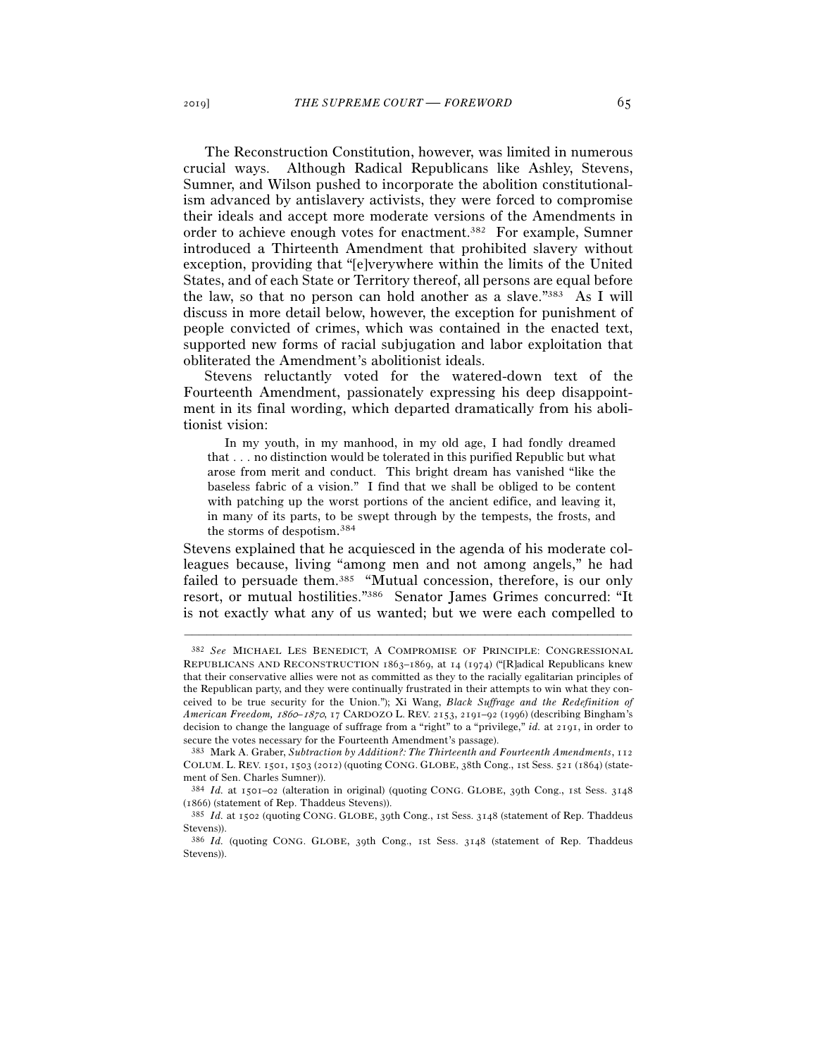The Reconstruction Constitution, however, was limited in numerous crucial ways. Although Radical Republicans like Ashley, Stevens, Sumner, and Wilson pushed to incorporate the abolition constitutionalism advanced by antislavery activists, they were forced to compromise their ideals and accept more moderate versions of the Amendments in order to achieve enough votes for enactment.382 For example, Sumner introduced a Thirteenth Amendment that prohibited slavery without exception, providing that "[e]verywhere within the limits of the United States, and of each State or Territory thereof, all persons are equal before the law, so that no person can hold another as a slave."383 As I will discuss in more detail below, however, the exception for punishment of people convicted of crimes, which was contained in the enacted text, supported new forms of racial subjugation and labor exploitation that obliterated the Amendment's abolitionist ideals.

Stevens reluctantly voted for the watered-down text of the Fourteenth Amendment, passionately expressing his deep disappointment in its final wording, which departed dramatically from his abolitionist vision:

 In my youth, in my manhood, in my old age, I had fondly dreamed that . . . no distinction would be tolerated in this purified Republic but what arose from merit and conduct. This bright dream has vanished "like the baseless fabric of a vision." I find that we shall be obliged to be content with patching up the worst portions of the ancient edifice, and leaving it, in many of its parts, to be swept through by the tempests, the frosts, and the storms of despotism. 384

Stevens explained that he acquiesced in the agenda of his moderate colleagues because, living "among men and not among angels," he had failed to persuade them.<sup>385</sup> "Mutual concession, therefore, is our only resort, or mutual hostilities."386 Senator James Grimes concurred: "It is not exactly what any of us wanted; but we were each compelled to

<sup>382</sup> *See* MICHAEL LES BENEDICT, A COMPROMISE OF PRINCIPLE: CONGRESSIONAL REPUBLICANS AND RECONSTRUCTION 1863–1869, at 14 (1974) ("[R]adical Republicans knew that their conservative allies were not as committed as they to the racially egalitarian principles of the Republican party, and they were continually frustrated in their attempts to win what they conceived to be true security for the Union."); Xi Wang, *Black Suffrage and the Redefinition of American Freedom,* 1860*–*1870, 17 CARDOZO L. REV. 2153, 2191–92 (1996) (describing Bingham's decision to change the language of suffrage from a "right" to a "privilege," *id.* at 2191, in order to secure the votes necessary for the Fourteenth Amendment's passage).

<sup>383</sup> Mark A. Graber, *Subtraction by Addition?: The Thirteenth and Fourteenth Amendments*, 112 COLUM. L. REV. 1501, 1503 (2012) (quoting CONG. GLOBE, 38th Cong., 1st Sess. 521 (1864) (statement of Sen. Charles Sumner)).

<sup>384</sup> *Id.* at 1501–02 (alteration in original) (quoting CONG. GLOBE, 39th Cong., 1st Sess. 3148 (<sup>1866</sup>) (statement of Rep. Thaddeus Stevens)). 385 *Id.* at 1502 (quoting CONG. GLOBE, 39th Cong., 1st Sess. 3148 (statement of Rep. Thaddeus

Stevens)).

<sup>386</sup> *Id.* (quoting CONG. GLOBE, 39th Cong., 1st Sess. 3148 (statement of Rep. Thaddeus Stevens)).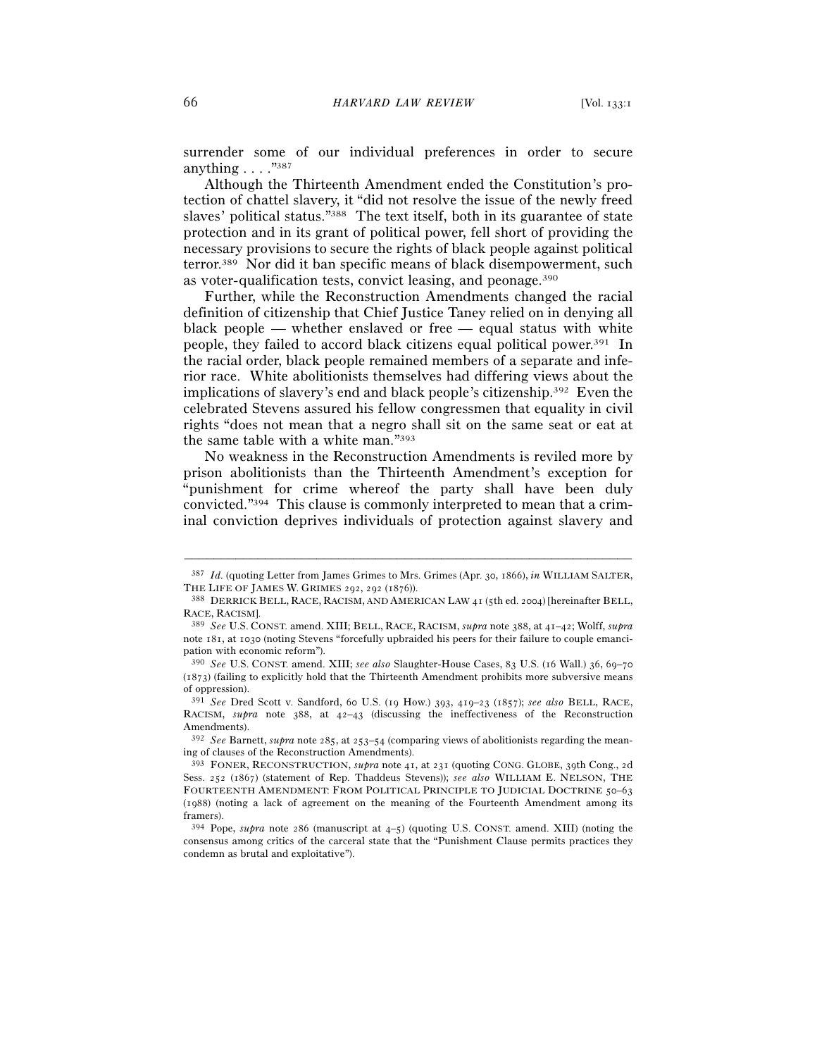surrender some of our individual preferences in order to secure anything  $\ldots$  ."387

Although the Thirteenth Amendment ended the Constitution's protection of chattel slavery, it "did not resolve the issue of the newly freed slaves' political status."388 The text itself, both in its guarantee of state protection and in its grant of political power, fell short of providing the necessary provisions to secure the rights of black people against political terror.389 Nor did it ban specific means of black disempowerment, such as voter-qualification tests, convict leasing, and peonage.390

Further, while the Reconstruction Amendments changed the racial definition of citizenship that Chief Justice Taney relied on in denying all black people — whether enslaved or free — equal status with white people, they failed to accord black citizens equal political power.391 In the racial order, black people remained members of a separate and inferior race. White abolitionists themselves had differing views about the implications of slavery's end and black people's citizenship.392 Even the celebrated Stevens assured his fellow congressmen that equality in civil rights "does not mean that a negro shall sit on the same seat or eat at the same table with a white man."393

No weakness in the Reconstruction Amendments is reviled more by prison abolitionists than the Thirteenth Amendment's exception for "punishment for crime whereof the party shall have been duly convicted."394 This clause is commonly interpreted to mean that a criminal conviction deprives individuals of protection against slavery and

<sup>–––––––––––––––––––––––––––––––––––––––––––––––––––––––––––––</sup> <sup>387</sup> *Id.* (quoting Letter from James Grimes to Mrs. Grimes (Apr. 30, 1866), *in* WILLIAM SALTER, THE LIFE OF JAMES W. GRIMES 292, 292 (1876)).<br><sup>388</sup> DERRICK BELL, RACE, RACISM, AND AMERICAN LAW 41 (5th ed. 2004) [hereinafter BELL,

RACE, RACISM]. 389 *See* U.S. CONST. amend. XIII; BELL, RACE, RACISM, *supra* note 388, at 41–42; Wolff, *supra*

note 181, at 1030 (noting Stevens "forcefully upbraided his peers for their failure to couple emancipation with economic reform").

<sup>390</sup> *See* U.S. CONST. amend. XIII; *see also* Slaughter-House Cases, 83 U.S. (16 Wall.) 36, 69–70 (1873) (failing to explicitly hold that the Thirteenth Amendment prohibits more subversive means of oppression).

<sup>391</sup> *See* Dred Scott v. Sandford, 60 U.S. (19 How.) 393, 419–23 (1857); *see also* BELL, RACE, RACISM, *supra* note 388, at 42–43 (discussing the ineffectiveness of the Reconstruction Amendments).

<sup>392</sup> *See* Barnett, *supra* note 285, at 253–54 (comparing views of abolitionists regarding the meaning of clauses of the Reconstruction Amendments).

<sup>393</sup> FONER, RECONSTRUCTION, *supra* note 41, at 231 (quoting CONG. GLOBE, 39th Cong., 2d Sess. 252 (1867) (statement of Rep. Thaddeus Stevens)); *see also* WILLIAM E. NELSON, THE FOURTEENTH AMENDMENT: FROM POLITICAL PRINCIPLE TO JUDICIAL DOCTRINE 50–63 (1988) (noting a lack of agreement on the meaning of the Fourteenth Amendment among its framers).

 $394$  Pope, *supra* note 286 (manuscript at  $4-5$ ) (quoting U.S. CONST. amend. XIII) (noting the consensus among critics of the carceral state that the "Punishment Clause permits practices they condemn as brutal and exploitative").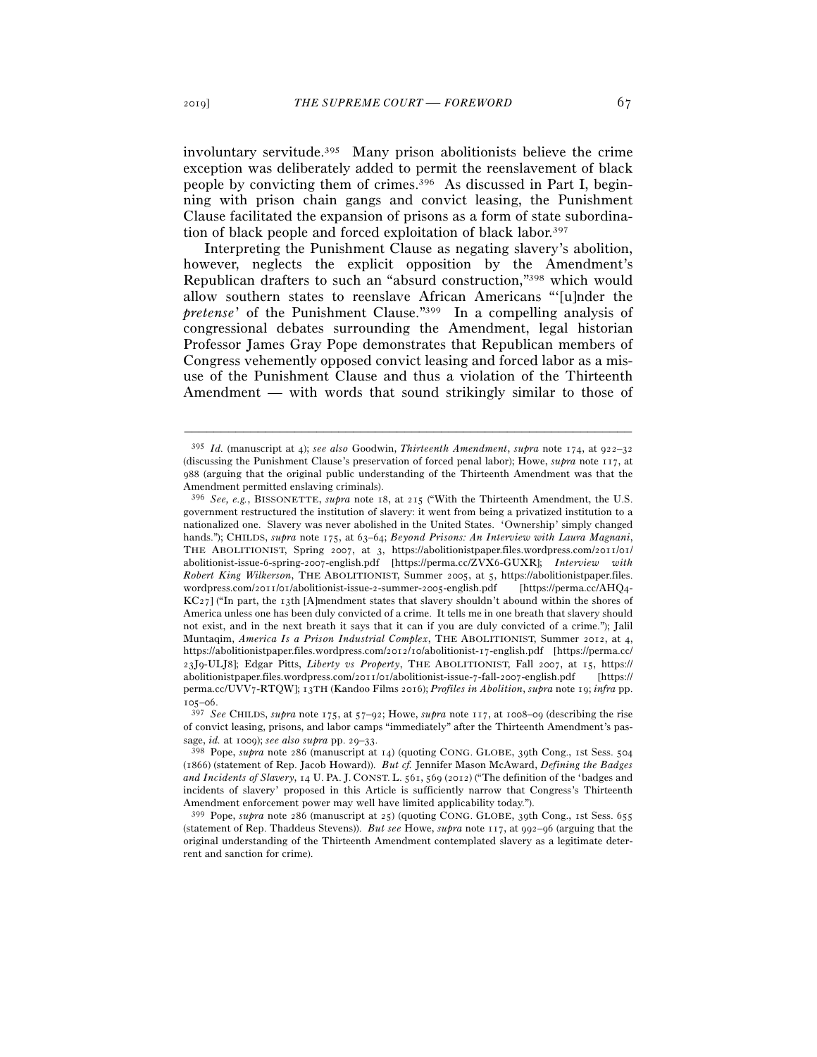involuntary servitude.395 Many prison abolitionists believe the crime exception was deliberately added to permit the reenslavement of black people by convicting them of crimes.396 As discussed in Part I, beginning with prison chain gangs and convict leasing, the Punishment Clause facilitated the expansion of prisons as a form of state subordination of black people and forced exploitation of black labor.397

Interpreting the Punishment Clause as negating slavery's abolition, however, neglects the explicit opposition by the Amendment's Republican drafters to such an "absurd construction,"398 which would allow southern states to reenslave African Americans "'[u]nder the *pretense*' of the Punishment Clause."399 In a compelling analysis of congressional debates surrounding the Amendment, legal historian Professor James Gray Pope demonstrates that Republican members of Congress vehemently opposed convict leasing and forced labor as a misuse of the Punishment Clause and thus a violation of the Thirteenth Amendment — with words that sound strikingly similar to those of

<sup>395</sup> *Id.* (manuscript at 4); *see also* Goodwin, *Thirteenth Amendment*, *supra* note 174, at 922–32 (discussing the Punishment Clause's preservation of forced penal labor); Howe, *supra* note 117, at 988 (arguing that the original public understanding of the Thirteenth Amendment was that the Amendment permitted enslaving criminals).

<sup>396</sup> *See, e.g.*, BISSONETTE, *supra* note 18, at 215 ("With the Thirteenth Amendment, the U.S. government restructured the institution of slavery: it went from being a privatized institution to a nationalized one. Slavery was never abolished in the United States. 'Ownership' simply changed hands."); CHILDS, *supra* note 175, at 63–64; *Beyond Prisons: An Interview with Laura Magnani*, THE ABOLITIONIST, Spring 2007, at 3, https://abolitionistpaper.files.wordpress.com/2011/01/ abolitionist-issue-6-spring-2007-english.pdf [https://perma.cc/ZVX6-GUXR]; *Interview with Robert King Wilkerson*, THE ABOLITIONIST, Summer 2005, at 5, https://abolitionistpaper.files. wordpress.com/2011/01/abolitionist-issue-2-summer-2005-english.pdf [https://perma.cc/AHQ4-  $KC27$ ] ("In part, the 13th [A]mendment states that slavery shouldn't abound within the shores of America unless one has been duly convicted of a crime. It tells me in one breath that slavery should not exist, and in the next breath it says that it can if you are duly convicted of a crime."); Jalil Muntaqim, *America Is a Prison Industrial Complex*, THE ABOLITIONIST, Summer 2012, at 4, https://abolitionistpaper.files.wordpress.com/2012/10/abolitionist-17-english.pdf [https://perma.cc/ 23J9-ULJ8]; Edgar Pitts, *Liberty vs Property*, THE ABOLITIONIST, Fall 2007, at 15, https:// abolitionistpaper.files.wordpress.com/2011/01/abolitionist-issue-7-fall-2007-english.pdf [https:// perma.cc/UVV7-RTQW]; 13TH (Kandoo Films 2016); *Profiles in Abolition*, *supra* note 19; *infra* pp.

<sup>105</sup>–<sup>06</sup>. 397 *See* CHILDS, *supra* note 175, at 57–92; Howe, *supra* note 117, at 1008–09 (describing the rise of convict leasing, prisons, and labor camps "immediately" after the Thirteenth Amendment's passage, *id.* at 1009); *see also supra* pp. 29–33.

sage, *id.* at 1009); *see also supra* pp. 29–<sup>33</sup>. 398 Pope, *supra* note 286 (manuscript at 14) (quoting CONG. GLOBE, 39th Cong., 1st Sess. <sup>504</sup> (1866) (statement of Rep. Jacob Howard)). *But cf.* Jennifer Mason McAward, *Defining the Badges and Incidents of Slavery*, 14 U. PA. J. CONST. L. 561, 569 (2012) ("The definition of the 'badges and incidents of slavery' proposed in this Article is sufficiently narrow that Congress's Thirteenth Amendment enforcement power may well have limited applicability today.").

<sup>399</sup> Pope, *supra* note 286 (manuscript at 25) (quoting CONG. GLOBE, 39th Cong., 1st Sess. 655 (statement of Rep. Thaddeus Stevens)). *But see* Howe, *supra* note 117, at 992–96 (arguing that the original understanding of the Thirteenth Amendment contemplated slavery as a legitimate deterrent and sanction for crime).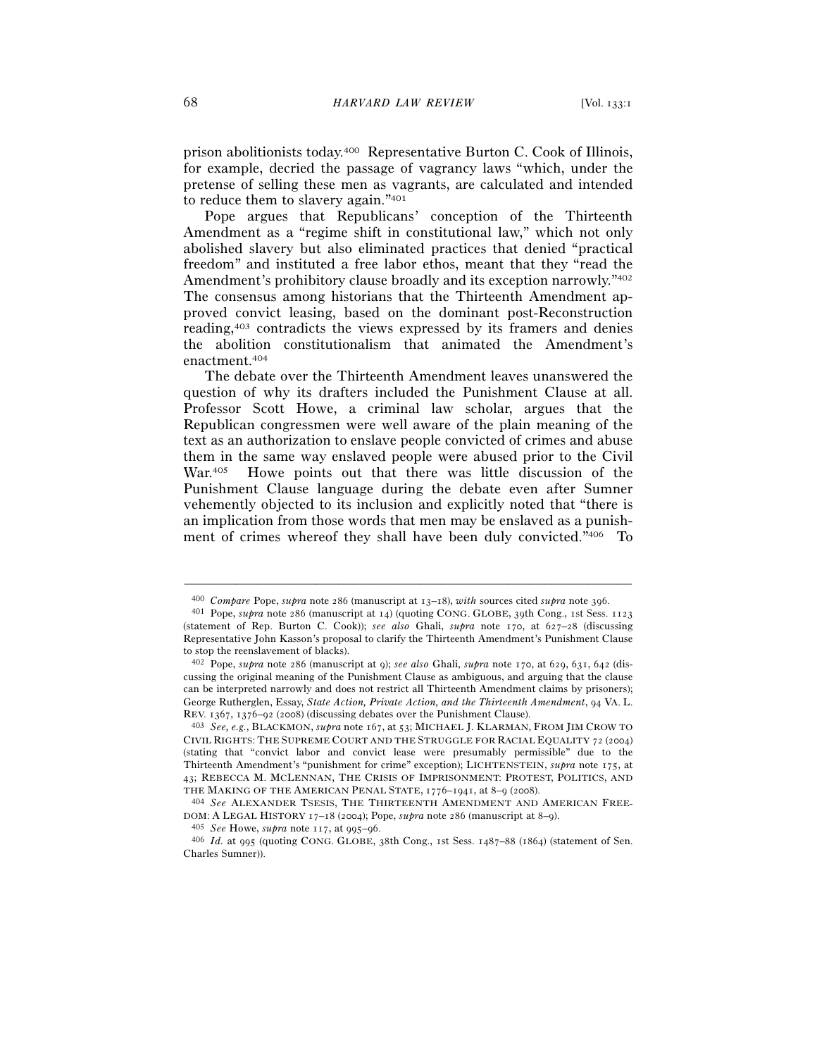prison abolitionists today.400 Representative Burton C. Cook of Illinois, for example, decried the passage of vagrancy laws "which, under the pretense of selling these men as vagrants, are calculated and intended to reduce them to slavery again."401

Pope argues that Republicans' conception of the Thirteenth Amendment as a "regime shift in constitutional law," which not only abolished slavery but also eliminated practices that denied "practical freedom" and instituted a free labor ethos, meant that they "read the Amendment's prohibitory clause broadly and its exception narrowly."402 The consensus among historians that the Thirteenth Amendment approved convict leasing, based on the dominant post-Reconstruction reading,403 contradicts the views expressed by its framers and denies the abolition constitutionalism that animated the Amendment's enactment.404

The debate over the Thirteenth Amendment leaves unanswered the question of why its drafters included the Punishment Clause at all. Professor Scott Howe, a criminal law scholar, argues that the Republican congressmen were well aware of the plain meaning of the text as an authorization to enslave people convicted of crimes and abuse them in the same way enslaved people were abused prior to the Civil War.<sup>405</sup> Howe points out that there was little discussion of the Punishment Clause language during the debate even after Sumner vehemently objected to its inclusion and explicitly noted that "there is an implication from those words that men may be enslaved as a punishment of crimes whereof they shall have been duly convicted."406 To

<sup>–––––––––––––––––––––––––––––––––––––––––––––––––––––––––––––</sup> <sup>400</sup> *Compare* Pope, *supra* note 286 (manuscript at 13–18), *with* sources cited *supra* note <sup>396</sup>. 401 Pope, *supra* note 286 (manuscript at 14) (quoting CONG. GLOBE, <sup>39</sup>th Cong., 1st Sess. <sup>1123</sup>

<sup>(</sup>statement of Rep. Burton C. Cook)); *see also* Ghali, *supra* note 170, at 627–28 (discussing Representative John Kasson's proposal to clarify the Thirteenth Amendment's Punishment Clause to stop the reenslavement of blacks).

<sup>402</sup> Pope, *supra* note 286 (manuscript at 9); *see also* Ghali, *supra* note 170, at 629, 631, 642 (discussing the original meaning of the Punishment Clause as ambiguous, and arguing that the clause can be interpreted narrowly and does not restrict all Thirteenth Amendment claims by prisoners); George Rutherglen, Essay, *State Action, Private Action, and the Thirteenth Amendment*, 94 VA. L. REV. 1367, 1376–92 (<sup>2008</sup>) (discussing debates over the Punishment Clause). 403 *See, e.g.*, BLACKMON, *supra* note 167, at 53; MICHAEL J. KLARMAN, FROM JIM CROW TO

CIVIL RIGHTS: THE SUPREME COURT AND THE STRUGGLE FOR RACIAL EQUALITY 72 (2004) (stating that "convict labor and convict lease were presumably permissible" due to the Thirteenth Amendment's "punishment for crime" exception); LICHTENSTEIN, *supra* note 175, at 43; REBECCA M. MCLENNAN, THE CRISIS OF IMPRISONMENT: PROTEST, POLITICS, AND THE MAKING OF THE AMERICAN PENAL STATE, <sup>1776</sup>–1941, at 8–9 (<sup>2008</sup>). 404 *See* ALEXANDER TSESIS, THE THIRTEENTH AMENDMENT AND AMERICAN FREE-

DOM: A LEGAL HISTORY 17–18 (2004); Pope, *supra* note 286 (manuscript at 8–9).<br><sup>405</sup> *See* Howe, *supra* note 117, at 995–96.<br><sup>406</sup> *Id.* at 995 (quoting CONG. GLOBE, 38th Cong., 1st Sess. 1487–88 (1864) (statement of Sen

Charles Sumner)).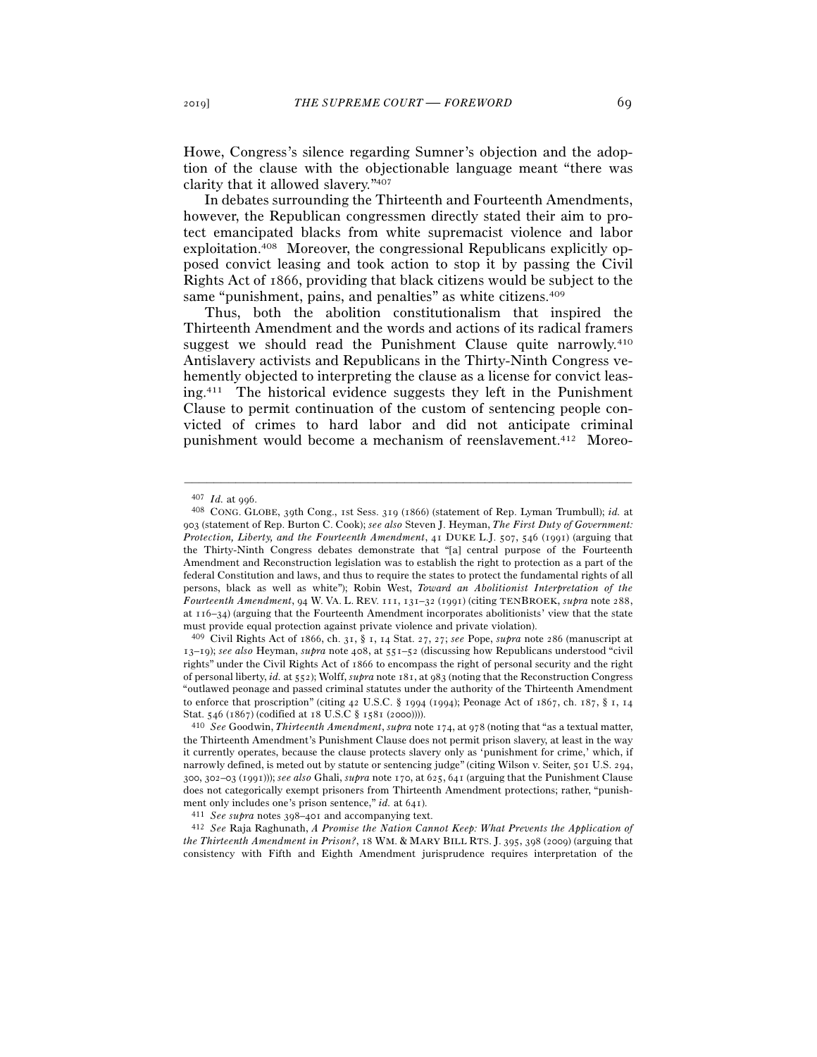Howe, Congress's silence regarding Sumner's objection and the adoption of the clause with the objectionable language meant "there was clarity that it allowed slavery."407

In debates surrounding the Thirteenth and Fourteenth Amendments, however, the Republican congressmen directly stated their aim to protect emancipated blacks from white supremacist violence and labor exploitation.408 Moreover, the congressional Republicans explicitly opposed convict leasing and took action to stop it by passing the Civil Rights Act of 1866, providing that black citizens would be subject to the same "punishment, pains, and penalties" as white citizens.<sup>409</sup>

Thus, both the abolition constitutionalism that inspired the Thirteenth Amendment and the words and actions of its radical framers suggest we should read the Punishment Clause quite narrowly.410 Antislavery activists and Republicans in the Thirty-Ninth Congress vehemently objected to interpreting the clause as a license for convict leasing.411 The historical evidence suggests they left in the Punishment Clause to permit continuation of the custom of sentencing people convicted of crimes to hard labor and did not anticipate criminal punishment would become a mechanism of reenslavement.412 Moreo-

–––––––––––––––––––––––––––––––––––––––––––––––––––––––––––––

<sup>409</sup> Civil Rights Act of 1866, ch. 31, § 1, 14 Stat. 27, 27; *see* Pope, *supra* note 286 (manuscript at 13–19); *see also* Heyman, *supra* note 408, at 551–52 (discussing how Republicans understood "civil rights" under the Civil Rights Act of 1866 to encompass the right of personal security and the right of personal liberty, *id.* at 552); Wolff, *supra* note 181, at 983 (noting that the Reconstruction Congress "outlawed peonage and passed criminal statutes under the authority of the Thirteenth Amendment to enforce that proscription" (citing 42 U.S.C. § 1994 (1994); Peonage Act of 1867, ch. 187, § 1, 14 Stat. 546 (1867) (codified at 18 U.S.C § 1581 (<sup>2000</sup>)))). 410 *See* Goodwin, *Thirteenth Amendment*, *supra* note 174, at 978 (noting that "as a textual matter,

<sup>407</sup> *Id.* at <sup>996</sup>. 408 CONG. GLOBE, 39th Cong., 1st Sess. 319 (1866) (statement of Rep. Lyman Trumbull); *id.* at 903 (statement of Rep. Burton C. Cook); *see also* Steven J. Heyman, *The First Duty of Government: Protection, Liberty, and the Fourteenth Amendment*, 41 DUKE L.J. 507, 546 (1991) (arguing that the Thirty-Ninth Congress debates demonstrate that "[a] central purpose of the Fourteenth Amendment and Reconstruction legislation was to establish the right to protection as a part of the federal Constitution and laws, and thus to require the states to protect the fundamental rights of all persons, black as well as white"); Robin West, *Toward an Abolitionist Interpretation of the Fourteenth Amendment*, 94 W. VA. L. REV. 111, 131–32 (1991) (citing TENBROEK, *supra* note 288, at 116–34) (arguing that the Fourteenth Amendment incorporates abolitionists' view that the state must provide equal protection against private violence and private violation).

the Thirteenth Amendment's Punishment Clause does not permit prison slavery, at least in the way it currently operates, because the clause protects slavery only as 'punishment for crime,' which, if narrowly defined, is meted out by statute or sentencing judge" (citing Wilson v. Seiter, 501 U.S. 294, 300, 302–03 (1991))); *see also* Ghali, *supra* note 170, at 625, 641 (arguing that the Punishment Clause does not categorically exempt prisoners from Thirteenth Amendment protections; rather, "punishment only includes one's prison sentence," *id.* at 641).<br><sup>411</sup> See supra notes 398–401 and accompanying text.<br><sup>412</sup> See Raja Raghunath, A Promise the Nation Cannot Keep: What Prevents the Application of

*the Thirteenth Amendment in Prison?*, 18 WM. & MARY BILL RTS. J. 395, 398 (2009) (arguing that consistency with Fifth and Eighth Amendment jurisprudence requires interpretation of the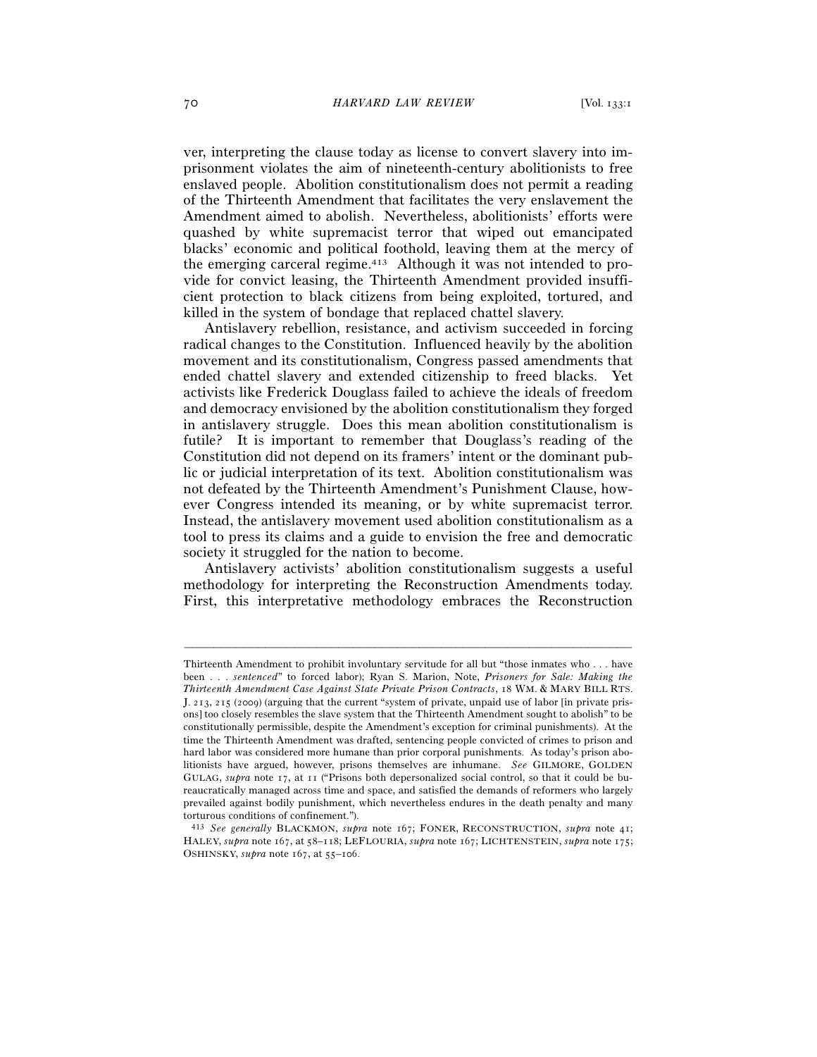ver, interpreting the clause today as license to convert slavery into imprisonment violates the aim of nineteenth-century abolitionists to free enslaved people. Abolition constitutionalism does not permit a reading of the Thirteenth Amendment that facilitates the very enslavement the Amendment aimed to abolish. Nevertheless, abolitionists' efforts were quashed by white supremacist terror that wiped out emancipated blacks' economic and political foothold, leaving them at the mercy of the emerging carceral regime.413 Although it was not intended to provide for convict leasing, the Thirteenth Amendment provided insufficient protection to black citizens from being exploited, tortured, and killed in the system of bondage that replaced chattel slavery.

Antislavery rebellion, resistance, and activism succeeded in forcing radical changes to the Constitution. Influenced heavily by the abolition movement and its constitutionalism, Congress passed amendments that ended chattel slavery and extended citizenship to freed blacks. Yet activists like Frederick Douglass failed to achieve the ideals of freedom and democracy envisioned by the abolition constitutionalism they forged in antislavery struggle. Does this mean abolition constitutionalism is futile? It is important to remember that Douglass's reading of the Constitution did not depend on its framers' intent or the dominant public or judicial interpretation of its text. Abolition constitutionalism was not defeated by the Thirteenth Amendment's Punishment Clause, however Congress intended its meaning, or by white supremacist terror. Instead, the antislavery movement used abolition constitutionalism as a tool to press its claims and a guide to envision the free and democratic society it struggled for the nation to become.

Antislavery activists' abolition constitutionalism suggests a useful methodology for interpreting the Reconstruction Amendments today. First, this interpretative methodology embraces the Reconstruction

Thirteenth Amendment to prohibit involuntary servitude for all but "those inmates who . . . have been . . . *sentenced*" to forced labor); Ryan S. Marion, Note, *Prisoners for Sale: Making the Thirteenth Amendment Case Against State Private Prison Contracts*, 18 WM. & MARY BILL RTS. J. 213, 215 (2009) (arguing that the current "system of private, unpaid use of labor [in private prisons] too closely resembles the slave system that the Thirteenth Amendment sought to abolish" to be constitutionally permissible, despite the Amendment's exception for criminal punishments). At the time the Thirteenth Amendment was drafted, sentencing people convicted of crimes to prison and hard labor was considered more humane than prior corporal punishments. As today's prison abolitionists have argued, however, prisons themselves are inhumane. *See* GILMORE, GOLDEN GULAG, *supra* note 17, at 11 ("Prisons both depersonalized social control, so that it could be bureaucratically managed across time and space, and satisfied the demands of reformers who largely prevailed against bodily punishment, which nevertheless endures in the death penalty and many torturous conditions of confinement.").

<sup>413</sup> *See generally* BLACKMON, *supra* note 167; FONER, RECONSTRUCTION, *supra* note 41; HALEY, *supra* note 167, at 58–118; LEFLOURIA, *supra* note 167; LICHTENSTEIN, *supra* note 175; OSHINSKY, *supra* note 167, at 55–106.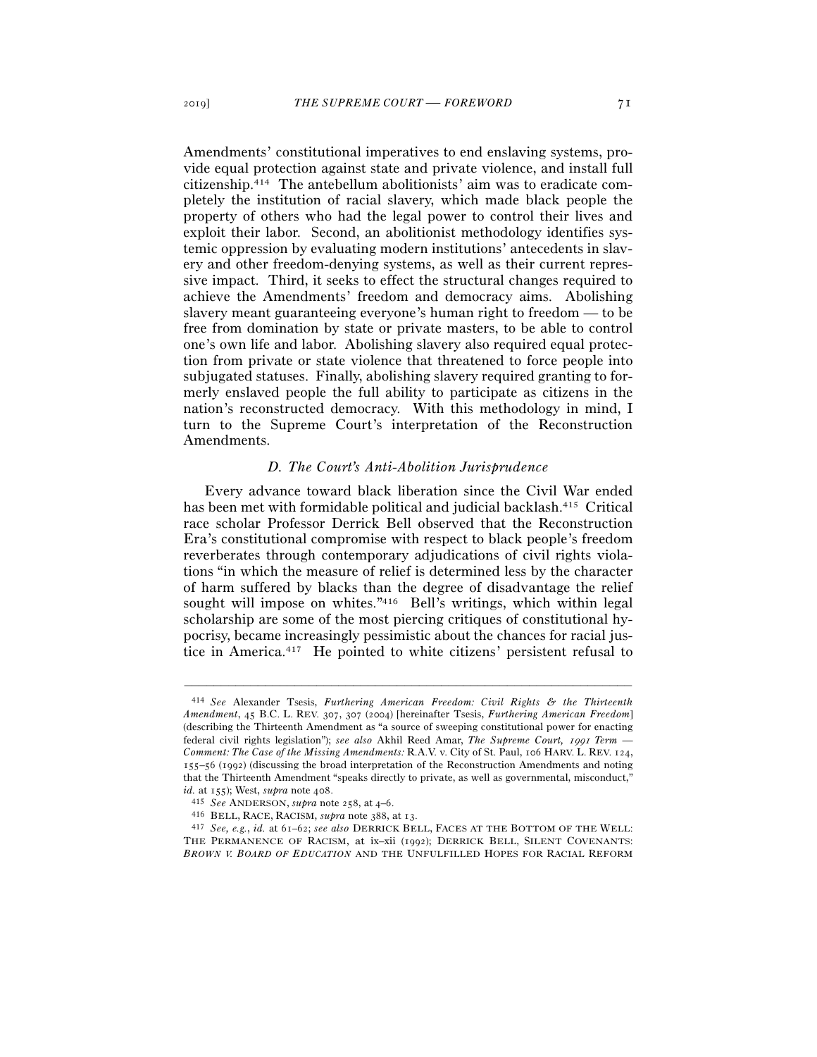Amendments' constitutional imperatives to end enslaving systems, provide equal protection against state and private violence, and install full citizenship.414 The antebellum abolitionists' aim was to eradicate completely the institution of racial slavery, which made black people the property of others who had the legal power to control their lives and exploit their labor. Second, an abolitionist methodology identifies systemic oppression by evaluating modern institutions' antecedents in slavery and other freedom-denying systems, as well as their current repressive impact. Third, it seeks to effect the structural changes required to achieve the Amendments' freedom and democracy aims. Abolishing slavery meant guaranteeing everyone's human right to freedom — to be free from domination by state or private masters, to be able to control one's own life and labor. Abolishing slavery also required equal protection from private or state violence that threatened to force people into subjugated statuses. Finally, abolishing slavery required granting to formerly enslaved people the full ability to participate as citizens in the nation's reconstructed democracy. With this methodology in mind, I turn to the Supreme Court's interpretation of the Reconstruction Amendments.

### *D. The Court's Anti-Abolition Jurisprudence*

Every advance toward black liberation since the Civil War ended has been met with formidable political and judicial backlash.415 Critical race scholar Professor Derrick Bell observed that the Reconstruction Era's constitutional compromise with respect to black people's freedom reverberates through contemporary adjudications of civil rights violations "in which the measure of relief is determined less by the character of harm suffered by blacks than the degree of disadvantage the relief sought will impose on whites."416 Bell's writings, which within legal scholarship are some of the most piercing critiques of constitutional hypocrisy, became increasingly pessimistic about the chances for racial justice in America.417 He pointed to white citizens' persistent refusal to

<sup>414</sup> *See* Alexander Tsesis, *Furthering American Freedom: Civil Rights & the Thirteenth Amendment*, 45 B.C. L. REV. 307, 307 (2004) [hereinafter Tsesis, *Furthering American Freedom*] (describing the Thirteenth Amendment as "a source of sweeping constitutional power for enacting federal civil rights legislation"); *see also* Akhil Reed Amar, *The Supreme Court,* 1991 *Term* — *Comment: The Case of the Missing Amendments:* R.A.V. v. City of St. Paul, 106 HARV. L. REV. 124, 155–56 (1992) (discussing the broad interpretation of the Reconstruction Amendments and noting that the Thirteenth Amendment "speaks directly to private, as well as governmental, misconduct," *id.* at 155); West, *supra* note 408.<br>
<sup>415</sup> See ANDERSON, *supra* note 258, at 4–6.<br>
<sup>416</sup> BELL, RACE, RACISM, *supra* note 388, at 13.<br>
<sup>417</sup> See, e.g., *id.* at 61–62; see also DERRICK BELL, FACES AT THE BOTTOM OF THE

THE PERMANENCE OF RACISM, at ix–xii (1992); DERRICK BELL, SILENT COVENANTS: *BROWN V. BOARD OF EDUCATION* AND THE UNFULFILLED HOPES FOR RACIAL REFORM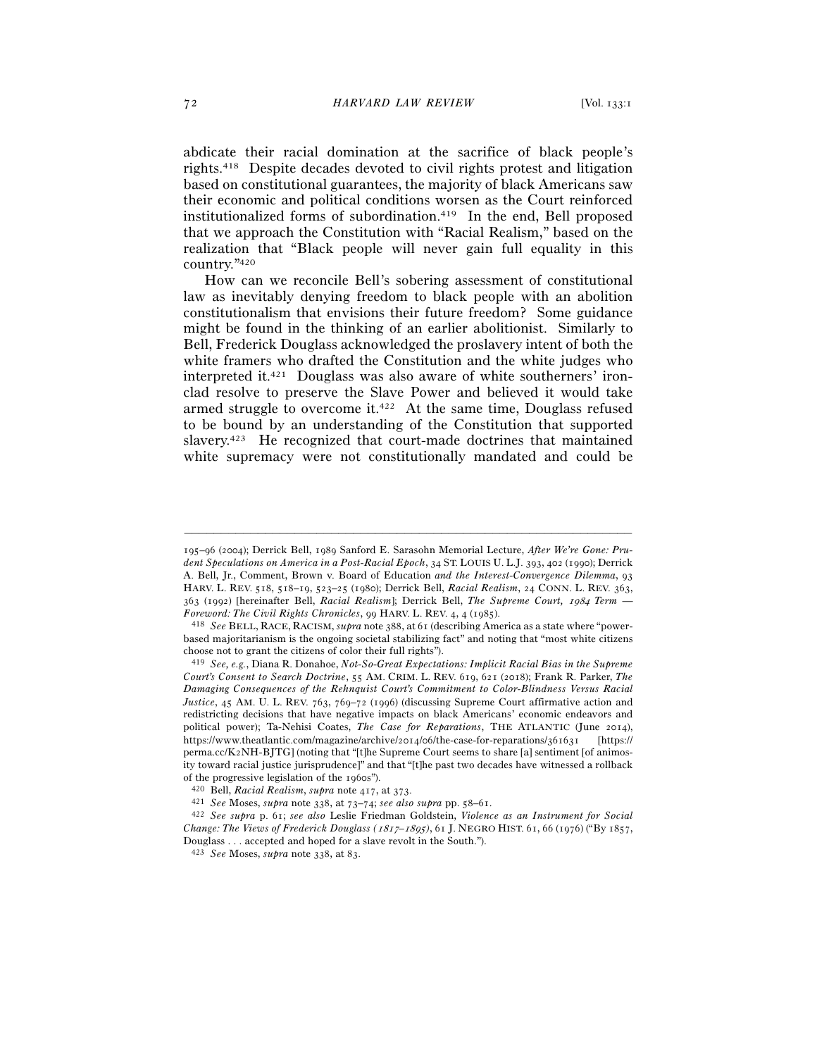abdicate their racial domination at the sacrifice of black people's rights.418 Despite decades devoted to civil rights protest and litigation based on constitutional guarantees, the majority of black Americans saw their economic and political conditions worsen as the Court reinforced institutionalized forms of subordination.419 In the end, Bell proposed that we approach the Constitution with "Racial Realism," based on the realization that "Black people will never gain full equality in this country."420

How can we reconcile Bell's sobering assessment of constitutional law as inevitably denying freedom to black people with an abolition constitutionalism that envisions their future freedom? Some guidance might be found in the thinking of an earlier abolitionist. Similarly to Bell, Frederick Douglass acknowledged the proslavery intent of both the white framers who drafted the Constitution and the white judges who interpreted it.421 Douglass was also aware of white southerners' ironclad resolve to preserve the Slave Power and believed it would take armed struggle to overcome it.422 At the same time, Douglass refused to be bound by an understanding of the Constitution that supported slavery.423 He recognized that court-made doctrines that maintained white supremacy were not constitutionally mandated and could be

<sup>195</sup>–96 (2004); Derrick Bell, 1989 Sanford E. Sarasohn Memorial Lecture, *After We're Gone: Prudent Speculations on America in a Post-Racial Epoch*, 34 ST. LOUIS U. L.J. 393, 402 (1990); Derrick A. Bell, Jr., Comment, Brown v. Board of Education *and the Interest-Convergence Dilemma*, 93 HARV. L. REV. 518, 518–19, 523–25 (1980); Derrick Bell, *Racial Realism*, 24 CONN. L. REV. 363, 363 (1992) [hereinafter Bell, *Racial Realism*]; Derrick Bell, *The Supreme Court,* 1984 *Term* — *Foreword: The Civil Rights Chronicles*, 99 HARV. L. REV. 4, 4 (<sup>1985</sup>). 418 *See* BELL, RACE, RACISM, *supra* note 388, at 61 (describing America as a state where "power-

based majoritarianism is the ongoing societal stabilizing fact" and noting that "most white citizens choose not to grant the citizens of color their full rights").

<sup>419</sup> *See, e.g.*, Diana R. Donahoe, *Not-So-Great Expectations: Implicit Racial Bias in the Supreme Court's Consent to Search Doctrine*, 55 AM. CRIM. L. REV. 619, 621 (2018); Frank R. Parker, *The Damaging Consequences of the Rehnquist Court's Commitment to Color-Blindness Versus Racial Justice*, 45 AM. U. L. REV. 763, 769–72 (1996) (discussing Supreme Court affirmative action and redistricting decisions that have negative impacts on black Americans' economic endeavors and political power); Ta-Nehisi Coates, *The Case for Reparations*, THE ATLANTIC (June 2014), https://www.theatlantic.com/magazine/archive/2014/06/the-case-for-reparations/361631 [https:// perma.cc/K2NH-BJTG] (noting that "[t]he Supreme Court seems to share [a] sentiment [of animosity toward racial justice jurisprudence]" and that "[t]he past two decades have witnessed a rollback % of the progressive legislation of the 1960s").<br>  $^{420}$  Bell, Racial Realism, supra note 417, at 373.<br>  $^{421}$  See Moses, supra note 338, at 73–74; see also supra pp. 58–61.<br>  $^{421}$  See supra p. 61; see also Leslie Fri

*Change: The Views of Frederick Douglass (*1817–1895*)*, 61 J. NEGRO HIST. 61, 66 (1976) ("By 1857, Douglass . . . accepted and hoped for a slave revolt in the South.").

<sup>423</sup> *See* Moses, *supra* note 338, at 83.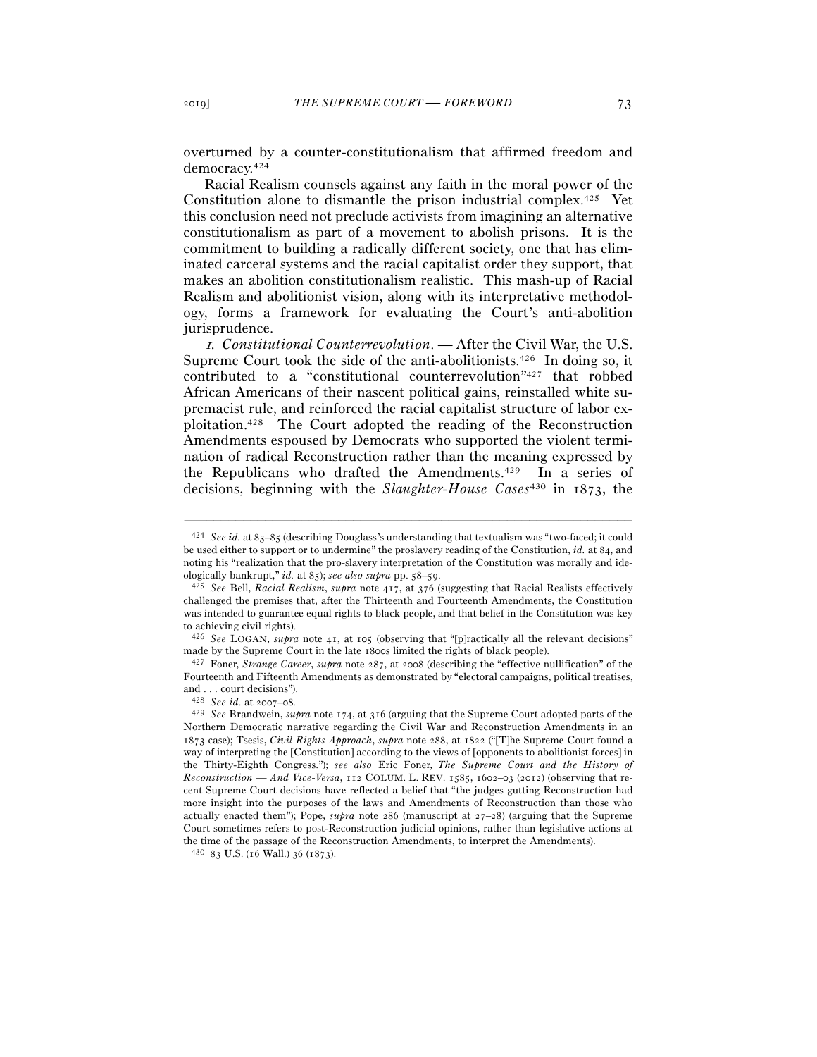overturned by a counter-constitutionalism that affirmed freedom and democracy.424

Racial Realism counsels against any faith in the moral power of the Constitution alone to dismantle the prison industrial complex.425 Yet this conclusion need not preclude activists from imagining an alternative constitutionalism as part of a movement to abolish prisons. It is the commitment to building a radically different society, one that has eliminated carceral systems and the racial capitalist order they support, that makes an abolition constitutionalism realistic. This mash-up of Racial Realism and abolitionist vision, along with its interpretative methodology, forms a framework for evaluating the Court's anti-abolition jurisprudence.

<sup>1</sup>*. Constitutional Counterrevolution*. — After the Civil War, the U.S. Supreme Court took the side of the anti-abolitionists.426 In doing so, it contributed to a "constitutional counterrevolution"427 that robbed African Americans of their nascent political gains, reinstalled white supremacist rule, and reinforced the racial capitalist structure of labor exploitation.428 The Court adopted the reading of the Reconstruction Amendments espoused by Democrats who supported the violent termination of radical Reconstruction rather than the meaning expressed by the Republicans who drafted the Amendments.429 In a series of decisions, beginning with the *Slaughter-House Cases*430 in 1873, the

–––––––––––––––––––––––––––––––––––––––––––––––––––––––––––––

made by the Supreme Court in the late <sup>1800</sup>s limited the rights of black people). 427 Foner, *Strange Career*, *supra* note 287, at 2008 (describing the "effective nullification" of the Fourteenth and Fifteenth Amendments as demonstrated by "electoral campaigns, political treatises, and . . . court decisions").

<sup>424</sup> *See id.* at 83–85 (describing Douglass's understanding that textualism was "two-faced; it could be used either to support or to undermine" the proslavery reading of the Constitution, *id.* at 84, and noting his "realization that the pro-slavery interpretation of the Constitution was morally and ide-<br>ologically bankrupt," id. at 85); see also supra pp.  $58-59$ .

ologically bankrupt," *id.* at 85); *see also supra* pp. 58–<sup>59</sup>. 425 *See* Bell, *Racial Realism*, *supra* note 417, at 376 (suggesting that Racial Realists effectively challenged the premises that, after the Thirteenth and Fourteenth Amendments, the Constitution was intended to guarantee equal rights to black people, and that belief in the Constitution was key to achieving civil rights).

<sup>426</sup> *See* LOGAN, *supra* note 41, at 105 (observing that "[p]ractically all the relevant decisions"

<sup>428</sup> *See id*. at 2007–08*.*

<sup>429</sup> *See* Brandwein, *supra* note 174, at 316 (arguing that the Supreme Court adopted parts of the Northern Democratic narrative regarding the Civil War and Reconstruction Amendments in an 1873 case); Tsesis, *Civil Rights Approach*, *supra* note 288, at 1822 ("[T]he Supreme Court found a way of interpreting the [Constitution] according to the views of [opponents to abolitionist forces] in the Thirty-Eighth Congress."); *see also* Eric Foner, *The Supreme Court and the History of Reconstruction — And Vice-Versa*, 112 COLUM. L. REV. 1585, 1602–03 (2012) (observing that recent Supreme Court decisions have reflected a belief that "the judges gutting Reconstruction had more insight into the purposes of the laws and Amendments of Reconstruction than those who actually enacted them"); Pope, *supra* note 286 (manuscript at 27–28) (arguing that the Supreme Court sometimes refers to post-Reconstruction judicial opinions, rather than legislative actions at the time of the passage of the Reconstruction Amendments, to interpret the Amendments).  $^{430}$  83 U.S. (16 Wall.) 36 (1873).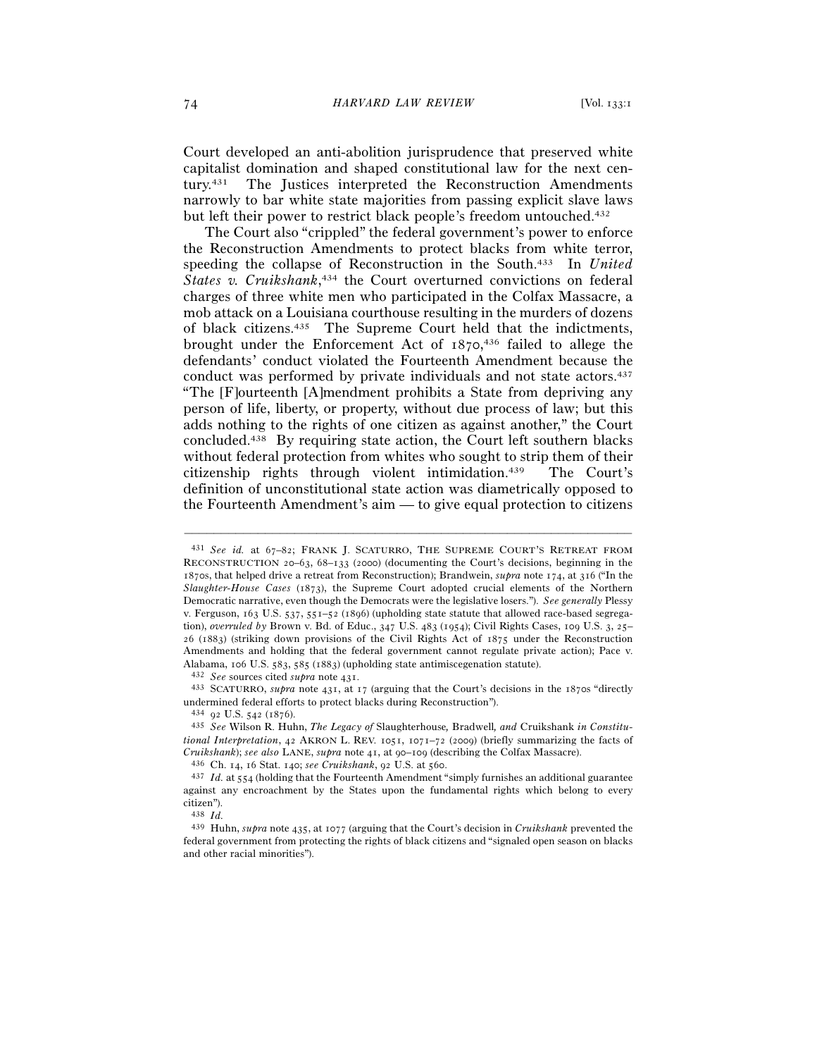Court developed an anti-abolition jurisprudence that preserved white capitalist domination and shaped constitutional law for the next century.431 The Justices interpreted the Reconstruction Amendments narrowly to bar white state majorities from passing explicit slave laws but left their power to restrict black people's freedom untouched.432

The Court also "crippled" the federal government's power to enforce the Reconstruction Amendments to protect blacks from white terror, speeding the collapse of Reconstruction in the South.433 In *United States v. Cruikshank*, 434 the Court overturned convictions on federal charges of three white men who participated in the Colfax Massacre, a mob attack on a Louisiana courthouse resulting in the murders of dozens of black citizens.435 The Supreme Court held that the indictments, brought under the Enforcement Act of 1870, 436 failed to allege the defendants' conduct violated the Fourteenth Amendment because the conduct was performed by private individuals and not state actors.437 "The [F]ourteenth [A]mendment prohibits a State from depriving any person of life, liberty, or property, without due process of law; but this adds nothing to the rights of one citizen as against another," the Court concluded.438 By requiring state action, the Court left southern blacks without federal protection from whites who sought to strip them of their citizenship rights through violent intimidation.439 The Court's definition of unconstitutional state action was diametrically opposed to the Fourteenth Amendment's aim — to give equal protection to citizens

<sup>431</sup> *See id.* at 67–82; FRANK J. SCATURRO, THE SUPREME COURT'S RETREAT FROM RECONSTRUCTION 20–63, 68–133 (2000) (documenting the Court's decisions, beginning in the 1870s, that helped drive a retreat from Reconstruction); Brandwein, *supra* note 174, at 316 ("In the *Slaughter-House Cases* (1873), the Supreme Court adopted crucial elements of the Northern Democratic narrative, even though the Democrats were the legislative losers."). *See generally* Plessy v. Ferguson, 163 U.S. 537, 551–52 (1896) (upholding state statute that allowed race-based segregation), *overruled by* Brown v. Bd. of Educ., 347 U.S. 483 (1954); Civil Rights Cases, 109 U.S. 3, 25– 26 (1883) (striking down provisions of the Civil Rights Act of 1875 under the Reconstruction Amendments and holding that the federal government cannot regulate private action); Pace v. Alabama, 106 U.S. 583, 585 (1883) (upholding state antimisce<br>genation statute). <br>  $^{432}$   $\it See$  sources cited<br>  $\it suppra$  note 431. <br> <br>  $^{432}$  SCATURRO,  $\it suppra$  note 431, at 17 (arguing that the Court's decisions in the 1870s

undermined federal efforts to protect blacks during Reconstruction").

<sup>434</sup> <sup>92</sup> U.S. 542 (<sup>1876</sup>). 435 *See* Wilson R. Huhn, *The Legacy of* Slaughterhouse*,* Bradwell*, and* Cruikshank *in Constitutional Interpretation*, 42 AKRON L. REV. 1051, 1071–72 (2009) (briefly summarizing the facts of  $Cruikshank)$ ; see also LANE, supra note 41, at 90–109 (describing the Colfax Massacre).<br>  $^{436}$  Ch. 14, 16 Stat. 140; see Cruikshank, 92 U.S. at 560.<br>  $^{437}$  Id. at 554 (holding that the Fourteenth Amendment "simply furnish

against any encroachment by the States upon the fundamental rights which belong to every citizen").

<sup>438</sup> *Id.*

<sup>439</sup> Huhn, *supra* note 435, at 1077 (arguing that the Court's decision in *Cruikshank* prevented the federal government from protecting the rights of black citizens and "signaled open season on blacks and other racial minorities").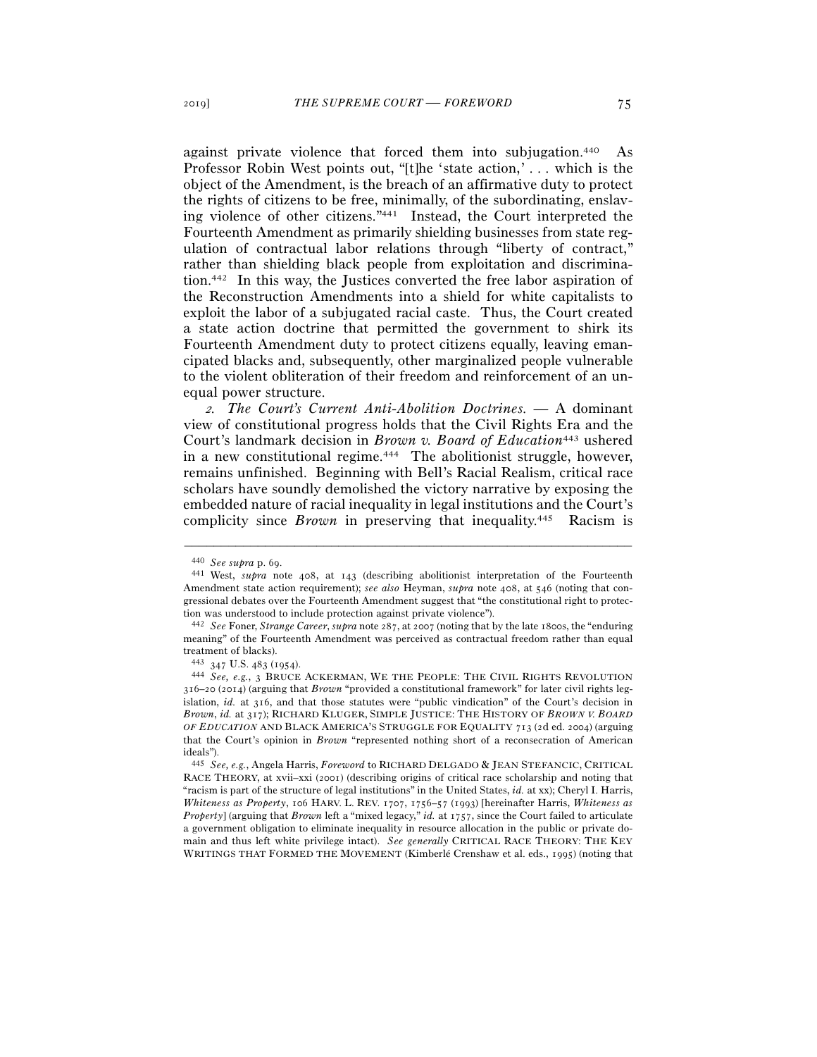against private violence that forced them into subjugation.440 As Professor Robin West points out, "[t]he 'state action,' . . . which is the object of the Amendment, is the breach of an affirmative duty to protect the rights of citizens to be free, minimally, of the subordinating, enslaving violence of other citizens."441 Instead, the Court interpreted the Fourteenth Amendment as primarily shielding businesses from state regulation of contractual labor relations through "liberty of contract," rather than shielding black people from exploitation and discrimination.442 In this way, the Justices converted the free labor aspiration of the Reconstruction Amendments into a shield for white capitalists to exploit the labor of a subjugated racial caste. Thus, the Court created a state action doctrine that permitted the government to shirk its Fourteenth Amendment duty to protect citizens equally, leaving emancipated blacks and, subsequently, other marginalized people vulnerable to the violent obliteration of their freedom and reinforcement of an unequal power structure.

<sup>2</sup>*. The Court's Current Anti-Abolition Doctrines. —* A dominant view of constitutional progress holds that the Civil Rights Era and the Court's landmark decision in *Brown v. Board of Education*443 ushered in a new constitutional regime.444 The abolitionist struggle, however, remains unfinished. Beginning with Bell's Racial Realism, critical race scholars have soundly demolished the victory narrative by exposing the embedded nature of racial inequality in legal institutions and the Court's complicity since *Brown* in preserving that inequality.445 Racism is

<sup>440</sup> *See supra* p. <sup>69</sup>. 441 West, *supra* note 408, at 143 (describing abolitionist interpretation of the Fourteenth Amendment state action requirement); *see also* Heyman, *supra* note 408, at 546 (noting that congressional debates over the Fourteenth Amendment suggest that "the constitutional right to protection was understood to include protection against private violence"). 442 *See* Foner, *Strange Career*, *supra* note 287, at 2007 (noting that by the late 1800s, the "enduring

meaning" of the Fourteenth Amendment was perceived as contractual freedom rather than equal treatment of blacks).<br> $443$   $347$  U.S.  $483$  (1954).

<sup>&</sup>lt;sup>444</sup> See, e.g., 3 BRUCE ACKERMAN, WE THE PEOPLE: THE CIVIL RIGHTS REVOLUTION 316–20 (2014) (arguing that *Brown* "provided a constitutional framework" for later civil rights legislation, *id.* at 316, and that those statutes were "public vindication" of the Court's decision in *Brown*, *id.* at 317); RICHARD KLUGER, SIMPLE JUSTICE: THE HISTORY OF *BROWN V. BOARD OF EDUCATION* AND BLACK AMERICA'S STRUGGLE FOR EQUALITY 713 (2d ed. 2004) (arguing that the Court's opinion in *Brown* "represented nothing short of a reconsecration of American ideals").

<sup>445</sup> *See, e.g.*, Angela Harris, *Foreword* to RICHARD DELGADO & JEAN STEFANCIC, CRITICAL RACE THEORY, at xvii–xxi (2001) (describing origins of critical race scholarship and noting that "racism is part of the structure of legal institutions" in the United States, *id.* at xx); Cheryl I. Harris, *Whiteness as Property*, 106 HARV. L. REV. 1707, 1756–57 (1993) [hereinafter Harris, *Whiteness as Property*] (arguing that *Brown* left a "mixed legacy," *id.* at 1757, since the Court failed to articulate a government obligation to eliminate inequality in resource allocation in the public or private domain and thus left white privilege intact). *See generally* CRITICAL RACE THEORY: THE KEY WRITINGS THAT FORMED THE MOVEMENT (Kimberlé Crenshaw et al. eds., 1995) (noting that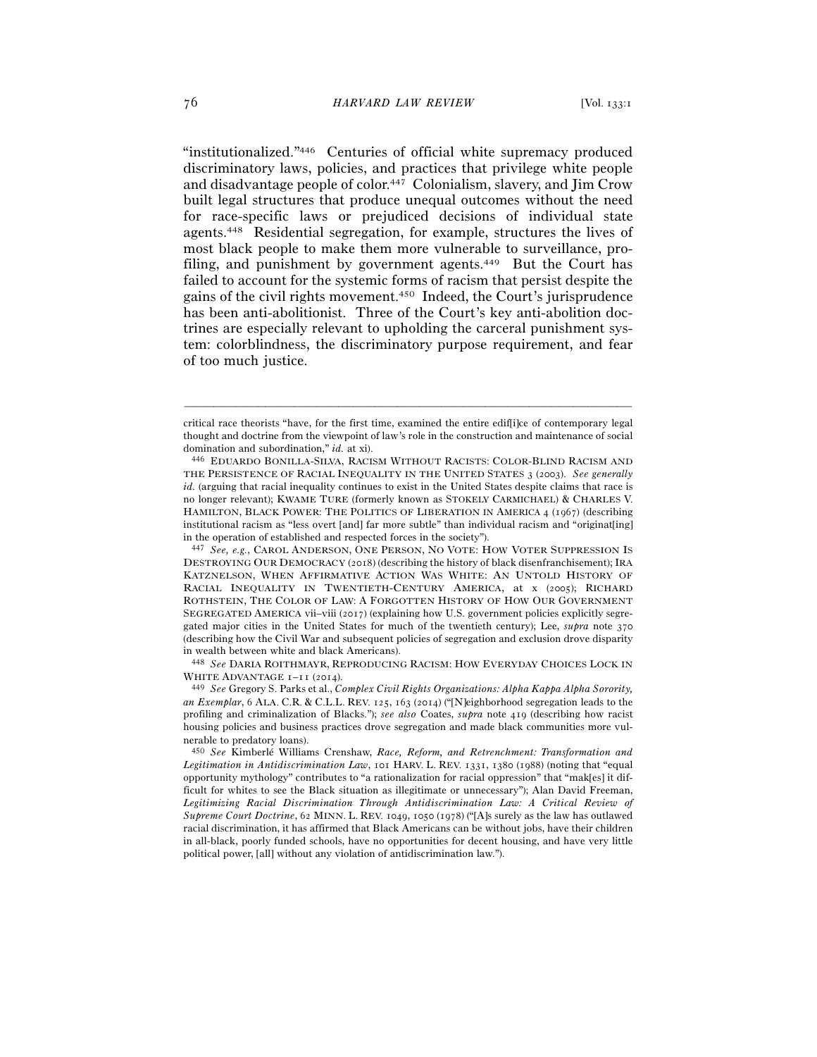"institutionalized."446 Centuries of official white supremacy produced discriminatory laws, policies, and practices that privilege white people and disadvantage people of color.447 Colonialism, slavery, and Jim Crow built legal structures that produce unequal outcomes without the need for race-specific laws or prejudiced decisions of individual state agents.448 Residential segregation, for example, structures the lives of most black people to make them more vulnerable to surveillance, profiling, and punishment by government agents.<sup>449</sup> But the Court has failed to account for the systemic forms of racism that persist despite the gains of the civil rights movement.450 Indeed, the Court's jurisprudence has been anti-abolitionist. Three of the Court's key anti-abolition doctrines are especially relevant to upholding the carceral punishment system: colorblindness, the discriminatory purpose requirement, and fear of too much justice.

critical race theorists "have, for the first time, examined the entire edif[i]ce of contemporary legal thought and doctrine from the viewpoint of law's role in the construction and maintenance of social domination and subordination," *id.* at xi). 446 EDUARDO BONILLA-SILVA, RACISM WITHOUT RACISTS: COLOR-BLIND RACISM AND

THE PERSISTENCE OF RACIAL INEQUALITY IN THE UNITED STATES 3 (2003). *See generally id.* (arguing that racial inequality continues to exist in the United States despite claims that race is no longer relevant); KWAME TURE (formerly known as STOKELY CARMICHAEL) & CHARLES V. HAMILTON, BLACK POWER: THE POLITICS OF LIBERATION IN AMERICA 4 (1967) (describing institutional racism as "less overt [and] far more subtle" than individual racism and "originat[ing] in the operation of established and respected forces in the society").

<sup>447</sup> *See, e.g.*, CAROL ANDERSON, ONE PERSON, NO VOTE: HOW VOTER SUPPRESSION IS DESTROYING OUR DEMOCRACY (2018) (describing the history of black disenfranchisement); IRA KATZNELSON, WHEN AFFIRMATIVE ACTION WAS WHITE: AN UNTOLD HISTORY OF RACIAL INEQUALITY IN TWENTIETH-CENTURY AMERICA, at x (2005); RICHARD ROTHSTEIN, THE COLOR OF LAW: A FORGOTTEN HISTORY OF HOW OUR GOVERNMENT SEGREGATED AMERICA vii–viii (2017) (explaining how U.S. government policies explicitly segregated major cities in the United States for much of the twentieth century); Lee, *supra* note 370 (describing how the Civil War and subsequent policies of segregation and exclusion drove disparity in wealth between white and black Americans).

<sup>448</sup> *See* DARIA ROITHMAYR, REPRODUCING RACISM: HOW EVERYDAY CHOICES LOCK IN WHITE ADVANTAGE 1–11 (<sup>2014</sup>). 449 *See* Gregory S. Parks et al., *Complex Civil Rights Organizations: Alpha Kappa Alpha Sorority,* 

*an Exemplar*, 6 ALA. C.R. & C.L.L. REV. 125, 163 (2014) ("[N]eighborhood segregation leads to the profiling and criminalization of Blacks."); *see also* Coates, *supra* note 419 (describing how racist housing policies and business practices drove segregation and made black communities more vulnerable to predatory loans).

<sup>450</sup> *See* Kimberlé Williams Crenshaw, *Race, Reform, and Retrenchment: Transformation and Legitimation in Antidiscrimination Law*, 101 HARV. L. REV. 1331, 1380 (1988) (noting that "equal opportunity mythology" contributes to "a rationalization for racial oppression" that "mak[es] it difficult for whites to see the Black situation as illegitimate or unnecessary"); Alan David Freeman, *Legitimizing Racial Discrimination Through Antidiscrimination Law: A Critical Review of Supreme Court Doctrine*, 62 MINN. L. REV. 1049, 1050 (1978) ("[A]s surely as the law has outlawed racial discrimination, it has affirmed that Black Americans can be without jobs, have their children in all-black, poorly funded schools, have no opportunities for decent housing, and have very little political power, [all] without any violation of antidiscrimination law.").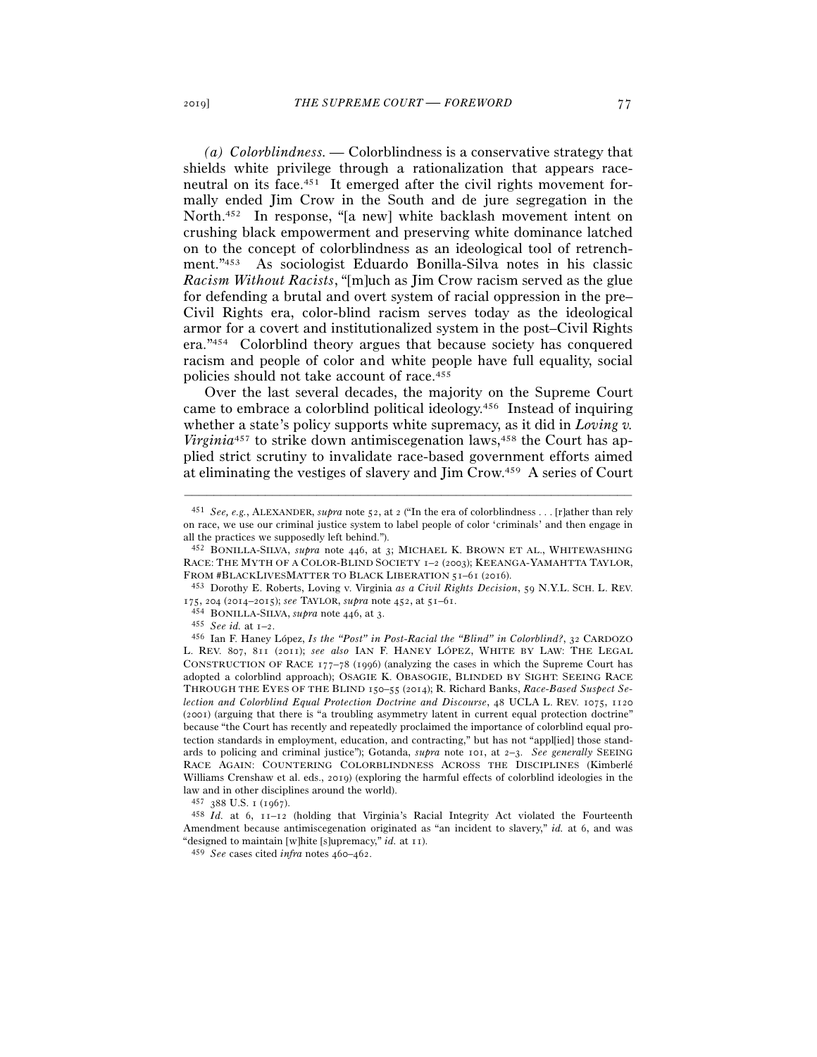*(a) Colorblindness. —* Colorblindness is a conservative strategy that shields white privilege through a rationalization that appears raceneutral on its face.451 It emerged after the civil rights movement formally ended Jim Crow in the South and de jure segregation in the North.452 In response, "[a new] white backlash movement intent on crushing black empowerment and preserving white dominance latched on to the concept of colorblindness as an ideological tool of retrenchment."453 As sociologist Eduardo Bonilla-Silva notes in his classic *Racism Without Racists*, "[m]uch as Jim Crow racism served as the glue for defending a brutal and overt system of racial oppression in the pre– Civil Rights era, color-blind racism serves today as the ideological armor for a covert and institutionalized system in the post–Civil Rights era."454 Colorblind theory argues that because society has conquered racism and people of color and white people have full equality, social policies should not take account of race.455

Over the last several decades, the majority on the Supreme Court came to embrace a colorblind political ideology.456 Instead of inquiring whether a state's policy supports white supremacy, as it did in *Loving v. Virginia*<sup>457</sup> to strike down antimiscegenation laws,<sup>458</sup> the Court has applied strict scrutiny to invalidate race-based government efforts aimed at eliminating the vestiges of slavery and Jim Crow.459 A series of Court

–––––––––––––––––––––––––––––––––––––––––––––––––––––––––––––

453 Dorothy E. Roberts, Loving v. Virginia *as a Civil Rights Decision*, 59 N.Y.L. SCH. L. REV. <sup>175</sup>, 204 (2014–2015); *see* TAYLOR, *supra* note 452, at 51–<sup>61</sup>. 454 BONILLA-SILVA, *supra* note 446, at <sup>3</sup>. 455 *See id.* at 1–2.

<sup>456</sup> Ian F. Haney López, *Is the "Post" in Post-Racial the "Blind" in Colorblind?*, 32 CARDOZO L. REV. 807, 811 (2011); *see also* IAN F. HANEY LÓPEZ, WHITE BY LAW: THE LEGAL CONSTRUCTION OF RACE 177–78 (1996) (analyzing the cases in which the Supreme Court has adopted a colorblind approach); OSAGIE K. OBASOGIE, BLINDED BY SIGHT: SEEING RACE THROUGH THE EYES OF THE BLIND 150–55 (2014); R. Richard Banks, *Race-Based Suspect Selection and Colorblind Equal Protection Doctrine and Discourse*, 48 UCLA L. REV. 1075, 1120 (2001) (arguing that there is "a troubling asymmetry latent in current equal protection doctrine" because "the Court has recently and repeatedly proclaimed the importance of colorblind equal protection standards in employment, education, and contracting," but has not "appl[ied] those standards to policing and criminal justice"); Gotanda, *supra* note 101, at 2–3. *See generally* SEEING RACE AGAIN: COUNTERING COLORBLINDNESS ACROSS THE DISCIPLINES (Kimberlé Williams Crenshaw et al. eds., 2019) (exploring the harmful effects of colorblind ideologies in the law and in other disciplines around the world).

 $^{457}$  388 U.S. 1 (1967).  $^{458}$   $Id.$  at 6, 11–12 (holding that Virginia's Racial Integrity Act violated the Fourteenth Amendment because antimiscegenation originated as "an incident to slavery," *id.* at 6, and was "designed to maintain [w]hite [s]upremacy," *id.* at 11).

<sup>459</sup> *See* cases cited *infra* notes 460–462.

<sup>451</sup> *See, e.g.*, ALEXANDER, *supra* note 52, at 2 ("In the era of colorblindness . . . [r]ather than rely on race, we use our criminal justice system to label people of color 'criminals' and then engage in all the practices we supposedly left behind.").

<sup>452</sup> BONILLA-SILVA, *supra* note 446, at 3; MICHAEL K. BROWN ET AL., WHITEWASHING RACE: THE MYTH OF A COLOR-BLIND SOCIETY 1–2 (2003); KEEANGA-YAMAHTTA TAYLOR, FROM #BLACKLIVESMATTER TO BLACK LIBERATION 51–61 (2016).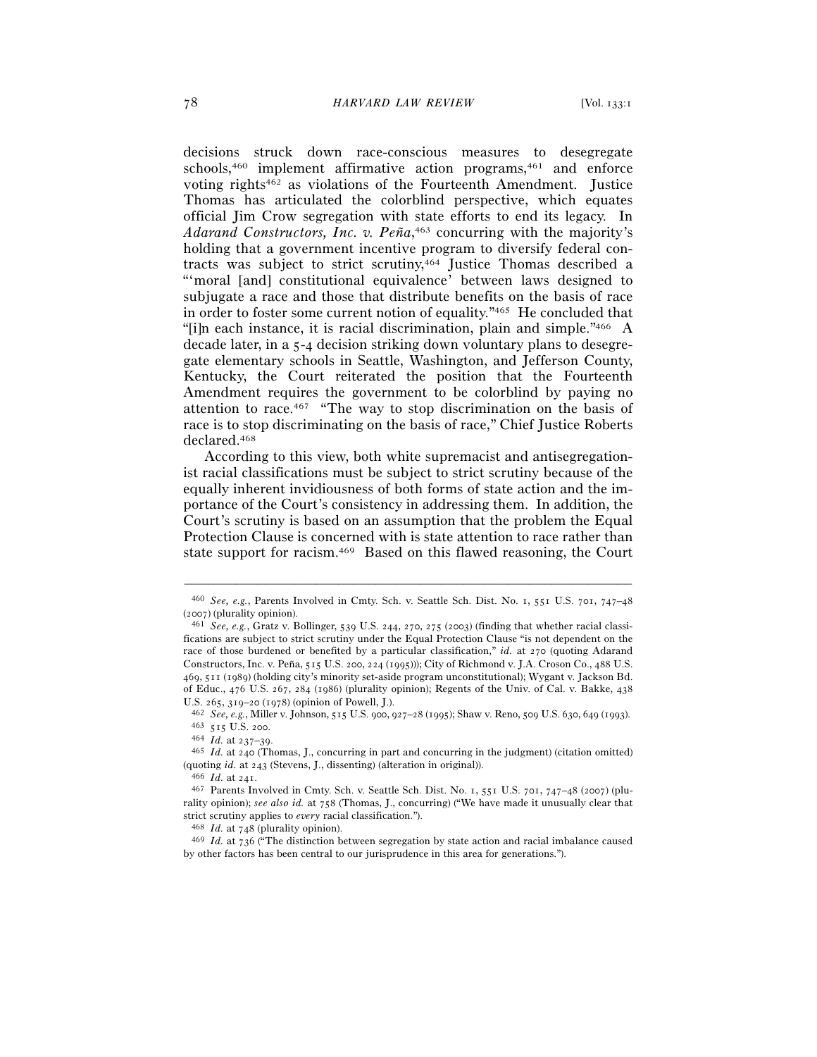decisions struck down race-conscious measures to desegregate schools,<sup>460</sup> implement affirmative action programs,<sup>461</sup> and enforce voting rights462 as violations of the Fourteenth Amendment. Justice Thomas has articulated the colorblind perspective, which equates official Jim Crow segregation with state efforts to end its legacy. In *Adarand Constructors, Inc. v. Peña*, 463 concurring with the majority's holding that a government incentive program to diversify federal contracts was subject to strict scrutiny,464 Justice Thomas described a "'moral [and] constitutional equivalence' between laws designed to subjugate a race and those that distribute benefits on the basis of race in order to foster some current notion of equality."465 He concluded that "[i]n each instance, it is racial discrimination, plain and simple."466 A decade later, in a 5-4 decision striking down voluntary plans to desegregate elementary schools in Seattle, Washington, and Jefferson County, Kentucky, the Court reiterated the position that the Fourteenth Amendment requires the government to be colorblind by paying no attention to race.467 "The way to stop discrimination on the basis of race is to stop discriminating on the basis of race," Chief Justice Roberts declared.468

According to this view, both white supremacist and antisegregationist racial classifications must be subject to strict scrutiny because of the equally inherent invidiousness of both forms of state action and the importance of the Court's consistency in addressing them. In addition, the Court's scrutiny is based on an assumption that the problem the Equal Protection Clause is concerned with is state attention to race rather than state support for racism.469 Based on this flawed reasoning, the Court

<sup>–––––––––––––––––––––––––––––––––––––––––––––––––––––––––––––</sup> <sup>460</sup> *See, e.g.*, Parents Involved in Cmty. Sch. v. Seattle Sch. Dist. No. 1, 551 U.S. 701, 747–48 (<sup>2007</sup>) (plurality opinion). 461 *See, e.g.*, Gratz v. Bollinger, 539 U.S. 244, 270, 275 (2003) (finding that whether racial classi-

fications are subject to strict scrutiny under the Equal Protection Clause "is not dependent on the race of those burdened or benefited by a particular classification," *id.* at 270 (quoting Adarand Constructors, Inc. v. Peña, 515 U.S. 200, 224 (1995))); City of Richmond v. J.A. Croson Co., 488 U.S. 469, 511 (1989) (holding city's minority set-aside program unconstitutional); Wygant v. Jackson Bd. of Educ., 476 U.S. 267, 284 (1986) (plurality opinion); Regents of the Univ. of Cal. v. Bakke, 438

U.S. 265, 319–20 (1978) (opinion of Powell, J.).<br>  $^{462}$  See, e.g., Miller v. Johnson, 515 U.S. 900, 927–28 (1995); Shaw v. Reno, 509 U.S. 630, 649 (1993).<br>  $^{463}$  515 U.S. 200.<br>  $^{464}$  Id. at 237–39.<br>  $^{465}$  Id. at 2

<sup>(</sup>quoting *id.* at <sup>243</sup> (Stevens, J., dissenting) (alteration in original)). 466 *Id.* at <sup>241</sup>. 467 Parents Involved in Cmty. Sch. v. Seattle Sch. Dist. No. 1, 551 U.S. 701, 747–48 (2007) (plu-

rality opinion); *see also id.* at 758 (Thomas, J., concurring) ("We have made it unusually clear that

strict scrutiny applies to *every* racial classification."). 468 *Id.* at <sup>748</sup> (plurality opinion). 469 *Id.* at 736 ("The distinction between segregation by state action and racial imbalance caused by other factors has been central to our jurisprudence in this area for generations.").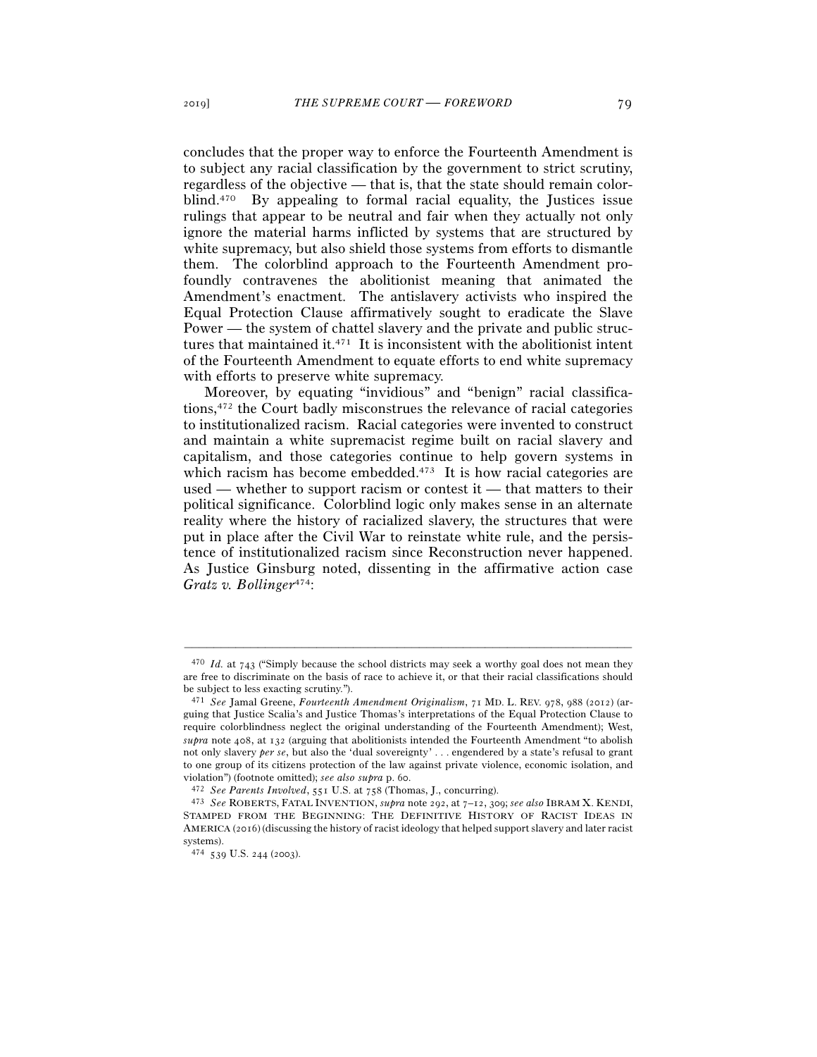concludes that the proper way to enforce the Fourteenth Amendment is to subject any racial classification by the government to strict scrutiny, regardless of the objective — that is, that the state should remain colorblind.470 By appealing to formal racial equality, the Justices issue rulings that appear to be neutral and fair when they actually not only ignore the material harms inflicted by systems that are structured by white supremacy, but also shield those systems from efforts to dismantle them. The colorblind approach to the Fourteenth Amendment profoundly contravenes the abolitionist meaning that animated the Amendment's enactment. The antislavery activists who inspired the Equal Protection Clause affirmatively sought to eradicate the Slave Power — the system of chattel slavery and the private and public structures that maintained it.471 It is inconsistent with the abolitionist intent of the Fourteenth Amendment to equate efforts to end white supremacy with efforts to preserve white supremacy.

Moreover, by equating "invidious" and "benign" racial classifications,472 the Court badly misconstrues the relevance of racial categories to institutionalized racism. Racial categories were invented to construct and maintain a white supremacist regime built on racial slavery and capitalism, and those categories continue to help govern systems in which racism has become embedded. $473$  It is how racial categories are used — whether to support racism or contest it — that matters to their political significance. Colorblind logic only makes sense in an alternate reality where the history of racialized slavery, the structures that were put in place after the Civil War to reinstate white rule, and the persistence of institutionalized racism since Reconstruction never happened. As Justice Ginsburg noted, dissenting in the affirmative action case *Gratz v. Bollinger*474:

<sup>470</sup> *Id.* at 743 ("Simply because the school districts may seek a worthy goal does not mean they are free to discriminate on the basis of race to achieve it, or that their racial classifications should be subject to less exacting scrutiny.").

<sup>471</sup> *See* Jamal Greene, *Fourteenth Amendment Originalism*, 71 MD. L. REV. 978, 988 (2012) (arguing that Justice Scalia's and Justice Thomas's interpretations of the Equal Protection Clause to require colorblindness neglect the original understanding of the Fourteenth Amendment); West, *supra* note 408, at 132 (arguing that abolitionists intended the Fourteenth Amendment "to abolish not only slavery *per se*, but also the 'dual sovereignty' . . . engendered by a state's refusal to grant to one group of its citizens protection of the law against private violence, economic isolation, and violation") (footnote omitted); *see also supra* p. 60.<br><sup>472</sup> See Parents Involved, 551 U.S. at 758 (Thomas, J., concurring).<br><sup>473</sup> See ROBERTS, FATAL INVENTION, *supra* note 292, at 7–12, 309; see also IBRAM X. KENDI,

STAMPED FROM THE BEGINNING: THE DEFINITIVE HISTORY OF RACIST IDEAS IN AMERICA (2016) (discussing the history of racist ideology that helped support slavery and later racist systems).

<sup>474</sup> 539 U.S. 244 (2003).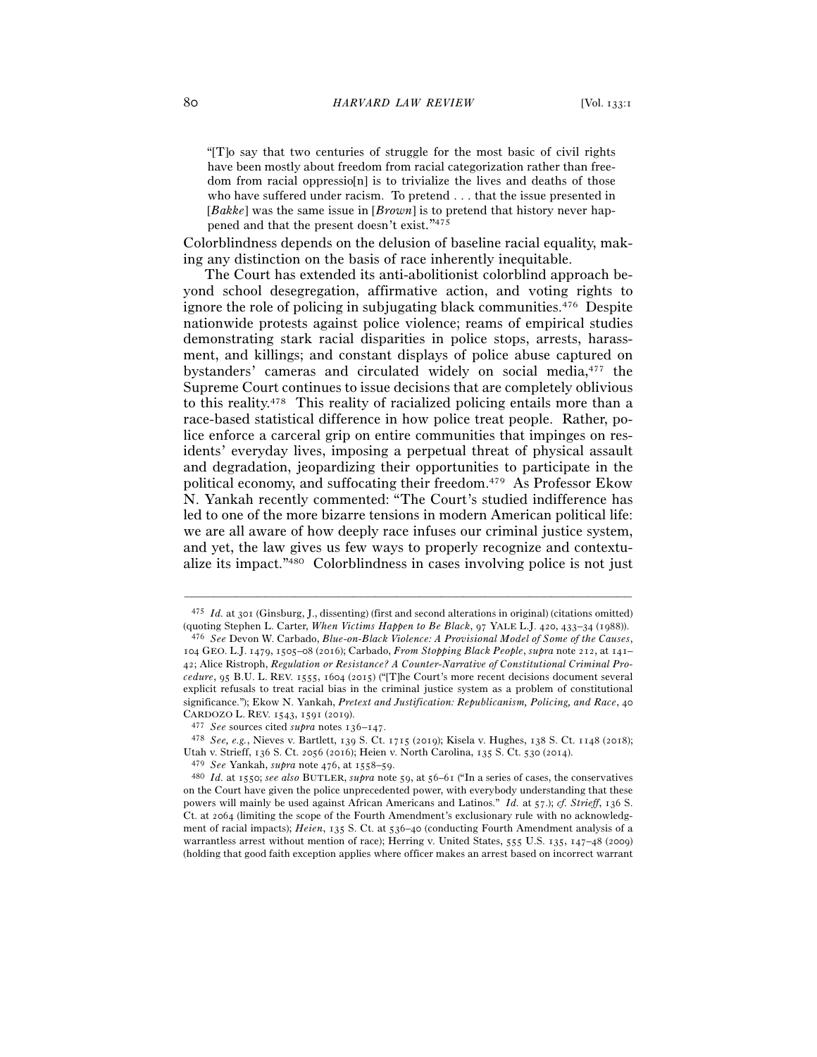"[T]o say that two centuries of struggle for the most basic of civil rights have been mostly about freedom from racial categorization rather than freedom from racial oppressio[n] is to trivialize the lives and deaths of those who have suffered under racism. To pretend . . . that the issue presented in [*Bakke*] was the same issue in [*Brown*] is to pretend that history never happened and that the present doesn't exist."475

Colorblindness depends on the delusion of baseline racial equality, making any distinction on the basis of race inherently inequitable.

The Court has extended its anti-abolitionist colorblind approach beyond school desegregation, affirmative action, and voting rights to ignore the role of policing in subjugating black communities.476 Despite nationwide protests against police violence; reams of empirical studies demonstrating stark racial disparities in police stops, arrests, harassment, and killings; and constant displays of police abuse captured on bystanders' cameras and circulated widely on social media,477 the Supreme Court continues to issue decisions that are completely oblivious to this reality.478 This reality of racialized policing entails more than a race-based statistical difference in how police treat people. Rather, police enforce a carceral grip on entire communities that impinges on residents' everyday lives, imposing a perpetual threat of physical assault and degradation, jeopardizing their opportunities to participate in the political economy, and suffocating their freedom.479 As Professor Ekow N. Yankah recently commented: "The Court's studied indifference has led to one of the more bizarre tensions in modern American political life: we are all aware of how deeply race infuses our criminal justice system, and yet, the law gives us few ways to properly recognize and contextualize its impact."480 Colorblindness in cases involving police is not just

<sup>475</sup> *Id.* at 301 (Ginsburg, J., dissenting) (first and second alterations in original) (citations omitted) (quoting Stephen L. Carter, *When Victims Happen to Be Black*, 97 YALE L.J. 420, 433–34 (<sup>1988</sup>)). 476 *See* Devon W. Carbado, *Blue-on-Black Violence: A Provisional Model of Some of the Causes*,

<sup>104</sup> GEO. L.J. 1479, 1505–08 (2016); Carbado, *From Stopping Black People*, *supra* note 212, at 141– 42; Alice Ristroph, *Regulation or Resistance? A Counter-Narrative of Constitutional Criminal Procedure*, 95 B.U. L. REV. 1555, 1604 (2015) ("[T]he Court's more recent decisions document several explicit refusals to treat racial bias in the criminal justice system as a problem of constitutional significance."); Ekow N. Yankah, *Pretext and Justification: Republicanism, Policing, and Race*, 40 CARDOZO L. REV. 1543, 1591 (<sup>2019</sup>). 477 *See* sources cited *supra* notes 136–<sup>147</sup>. 478 *See, e.g.*, Nieves v. Bartlett, 139 S. Ct. 1715 (2019); Kisela v. Hughes, 138 S. Ct. 1148 (2018);

Utah v. Strieff, 136 S. Ct. 2056 (2016); Heien v. North Carolina, 135 S. Ct. 530 (2014).

<sup>479</sup> *See* Yankah, *supra* note 476, at 1558–<sup>59</sup>. 480 *Id.* at 1550; *see also* BUTLER, *supra* note 59, at 56–61 ("In a series of cases, the conservatives on the Court have given the police unprecedented power, with everybody understanding that these powers will mainly be used against African Americans and Latinos." *Id.* at 57.); *cf. Strieff*, 136 S. Ct. at 2064 (limiting the scope of the Fourth Amendment's exclusionary rule with no acknowledgment of racial impacts); *Heien*, 135 S. Ct. at 536–40 (conducting Fourth Amendment analysis of a warrantless arrest without mention of race); Herring v. United States, 555 U.S. 135, 147–48 (2009) (holding that good faith exception applies where officer makes an arrest based on incorrect warrant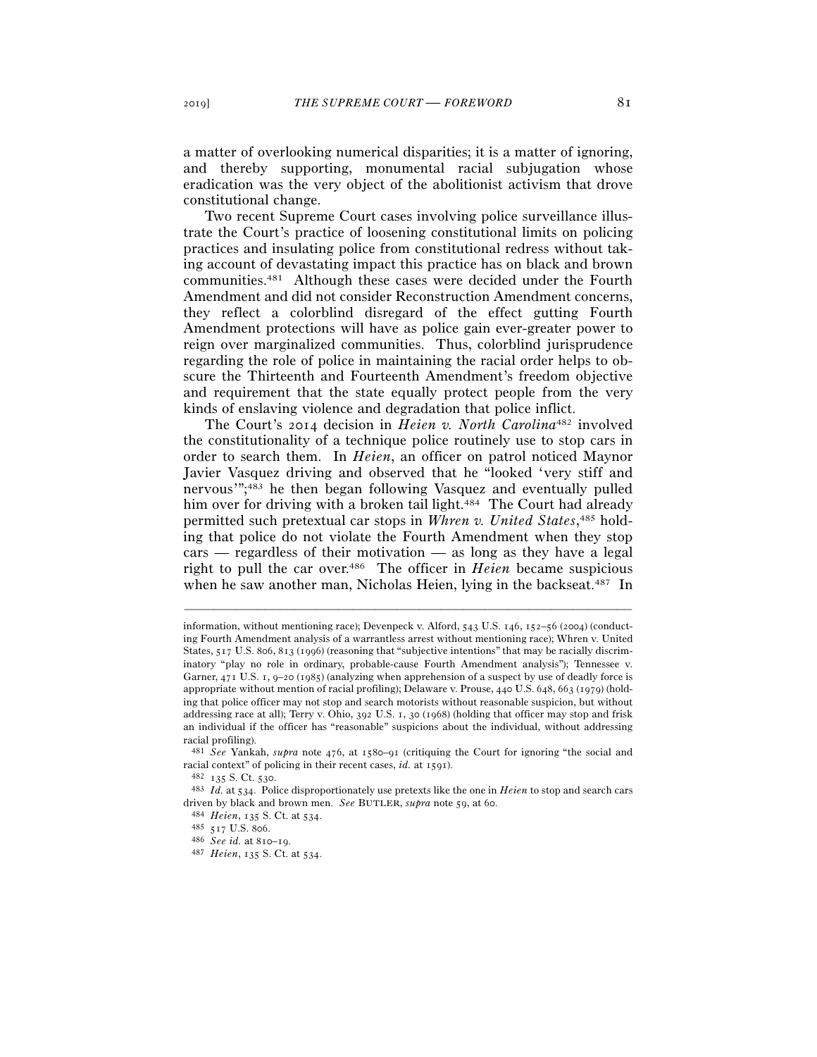a matter of overlooking numerical disparities; it is a matter of ignoring, and thereby supporting, monumental racial subjugation whose eradication was the very object of the abolitionist activism that drove constitutional change.

Two recent Supreme Court cases involving police surveillance illustrate the Court's practice of loosening constitutional limits on policing practices and insulating police from constitutional redress without taking account of devastating impact this practice has on black and brown communities.481 Although these cases were decided under the Fourth Amendment and did not consider Reconstruction Amendment concerns, they reflect a colorblind disregard of the effect gutting Fourth Amendment protections will have as police gain ever-greater power to reign over marginalized communities. Thus, colorblind jurisprudence regarding the role of police in maintaining the racial order helps to obscure the Thirteenth and Fourteenth Amendment's freedom objective and requirement that the state equally protect people from the very kinds of enslaving violence and degradation that police inflict.

The Court's 2014 decision in *Heien v. North Carolina*482 involved the constitutionality of a technique police routinely use to stop cars in order to search them. In *Heien*, an officer on patrol noticed Maynor Javier Vasquez driving and observed that he "looked 'very stiff and nervous'";483 he then began following Vasquez and eventually pulled him over for driving with a broken tail light.<sup>484</sup> The Court had already permitted such pretextual car stops in *Whren v. United States*, 485 holding that police do not violate the Fourth Amendment when they stop cars — regardless of their motivation — as long as they have a legal right to pull the car over.486 The officer in *Heien* became suspicious when he saw another man, Nicholas Heien, lying in the backseat.<sup>487</sup> In

information, without mentioning race); Devenpeck v. Alford, 543 U.S. 146, 152–56 (2004) (conducting Fourth Amendment analysis of a warrantless arrest without mentioning race); Whren v. United States, 517 U.S. 806, 813 (1996) (reasoning that "subjective intentions" that may be racially discriminatory "play no role in ordinary, probable-cause Fourth Amendment analysis"); Tennessee v. Garner, 471 U.S. 1, 9–20 (1985) (analyzing when apprehension of a suspect by use of deadly force is appropriate without mention of racial profiling); Delaware v. Prouse, 440 U.S. 648, 663 (1979) (holding that police officer may not stop and search motorists without reasonable suspicion, but without addressing race at all); Terry v. Ohio, 392 U.S. 1, 30 (1968) (holding that officer may stop and frisk an individual if the officer has "reasonable" suspicions about the individual, without addressing racial profiling).

<sup>481</sup> *See* Yankah, *supra* note 476, at 1580–91 (critiquing the Court for ignoring "the social and racial context" of policing in their recent cases, *id.* at <sup>1591</sup>). 482 <sup>135</sup> S. Ct. <sup>530</sup>. 483 *Id.* at 534. Police disproportionately use pretexts like the one in *Heien* to stop and search cars

driven by black and brown men. *See* BUTLER, *supra* note 59, at 60.<br>
<sup>484</sup> *Heien*, 135 S. Ct. at 534.<br>
<sup>485</sup> *See id.* at 810–19.<br>
<sup>487</sup> *Heien*, 135 S. Ct. at 534.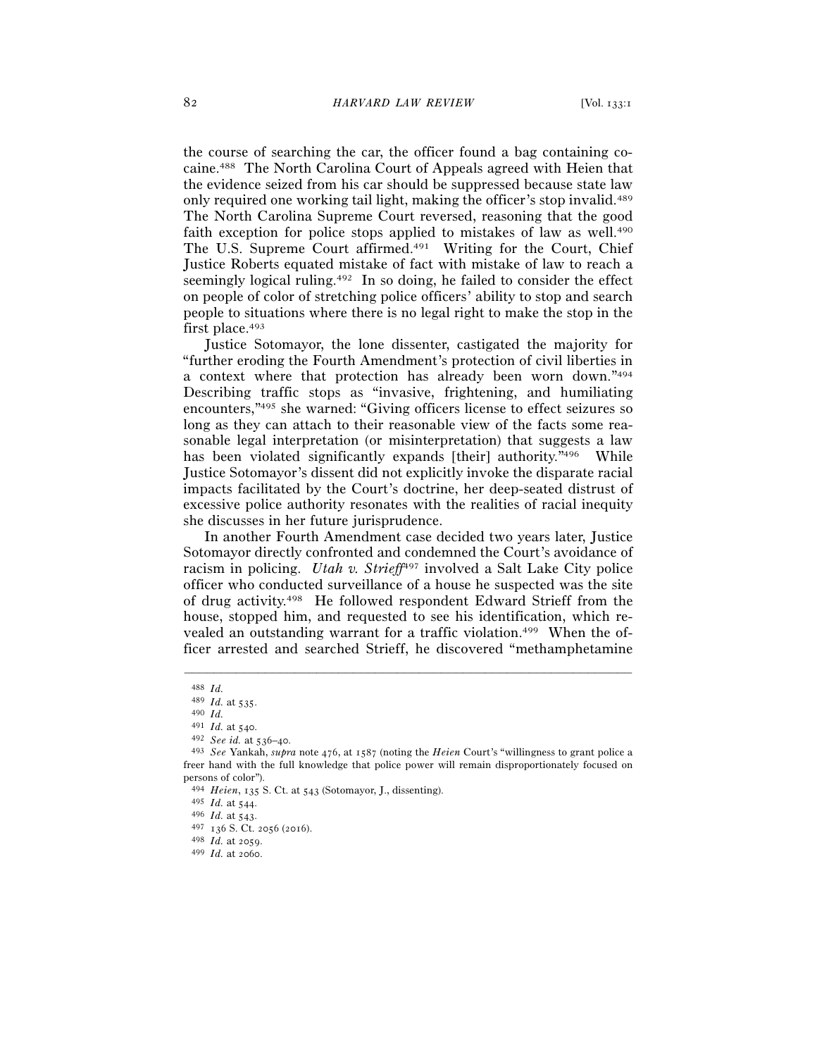the course of searching the car, the officer found a bag containing cocaine.488 The North Carolina Court of Appeals agreed with Heien that the evidence seized from his car should be suppressed because state law only required one working tail light, making the officer's stop invalid.489 The North Carolina Supreme Court reversed, reasoning that the good faith exception for police stops applied to mistakes of law as well.<sup>490</sup> The U.S. Supreme Court affirmed.491 Writing for the Court, Chief Justice Roberts equated mistake of fact with mistake of law to reach a seemingly logical ruling.492 In so doing, he failed to consider the effect on people of color of stretching police officers' ability to stop and search people to situations where there is no legal right to make the stop in the first place.<sup>493</sup>

Justice Sotomayor, the lone dissenter, castigated the majority for "further eroding the Fourth Amendment's protection of civil liberties in a context where that protection has already been worn down."494 Describing traffic stops as "invasive, frightening, and humiliating encounters,"495 she warned: "Giving officers license to effect seizures so long as they can attach to their reasonable view of the facts some reasonable legal interpretation (or misinterpretation) that suggests a law has been violated significantly expands [their] authority."<sup>496</sup> While Justice Sotomayor's dissent did not explicitly invoke the disparate racial impacts facilitated by the Court's doctrine, her deep-seated distrust of excessive police authority resonates with the realities of racial inequity she discusses in her future jurisprudence.

In another Fourth Amendment case decided two years later, Justice Sotomayor directly confronted and condemned the Court's avoidance of racism in policing. *Utah v. Strieff*<sup>497</sup> involved a Salt Lake City police officer who conducted surveillance of a house he suspected was the site of drug activity.498 He followed respondent Edward Strieff from the house, stopped him, and requested to see his identification, which revealed an outstanding warrant for a traffic violation.<sup>499</sup> When the officer arrested and searched Strieff, he discovered "methamphetamine

<sup>488</sup> *Id.*<sup>489</sup> *Id.* at <sup>535</sup>. 490 *Id.* 

<sup>491</sup> *Id.* at <sup>540</sup>. 492 *See id.* at 536–<sup>40</sup>. 493 *See* Yankah, *supra* note 476, at 1587 (noting the *Heien* Court's "willingness to grant police a freer hand with the full knowledge that police power will remain disproportionately focused on persons of color").

<sup>494</sup> *Heien*, 135 S. Ct. at 543 (Sotomayor, J., dissenting).

<sup>495</sup> *Id.* at <sup>544</sup>. 496 *Id.* at <sup>543</sup>. 497 <sup>136</sup> S. Ct. 2056 (<sup>2016</sup>). 498 *Id.* at <sup>2059</sup>. 499 *Id.* at 2060.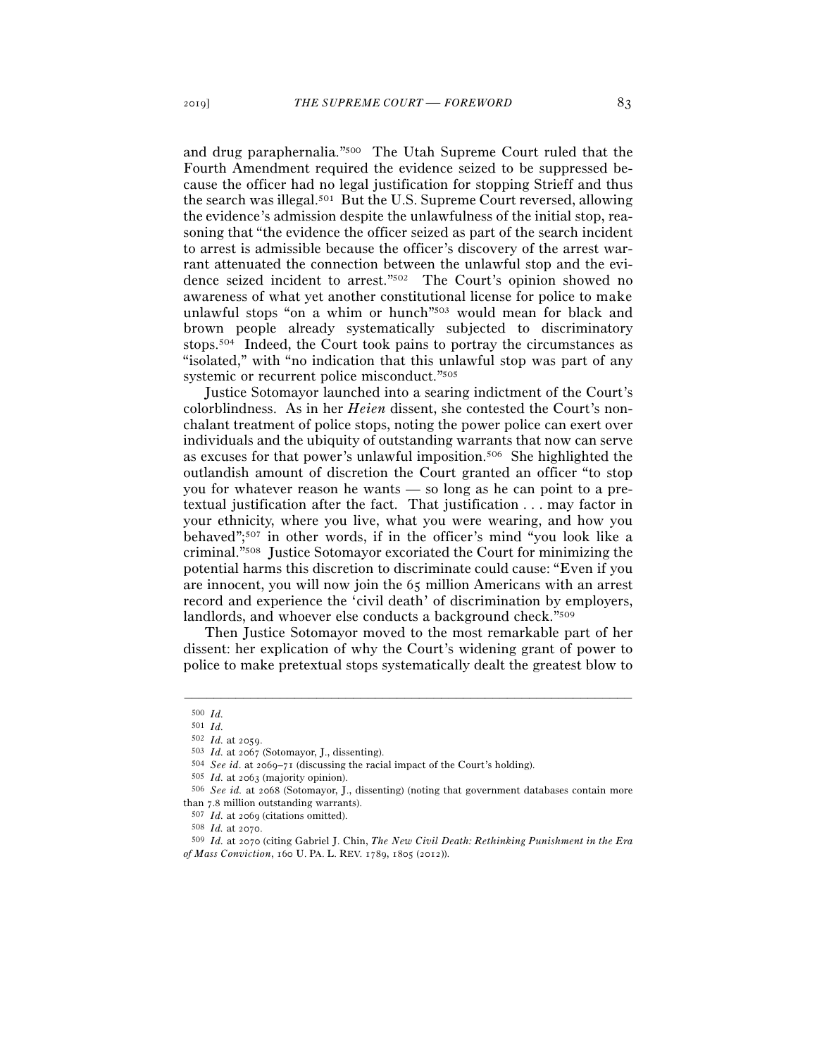and drug paraphernalia."500 The Utah Supreme Court ruled that the Fourth Amendment required the evidence seized to be suppressed because the officer had no legal justification for stopping Strieff and thus the search was illegal.501 But the U.S. Supreme Court reversed, allowing the evidence's admission despite the unlawfulness of the initial stop, reasoning that "the evidence the officer seized as part of the search incident to arrest is admissible because the officer's discovery of the arrest warrant attenuated the connection between the unlawful stop and the evidence seized incident to arrest."502 The Court's opinion showed no awareness of what yet another constitutional license for police to make unlawful stops "on a whim or hunch"503 would mean for black and brown people already systematically subjected to discriminatory stops.504 Indeed, the Court took pains to portray the circumstances as "isolated," with "no indication that this unlawful stop was part of any systemic or recurrent police misconduct."505

Justice Sotomayor launched into a searing indictment of the Court's colorblindness. As in her *Heien* dissent, she contested the Court's nonchalant treatment of police stops, noting the power police can exert over individuals and the ubiquity of outstanding warrants that now can serve as excuses for that power's unlawful imposition.506 She highlighted the outlandish amount of discretion the Court granted an officer "to stop you for whatever reason he wants — so long as he can point to a pretextual justification after the fact. That justification . . . may factor in your ethnicity, where you live, what you were wearing, and how you behaved";507 in other words, if in the officer's mind "you look like a criminal."508 Justice Sotomayor excoriated the Court for minimizing the potential harms this discretion to discriminate could cause: "Even if you are innocent, you will now join the 65 million Americans with an arrest record and experience the 'civil death' of discrimination by employers, landlords, and whoever else conducts a background check."509

Then Justice Sotomayor moved to the most remarkable part of her dissent: her explication of why the Court's widening grant of power to police to make pretextual stops systematically dealt the greatest blow to

<sup>500</sup> *Id.*

<sup>501</sup> *Id.*

<sup>&</sup>lt;sup>503</sup> *Id.* at 2067 (Sotomayor, J., dissenting).<br>
<sup>504</sup> *See id.* at 2069–71 (discussing the racial impact of the Court's holding).<br>
<sup>505</sup> *Id.* at 2063 (majority opinion).<br>
<sup>506</sup> *See id.* at 2068 (Sotomayor, J., dissent

than 7.8 million outstanding warrants).<br><sup>507</sup> *Id.* at 2069 (citations omitted).<br><sup>508</sup> *Id.* at 2070 (citing Gabriel J. Chin, *The New Civil Death: Rethinking Punishment in the Era of Mass Conviction*, 160 U. PA. L. REV. 1789, 1805 (2012)).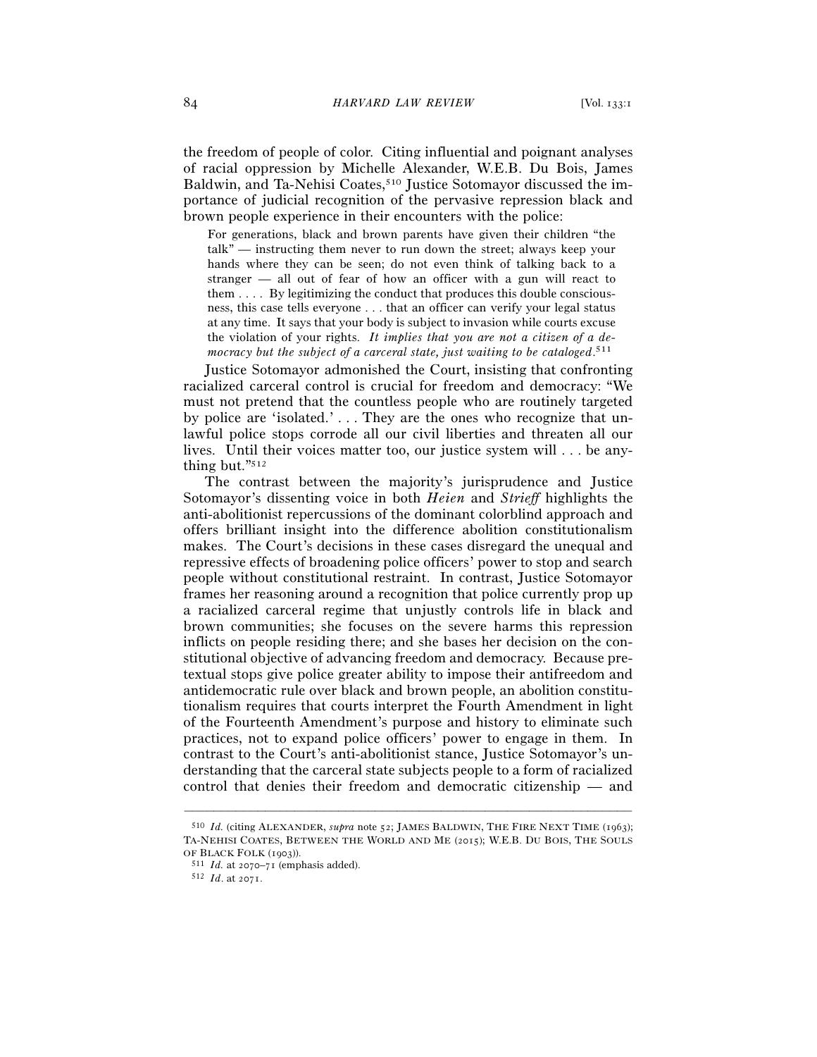the freedom of people of color. Citing influential and poignant analyses of racial oppression by Michelle Alexander, W.E.B. Du Bois, James Baldwin, and Ta-Nehisi Coates,<sup>510</sup> Justice Sotomayor discussed the importance of judicial recognition of the pervasive repression black and brown people experience in their encounters with the police:

For generations, black and brown parents have given their children "the talk" — instructing them never to run down the street; always keep your hands where they can be seen; do not even think of talking back to a stranger — all out of fear of how an officer with a gun will react to them . . . . By legitimizing the conduct that produces this double consciousness, this case tells everyone . . . that an officer can verify your legal status at any time. It says that your body is subject to invasion while courts excuse the violation of your rights. *It implies that you are not a citizen of a democracy but the subject of a carceral state, just waiting to be cataloged*. 511

Justice Sotomayor admonished the Court, insisting that confronting racialized carceral control is crucial for freedom and democracy: "We must not pretend that the countless people who are routinely targeted by police are 'isolated.' . . . They are the ones who recognize that unlawful police stops corrode all our civil liberties and threaten all our lives. Until their voices matter too, our justice system will . . . be anything but."512

The contrast between the majority's jurisprudence and Justice Sotomayor's dissenting voice in both *Heien* and *Strieff* highlights the anti-abolitionist repercussions of the dominant colorblind approach and offers brilliant insight into the difference abolition constitutionalism makes. The Court's decisions in these cases disregard the unequal and repressive effects of broadening police officers' power to stop and search people without constitutional restraint. In contrast, Justice Sotomayor frames her reasoning around a recognition that police currently prop up a racialized carceral regime that unjustly controls life in black and brown communities; she focuses on the severe harms this repression inflicts on people residing there; and she bases her decision on the constitutional objective of advancing freedom and democracy. Because pretextual stops give police greater ability to impose their antifreedom and antidemocratic rule over black and brown people, an abolition constitutionalism requires that courts interpret the Fourth Amendment in light of the Fourteenth Amendment's purpose and history to eliminate such practices, not to expand police officers' power to engage in them. In contrast to the Court's anti-abolitionist stance, Justice Sotomayor's understanding that the carceral state subjects people to a form of racialized control that denies their freedom and democratic citizenship — and

<sup>510</sup> *Id.* (citing ALEXANDER, *supra* note 52; JAMES BALDWIN, THE FIRE NEXT TIME (1963); TA-NEHISI COATES, BETWEEN THE WORLD AND ME (2015); W.E.B. DU BOIS, THE SOULS OF BLACK FOLK (<sup>1903</sup>)). 511 *Id.* at 2070–<sup>71</sup> (emphasis added). 512 *Id*. at 2071.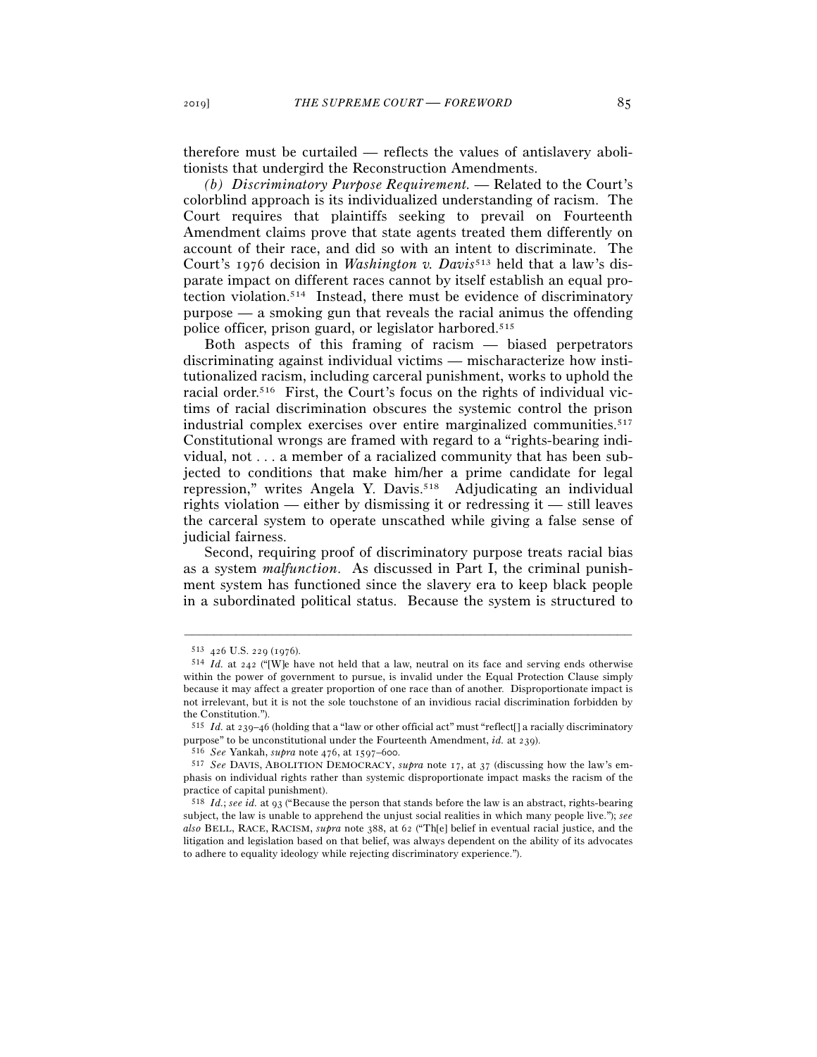therefore must be curtailed — reflects the values of antislavery abolitionists that undergird the Reconstruction Amendments.

*(b) Discriminatory Purpose Requirement. —* Related to the Court's colorblind approach is its individualized understanding of racism. The Court requires that plaintiffs seeking to prevail on Fourteenth Amendment claims prove that state agents treated them differently on account of their race, and did so with an intent to discriminate. The Court's 1976 decision in *Washington v. Davis*<sup>513</sup> held that a law's disparate impact on different races cannot by itself establish an equal protection violation.514 Instead, there must be evidence of discriminatory purpose — a smoking gun that reveals the racial animus the offending police officer, prison guard, or legislator harbored.515

Both aspects of this framing of racism — biased perpetrators discriminating against individual victims — mischaracterize how institutionalized racism, including carceral punishment, works to uphold the racial order.516 First, the Court's focus on the rights of individual victims of racial discrimination obscures the systemic control the prison industrial complex exercises over entire marginalized communities.<sup>517</sup> Constitutional wrongs are framed with regard to a "rights-bearing individual, not . . . a member of a racialized community that has been subjected to conditions that make him/her a prime candidate for legal repression," writes Angela Y. Davis.518 Adjudicating an individual rights violation — either by dismissing it or redressing it — still leaves the carceral system to operate unscathed while giving a false sense of judicial fairness.

Second, requiring proof of discriminatory purpose treats racial bias as a system *malfunction*. As discussed in Part I, the criminal punishment system has functioned since the slavery era to keep black people in a subordinated political status. Because the system is structured to

<sup>513</sup> <sup>426</sup> U.S. 229 (1976). 514 *Id.* at 242 ("[W]e have not held that a law, neutral on its face and serving ends otherwise within the power of government to pursue, is invalid under the Equal Protection Clause simply because it may affect a greater proportion of one race than of another. Disproportionate impact is not irrelevant, but it is not the sole touchstone of an invidious racial discrimination forbidden by the Constitution.").

<sup>&</sup>lt;sup>515</sup> *Id.* at 239–46 (holding that a "law or other official act" must "reflect[] a racially discriminatory purpose" to be unconstitutional under the Fourteenth Amendment, *id.* at 239).

<sup>&</sup>lt;sup>516</sup> See Yankah, *supra* note 476, at 1597–600.<br><sup>517</sup> See DAVIS, ABOLITION DEMOCRACY, *supra* note 17, at 37 (discussing how the law's emphasis on individual rights rather than systemic disproportionate impact masks the racism of the practice of capital punishment).

<sup>518</sup> *Id.*; *see id.* at 93 ("Because the person that stands before the law is an abstract, rights-bearing subject, the law is unable to apprehend the unjust social realities in which many people live."); *see also* BELL, RACE, RACISM, *supra* note 388, at 62 ("Th[e] belief in eventual racial justice, and the litigation and legislation based on that belief, was always dependent on the ability of its advocates to adhere to equality ideology while rejecting discriminatory experience.").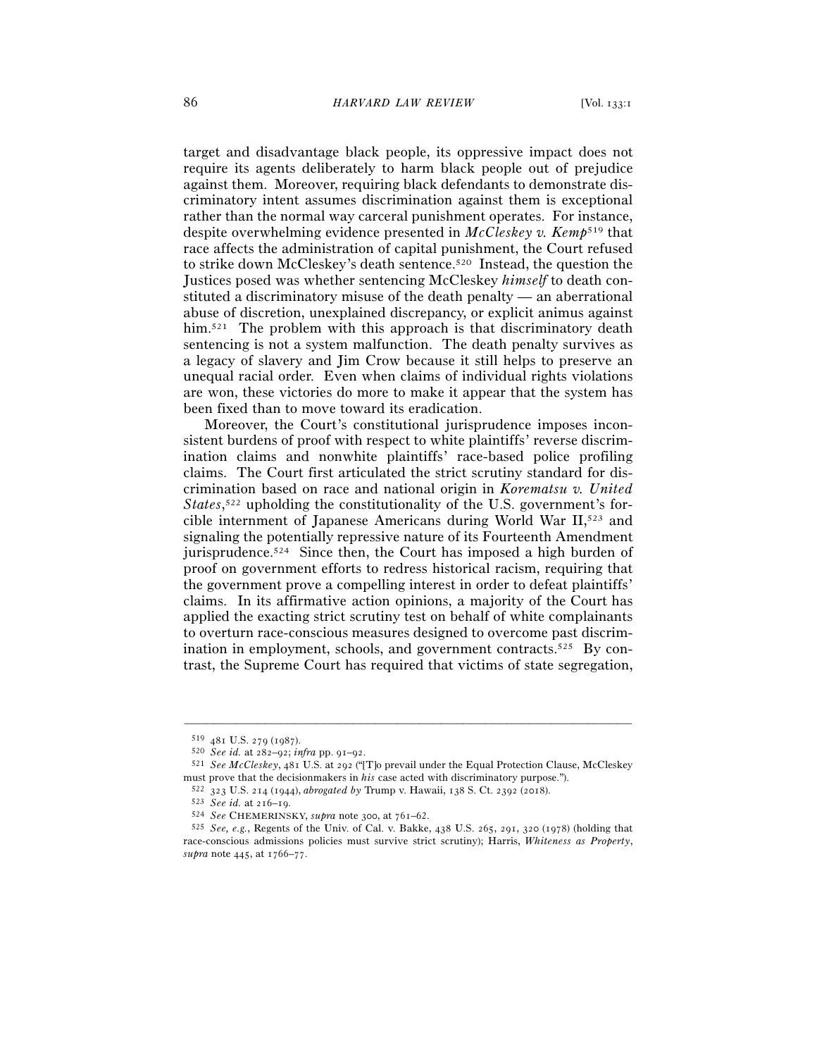target and disadvantage black people, its oppressive impact does not require its agents deliberately to harm black people out of prejudice against them. Moreover, requiring black defendants to demonstrate discriminatory intent assumes discrimination against them is exceptional rather than the normal way carceral punishment operates. For instance, despite overwhelming evidence presented in *McCleskey v. Kemp*519 that race affects the administration of capital punishment, the Court refused to strike down McCleskey's death sentence.520 Instead, the question the Justices posed was whether sentencing McCleskey *himself* to death constituted a discriminatory misuse of the death penalty — an aberrational abuse of discretion, unexplained discrepancy, or explicit animus against him.<sup>521</sup> The problem with this approach is that discriminatory death sentencing is not a system malfunction. The death penalty survives as a legacy of slavery and Jim Crow because it still helps to preserve an unequal racial order. Even when claims of individual rights violations are won, these victories do more to make it appear that the system has been fixed than to move toward its eradication.

Moreover, the Court's constitutional jurisprudence imposes inconsistent burdens of proof with respect to white plaintiffs' reverse discrimination claims and nonwhite plaintiffs' race-based police profiling claims. The Court first articulated the strict scrutiny standard for discrimination based on race and national origin in *Korematsu v. United*  States,<sup>522</sup> upholding the constitutionality of the U.S. government's forcible internment of Japanese Americans during World War II,523 and signaling the potentially repressive nature of its Fourteenth Amendment jurisprudence.<sup>524</sup> Since then, the Court has imposed a high burden of proof on government efforts to redress historical racism, requiring that the government prove a compelling interest in order to defeat plaintiffs' claims. In its affirmative action opinions, a majority of the Court has applied the exacting strict scrutiny test on behalf of white complainants to overturn race-conscious measures designed to overcome past discrimination in employment, schools, and government contracts.<sup>525</sup> By contrast, the Supreme Court has required that victims of state segregation,

<sup>519</sup> <sup>481</sup> U.S. 279 (<sup>1987</sup>). 520 *See id.* at 282–92; *infra* pp. 91–<sup>92</sup>. 521 *See McCleskey*, 481 U.S. at 292 ("[T]o prevail under the Equal Protection Clause, McCleskey must prove that the decision<br>makers in *his* case acted with discriminatory purpose.").<br>
<sup>522</sup> 323 U.S. 214 (1944), *abrogated by* Trump v. Hawaii, 138 S. Ct. 2392 (2018).<br>
<sup>523</sup> *See id.* at 216–19.<br>
<sup>524</sup> *See CHEMERINS* 

race-conscious admissions policies must survive strict scrutiny); Harris, *Whiteness as Property*, *supra* note 445, at 1766–77.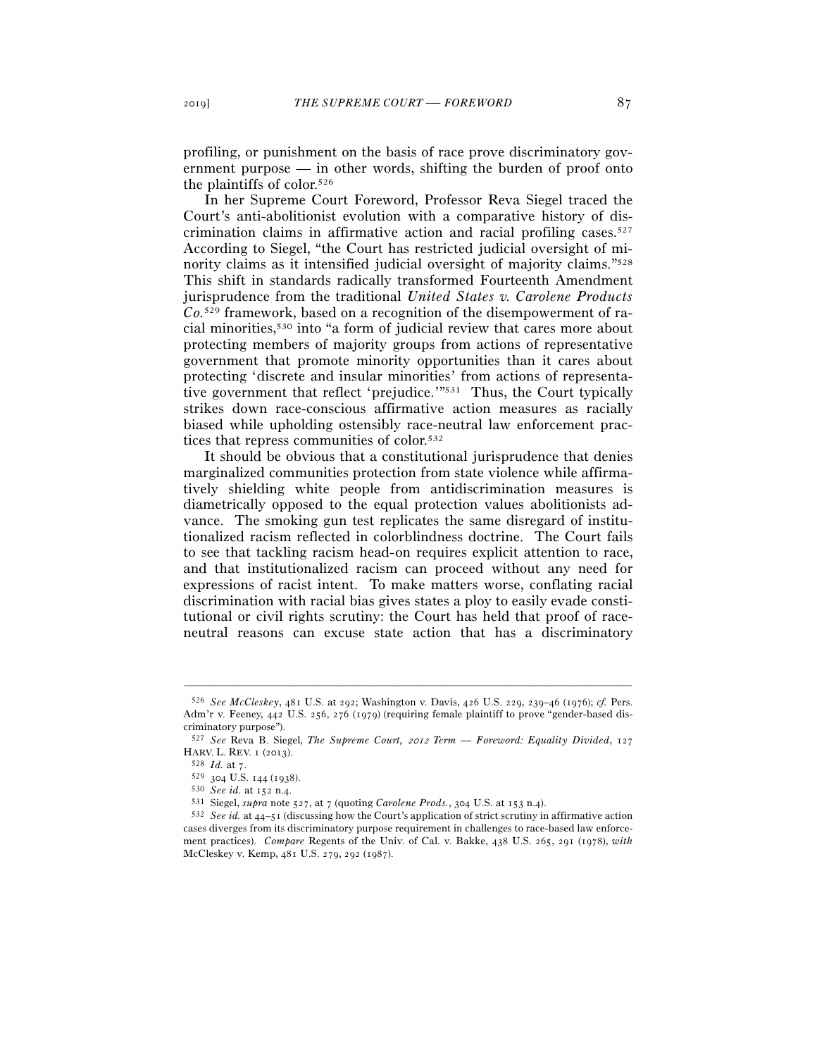profiling, or punishment on the basis of race prove discriminatory government purpose — in other words, shifting the burden of proof onto the plaintiffs of color.526

In her Supreme Court Foreword, Professor Reva Siegel traced the Court's anti-abolitionist evolution with a comparative history of discrimination claims in affirmative action and racial profiling cases.<sup>527</sup> According to Siegel, "the Court has restricted judicial oversight of minority claims as it intensified judicial oversight of majority claims."528 This shift in standards radically transformed Fourteenth Amendment jurisprudence from the traditional *United States v. Carolene Products Co.*529 framework, based on a recognition of the disempowerment of racial minorities,530 into "a form of judicial review that cares more about protecting members of majority groups from actions of representative government that promote minority opportunities than it cares about protecting 'discrete and insular minorities' from actions of representative government that reflect 'prejudice.'"531 Thus, the Court typically strikes down race-conscious affirmative action measures as racially biased while upholding ostensibly race-neutral law enforcement practices that repress communities of color.532

It should be obvious that a constitutional jurisprudence that denies marginalized communities protection from state violence while affirmatively shielding white people from antidiscrimination measures is diametrically opposed to the equal protection values abolitionists advance. The smoking gun test replicates the same disregard of institutionalized racism reflected in colorblindness doctrine. The Court fails to see that tackling racism head-on requires explicit attention to race, and that institutionalized racism can proceed without any need for expressions of racist intent. To make matters worse, conflating racial discrimination with racial bias gives states a ploy to easily evade constitutional or civil rights scrutiny: the Court has held that proof of raceneutral reasons can excuse state action that has a discriminatory

<sup>526</sup> *See McCleskey*, 481 U.S. at 292; Washington v. Davis, 426 U.S. 229, 239–46 (1976); *cf.* Pers. Adm'r v. Feeney, 442 U.S. 256, 276 (1979) (requiring female plaintiff to prove "gender-based discriminatory purpose").

<sup>527</sup> *See* Reva B. Siegel, *The Supreme Court,* 2012 *Term — Foreword: Equality Divided*, 127

HARV. L. REV. 1 (2013).<br>
<sup>528</sup> *Id.* at 7.<br>
<sup>529</sup> 304 U.S. 144 (1938).<br>
<sup>530</sup> *See id.* at 152 n.4.<br>
<sup>531</sup> Siegel, *supra* note 527, at 7 (quoting *Carolene Prods.*, 304 U.S. at 153 n.4).<br>
<sup>531</sup> *See id.* at 44–51 (discus cases diverges from its discriminatory purpose requirement in challenges to race-based law enforcement practices). *Compare* Regents of the Univ. of Cal. v. Bakke, 438 U.S. 265, 291 (1978), *with* McCleskey v. Kemp, 481 U.S. 279, 292 (1987).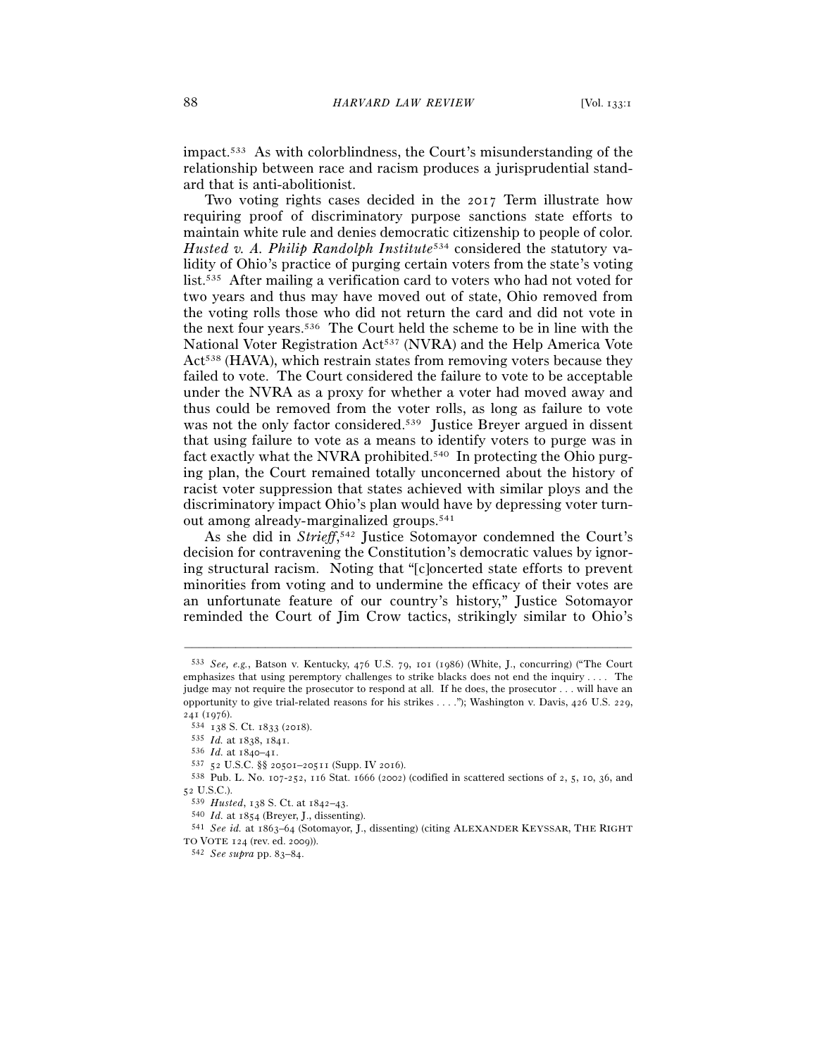impact.533 As with colorblindness, the Court's misunderstanding of the relationship between race and racism produces a jurisprudential standard that is anti-abolitionist.

Two voting rights cases decided in the 2017 Term illustrate how requiring proof of discriminatory purpose sanctions state efforts to maintain white rule and denies democratic citizenship to people of color. *Husted v. A. Philip Randolph Institute*534 considered the statutory validity of Ohio's practice of purging certain voters from the state's voting list.535 After mailing a verification card to voters who had not voted for two years and thus may have moved out of state, Ohio removed from the voting rolls those who did not return the card and did not vote in the next four years.536 The Court held the scheme to be in line with the National Voter Registration Act<sup>537</sup> (NVRA) and the Help America Vote Act<sup>538</sup> (HAVA), which restrain states from removing voters because they failed to vote. The Court considered the failure to vote to be acceptable under the NVRA as a proxy for whether a voter had moved away and thus could be removed from the voter rolls, as long as failure to vote was not the only factor considered.<sup>539</sup> Justice Breyer argued in dissent that using failure to vote as a means to identify voters to purge was in fact exactly what the NVRA prohibited.540 In protecting the Ohio purging plan, the Court remained totally unconcerned about the history of racist voter suppression that states achieved with similar ploys and the discriminatory impact Ohio's plan would have by depressing voter turnout among already-marginalized groups.541

As she did in *Strieff*, 542 Justice Sotomayor condemned the Court's decision for contravening the Constitution's democratic values by ignoring structural racism. Noting that "[c]oncerted state efforts to prevent minorities from voting and to undermine the efficacy of their votes are an unfortunate feature of our country's history," Justice Sotomayor reminded the Court of Jim Crow tactics, strikingly similar to Ohio's

<sup>533</sup> *See, e.g.*, Batson v. Kentucky, 476 U.S. 79, 101 (1986) (White, J., concurring) ("The Court emphasizes that using peremptory challenges to strike blacks does not end the inquiry . . . . The judge may not require the prosecutor to respond at all. If he does, the prosecutor . . . will have an opportunity to give trial-related reasons for his strikes . . . ."); Washington v. Davis, 426 U.S. 229,

<sup>241 (1976).&</sup>lt;br>534 138 S. Ct. 1833 (2018).<br>535 *Id*. at 1838, 1841.<br>536 *Id*. at 1840–41.<br>537 52 U.S.C. §§ 20501–20511 (Supp. IV 2016).<br>538 Pub. L. No. 107-252, 116 Stat. 1666 (2002) (codified in scattered sections of 2, 5, 1 52 U.S.C.).

<sup>539</sup> *Husted*, 138 S. Ct. at 1842–<sup>43</sup>. 540 *Id.* at <sup>1854</sup> (Breyer, J., dissenting). 541 *See id.* at 1863–64 (Sotomayor, J., dissenting) (citing ALEXANDER KEYSSAR, THE RIGHT TO VOTE <sup>124</sup> (rev. ed. <sup>2009</sup>)). 542 *See supra* pp. 83–84.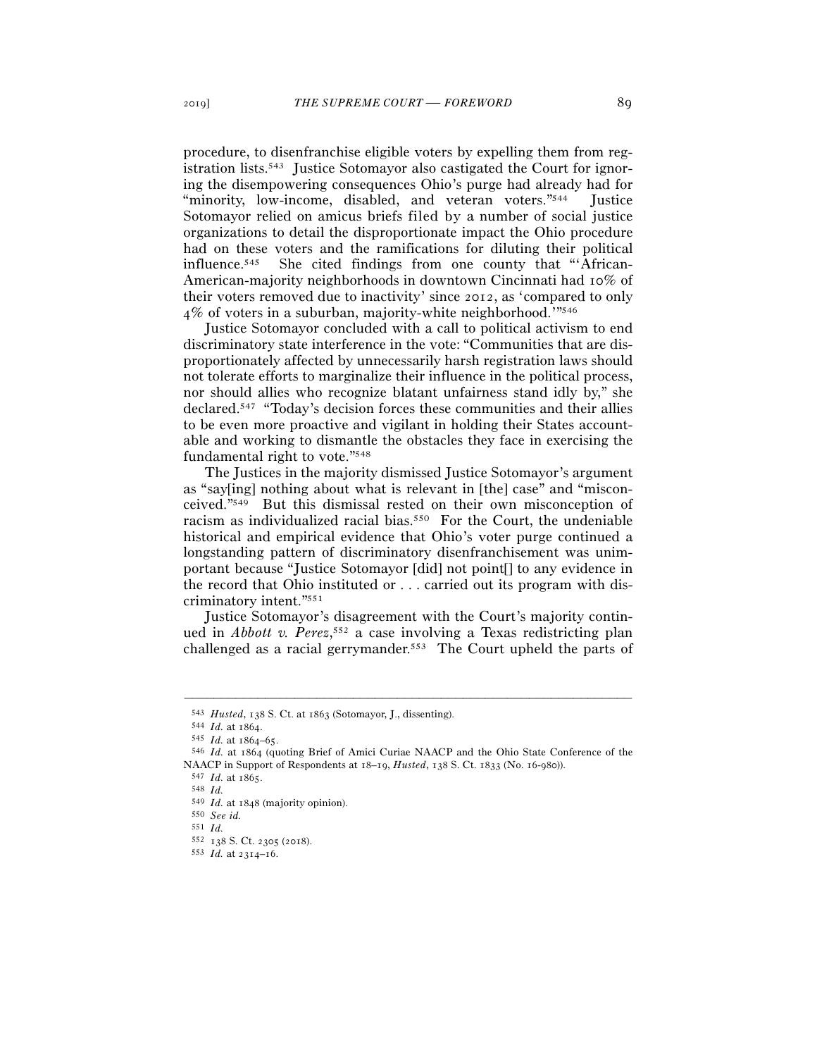procedure, to disenfranchise eligible voters by expelling them from registration lists.543 Justice Sotomayor also castigated the Court for ignoring the disempowering consequences Ohio's purge had already had for "minority, low-income, disabled, and veteran voters."544 Justice Sotomayor relied on amicus briefs filed by a number of social justice organizations to detail the disproportionate impact the Ohio procedure had on these voters and the ramifications for diluting their political influence.545 She cited findings from one county that "'African-American-majority neighborhoods in downtown Cincinnati had 10% of their voters removed due to inactivity' since 2012, as 'compared to only 4% of voters in a suburban, majority-white neighborhood.'"546

Justice Sotomayor concluded with a call to political activism to end discriminatory state interference in the vote: "Communities that are disproportionately affected by unnecessarily harsh registration laws should not tolerate efforts to marginalize their influence in the political process, nor should allies who recognize blatant unfairness stand idly by," she declared.547 "Today's decision forces these communities and their allies to be even more proactive and vigilant in holding their States accountable and working to dismantle the obstacles they face in exercising the fundamental right to vote."548

The Justices in the majority dismissed Justice Sotomayor's argument as "say[ing] nothing about what is relevant in [the] case" and "misconceived."549 But this dismissal rested on their own misconception of racism as individualized racial bias.550 For the Court, the undeniable historical and empirical evidence that Ohio's voter purge continued a longstanding pattern of discriminatory disenfranchisement was unimportant because "Justice Sotomayor [did] not point[] to any evidence in the record that Ohio instituted or . . . carried out its program with discriminatory intent."551

Justice Sotomayor's disagreement with the Court's majority continued in *Abbott v. Perez*, 552 a case involving a Texas redistricting plan challenged as a racial gerrymander.553 The Court upheld the parts of

<sup>543</sup> *Husted*, 138 S. Ct. at <sup>1863</sup> (Sotomayor, J., dissenting). 544 *Id.* at <sup>1864</sup>. 545 *Id.* at 1864–<sup>65</sup>. 546 *Id.* at 1864 (quoting Brief of Amici Curiae NAACP and the Ohio State Conference of the NAACP in Support of Respondents at 18–19, *Husted*, 138 S. Ct. 1833 (No. 16-<sup>980</sup>)). 547 *Id.* at <sup>1865</sup>. 548 *Id.*

<sup>549</sup> *Id.* at <sup>1848</sup> (majority opinion). 550 *See id.*

<sup>551</sup> *Id.*

<sup>552</sup> <sup>138</sup> S. Ct. 2305 (<sup>2018</sup>). 553 *Id.* at 2314–16.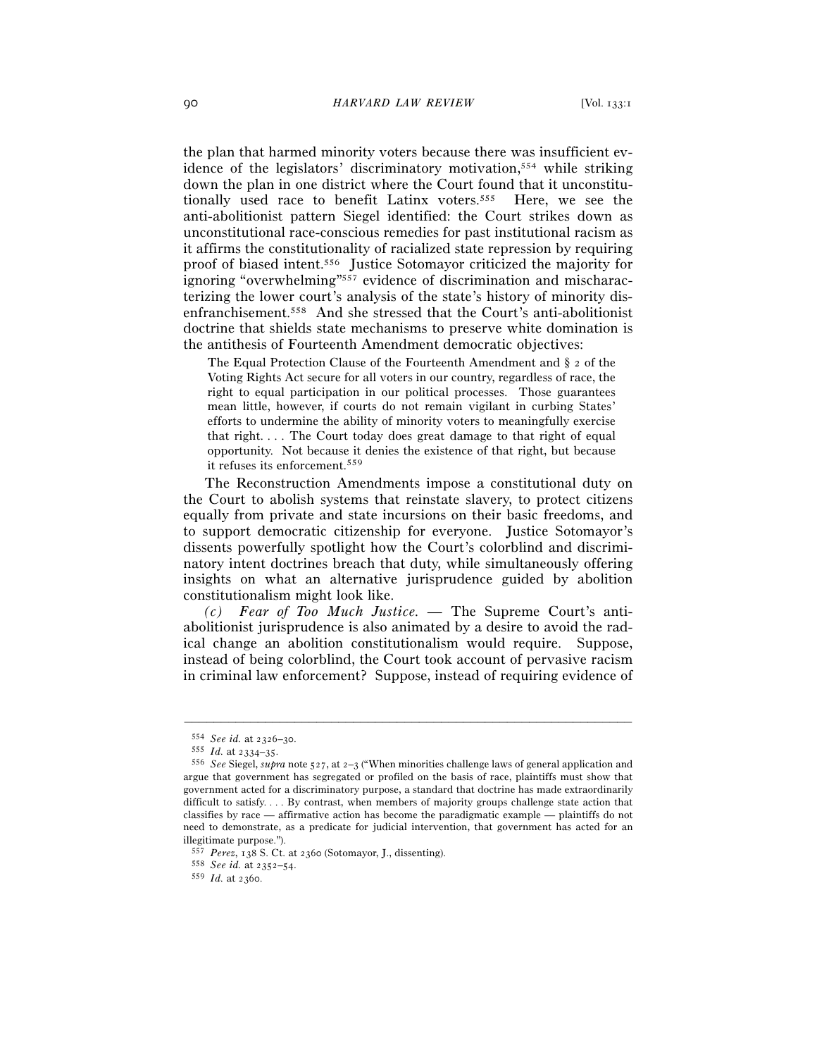the plan that harmed minority voters because there was insufficient evidence of the legislators' discriminatory motivation,554 while striking down the plan in one district where the Court found that it unconstitutionally used race to benefit Latinx voters.555 Here, we see the anti-abolitionist pattern Siegel identified: the Court strikes down as unconstitutional race-conscious remedies for past institutional racism as it affirms the constitutionality of racialized state repression by requiring proof of biased intent.556 Justice Sotomayor criticized the majority for ignoring "overwhelming"<sup>557</sup> evidence of discrimination and mischaracterizing the lower court's analysis of the state's history of minority disenfranchisement.558 And she stressed that the Court's anti-abolitionist doctrine that shields state mechanisms to preserve white domination is the antithesis of Fourteenth Amendment democratic objectives:

The Equal Protection Clause of the Fourteenth Amendment and § 2 of the Voting Rights Act secure for all voters in our country, regardless of race, the right to equal participation in our political processes. Those guarantees mean little, however, if courts do not remain vigilant in curbing States' efforts to undermine the ability of minority voters to meaningfully exercise that right. . . . The Court today does great damage to that right of equal opportunity. Not because it denies the existence of that right, but because it refuses its enforcement.559

The Reconstruction Amendments impose a constitutional duty on the Court to abolish systems that reinstate slavery, to protect citizens equally from private and state incursions on their basic freedoms, and to support democratic citizenship for everyone. Justice Sotomayor's dissents powerfully spotlight how the Court's colorblind and discriminatory intent doctrines breach that duty, while simultaneously offering insights on what an alternative jurisprudence guided by abolition constitutionalism might look like.

*(c) Fear of Too Much Justice. —* The Supreme Court's antiabolitionist jurisprudence is also animated by a desire to avoid the radical change an abolition constitutionalism would require. Suppose, instead of being colorblind, the Court took account of pervasive racism in criminal law enforcement? Suppose, instead of requiring evidence of

<sup>554</sup> *See id.* at 2326–<sup>30</sup>. 555 *Id.* at 2334–<sup>35</sup>. 556 *See* Siegel, *supra* note 527, at 2–3 ("When minorities challenge laws of general application and argue that government has segregated or profiled on the basis of race, plaintiffs must show that government acted for a discriminatory purpose, a standard that doctrine has made extraordinarily difficult to satisfy. . . . By contrast, when members of majority groups challenge state action that classifies by race — affirmative action has become the paradigmatic example — plaintiffs do not need to demonstrate, as a predicate for judicial intervention, that government has acted for an illegitimate purpose.").

<sup>557</sup> *Perez*, 138 S. Ct. at <sup>2360</sup> (Sotomayor, J., dissenting). 558 *See id.* at 2352–<sup>54</sup>. 559 *Id.* at 2360.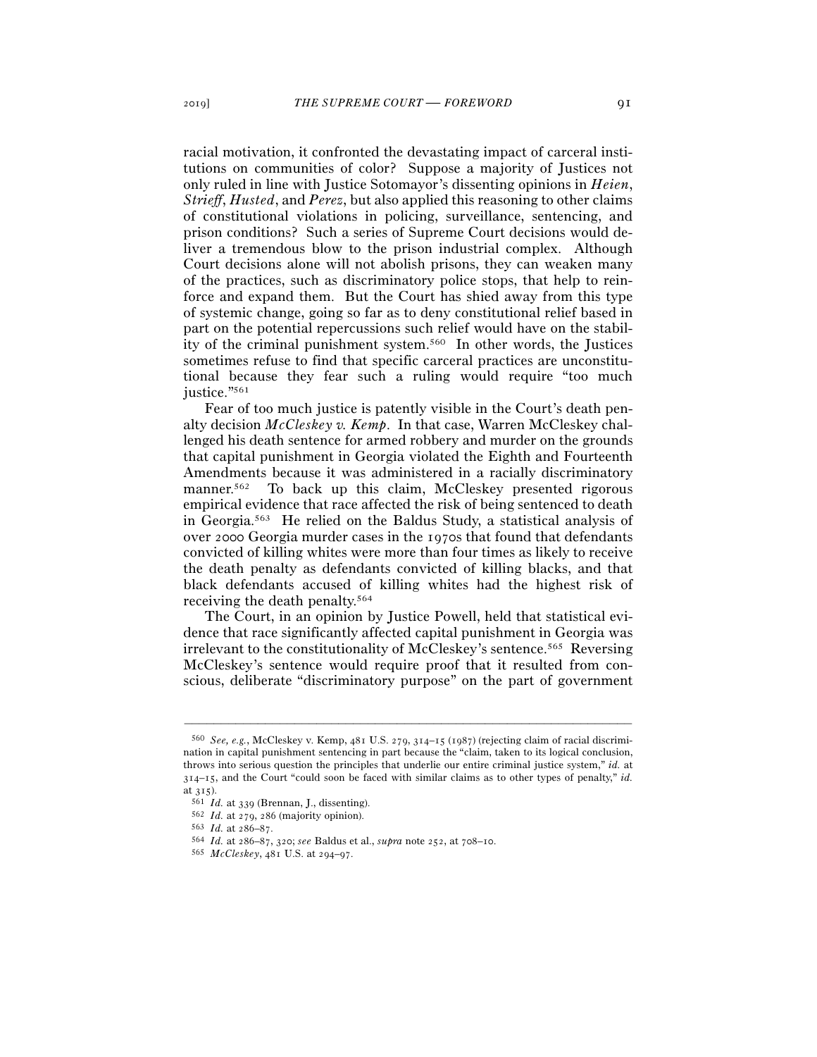racial motivation, it confronted the devastating impact of carceral institutions on communities of color? Suppose a majority of Justices not only ruled in line with Justice Sotomayor's dissenting opinions in *Heien*, *Strieff*, *Husted*, and *Perez*, but also applied this reasoning to other claims of constitutional violations in policing, surveillance, sentencing, and prison conditions? Such a series of Supreme Court decisions would deliver a tremendous blow to the prison industrial complex. Although Court decisions alone will not abolish prisons, they can weaken many of the practices, such as discriminatory police stops, that help to reinforce and expand them. But the Court has shied away from this type of systemic change, going so far as to deny constitutional relief based in part on the potential repercussions such relief would have on the stability of the criminal punishment system.560 In other words, the Justices sometimes refuse to find that specific carceral practices are unconstitutional because they fear such a ruling would require "too much justice."561

Fear of too much justice is patently visible in the Court's death penalty decision *McCleskey v. Kemp*. In that case, Warren McCleskey challenged his death sentence for armed robbery and murder on the grounds that capital punishment in Georgia violated the Eighth and Fourteenth Amendments because it was administered in a racially discriminatory manner.<sup>562</sup> To back up this claim, McCleskey presented rigorous empirical evidence that race affected the risk of being sentenced to death in Georgia.563 He relied on the Baldus Study, a statistical analysis of over 2000 Georgia murder cases in the 1970s that found that defendants convicted of killing whites were more than four times as likely to receive the death penalty as defendants convicted of killing blacks, and that black defendants accused of killing whites had the highest risk of receiving the death penalty.564

The Court, in an opinion by Justice Powell, held that statistical evidence that race significantly affected capital punishment in Georgia was irrelevant to the constitutionality of McCleskey's sentence.565 Reversing McCleskey's sentence would require proof that it resulted from conscious, deliberate "discriminatory purpose" on the part of government

<sup>560</sup> *See, e.g.*, McCleskey v. Kemp, 481 U.S. 279, 314–15 (1987) (rejecting claim of racial discrimination in capital punishment sentencing in part because the "claim, taken to its logical conclusion, throws into serious question the principles that underlie our entire criminal justice system," *id.* at 314–15, and the Court "could soon be faced with similar claims as to other types of penalty," *id.*

at 315).<br>  $^{561}$  *Id.* at 339 (Brennan, J., dissenting).<br>  $^{562}$  *Id.* at 279, 286 (majority opinion).<br>  $^{563}$  *Id.* at 286–87.<br>  $^{563}$  *Id.* at 286–87, 320; see Baldus et al., *supra* note 252, at 708–10.<br>  $^{565}$  *M*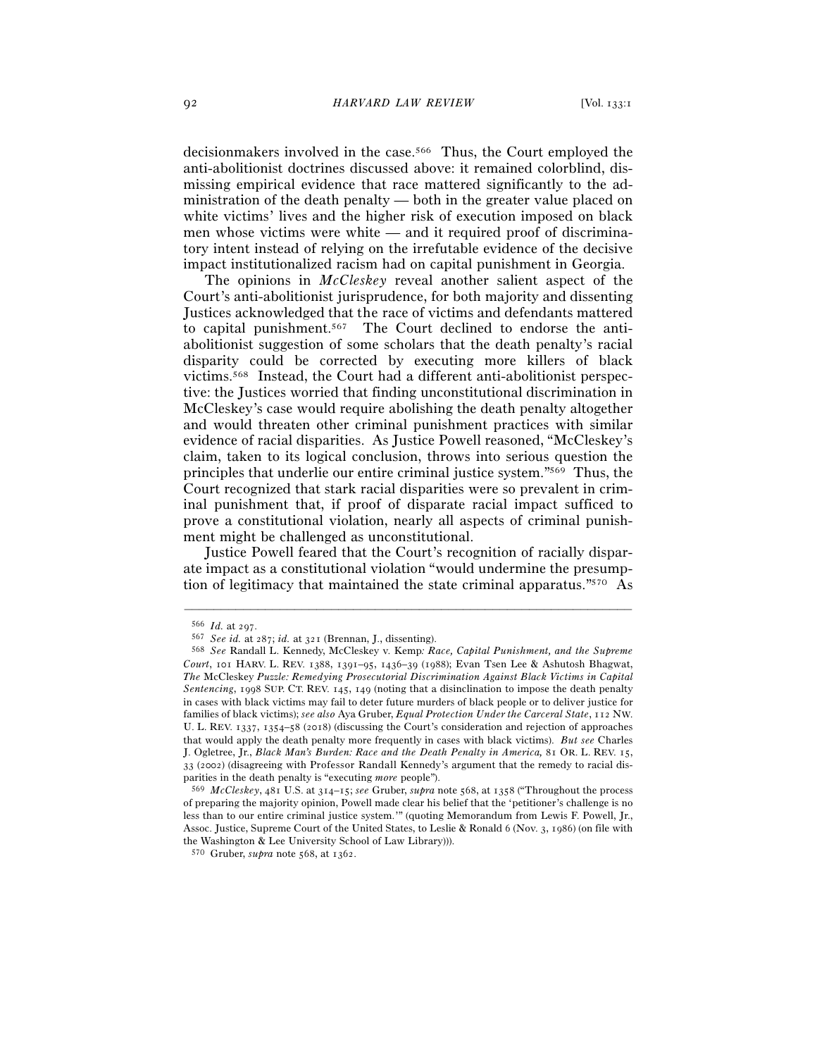decisionmakers involved in the case.566 Thus, the Court employed the anti-abolitionist doctrines discussed above: it remained colorblind, dismissing empirical evidence that race mattered significantly to the administration of the death penalty — both in the greater value placed on white victims' lives and the higher risk of execution imposed on black men whose victims were white — and it required proof of discriminatory intent instead of relying on the irrefutable evidence of the decisive impact institutionalized racism had on capital punishment in Georgia.

The opinions in *McCleskey* reveal another salient aspect of the Court's anti-abolitionist jurisprudence, for both majority and dissenting Justices acknowledged that the race of victims and defendants mattered to capital punishment.567 The Court declined to endorse the antiabolitionist suggestion of some scholars that the death penalty's racial disparity could be corrected by executing more killers of black victims.568 Instead, the Court had a different anti-abolitionist perspective: the Justices worried that finding unconstitutional discrimination in McCleskey's case would require abolishing the death penalty altogether and would threaten other criminal punishment practices with similar evidence of racial disparities. As Justice Powell reasoned, "McCleskey's claim, taken to its logical conclusion, throws into serious question the principles that underlie our entire criminal justice system."569 Thus, the Court recognized that stark racial disparities were so prevalent in criminal punishment that, if proof of disparate racial impact sufficed to prove a constitutional violation, nearly all aspects of criminal punishment might be challenged as unconstitutional.

Justice Powell feared that the Court's recognition of racially disparate impact as a constitutional violation "would undermine the presumption of legitimacy that maintained the state criminal apparatus."570 As

<sup>566</sup> *Id.* at <sup>297</sup>. 567 *See id.* at 287; *id.* at <sup>321</sup> (Brennan, J., dissenting). 568 *See* Randall L. Kennedy, McCleskey v. Kemp*: Race, Capital Punishment, and the Supreme Court*, 101 HARV. L. REV. 1388, 1391–95, 1436–39 (1988); Evan Tsen Lee & Ashutosh Bhagwat, *The* McCleskey *Puzzle: Remedying Prosecutorial Discrimination Against Black Victims in Capital Sentencing*, 1998 SUP. CT. REV. 145, 149 (noting that a disinclination to impose the death penalty in cases with black victims may fail to deter future murders of black people or to deliver justice for families of black victims); *see also* Aya Gruber, *Equal Protection Under the Carceral State*, 112 NW. U. L. REV. 1337, 1354–58 (2018) (discussing the Court's consideration and rejection of approaches that would apply the death penalty more frequently in cases with black victims). *But see* Charles J. Ogletree, Jr., *Black Man's Burden: Race and the Death Penalty in America,* 81 OR. L. REV. 15, 33 (2002) (disagreeing with Professor Randall Kennedy's argument that the remedy to racial disparities in the death penalty is "executing *more* people").

<sup>569</sup> *McCleskey*, 481 U.S. at 314–15; *see* Gruber, *supra* note 568, at 1358 ("Throughout the process of preparing the majority opinion, Powell made clear his belief that the 'petitioner's challenge is no less than to our entire criminal justice system.'" (quoting Memorandum from Lewis F. Powell, Jr., Assoc. Justice, Supreme Court of the United States, to Leslie & Ronald 6 (Nov. 3, 1986) (on file with the Washington & Lee University School of Law Library))).

<sup>570</sup> Gruber, *supra* note 568, at 1362.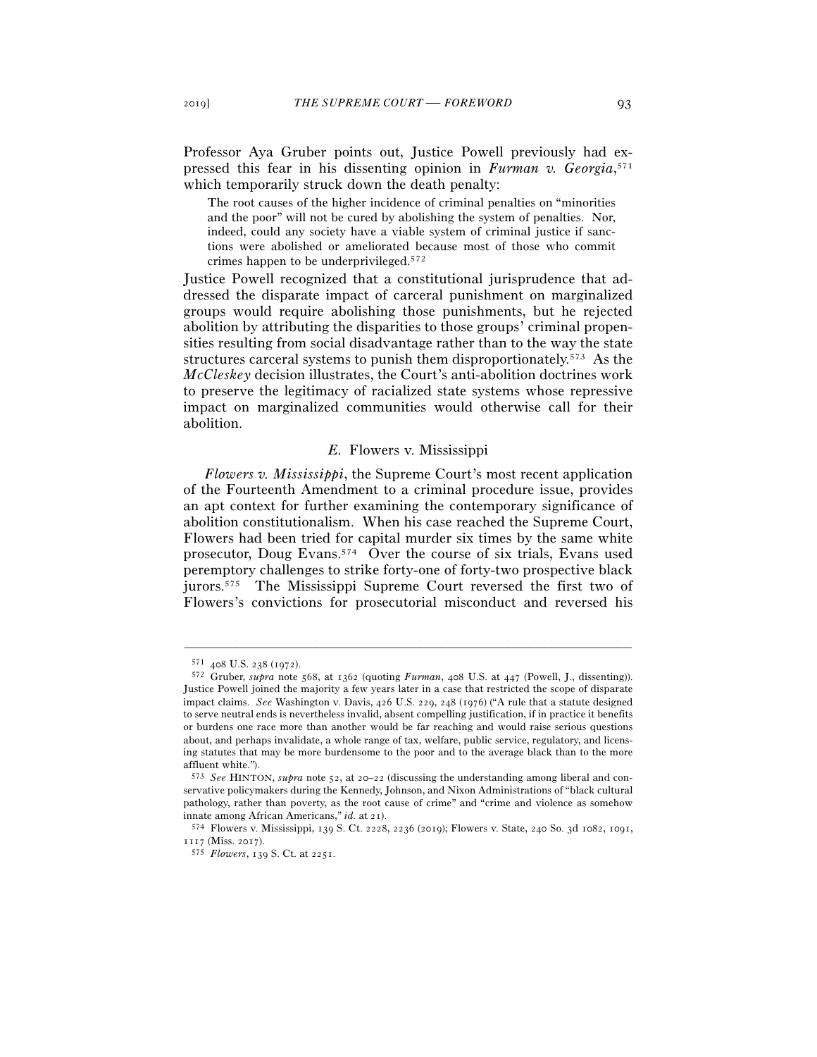Professor Aya Gruber points out, Justice Powell previously had expressed this fear in his dissenting opinion in *Furman v. Georgia*, 571 which temporarily struck down the death penalty:

The root causes of the higher incidence of criminal penalties on "minorities and the poor" will not be cured by abolishing the system of penalties. Nor, indeed, could any society have a viable system of criminal justice if sanctions were abolished or ameliorated because most of those who commit crimes happen to be underprivileged.572

Justice Powell recognized that a constitutional jurisprudence that addressed the disparate impact of carceral punishment on marginalized groups would require abolishing those punishments, but he rejected abolition by attributing the disparities to those groups' criminal propensities resulting from social disadvantage rather than to the way the state structures carceral systems to punish them disproportionately.573 As the *McCleskey* decision illustrates, the Court's anti-abolition doctrines work to preserve the legitimacy of racialized state systems whose repressive impact on marginalized communities would otherwise call for their abolition.

## *E.* Flowers v. Mississippi

*Flowers v. Mississippi*, the Supreme Court's most recent application of the Fourteenth Amendment to a criminal procedure issue, provides an apt context for further examining the contemporary significance of abolition constitutionalism. When his case reached the Supreme Court, Flowers had been tried for capital murder six times by the same white prosecutor, Doug Evans.574 Over the course of six trials, Evans used peremptory challenges to strike forty-one of forty-two prospective black jurors.575 The Mississippi Supreme Court reversed the first two of Flowers's convictions for prosecutorial misconduct and reversed his

<sup>571</sup> <sup>408</sup> U.S. 238 (<sup>1972</sup>). 572 Gruber, *supra* note 568, at 1362 (quoting *Furman*, 408 U.S. at 447 (Powell, J., dissenting)). Justice Powell joined the majority a few years later in a case that restricted the scope of disparate impact claims. *See* Washington v. Davis, 426 U.S. 229, 248 (1976) ("A rule that a statute designed to serve neutral ends is nevertheless invalid, absent compelling justification, if in practice it benefits or burdens one race more than another would be far reaching and would raise serious questions about, and perhaps invalidate, a whole range of tax, welfare, public service, regulatory, and licensing statutes that may be more burdensome to the poor and to the average black than to the more affluent white.").

<sup>573</sup> *See* HINTON, *supra* note 52, at 20–22 (discussing the understanding among liberal and conservative policymakers during the Kennedy, Johnson, and Nixon Administrations of "black cultural pathology, rather than poverty, as the root cause of crime" and "crime and violence as somehow innate among African Americans," *id.* at <sup>21</sup>). 574 Flowers v. Mississippi, 139 S. Ct. 2228, 2236 (2019); Flowers v. State, 240 So. 3d 1082, 1091,

<sup>1117</sup> (Miss. <sup>2017</sup>). 575 *Flowers*, 139 S. Ct. at 2251.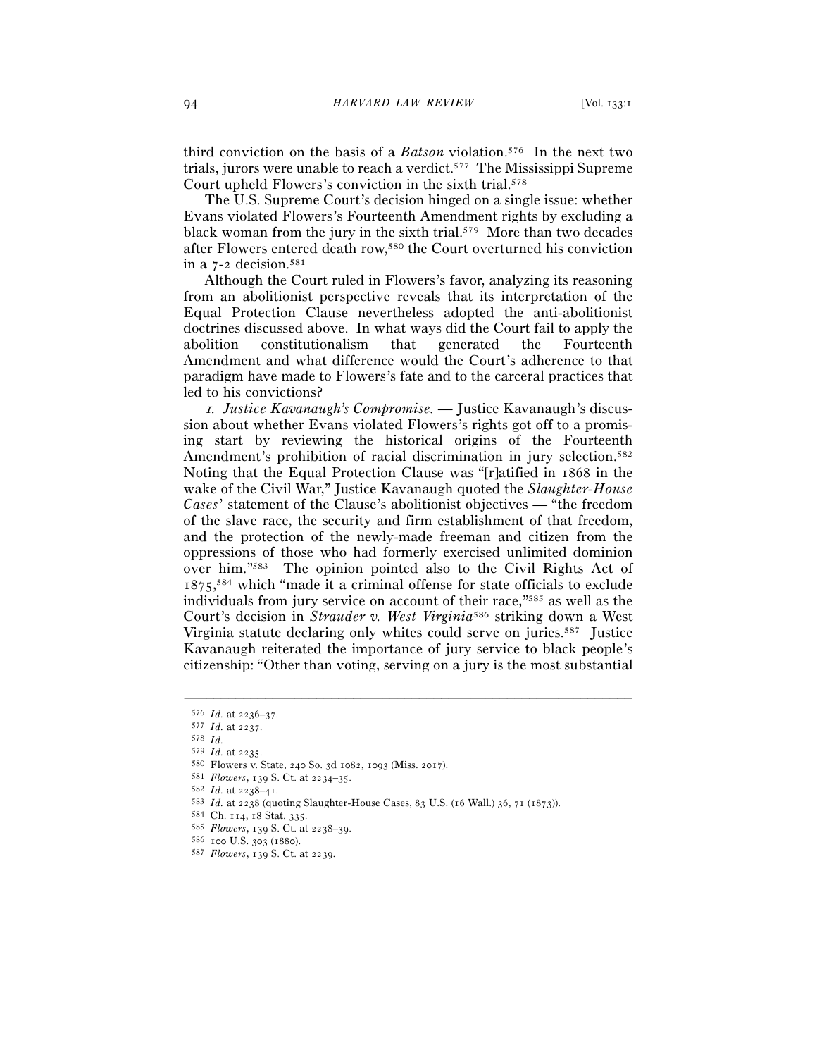third conviction on the basis of a *Batson* violation.576 In the next two trials, jurors were unable to reach a verdict.577 The Mississippi Supreme Court upheld Flowers's conviction in the sixth trial.578

The U.S. Supreme Court's decision hinged on a single issue: whether Evans violated Flowers's Fourteenth Amendment rights by excluding a black woman from the jury in the sixth trial.579 More than two decades after Flowers entered death row,580 the Court overturned his conviction in a 7-2 decision.581

Although the Court ruled in Flowers's favor, analyzing its reasoning from an abolitionist perspective reveals that its interpretation of the Equal Protection Clause nevertheless adopted the anti-abolitionist doctrines discussed above. In what ways did the Court fail to apply the abolition constitutionalism that generated the Fourteenth Amendment and what difference would the Court's adherence to that paradigm have made to Flowers's fate and to the carceral practices that led to his convictions?

<sup>1</sup>*. Justice Kavanaugh's Compromise. —* Justice Kavanaugh's discussion about whether Evans violated Flowers's rights got off to a promising start by reviewing the historical origins of the Fourteenth Amendment's prohibition of racial discrimination in jury selection.<sup>582</sup> Noting that the Equal Protection Clause was "[r]atified in 1868 in the wake of the Civil War," Justice Kavanaugh quoted the *Slaughter-House Cases*' statement of the Clause's abolitionist objectives — "the freedom of the slave race, the security and firm establishment of that freedom, and the protection of the newly-made freeman and citizen from the oppressions of those who had formerly exercised unlimited dominion over him."583 The opinion pointed also to the Civil Rights Act of 1875, 584 which "made it a criminal offense for state officials to exclude individuals from jury service on account of their race,"585 as well as the Court's decision in *Strauder v. West Virginia*586 striking down a West Virginia statute declaring only whites could serve on juries.587 Justice Kavanaugh reiterated the importance of jury service to black people's citizenship: "Other than voting, serving on a jury is the most substantial

<sup>576</sup> *Id.* at 2236–<sup>37</sup>. 577 *Id.* at <sup>2237</sup>. 578 *Id.*

<sup>580</sup> Flowers v. State, 240 So. 3d 1082, 1093 (Miss. 2017).<br>
581 Flowers, 139 S. Ct. at 2234–35.<br>
582 Id. at 2238–41.<br>
583 Id. at 2238–41.<br>
583 Id. at 2238–41.<br>
583 Id. at 2238 (quoting Slaughter-House Cases, 83 U.S. (16 Wa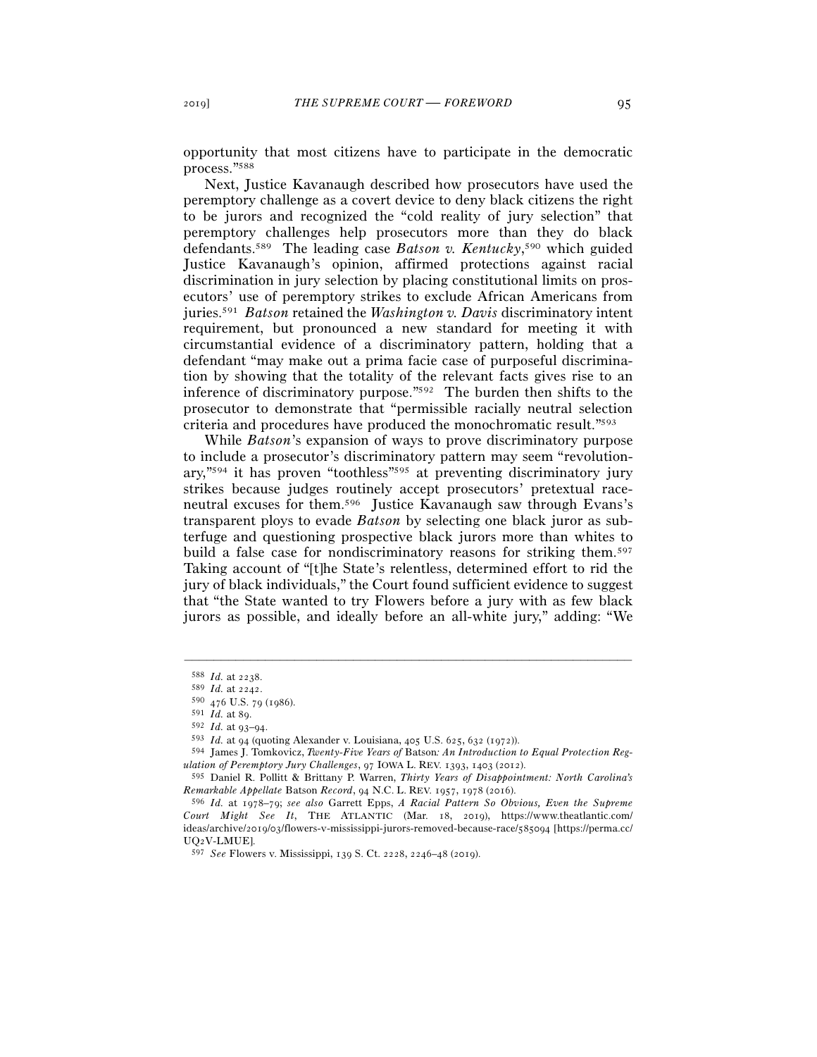opportunity that most citizens have to participate in the democratic process."588

Next, Justice Kavanaugh described how prosecutors have used the peremptory challenge as a covert device to deny black citizens the right to be jurors and recognized the "cold reality of jury selection" that peremptory challenges help prosecutors more than they do black defendants.589 The leading case *Batson v. Kentucky*, 590 which guided Justice Kavanaugh's opinion, affirmed protections against racial discrimination in jury selection by placing constitutional limits on prosecutors' use of peremptory strikes to exclude African Americans from juries.591 *Batson* retained the *Washington v. Davis* discriminatory intent requirement, but pronounced a new standard for meeting it with circumstantial evidence of a discriminatory pattern, holding that a defendant "may make out a prima facie case of purposeful discrimination by showing that the totality of the relevant facts gives rise to an inference of discriminatory purpose."592 The burden then shifts to the prosecutor to demonstrate that "permissible racially neutral selection criteria and procedures have produced the monochromatic result."593

While *Batson*'s expansion of ways to prove discriminatory purpose to include a prosecutor's discriminatory pattern may seem "revolutionary,"594 it has proven "toothless"595 at preventing discriminatory jury strikes because judges routinely accept prosecutors' pretextual raceneutral excuses for them.596 Justice Kavanaugh saw through Evans's transparent ploys to evade *Batson* by selecting one black juror as subterfuge and questioning prospective black jurors more than whites to build a false case for nondiscriminatory reasons for striking them.<sup>597</sup> Taking account of "[t]he State's relentless, determined effort to rid the jury of black individuals," the Court found sufficient evidence to suggest that "the State wanted to try Flowers before a jury with as few black jurors as possible, and ideally before an all-white jury," adding: "We

<sup>588</sup> *Id.* at <sup>2238</sup>. 589 *Id.* at <sup>2242</sup>. 590 <sup>476</sup> U.S. 79 (1986).

<sup>591</sup> *Id.* at <sup>89</sup>. 592 *Id.* at 93–<sup>94</sup>. 593 *Id.* at 94 (quoting Alexander v. Louisiana, 405 U.S. 625, 632 (1972)).

<sup>594</sup> James J. Tomkovicz, *Twenty-Five Years of* Batson*: An Introduction to Equal Protection Regulation of Peremptory Jury Challenges*, 97 IOWA L. REV. 1393, 1403 (2012).

<sup>595</sup> Daniel R. Pollitt & Brittany P. Warren, *Thirty Years of Disappointment: North Carolina's Remarkable Appellate* Batson *Record*, 94 N.C. L. REV. 1957, 1978 (2016).

<sup>596</sup> *Id.* at 1978–79; *see also* Garrett Epps, *A Racial Pattern So Obvious, Even the Supreme Court Might See It*, THE ATLANTIC (Mar. 18, 2019), https://www.theatlantic.com/ ideas/archive/2019/03/flowers-v-mississippi-jurors-removed-because-race/585094 [https://perma.cc/ UQ2V-LMUE].

<sup>597</sup> *See* Flowers v. Mississippi, 139 S. Ct. 2228, 2246–48 (2019).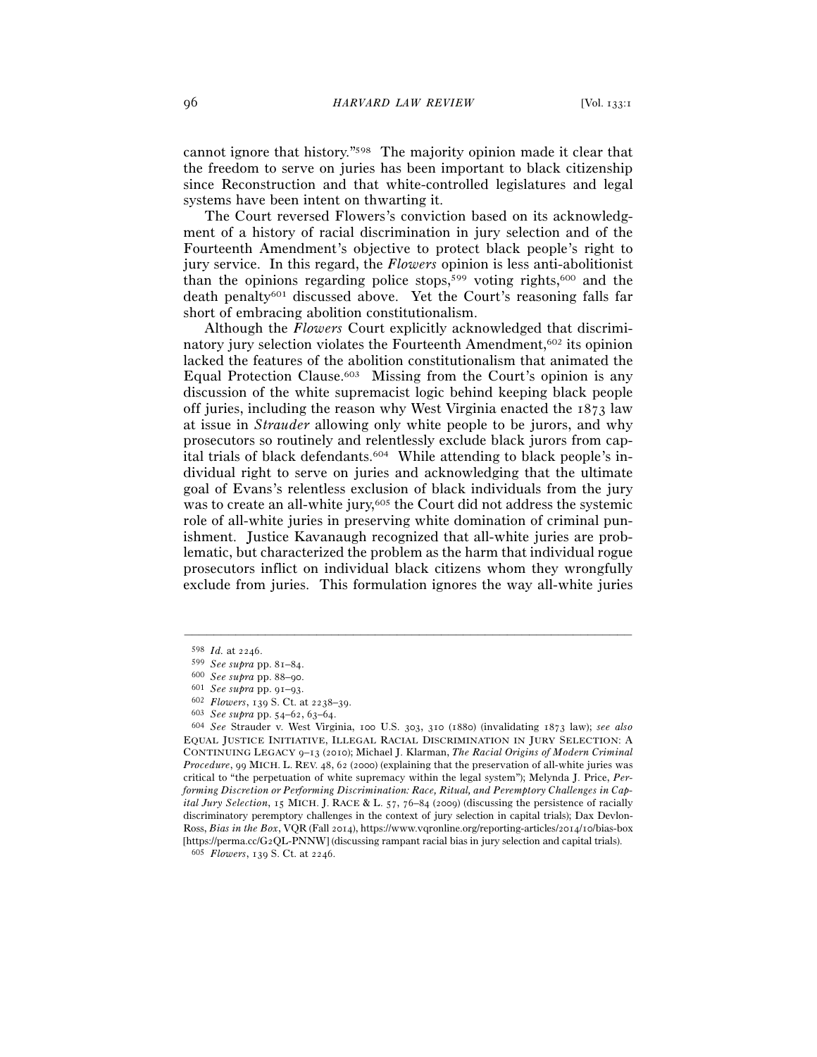cannot ignore that history."598 The majority opinion made it clear that the freedom to serve on juries has been important to black citizenship since Reconstruction and that white-controlled legislatures and legal systems have been intent on thwarting it.

The Court reversed Flowers's conviction based on its acknowledgment of a history of racial discrimination in jury selection and of the Fourteenth Amendment's objective to protect black people's right to jury service. In this regard, the *Flowers* opinion is less anti-abolitionist than the opinions regarding police stops,<sup>599</sup> voting rights,<sup>600</sup> and the death penalty601 discussed above. Yet the Court's reasoning falls far short of embracing abolition constitutionalism.

Although the *Flowers* Court explicitly acknowledged that discriminatory jury selection violates the Fourteenth Amendment,602 its opinion lacked the features of the abolition constitutionalism that animated the Equal Protection Clause.<sup>603</sup> Missing from the Court's opinion is any discussion of the white supremacist logic behind keeping black people off juries, including the reason why West Virginia enacted the 1873 law at issue in *Strauder* allowing only white people to be jurors, and why prosecutors so routinely and relentlessly exclude black jurors from capital trials of black defendants.604 While attending to black people's individual right to serve on juries and acknowledging that the ultimate goal of Evans's relentless exclusion of black individuals from the jury was to create an all-white jury,<sup>605</sup> the Court did not address the systemic role of all-white juries in preserving white domination of criminal punishment. Justice Kavanaugh recognized that all-white juries are problematic, but characterized the problem as the harm that individual rogue prosecutors inflict on individual black citizens whom they wrongfully exclude from juries. This formulation ignores the way all-white juries

<sup>598</sup> *Id.* at 2246.<br>
599 *See supra* pp. 81–84.<br>
600 *See supra* pp. 88–90.<br>
601 *See supra* pp. 91–93.<br>
602 *Flowers*, 139 S. Ct. at 2238–39.<br>
603 *See supra* pp. 54–62, 63–64.<br>
604 *See Strauder v. West Virginia, 100 U.S* EQUAL JUSTICE INITIATIVE, ILLEGAL RACIAL DISCRIMINATION IN JURY SELECTION: A CONTINUING LEGACY 9–13 (2010); Michael J. Klarman, *The Racial Origins of Modern Criminal Procedure*, 99 MICH. L. REV. 48, 62 (2000) (explaining that the preservation of all-white juries was critical to "the perpetuation of white supremacy within the legal system"); Melynda J. Price, *Performing Discretion or Performing Discrimination: Race, Ritual, and Peremptory Challenges in Capital Jury Selection*, 15 MICH. J. RACE & L. 57, 76–84 (2009) (discussing the persistence of racially discriminatory peremptory challenges in the context of jury selection in capital trials); Dax Devlon-Ross, *Bias in the Box*, VQR (Fall 2014), https://www.vqronline.org/reporting-articles/2014/10/bias-box [https://perma.cc/G<sup>2</sup>QL-PNNW] (discussing rampant racial bias in jury selection and capital trials). 605 *Flowers*, 139 S. Ct. at 2246.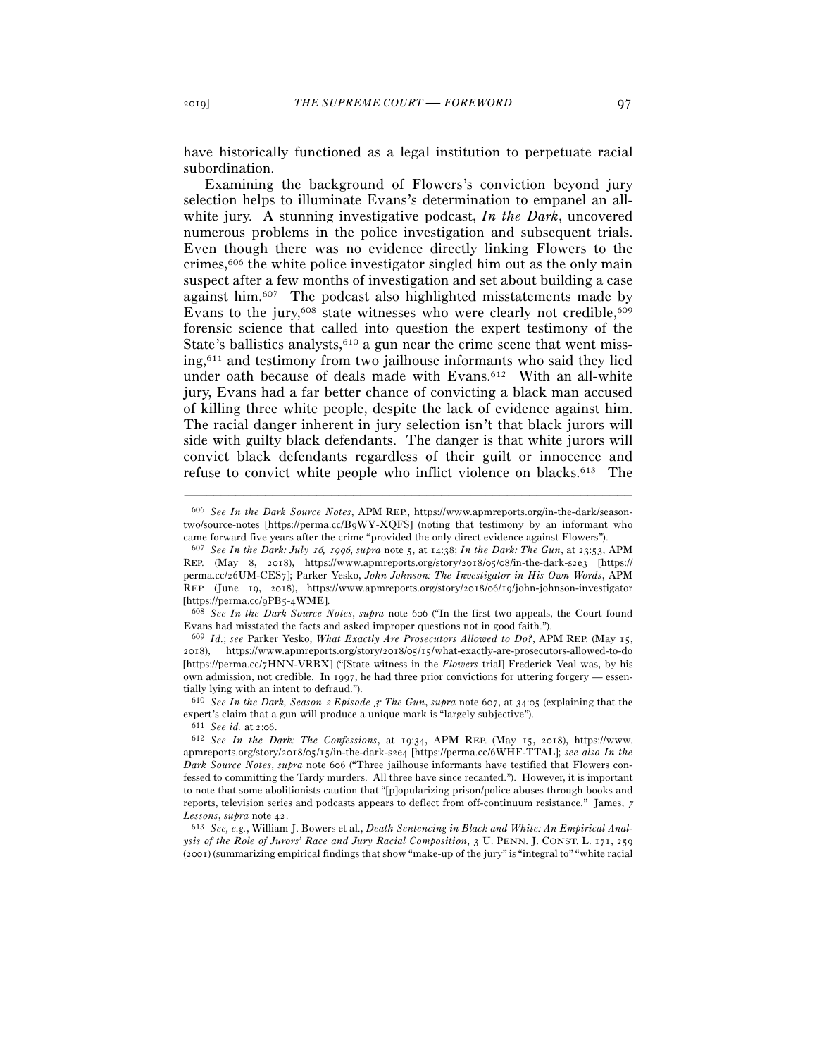have historically functioned as a legal institution to perpetuate racial subordination.

Examining the background of Flowers's conviction beyond jury selection helps to illuminate Evans's determination to empanel an allwhite jury. A stunning investigative podcast, *In the Dark*, uncovered numerous problems in the police investigation and subsequent trials. Even though there was no evidence directly linking Flowers to the crimes,606 the white police investigator singled him out as the only main suspect after a few months of investigation and set about building a case against him.607 The podcast also highlighted misstatements made by Evans to the jury,<sup>608</sup> state witnesses who were clearly not credible,<sup>609</sup> forensic science that called into question the expert testimony of the State's ballistics analysts, $610$  a gun near the crime scene that went missing,611 and testimony from two jailhouse informants who said they lied under oath because of deals made with Evans.612 With an all-white jury, Evans had a far better chance of convicting a black man accused of killing three white people, despite the lack of evidence against him. The racial danger inherent in jury selection isn't that black jurors will side with guilty black defendants. The danger is that white jurors will convict black defendants regardless of their guilt or innocence and refuse to convict white people who inflict violence on blacks.<sup>613</sup> The

–––––––––––––––––––––––––––––––––––––––––––––––––––––––––––––

<sup>611</sup> *See id.* at 2:06.

<sup>606</sup> *See In the Dark Source Notes*, APM REP., https://www.apmreports.org/in-the-dark/seasontwo/source-notes [https://perma.cc/B9WY-XQFS] (noting that testimony by an informant who came forward five years after the crime "provided the only direct evidence against Flowers").

<sup>607</sup> *See In the Dark: July* 16*,* 1996, *supra* note 5, at 14:38; *In the Dark: The Gun*, at 23:53, APM REP. (May 8, 2018), https://www.apmreports.org/story/2018/05/08/in-the-dark-s2e3 [https:// perma.cc/26UM-CES7]; Parker Yesko, *John Johnson: The Investigator in His Own Words*, APM REP. (June 19, 2018), https://www.apmreports.org/story/2018/06/19/john-johnson-investigator [https://perma.cc/9PB5-4WME].

<sup>608</sup> *See In the Dark Source Notes*, *supra* note 606 ("In the first two appeals, the Court found Evans had misstated the facts and asked improper questions not in good faith."). 609 *Id.*; *see* Parker Yesko, *What Exactly Are Prosecutors Allowed to Do?*, APM REP. (May 15,

<sup>2018</sup>), https://www.apmreports.org/story/2018/05/15/what-exactly-are-prosecutors-allowed-to-do [https://perma.cc/7HNN-VRBX] ("[State witness in the *Flowers* trial] Frederick Veal was, by his own admission, not credible. In 1997, he had three prior convictions for uttering forgery — essentially lying with an intent to defraud.").

<sup>610</sup> *See In the Dark, Season* 2 *Episode* 3*: The Gun*, *supra* note 607, at 34:05 (explaining that the expert's claim that a gun will produce a unique mark is "largely subjective").

<sup>612</sup> *See In the Dark: The Confessions*, at 19:34, APM REP. (May 15, 2018), https://www. apmreports.org/story/2018/05/15/in-the-dark-s2e4 [https://perma.cc/6WHF-TTAL]; *see also In the Dark Source Notes*, *supra* note 606 ("Three jailhouse informants have testified that Flowers confessed to committing the Tardy murders. All three have since recanted."). However, it is important to note that some abolitionists caution that "[p]opularizing prison/police abuses through books and reports, television series and podcasts appears to deflect from off-continuum resistance." James, <sup>7</sup> *Lessons*, *supra* note <sup>42</sup>. 613 *See, e.g.*, William J. Bowers et al., *Death Sentencing in Black and White: An Empirical Anal-*

*ysis of the Role of Jurors' Race and Jury Racial Composition*, 3 U. PENN. J. CONST. L. 171, 259 (2001) (summarizing empirical findings that show "make-up of the jury" is "integral to" "white racial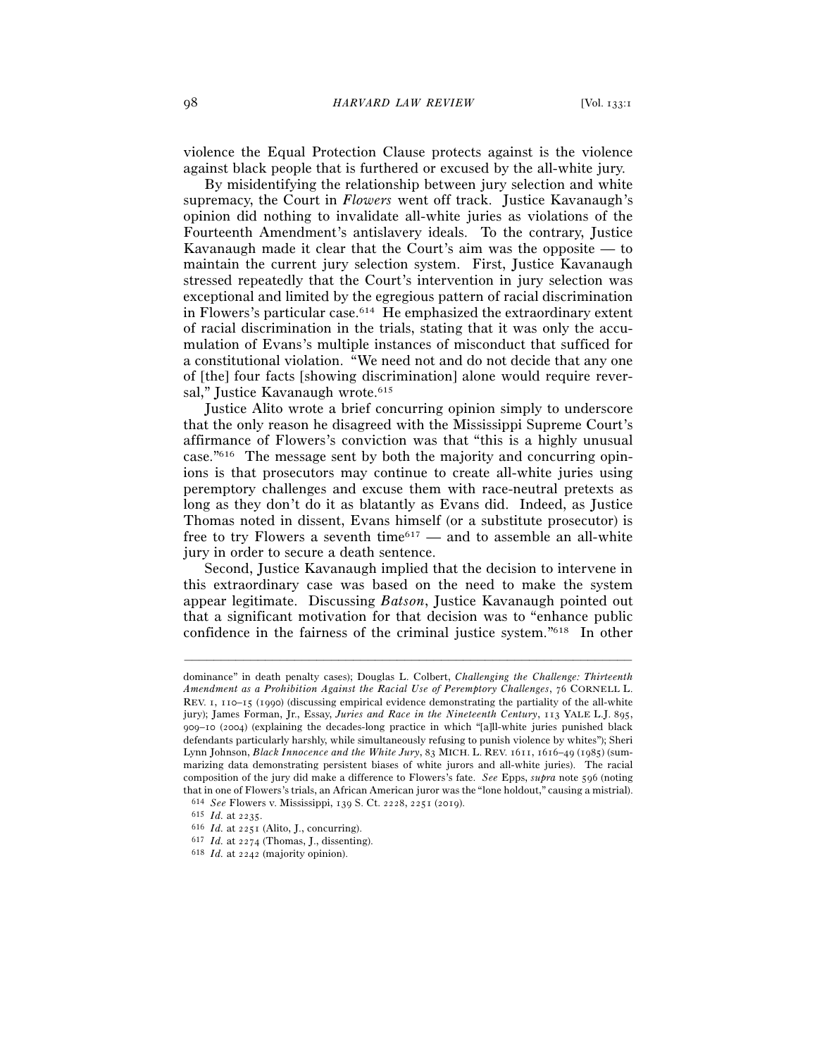violence the Equal Protection Clause protects against is the violence against black people that is furthered or excused by the all-white jury.

By misidentifying the relationship between jury selection and white supremacy, the Court in *Flowers* went off track. Justice Kavanaugh's opinion did nothing to invalidate all-white juries as violations of the Fourteenth Amendment's antislavery ideals. To the contrary, Justice Kavanaugh made it clear that the Court's aim was the opposite — to maintain the current jury selection system. First, Justice Kavanaugh stressed repeatedly that the Court's intervention in jury selection was exceptional and limited by the egregious pattern of racial discrimination in Flowers's particular case.614 He emphasized the extraordinary extent of racial discrimination in the trials, stating that it was only the accumulation of Evans's multiple instances of misconduct that sufficed for a constitutional violation. "We need not and do not decide that any one of [the] four facts [showing discrimination] alone would require reversal," Justice Kavanaugh wrote.<sup>615</sup>

Justice Alito wrote a brief concurring opinion simply to underscore that the only reason he disagreed with the Mississippi Supreme Court's affirmance of Flowers's conviction was that "this is a highly unusual case."616 The message sent by both the majority and concurring opinions is that prosecutors may continue to create all-white juries using peremptory challenges and excuse them with race-neutral pretexts as long as they don't do it as blatantly as Evans did. Indeed, as Justice Thomas noted in dissent, Evans himself (or a substitute prosecutor) is free to try Flowers a seventh time $617$  — and to assemble an all-white jury in order to secure a death sentence.

Second, Justice Kavanaugh implied that the decision to intervene in this extraordinary case was based on the need to make the system appear legitimate. Discussing *Batson*, Justice Kavanaugh pointed out that a significant motivation for that decision was to "enhance public confidence in the fairness of the criminal justice system."618 In other

dominance" in death penalty cases); Douglas L. Colbert, *Challenging the Challenge: Thirteenth Amendment as a Prohibition Against the Racial Use of Peremptory Challenges*, 76 CORNELL L. REV. 1, 110–15 (1990) (discussing empirical evidence demonstrating the partiality of the all-white jury); James Forman, Jr., Essay, *Juries and Race in the Nineteenth Century*, 113 YALE L.J. 895, 909–10 (2004) (explaining the decades-long practice in which "[a]ll-white juries punished black defendants particularly harshly, while simultaneously refusing to punish violence by whites"); Sheri Lynn Johnson, *Black Innocence and the White Jury*, 83 MICH. L. REV. 1611, 1616–49 (1985) (summarizing data demonstrating persistent biases of white jurors and all-white juries). The racial composition of the jury did make a difference to Flowers's fate. *See* Epps, *supra* note 596 (noting that in one of Flowers's trials, an African American juror was the "lone holdout," causing a mistrial). <sup>614</sup> *See* Flowers v. Mississippi, 139 S. Ct. 2228, 2251 (2019).

<sup>615</sup> *Id.* at <sup>2235</sup>. 616 *Id.* at <sup>2251</sup> (Alito, J., concurring). 617 *Id.* at <sup>2274</sup> (Thomas, J., dissenting). 618 *Id.* at 2242 (majority opinion).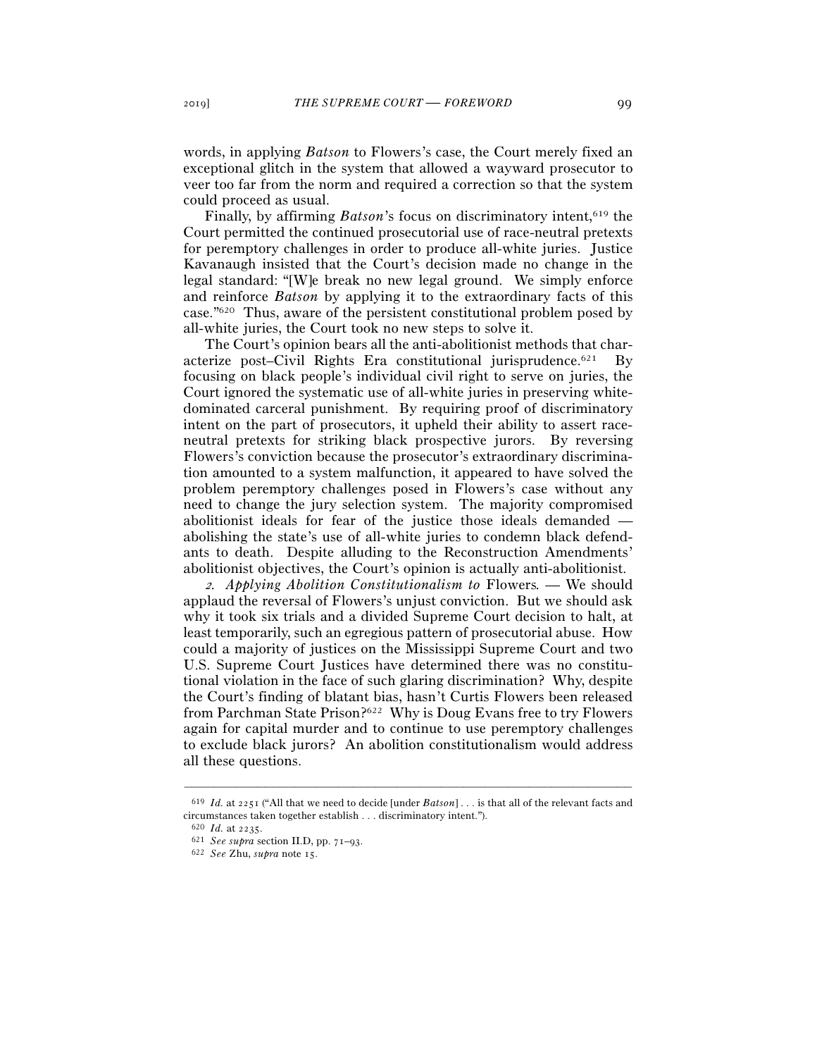words, in applying *Batson* to Flowers's case, the Court merely fixed an exceptional glitch in the system that allowed a wayward prosecutor to veer too far from the norm and required a correction so that the system could proceed as usual.

Finally, by affirming *Batson*'s focus on discriminatory intent,<sup>619</sup> the Court permitted the continued prosecutorial use of race-neutral pretexts for peremptory challenges in order to produce all-white juries. Justice Kavanaugh insisted that the Court's decision made no change in the legal standard: "[W]e break no new legal ground. We simply enforce and reinforce *Batson* by applying it to the extraordinary facts of this case."620 Thus, aware of the persistent constitutional problem posed by all-white juries, the Court took no new steps to solve it.

The Court's opinion bears all the anti-abolitionist methods that characterize post–Civil Rights Era constitutional jurisprudence.621 By focusing on black people's individual civil right to serve on juries, the Court ignored the systematic use of all-white juries in preserving whitedominated carceral punishment. By requiring proof of discriminatory intent on the part of prosecutors, it upheld their ability to assert raceneutral pretexts for striking black prospective jurors. By reversing Flowers's conviction because the prosecutor's extraordinary discrimination amounted to a system malfunction, it appeared to have solved the problem peremptory challenges posed in Flowers's case without any need to change the jury selection system. The majority compromised abolitionist ideals for fear of the justice those ideals demanded abolishing the state's use of all-white juries to condemn black defendants to death. Despite alluding to the Reconstruction Amendments' abolitionist objectives, the Court's opinion is actually anti-abolitionist.

<sup>2</sup>*. Applying Abolition Constitutionalism to* Flowers*. —* We should applaud the reversal of Flowers's unjust conviction. But we should ask why it took six trials and a divided Supreme Court decision to halt, at least temporarily, such an egregious pattern of prosecutorial abuse. How could a majority of justices on the Mississippi Supreme Court and two U.S. Supreme Court Justices have determined there was no constitutional violation in the face of such glaring discrimination? Why, despite the Court's finding of blatant bias, hasn't Curtis Flowers been released from Parchman State Prison?622 Why is Doug Evans free to try Flowers again for capital murder and to continue to use peremptory challenges to exclude black jurors? An abolition constitutionalism would address all these questions.

<sup>–––––––––––––––––––––––––––––––––––––––––––––––––––––––––––––</sup> <sup>619</sup> *Id.* at 2251 ("All that we need to decide [under *Batson*] . . . is that all of the relevant facts and circumstances taken together establish . . . discriminatory intent.").

<sup>620</sup> *Id.* at <sup>2235</sup>. 621 *See supra* section II.D, pp. 71–<sup>93</sup>. 622 *See* Zhu, *supra* note 15.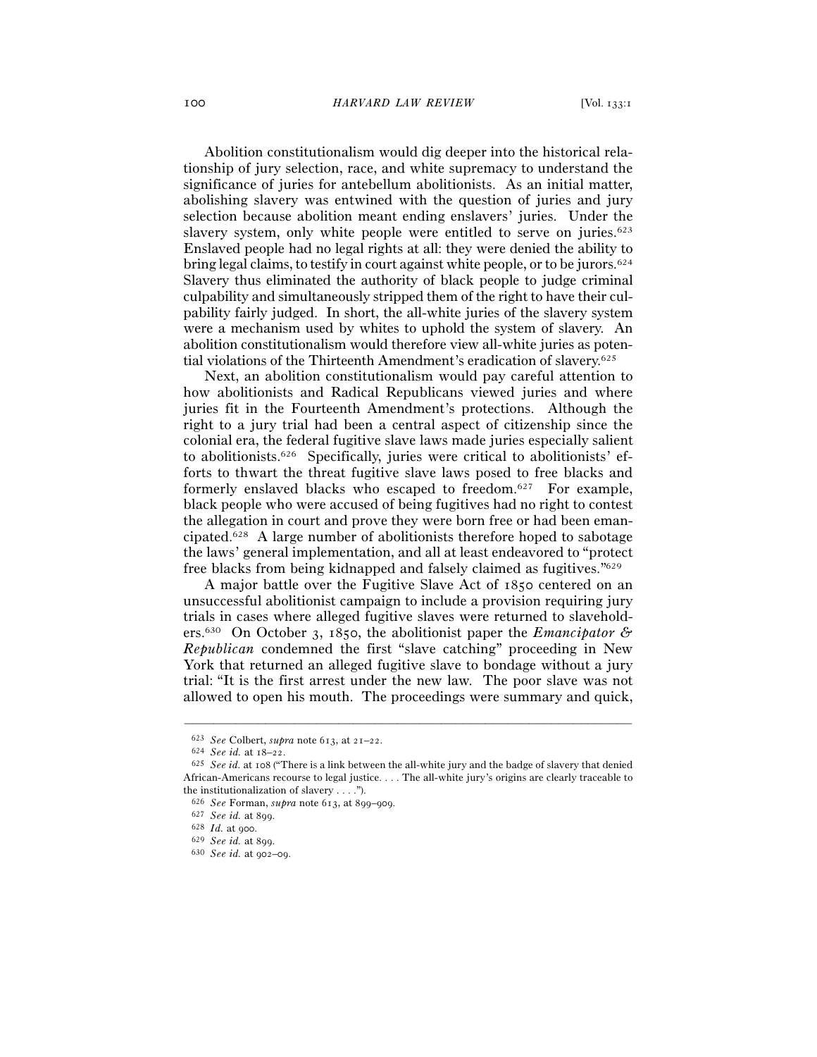Abolition constitutionalism would dig deeper into the historical relationship of jury selection, race, and white supremacy to understand the significance of juries for antebellum abolitionists. As an initial matter, abolishing slavery was entwined with the question of juries and jury selection because abolition meant ending enslavers' juries. Under the slavery system, only white people were entitled to serve on juries.<sup>623</sup> Enslaved people had no legal rights at all: they were denied the ability to bring legal claims, to testify in court against white people, or to be jurors.<sup>624</sup> Slavery thus eliminated the authority of black people to judge criminal culpability and simultaneously stripped them of the right to have their culpability fairly judged. In short, the all-white juries of the slavery system were a mechanism used by whites to uphold the system of slavery. An abolition constitutionalism would therefore view all-white juries as potential violations of the Thirteenth Amendment's eradication of slavery.625

Next, an abolition constitutionalism would pay careful attention to how abolitionists and Radical Republicans viewed juries and where juries fit in the Fourteenth Amendment's protections. Although the right to a jury trial had been a central aspect of citizenship since the colonial era, the federal fugitive slave laws made juries especially salient to abolitionists.626 Specifically, juries were critical to abolitionists' efforts to thwart the threat fugitive slave laws posed to free blacks and formerly enslaved blacks who escaped to freedom.<sup>627</sup> For example, black people who were accused of being fugitives had no right to contest the allegation in court and prove they were born free or had been emancipated.628 A large number of abolitionists therefore hoped to sabotage the laws' general implementation, and all at least endeavored to "protect free blacks from being kidnapped and falsely claimed as fugitives."629

A major battle over the Fugitive Slave Act of 1850 centered on an unsuccessful abolitionist campaign to include a provision requiring jury trials in cases where alleged fugitive slaves were returned to slaveholders.630 On October 3, 1850, the abolitionist paper the *Emancipator & Republican* condemned the first "slave catching" proceeding in New York that returned an alleged fugitive slave to bondage without a jury trial: "It is the first arrest under the new law. The poor slave was not allowed to open his mouth. The proceedings were summary and quick,

<sup>623</sup> *See* Colbert, *supra* note 613, at 21–<sup>22</sup>. 624 *See id.* at 18–<sup>22</sup>. 625 *See id.* at 108 ("There is a link between the all-white jury and the badge of slavery that denied African-Americans recourse to legal justice. . . . The all-white jury's origins are clearly traceable to the institutionalization of slavery . . . .").

<sup>626</sup> *See* Forman, *supra* note 613, at 899–<sup>909</sup>. 627 *See id.* at <sup>899</sup>. 628 *Id.* at <sup>900</sup>. 629 *See id.* at <sup>899</sup>. 630 *See id.* at 902–09.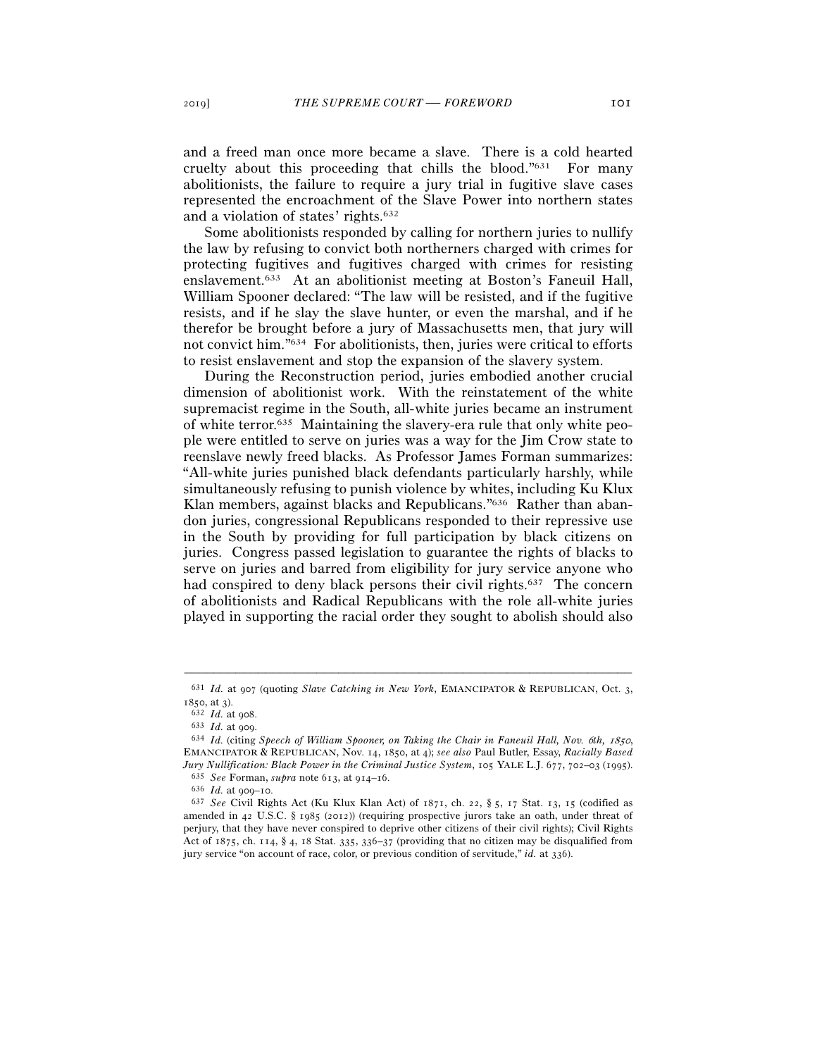and a freed man once more became a slave. There is a cold hearted cruelty about this proceeding that chills the blood."631 For many abolitionists, the failure to require a jury trial in fugitive slave cases represented the encroachment of the Slave Power into northern states and a violation of states' rights.632

Some abolitionists responded by calling for northern juries to nullify the law by refusing to convict both northerners charged with crimes for protecting fugitives and fugitives charged with crimes for resisting enslavement.633 At an abolitionist meeting at Boston's Faneuil Hall, William Spooner declared: "The law will be resisted, and if the fugitive resists, and if he slay the slave hunter, or even the marshal, and if he therefor be brought before a jury of Massachusetts men, that jury will not convict him."634 For abolitionists, then, juries were critical to efforts to resist enslavement and stop the expansion of the slavery system.

During the Reconstruction period, juries embodied another crucial dimension of abolitionist work. With the reinstatement of the white supremacist regime in the South, all-white juries became an instrument of white terror.635 Maintaining the slavery-era rule that only white people were entitled to serve on juries was a way for the Jim Crow state to reenslave newly freed blacks. As Professor James Forman summarizes: "All-white juries punished black defendants particularly harshly, while simultaneously refusing to punish violence by whites, including Ku Klux Klan members, against blacks and Republicans."636 Rather than abandon juries, congressional Republicans responded to their repressive use in the South by providing for full participation by black citizens on juries. Congress passed legislation to guarantee the rights of blacks to serve on juries and barred from eligibility for jury service anyone who had conspired to deny black persons their civil rights.<sup>637</sup> The concern of abolitionists and Radical Republicans with the role all-white juries played in supporting the racial order they sought to abolish should also

<sup>–––––––––––––––––––––––––––––––––––––––––––––––––––––––––––––</sup> <sup>631</sup> *Id.* at 907 (quoting *Slave Catching in New York*, EMANCIPATOR & REPUBLICAN, Oct. 3, 1850, at 3).<br><sup>632</sup> *Id.* at 908.<br><sup>633</sup> *Id.* at 909.<br><sup>634</sup> *Id.* (citing *Speech of William Spooner, on Taking the Chair in Faneuil Hall, Nov. 6th, 1850*,

EMANCIPATOR & REPUBLICAN, Nov. 14, 1850, at 4); *see also* Paul Butler, Essay, *Racially Based*  Jury Nullification: Black Power in the Criminal Justice System, 105 YALE L.J. 677, 702–03 (1995).<br>
<sup>635</sup> See Forman, supra note 613, at 914–16.<br>
<sup>636</sup> Id. at 909–10.<br>
<sup>636</sup> See Civil Rights Act (Ku Klux Klan Act) of 1871,

amended in 42 U.S.C. § 1985 (2012)) (requiring prospective jurors take an oath, under threat of perjury, that they have never conspired to deprive other citizens of their civil rights); Civil Rights Act of 1875, ch. 114, § 4, 18 Stat. 335, 336–37 (providing that no citizen may be disqualified from jury service "on account of race, color, or previous condition of servitude," *id.* at 336).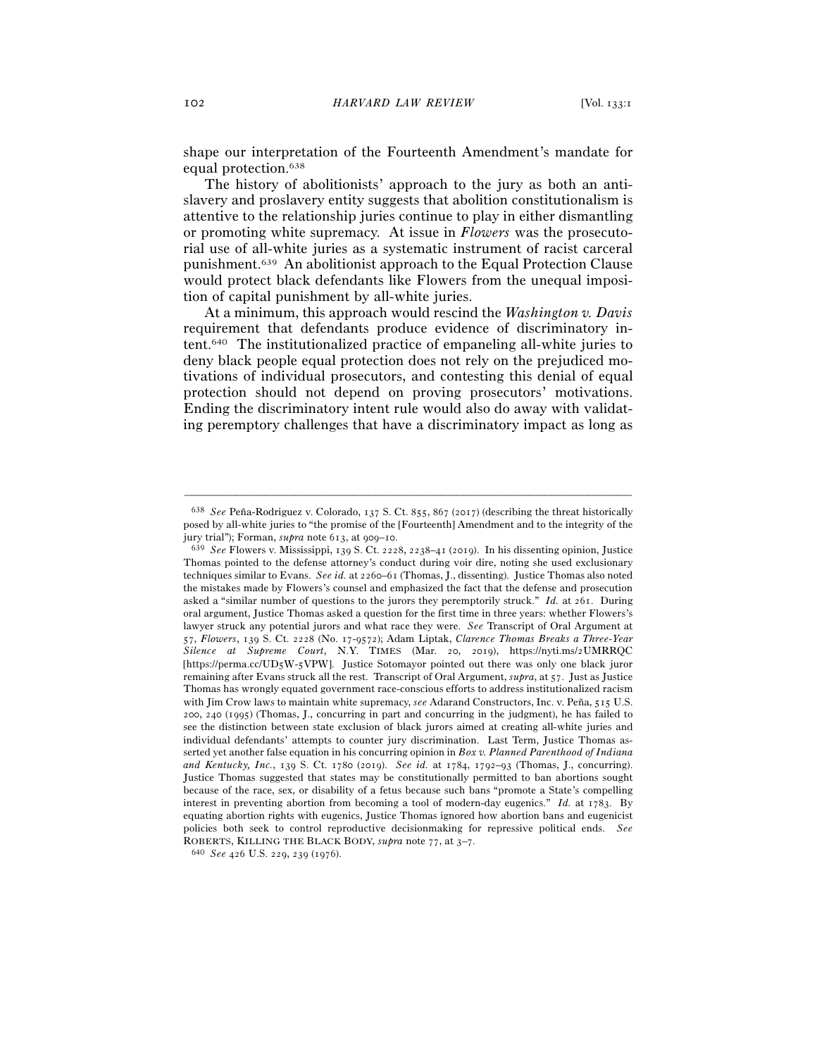shape our interpretation of the Fourteenth Amendment's mandate for equal protection.638

The history of abolitionists' approach to the jury as both an antislavery and proslavery entity suggests that abolition constitutionalism is attentive to the relationship juries continue to play in either dismantling or promoting white supremacy. At issue in *Flowers* was the prosecutorial use of all-white juries as a systematic instrument of racist carceral punishment.639 An abolitionist approach to the Equal Protection Clause would protect black defendants like Flowers from the unequal imposition of capital punishment by all-white juries.

At a minimum, this approach would rescind the *Washington v. Davis* requirement that defendants produce evidence of discriminatory intent.640 The institutionalized practice of empaneling all-white juries to deny black people equal protection does not rely on the prejudiced motivations of individual prosecutors, and contesting this denial of equal protection should not depend on proving prosecutors' motivations. Ending the discriminatory intent rule would also do away with validating peremptory challenges that have a discriminatory impact as long as

<sup>638</sup> *See* Peña-Rodriguez v. Colorado, 137 S. Ct. 855, 867 (2017) (describing the threat historically posed by all-white juries to "the promise of the [Fourteenth] Amendment and to the integrity of the jury trial"); Forman, *supra* note 613, at 909–<sup>10</sup>. 639 *See* Flowers v. Mississippi, 139 S. Ct. 2228, 2238–41 (2019). In his dissenting opinion, Justice

Thomas pointed to the defense attorney's conduct during voir dire, noting she used exclusionary techniques similar to Evans. *See id.* at 2260–61 (Thomas, J., dissenting). Justice Thomas also noted the mistakes made by Flowers's counsel and emphasized the fact that the defense and prosecution asked a "similar number of questions to the jurors they peremptorily struck." *Id.* at 261. During oral argument, Justice Thomas asked a question for the first time in three years: whether Flowers's lawyer struck any potential jurors and what race they were. *See* Transcript of Oral Argument at 57, *Flowers*, 139 S. Ct. 2228 (No. 17-9572); Adam Liptak, *Clarence Thomas Breaks a Three-Year Silence at Supreme Court*, N.Y. TIMES (Mar. 20, 2019), https://nyti.ms/2UMRRQC [https://perma.cc/UD5W-5VPW]. Justice Sotomayor pointed out there was only one black juror remaining after Evans struck all the rest. Transcript of Oral Argument, *supra*, at 57. Just as Justice Thomas has wrongly equated government race-conscious efforts to address institutionalized racism with Jim Crow laws to maintain white supremacy, *see* Adarand Constructors, Inc. v. Peña, 515 U.S. 200, 240 (1995) (Thomas, J., concurring in part and concurring in the judgment), he has failed to see the distinction between state exclusion of black jurors aimed at creating all-white juries and individual defendants' attempts to counter jury discrimination. Last Term, Justice Thomas asserted yet another false equation in his concurring opinion in *Box v. Planned Parenthood of Indiana and Kentucky, Inc.*, 139 S. Ct. 1780 (2019). *See id.* at 1784, 1792–93 (Thomas, J., concurring). Justice Thomas suggested that states may be constitutionally permitted to ban abortions sought because of the race, sex, or disability of a fetus because such bans "promote a State's compelling interest in preventing abortion from becoming a tool of modern-day eugenics." *Id.* at 1783. By equating abortion rights with eugenics, Justice Thomas ignored how abortion bans and eugenicist policies both seek to control reproductive decisionmaking for repressive political ends. *See* ROBERTS, KILLING THE BLACK BODY, *supra* note 77, at 3–<sup>7</sup>. 640 *See* <sup>426</sup> U.S. 229, 239 (1976).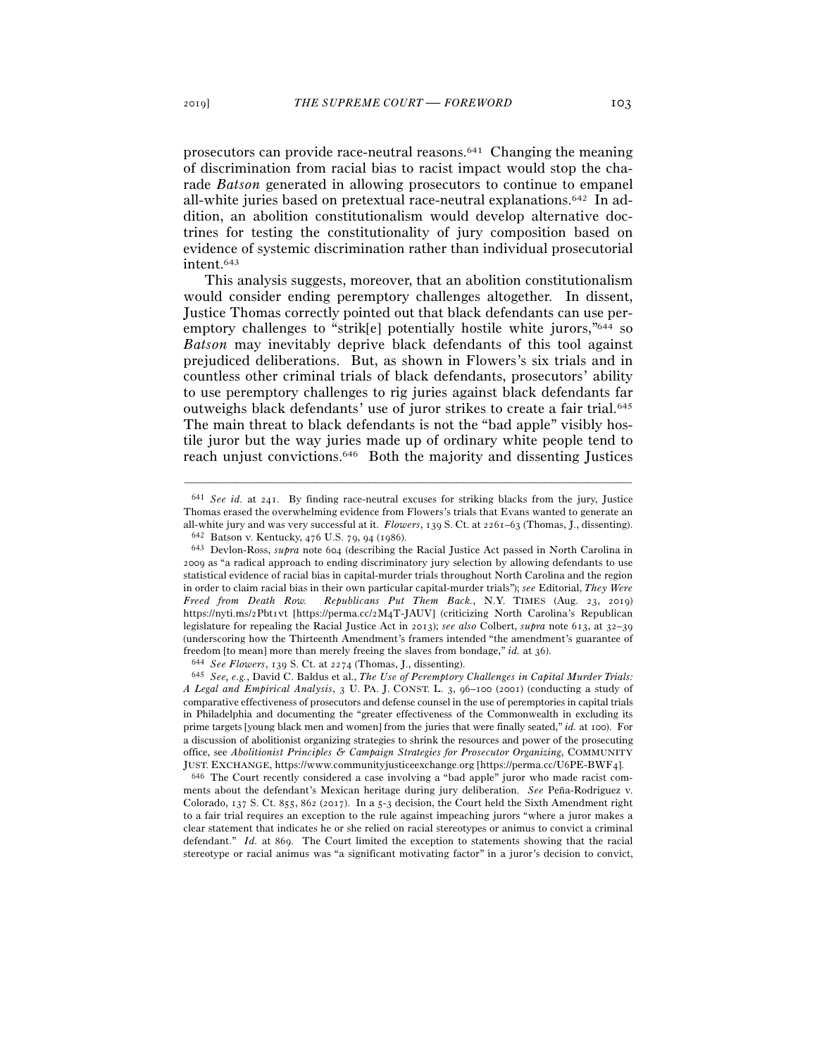prosecutors can provide race-neutral reasons.641 Changing the meaning of discrimination from racial bias to racist impact would stop the charade *Batson* generated in allowing prosecutors to continue to empanel all-white juries based on pretextual race-neutral explanations.642 In addition, an abolition constitutionalism would develop alternative doctrines for testing the constitutionality of jury composition based on evidence of systemic discrimination rather than individual prosecutorial intent.643

This analysis suggests, moreover, that an abolition constitutionalism would consider ending peremptory challenges altogether. In dissent, Justice Thomas correctly pointed out that black defendants can use peremptory challenges to "strik[e] potentially hostile white jurors,"<sup>644</sup> so *Batson* may inevitably deprive black defendants of this tool against prejudiced deliberations. But, as shown in Flowers's six trials and in countless other criminal trials of black defendants, prosecutors' ability to use peremptory challenges to rig juries against black defendants far outweighs black defendants' use of juror strikes to create a fair trial.645 The main threat to black defendants is not the "bad apple" visibly hostile juror but the way juries made up of ordinary white people tend to reach unjust convictions.646 Both the majority and dissenting Justices

–––––––––––––––––––––––––––––––––––––––––––––––––––––––––––––

ments about the defendant's Mexican heritage during jury deliberation. *See* Peña-Rodriguez v. Colorado, 137 S. Ct. 855, 862 (2017). In a 5-3 decision, the Court held the Sixth Amendment right to a fair trial requires an exception to the rule against impeaching jurors "where a juror makes a clear statement that indicates he or she relied on racial stereotypes or animus to convict a criminal defendant." *Id.* at 869. The Court limited the exception to statements showing that the racial stereotype or racial animus was "a significant motivating factor" in a juror's decision to convict,

<sup>641</sup> *See id.* at 241. By finding race-neutral excuses for striking blacks from the jury, Justice Thomas erased the overwhelming evidence from Flowers's trials that Evans wanted to generate an all-white jury and was very successful at it. *Flowers*, 139 S. Ct. at 2261–63 (Thomas, J., dissenting).<br><sup>642</sup> Batson v. Kentucky, 476 U.S. 79, 94 (1986).<br><sup>643</sup> Devlon-Ross, *supra* note 604 (describing the Racial Justice

<sup>2009</sup> as "a radical approach to ending discriminatory jury selection by allowing defendants to use statistical evidence of racial bias in capital-murder trials throughout North Carolina and the region in order to claim racial bias in their own particular capital-murder trials"); *see* Editorial, *They Were Freed from Death Row. Republicans Put Them Back.*, N.Y. TIMES (Aug. 23, 2019) https://nyti.ms/2Pbt1vt [https://perma.cc/2M4T-JAUV] (criticizing North Carolina's Republican legislature for repealing the Racial Justice Act in 2013); *see also* Colbert, *supra* note 613, at 32–39 (underscoring how the Thirteenth Amendment's framers intended "the amendment's guarantee of freedom [to mean] more than merely freeing the slaves from bondage," *id.* at 36).<br><sup>644</sup> See Flowers, 139 S. Ct. at 2274 (Thomas, J., dissenting).<br><sup>645</sup> See, e.g., David C. Baldus et al., *The Use of Peremptory Challenges* 

*A Legal and Empirical Analysis*, 3 U. PA. J. CONST. L. 3, 96–100 (2001) (conducting a study of comparative effectiveness of prosecutors and defense counsel in the use of peremptories in capital trials in Philadelphia and documenting the "greater effectiveness of the Commonwealth in excluding its prime targets [young black men and women] from the juries that were finally seated," *id.* at 100). For a discussion of abolitionist organizing strategies to shrink the resources and power of the prosecuting office, see *Abolitionist Principles & Campaign Strategies for Prosecutor Organizing*, COMMUNITY JUST. EXCHANGE, https://www.communityjusticeexchange.org [https://perma.cc/U6PE-BWF<sup>4</sup>]. 646 The Court recently considered a case involving a "bad apple" juror who made racist com-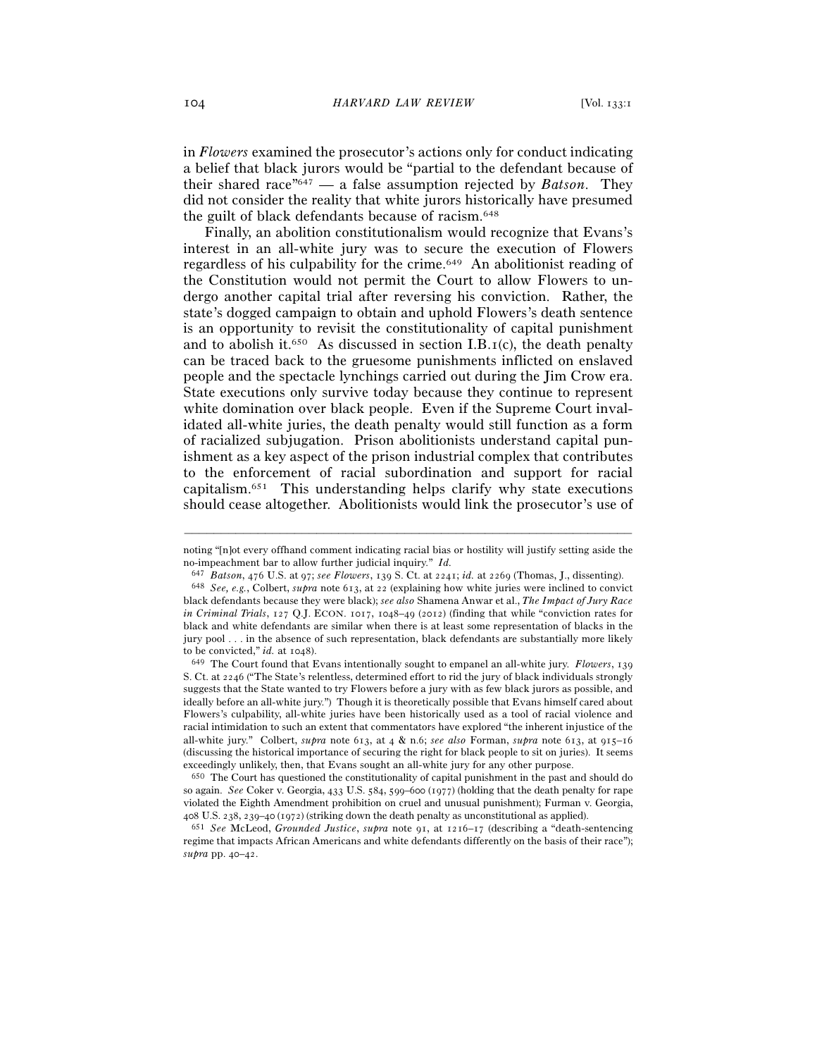in *Flowers* examined the prosecutor's actions only for conduct indicating a belief that black jurors would be "partial to the defendant because of their shared race"647 — a false assumption rejected by *Batson*. They did not consider the reality that white jurors historically have presumed the guilt of black defendants because of racism.648

Finally, an abolition constitutionalism would recognize that Evans's interest in an all-white jury was to secure the execution of Flowers regardless of his culpability for the crime.649 An abolitionist reading of the Constitution would not permit the Court to allow Flowers to undergo another capital trial after reversing his conviction. Rather, the state's dogged campaign to obtain and uphold Flowers's death sentence is an opportunity to revisit the constitutionality of capital punishment and to abolish it.<sup>650</sup> As discussed in section I.B.<sub>I</sub>(c), the death penalty can be traced back to the gruesome punishments inflicted on enslaved people and the spectacle lynchings carried out during the Jim Crow era. State executions only survive today because they continue to represent white domination over black people. Even if the Supreme Court invalidated all-white juries, the death penalty would still function as a form of racialized subjugation. Prison abolitionists understand capital punishment as a key aspect of the prison industrial complex that contributes to the enforcement of racial subordination and support for racial capitalism.651 This understanding helps clarify why state executions should cease altogether. Abolitionists would link the prosecutor's use of

<sup>–––––––––––––––––––––––––––––––––––––––––––––––––––––––––––––</sup> noting "[n]ot every offhand comment indicating racial bias or hostility will justify setting aside the no-impeachment bar to allow further judicial inquiry." *Id.*

<sup>&</sup>lt;sup>647</sup> *Batson*, 476 U.S. at 97; see *Flowers*, 139 S. Ct. at 2241; *id.* at 2269 (Thomas, J., dissenting).<br><sup>648</sup> *See, e.g.*, Colbert, *supra* note 613, at 22 (explaining how white juries were inclined to convict black defendants because they were black); *see also* Shamena Anwar et al., *The Impact of Jury Race in Criminal Trials*, 127 Q.J. ECON. 1017, 1048–49 (2012) (finding that while "conviction rates for black and white defendants are similar when there is at least some representation of blacks in the jury pool . . . in the absence of such representation, black defendants are substantially more likely to be convicted," *id.* at 1048).<br><sup>649</sup> The Court found that Evans intentionally sought to empanel an all-white jury. *Flowers*, 139

S. Ct. at 2246 ("The State's relentless, determined effort to rid the jury of black individuals strongly suggests that the State wanted to try Flowers before a jury with as few black jurors as possible, and ideally before an all-white jury.") Though it is theoretically possible that Evans himself cared about Flowers's culpability, all-white juries have been historically used as a tool of racial violence and racial intimidation to such an extent that commentators have explored "the inherent injustice of the all-white jury." Colbert, *supra* note 613, at 4 & n.6; *see also* Forman, *supra* note 613, at 915–16 (discussing the historical importance of securing the right for black people to sit on juries). It seems exceedingly unlikely, then, that Evans sought an all-white jury for any other purpose. 650 The Court has questioned the constitutionality of capital punishment in the past and should do

so again. *See* Coker v. Georgia, 433 U.S. 584, 599–600 (1977) (holding that the death penalty for rape violated the Eighth Amendment prohibition on cruel and unusual punishment); Furman v. Georgia, <sup>408</sup> U.S. 238, 239–40 (<sup>1972</sup>) (striking down the death penalty as unconstitutional as applied). 651 *See* McLeod, *Grounded Justice*, *supra* note 91, at 1216–17 (describing a "death-sentencing

regime that impacts African Americans and white defendants differently on the basis of their race"); *supra* pp. 40–42.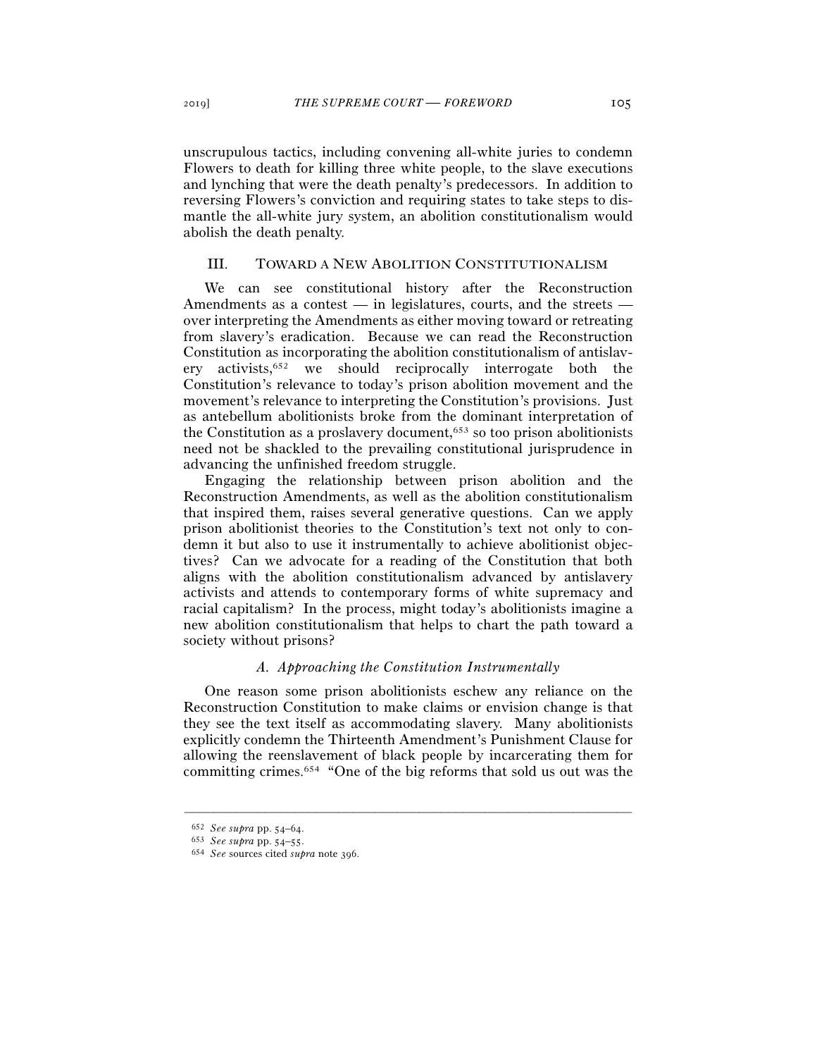unscrupulous tactics, including convening all-white juries to condemn Flowers to death for killing three white people, to the slave executions and lynching that were the death penalty's predecessors. In addition to reversing Flowers's conviction and requiring states to take steps to dismantle the all-white jury system, an abolition constitutionalism would abolish the death penalty.

## III. TOWARD A NEW ABOLITION CONSTITUTIONALISM

We can see constitutional history after the Reconstruction Amendments as a contest — in legislatures, courts, and the streets over interpreting the Amendments as either moving toward or retreating from slavery's eradication. Because we can read the Reconstruction Constitution as incorporating the abolition constitutionalism of antislavery activists,652 we should reciprocally interrogate both the Constitution's relevance to today's prison abolition movement and the movement's relevance to interpreting the Constitution's provisions. Just as antebellum abolitionists broke from the dominant interpretation of the Constitution as a proslavery document, $653$  so too prison abolitionists need not be shackled to the prevailing constitutional jurisprudence in advancing the unfinished freedom struggle.

Engaging the relationship between prison abolition and the Reconstruction Amendments, as well as the abolition constitutionalism that inspired them, raises several generative questions. Can we apply prison abolitionist theories to the Constitution's text not only to condemn it but also to use it instrumentally to achieve abolitionist objectives? Can we advocate for a reading of the Constitution that both aligns with the abolition constitutionalism advanced by antislavery activists and attends to contemporary forms of white supremacy and racial capitalism? In the process, might today's abolitionists imagine a new abolition constitutionalism that helps to chart the path toward a society without prisons?

## *A. Approaching the Constitution Instrumentally*

One reason some prison abolitionists eschew any reliance on the Reconstruction Constitution to make claims or envision change is that they see the text itself as accommodating slavery. Many abolitionists explicitly condemn the Thirteenth Amendment's Punishment Clause for allowing the reenslavement of black people by incarcerating them for committing crimes.654 "One of the big reforms that sold us out was the

<sup>652</sup> *See supra* pp. 54–<sup>64</sup>. 653 *See supra* pp. 54–<sup>55</sup>. 654 *See* sources cited *supra* note 396.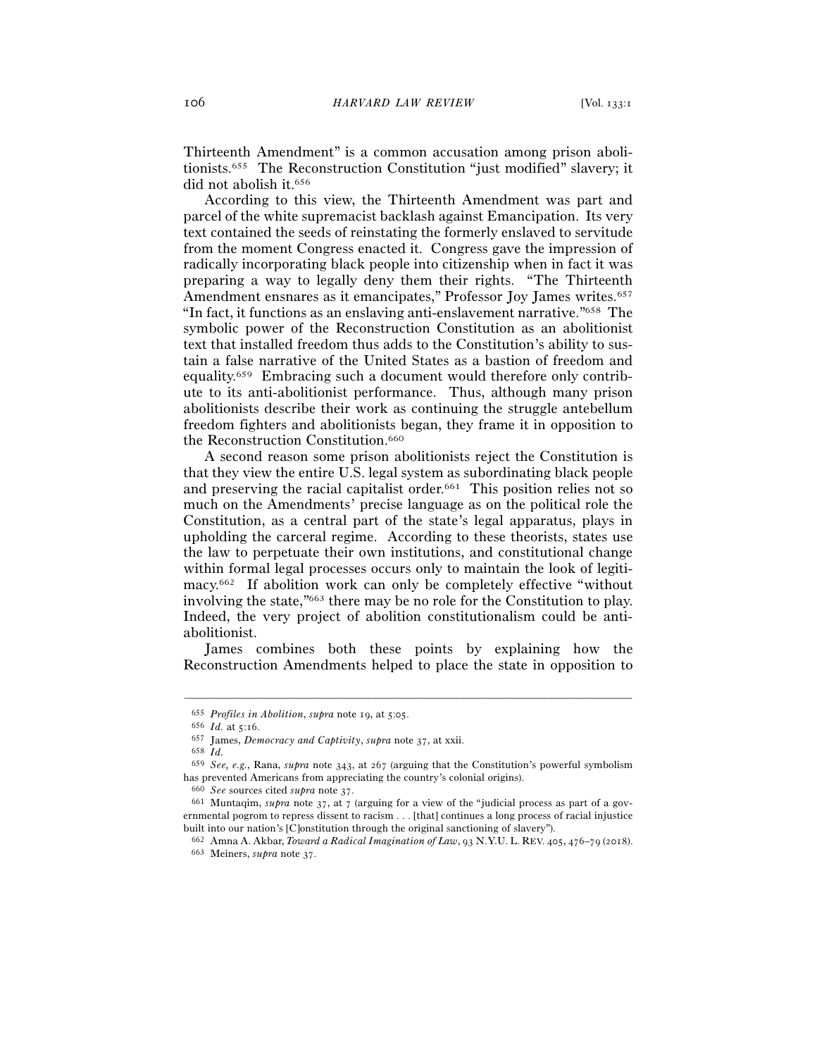Thirteenth Amendment" is a common accusation among prison abolitionists.655 The Reconstruction Constitution "just modified" slavery; it did not abolish it.<sup>656</sup>

According to this view, the Thirteenth Amendment was part and parcel of the white supremacist backlash against Emancipation. Its very text contained the seeds of reinstating the formerly enslaved to servitude from the moment Congress enacted it. Congress gave the impression of radically incorporating black people into citizenship when in fact it was preparing a way to legally deny them their rights. "The Thirteenth Amendment ensnares as it emancipates," Professor Joy James writes.<sup>657</sup> "In fact, it functions as an enslaving anti-enslavement narrative."658 The symbolic power of the Reconstruction Constitution as an abolitionist text that installed freedom thus adds to the Constitution's ability to sustain a false narrative of the United States as a bastion of freedom and equality.659 Embracing such a document would therefore only contribute to its anti-abolitionist performance. Thus, although many prison abolitionists describe their work as continuing the struggle antebellum freedom fighters and abolitionists began, they frame it in opposition to the Reconstruction Constitution.<sup>660</sup>

A second reason some prison abolitionists reject the Constitution is that they view the entire U.S. legal system as subordinating black people and preserving the racial capitalist order.<sup>661</sup> This position relies not so much on the Amendments' precise language as on the political role the Constitution, as a central part of the state's legal apparatus, plays in upholding the carceral regime. According to these theorists, states use the law to perpetuate their own institutions, and constitutional change within formal legal processes occurs only to maintain the look of legitimacy.662 If abolition work can only be completely effective "without involving the state,"663 there may be no role for the Constitution to play. Indeed, the very project of abolition constitutionalism could be antiabolitionist.

James combines both these points by explaining how the Reconstruction Amendments helped to place the state in opposition to

<sup>655</sup> *Profiles in Abolition*, *supra* note 19, at 5:<sup>05</sup>. 656 *Id.* at 5:<sup>16</sup>. 657 James, *Democracy and Captivity*, *supra* note <sup>37</sup>, at xxii. 658 *Id.*

<sup>659</sup> *See, e.g.*, Rana, *supra* note 343, at 267 (arguing that the Constitution's powerful symbolism has prevented Americans from appreciating the country's colonial origins).

<sup>660</sup> *See* sources cited *supra* note <sup>37</sup>. 661 Muntaqim, *supra* note 37, at 7 (arguing for a view of the "judicial process as part of a governmental pogrom to repress dissent to racism . . . [that] continues a long process of racial injustice built into our nation's [C]onstitution through the original sanctioning of slavery").

<sup>662</sup> Amna A. Akbar, *Toward a Radical Imagination of Law*, 93 N.Y.U. L. REV. 405, 476–79 (<sup>2018</sup>). 663 Meiners, *supra* note 37.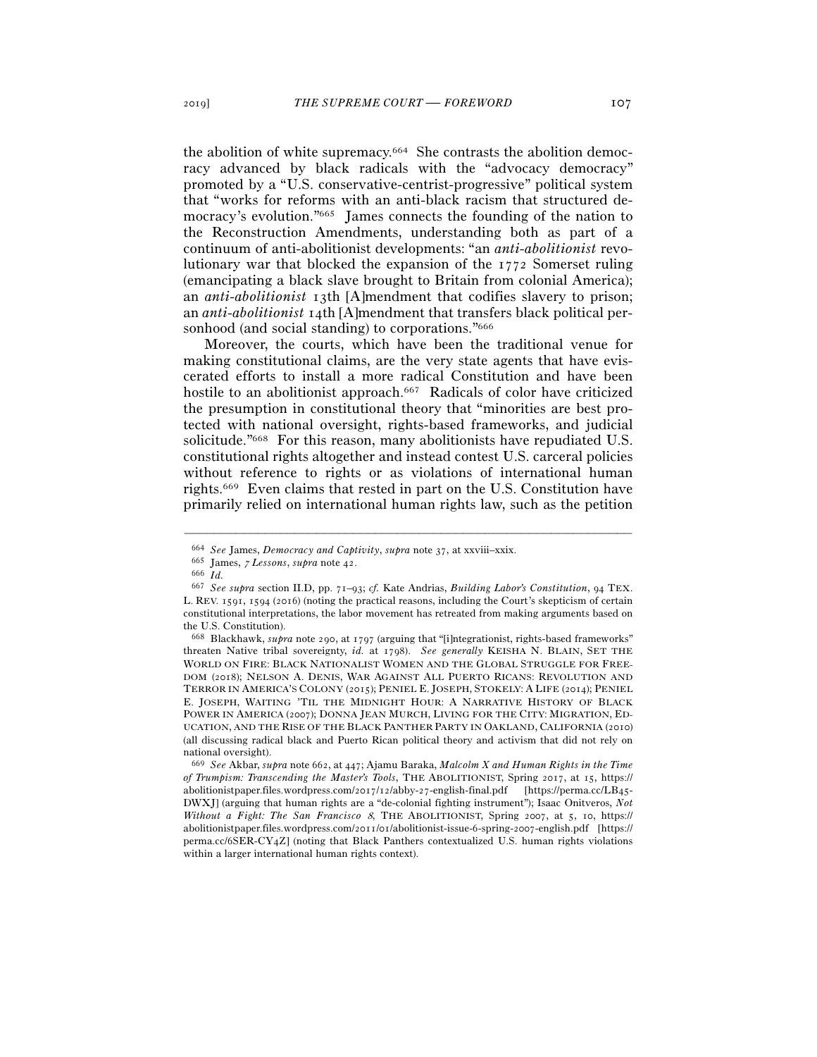the abolition of white supremacy.664 She contrasts the abolition democracy advanced by black radicals with the "advocacy democracy" promoted by a "U.S. conservative-centrist-progressive" political system that "works for reforms with an anti-black racism that structured democracy's evolution."665 James connects the founding of the nation to the Reconstruction Amendments, understanding both as part of a continuum of anti-abolitionist developments: "an *anti-abolitionist* revolutionary war that blocked the expansion of the 1772 Somerset ruling (emancipating a black slave brought to Britain from colonial America); an *anti-abolitionist* 13th [A]mendment that codifies slavery to prison; an *anti-abolitionist* 14th [A]mendment that transfers black political personhood (and social standing) to corporations."<sup>666</sup>

Moreover, the courts, which have been the traditional venue for making constitutional claims, are the very state agents that have eviscerated efforts to install a more radical Constitution and have been hostile to an abolitionist approach.<sup>667</sup> Radicals of color have criticized the presumption in constitutional theory that "minorities are best protected with national oversight, rights-based frameworks, and judicial solicitude."668 For this reason, many abolitionists have repudiated U.S. constitutional rights altogether and instead contest U.S. carceral policies without reference to rights or as violations of international human rights.669 Even claims that rested in part on the U.S. Constitution have primarily relied on international human rights law, such as the petition

<sup>664</sup> *See* James, *Democracy and Captivity*, *supra* note <sup>37</sup>, at xxviii–xxix. 665 James, 7 *Lessons*, *supra* note <sup>42</sup>. 666 *Id.*

<sup>667</sup> *See supra* section II.D, pp. 71–93; *cf.* Kate Andrias, *Building Labor's Constitution*, 94 TEX. L. REV. 1591, 1594 (2016) (noting the practical reasons, including the Court's skepticism of certain constitutional interpretations, the labor movement has retreated from making arguments based on the U.S. Constitution).

<sup>668</sup> Blackhawk, *supra* note 290, at 1797 (arguing that "[i]ntegrationist, rights-based frameworks" threaten Native tribal sovereignty, *id.* at 1798). *See generally* KEISHA N. BLAIN, SET THE WORLD ON FIRE: BLACK NATIONALIST WOMEN AND THE GLOBAL STRUGGLE FOR FREE-DOM (2018); NELSON A. DENIS, WAR AGAINST ALL PUERTO RICANS: REVOLUTION AND TERROR IN AMERICA'S COLONY (2015); PENIEL E. JOSEPH, STOKELY: A LIFE (2014); PENIEL E. JOSEPH, WAITING 'TIL THE MIDNIGHT HOUR: A NARRATIVE HISTORY OF BLACK POWER IN AMERICA (2007); DONNA JEAN MURCH, LIVING FOR THE CITY: MIGRATION, ED-UCATION, AND THE RISE OF THE BLACK PANTHER PARTY IN OAKLAND, CALIFORNIA (2010) (all discussing radical black and Puerto Rican political theory and activism that did not rely on national oversight).

<sup>669</sup> *See* Akbar, *supra* note 662, at 447; Ajamu Baraka, *Malcolm X and Human Rights in the Time of Trumpism: Transcending the Master's Tools*, THE ABOLITIONIST, Spring 2017, at 15, https:// abolitionistpaper.files.wordpress.com/2017/12/abby-27-english-final.pdf [https://perma.cc/LB45- DWXJ] (arguing that human rights are a "de-colonial fighting instrument"); Isaac Onitveros, *Not Without a Fight: The San Francisco* 8, THE ABOLITIONIST, Spring 2007, at 5, 10, https:// abolitionistpaper.files.wordpress.com/2011/01/abolitionist-issue-6-spring-2007-english.pdf [https:// perma.cc/6SER-CY4Z] (noting that Black Panthers contextualized U.S. human rights violations within a larger international human rights context).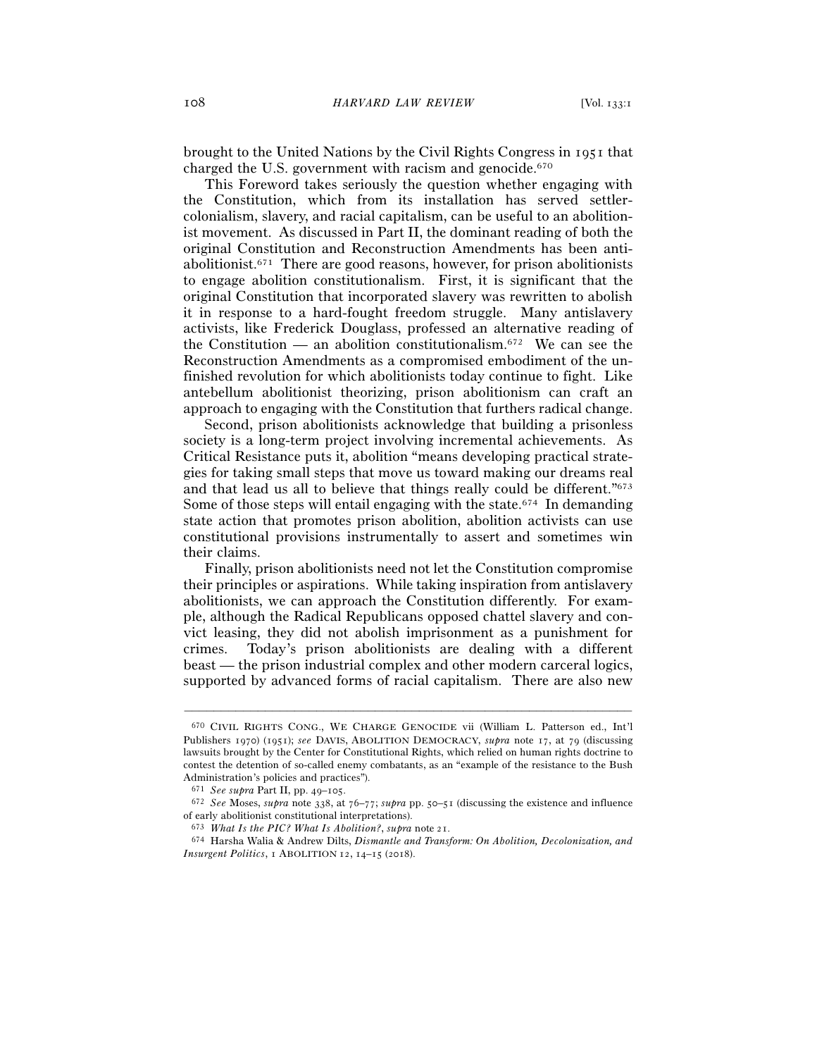brought to the United Nations by the Civil Rights Congress in 1951 that charged the U.S. government with racism and genocide.670

This Foreword takes seriously the question whether engaging with the Constitution, which from its installation has served settlercolonialism, slavery, and racial capitalism, can be useful to an abolitionist movement. As discussed in Part II, the dominant reading of both the original Constitution and Reconstruction Amendments has been antiabolitionist.671 There are good reasons, however, for prison abolitionists to engage abolition constitutionalism. First, it is significant that the original Constitution that incorporated slavery was rewritten to abolish it in response to a hard-fought freedom struggle. Many antislavery activists, like Frederick Douglass, professed an alternative reading of the Constitution — an abolition constitutionalism.<sup>672</sup> We can see the Reconstruction Amendments as a compromised embodiment of the unfinished revolution for which abolitionists today continue to fight. Like antebellum abolitionist theorizing, prison abolitionism can craft an approach to engaging with the Constitution that furthers radical change.

Second, prison abolitionists acknowledge that building a prisonless society is a long-term project involving incremental achievements. As Critical Resistance puts it, abolition "means developing practical strategies for taking small steps that move us toward making our dreams real and that lead us all to believe that things really could be different."673 Some of those steps will entail engaging with the state.674 In demanding state action that promotes prison abolition, abolition activists can use constitutional provisions instrumentally to assert and sometimes win their claims.

Finally, prison abolitionists need not let the Constitution compromise their principles or aspirations. While taking inspiration from antislavery abolitionists, we can approach the Constitution differently. For example, although the Radical Republicans opposed chattel slavery and convict leasing, they did not abolish imprisonment as a punishment for crimes. Today's prison abolitionists are dealing with a different beast — the prison industrial complex and other modern carceral logics, supported by advanced forms of racial capitalism. There are also new

<sup>670</sup> CIVIL RIGHTS CONG., WE CHARGE GENOCIDE vii (William L. Patterson ed., Int'l Publishers 1970) (1951); *see* DAVIS, ABOLITION DEMOCRACY, *supra* note 17, at 79 (discussing lawsuits brought by the Center for Constitutional Rights, which relied on human rights doctrine to contest the detention of so-called enemy combatants, as an "example of the resistance to the Bush Administration's policies and practices").

<sup>671</sup> *See supra* Part II, pp. 49–<sup>105</sup>. 672 *See* Moses, *supra* note 338, at 76–77; *supra* pp. 50–51 (discussing the existence and influence of early abolitionist constitutional interpretations).

<sup>673</sup> *What Is the PIC? What Is Abolition?*, *supra* note <sup>21</sup>. 674 Harsha Walia & Andrew Dilts, *Dismantle and Transform: On Abolition, Decolonization, and Insurgent Politics*, 1 ABOLITION 12, 14–15 (2018).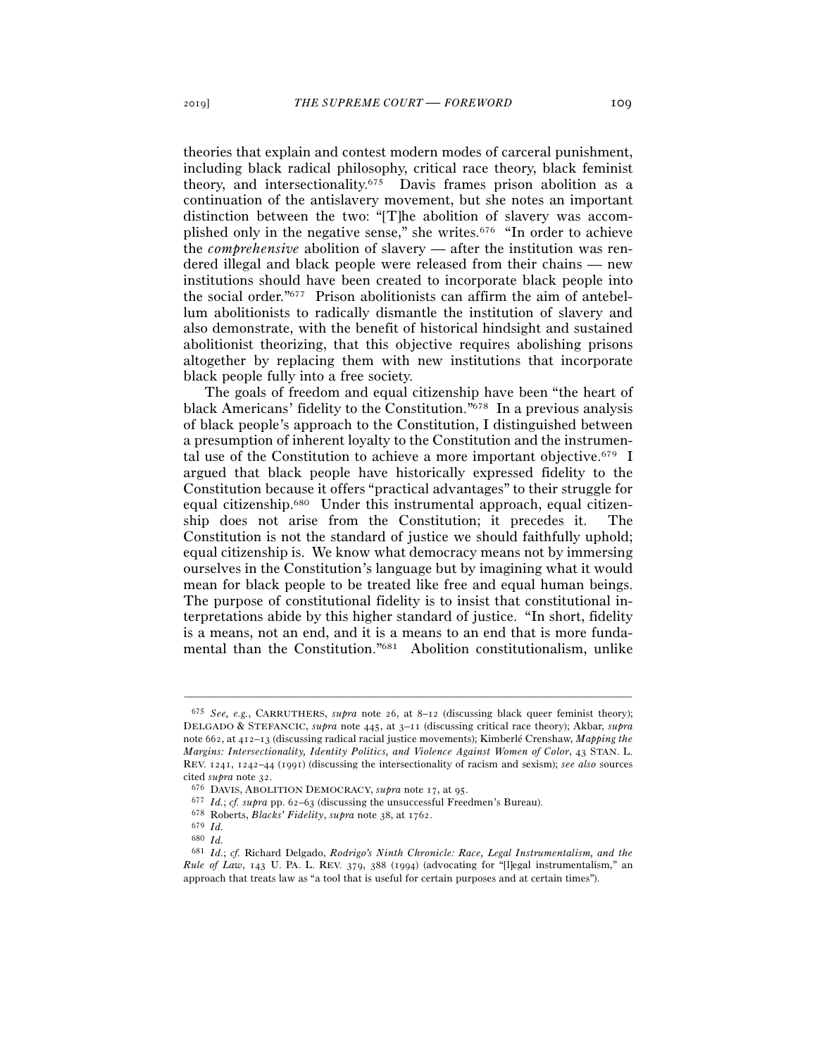theories that explain and contest modern modes of carceral punishment, including black radical philosophy, critical race theory, black feminist theory, and intersectionality.675 Davis frames prison abolition as a continuation of the antislavery movement, but she notes an important distinction between the two: "[T]he abolition of slavery was accomplished only in the negative sense," she writes.676 "In order to achieve the *comprehensive* abolition of slavery — after the institution was rendered illegal and black people were released from their chains — new institutions should have been created to incorporate black people into the social order."677 Prison abolitionists can affirm the aim of antebellum abolitionists to radically dismantle the institution of slavery and also demonstrate, with the benefit of historical hindsight and sustained abolitionist theorizing, that this objective requires abolishing prisons altogether by replacing them with new institutions that incorporate black people fully into a free society.

The goals of freedom and equal citizenship have been "the heart of black Americans' fidelity to the Constitution."678 In a previous analysis of black people's approach to the Constitution, I distinguished between a presumption of inherent loyalty to the Constitution and the instrumental use of the Constitution to achieve a more important objective.679 I argued that black people have historically expressed fidelity to the Constitution because it offers "practical advantages" to their struggle for equal citizenship.680 Under this instrumental approach, equal citizenship does not arise from the Constitution; it precedes it. The Constitution is not the standard of justice we should faithfully uphold; equal citizenship is. We know what democracy means not by immersing ourselves in the Constitution's language but by imagining what it would mean for black people to be treated like free and equal human beings. The purpose of constitutional fidelity is to insist that constitutional interpretations abide by this higher standard of justice. "In short, fidelity is a means, not an end, and it is a means to an end that is more fundamental than the Constitution."681 Abolition constitutionalism, unlike

<sup>675</sup> *See, e.g.*, CARRUTHERS, *supra* note 26, at 8–12 (discussing black queer feminist theory); DELGADO & STEFANCIC, *supra* note 445, at 3–11 (discussing critical race theory); Akbar, *supra* note 662, at 412–13 (discussing radical racial justice movements); Kimberlé Crenshaw, *Mapping the Margins: Intersectionality, Identity Politics, and Violence Against Women of Color*, 43 STAN. L. REV. 1241, 1242–44 (1991) (discussing the intersectionality of racism and sexism); *see also* sources cited *supra* note <sup>32</sup>. 676 DAVIS, ABOLITION DEMOCRACY, *supra* note 17, at 95.

<sup>677</sup> *Id.*; *cf. supra* pp. 62–<sup>63</sup> (discussing the unsuccessful Freedmen's Bureau). 678 Roberts, *Blacks' Fidelity*, *supra* note 38, at 1762.

<sup>679</sup> *Id.*

<sup>680</sup> *Id.*

<sup>681</sup> *Id.*; *cf.* Richard Delgado, *Rodrigo's Ninth Chronicle: Race, Legal Instrumentalism, and the Rule of Law*, 143 U. PA. L. REV. 379, 388 (1994) (advocating for "[l]egal instrumentalism," an approach that treats law as "a tool that is useful for certain purposes and at certain times").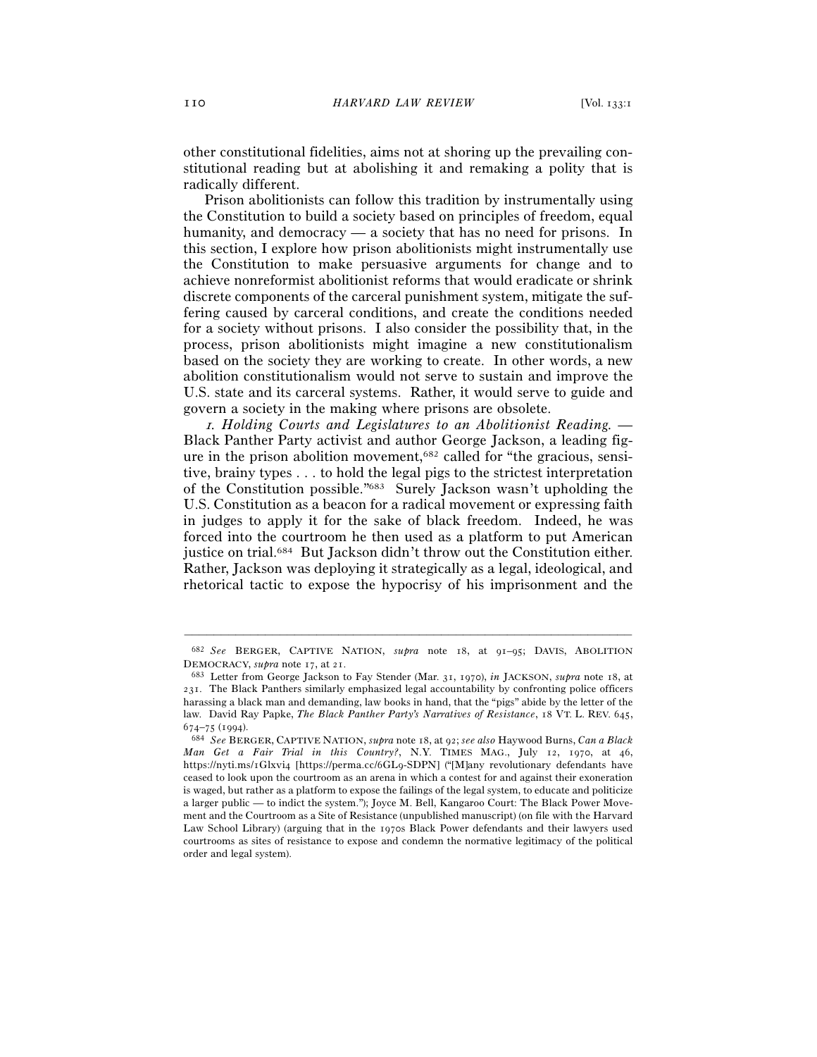other constitutional fidelities, aims not at shoring up the prevailing constitutional reading but at abolishing it and remaking a polity that is radically different.

Prison abolitionists can follow this tradition by instrumentally using the Constitution to build a society based on principles of freedom, equal humanity, and democracy — a society that has no need for prisons. In this section, I explore how prison abolitionists might instrumentally use the Constitution to make persuasive arguments for change and to achieve nonreformist abolitionist reforms that would eradicate or shrink discrete components of the carceral punishment system, mitigate the suffering caused by carceral conditions, and create the conditions needed for a society without prisons. I also consider the possibility that, in the process, prison abolitionists might imagine a new constitutionalism based on the society they are working to create. In other words, a new abolition constitutionalism would not serve to sustain and improve the U.S. state and its carceral systems. Rather, it would serve to guide and govern a society in the making where prisons are obsolete.

<sup>1</sup>*. Holding Courts and Legislatures to an Abolitionist Reading. —* Black Panther Party activist and author George Jackson, a leading figure in the prison abolition movement,682 called for "the gracious, sensitive, brainy types . . . to hold the legal pigs to the strictest interpretation of the Constitution possible."683 Surely Jackson wasn't upholding the U.S. Constitution as a beacon for a radical movement or expressing faith in judges to apply it for the sake of black freedom. Indeed, he was forced into the courtroom he then used as a platform to put American justice on trial.684 But Jackson didn't throw out the Constitution either. Rather, Jackson was deploying it strategically as a legal, ideological, and rhetorical tactic to expose the hypocrisy of his imprisonment and the

<sup>–––––––––––––––––––––––––––––––––––––––––––––––––––––––––––––</sup> <sup>682</sup> *See* BERGER, CAPTIVE NATION, *supra* note 18, at 91–95; DAVIS, ABOLITION DEMOCRACY, *supra* note 17, at <sup>21</sup>. 683 Letter from George Jackson to Fay Stender (Mar. 31, 1970), *in* JACKSON, *supra* note 18, at

<sup>231</sup>. The Black Panthers similarly emphasized legal accountability by confronting police officers harassing a black man and demanding, law books in hand, that the "pigs" abide by the letter of the law. David Ray Papke, *The Black Panther Party's Narratives of Resistance*, 18 VT. L. REV. 645,

<sup>674</sup>–75 (<sup>1994</sup>). 684 *See* BERGER, CAPTIVE NATION, *supra* note 18, at 92; *see also* Haywood Burns, *Can a Black Man Get a Fair Trial in this Country?*, N.Y. TIMES MAG., July 12, 1970, at 46, https://nyti.ms/1Glxvi4 [https://perma.cc/6GL9-SDPN] ("[M]any revolutionary defendants have ceased to look upon the courtroom as an arena in which a contest for and against their exoneration is waged, but rather as a platform to expose the failings of the legal system, to educate and politicize a larger public — to indict the system."); Joyce M. Bell, Kangaroo Court: The Black Power Movement and the Courtroom as a Site of Resistance (unpublished manuscript) (on file with the Harvard Law School Library) (arguing that in the 1970s Black Power defendants and their lawyers used courtrooms as sites of resistance to expose and condemn the normative legitimacy of the political order and legal system).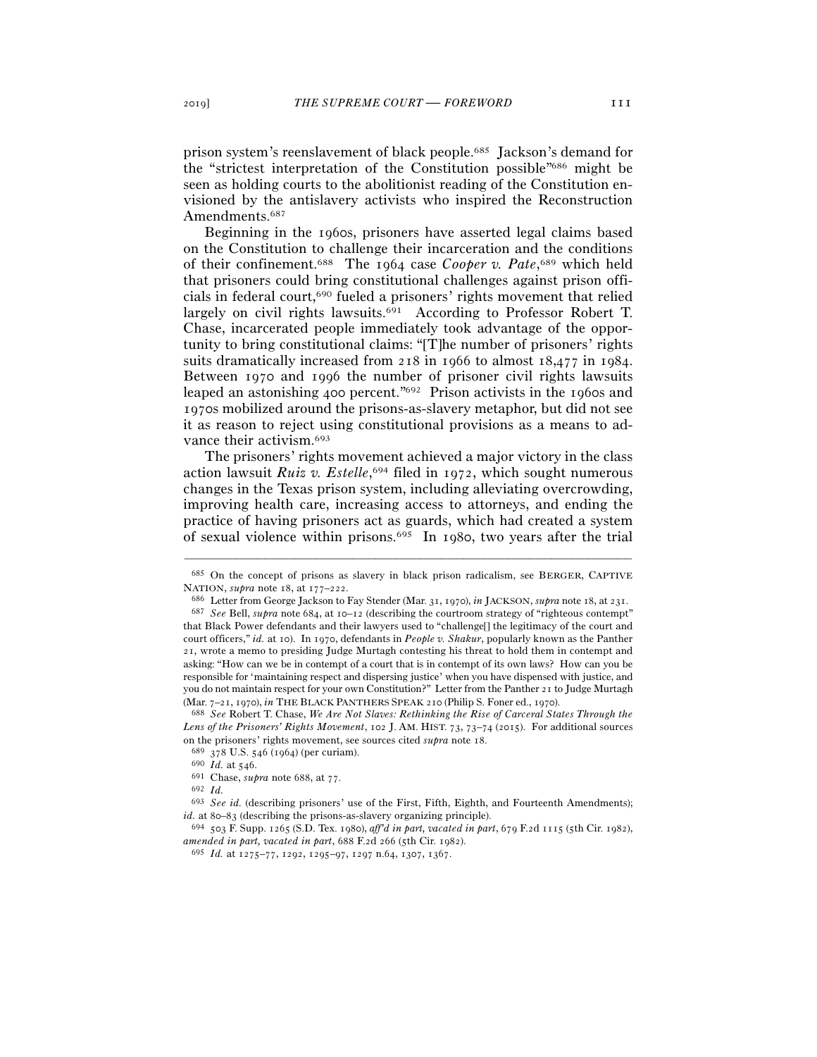prison system's reenslavement of black people.685 Jackson's demand for the "strictest interpretation of the Constitution possible"686 might be seen as holding courts to the abolitionist reading of the Constitution envisioned by the antislavery activists who inspired the Reconstruction Amendments.<sup>687</sup>

Beginning in the 1960s, prisoners have asserted legal claims based on the Constitution to challenge their incarceration and the conditions of their confinement.688 The 1964 case *Cooper v. Pate*, 689 which held that prisoners could bring constitutional challenges against prison officials in federal court,690 fueled a prisoners' rights movement that relied largely on civil rights lawsuits.<sup>691</sup> According to Professor Robert T. Chase, incarcerated people immediately took advantage of the opportunity to bring constitutional claims: "[T]he number of prisoners' rights suits dramatically increased from 218 in 1966 to almost 18,477 in 1984. Between 1970 and 1996 the number of prisoner civil rights lawsuits leaped an astonishing 400 percent."692 Prison activists in the 1960s and 1970s mobilized around the prisons-as-slavery metaphor, but did not see it as reason to reject using constitutional provisions as a means to advance their activism.693

The prisoners' rights movement achieved a major victory in the class action lawsuit *Ruiz v. Estelle*, 694 filed in 1972, which sought numerous changes in the Texas prison system, including alleviating overcrowding, improving health care, increasing access to attorneys, and ending the practice of having prisoners act as guards, which had created a system of sexual violence within prisons.695 In 1980, two years after the trial

<sup>–––––––––––––––––––––––––––––––––––––––––––––––––––––––––––––</sup> <sup>685</sup> On the concept of prisons as slavery in black prison radicalism, see BERGER, CAPTIVE NATION, *supra* note 18, at 177–222.

<sup>&</sup>lt;sup>686</sup> Letter from George Jackson to Fay Stender (Mar. 31, 1970), *in* JACKSON, *supra* note 18, at 231.<br><sup>687</sup> See Bell, *supra* note 684, at 10–12 (describing the courtroom strategy of "righteous contempt" that Black Power defendants and their lawyers used to "challenge[] the legitimacy of the court and court officers," *id.* at 10). In 1970, defendants in *People v. Shakur*, popularly known as the Panther 21, wrote a memo to presiding Judge Murtagh contesting his threat to hold them in contempt and asking: "How can we be in contempt of a court that is in contempt of its own laws? How can you be responsible for 'maintaining respect and dispersing justice' when you have dispensed with justice, and you do not maintain respect for your own Constitution?" Letter from the Panther 21 to Judge Murtagh (Mar. 7–21, 1970), *in* THE BLACK PANTHERS SPEAK <sup>210</sup> (Philip S. Foner ed., <sup>1970</sup>). 688 *See* Robert T. Chase, *We Are Not Slaves: Rethinking the Rise of Carceral States Through the* 

*Lens of the Prisoners' Rights Movement*, 102 J. AM. HIST. 73, 73–74 (2015). For additional sources on the prisoners' rights movement, see sources cited *supra* note 18. <sup>689</sup> 378 U.S. 546 (1964) (per curiam). <sup>690</sup> *Id.* at 546. 691 Chase, *supra* note 688, at 77. 692 *Id.* 

<sup>693</sup> *See id.* (describing prisoners' use of the First, Fifth, Eighth, and Fourteenth Amendments); *id.* at 80–83 (describing the prisons-as-slavery organizing principle).<br><sup>694</sup> 503 F. Supp. 1265 (S.D. Tex. 1980), *aff'd in part, vacated in part*, 679 F.2d 1115 (5th Cir. 1982),

*amended in part, vacated in part*, 688 F.2d 266 (5th Cir. 1982).

<sup>695</sup> *Id.* at 1275–77, 1292, 1295–97, 1297 n.64, 1307, 1367.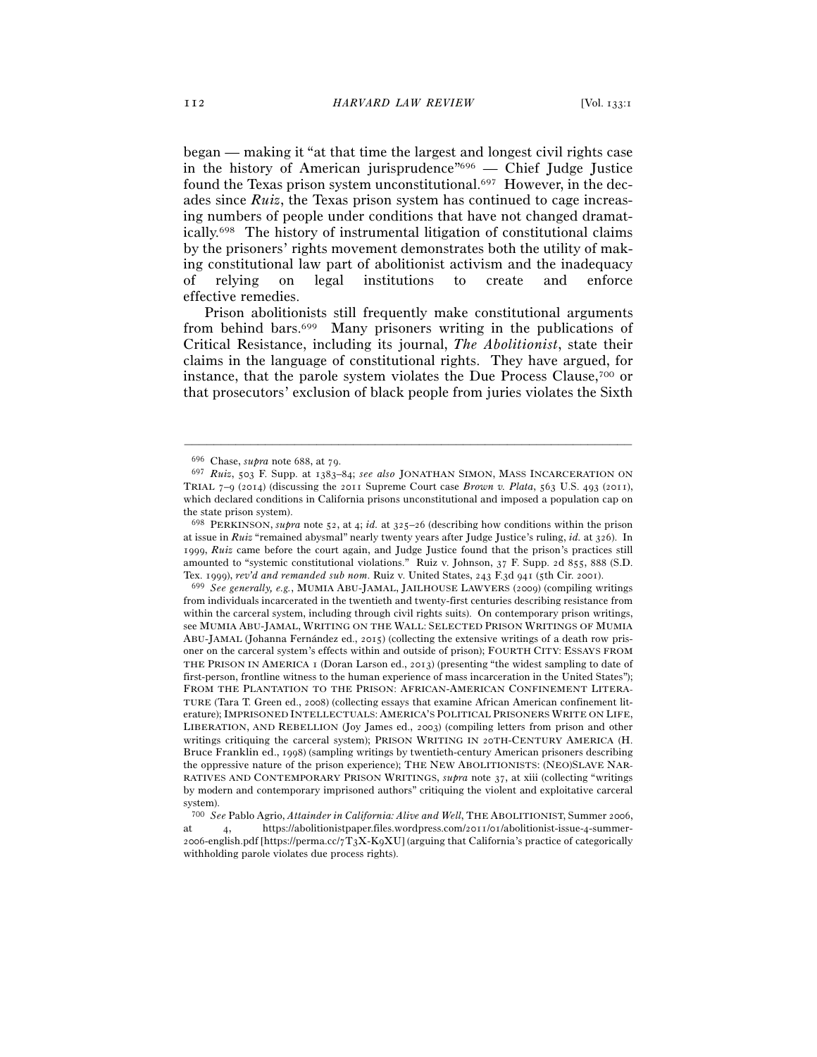began — making it "at that time the largest and longest civil rights case in the history of American jurisprudence"696 — Chief Judge Justice found the Texas prison system unconstitutional.697 However, in the decades since *Ruiz*, the Texas prison system has continued to cage increasing numbers of people under conditions that have not changed dramatically.698 The history of instrumental litigation of constitutional claims by the prisoners' rights movement demonstrates both the utility of making constitutional law part of abolitionist activism and the inadequacy of relying on legal institutions to create and enforce effective remedies.

Prison abolitionists still frequently make constitutional arguments from behind bars.699 Many prisoners writing in the publications of Critical Resistance, including its journal, *The Abolitionist*, state their claims in the language of constitutional rights. They have argued, for instance, that the parole system violates the Due Process Clause,700 or that prosecutors' exclusion of black people from juries violates the Sixth

–––––––––––––––––––––––––––––––––––––––––––––––––––––––––––––

from individuals incarcerated in the twentieth and twenty-first centuries describing resistance from within the carceral system, including through civil rights suits). On contemporary prison writings, see MUMIA ABU-JAMAL, WRITING ON THE WALL: SELECTED PRISON WRITINGS OF MUMIA ABU-JAMAL (Johanna Fernández ed., 2015) (collecting the extensive writings of a death row prisoner on the carceral system's effects within and outside of prison); FOURTH CITY: ESSAYS FROM THE PRISON IN AMERICA 1 (Doran Larson ed., 2013) (presenting "the widest sampling to date of first-person, frontline witness to the human experience of mass incarceration in the United States"); FROM THE PLANTATION TO THE PRISON: AFRICAN-AMERICAN CONFINEMENT LITERA-TURE (Tara T. Green ed., 2008) (collecting essays that examine African American confinement literature); IMPRISONED INTELLECTUALS: AMERICA'S POLITICAL PRISONERS WRITE ON LIFE, LIBERATION, AND REBELLION (Joy James ed., 2003) (compiling letters from prison and other writings critiquing the carceral system); PRISON WRITING IN 20TH-CENTURY AMERICA (H. Bruce Franklin ed., 1998) (sampling writings by twentieth-century American prisoners describing the oppressive nature of the prison experience); THE NEW ABOLITIONISTS: (NEO)SLAVE NAR-RATIVES AND CONTEMPORARY PRISON WRITINGS, *supra* note 37, at xiii (collecting "writings by modern and contemporary imprisoned authors" critiquing the violent and exploitative carceral system).

<sup>696</sup> Chase, *supra* note 688, at 79.

<sup>697</sup> *Ruiz*, 503 F. Supp. at 1383–84; *see also* JONATHAN SIMON, MASS INCARCERATION ON TRIAL 7–9 (2014) (discussing the 2011 Supreme Court case *Brown v. Plata*, 563 U.S. 493 (2011), which declared conditions in California prisons unconstitutional and imposed a population cap on the state prison system).

<sup>698</sup> PERKINSON, *supra* note 52, at 4; *id.* at 325–26 (describing how conditions within the prison at issue in *Ruiz* "remained abysmal" nearly twenty years after Judge Justice's ruling, *id.* at 326). In 1999, *Ruiz* came before the court again, and Judge Justice found that the prison's practices still amounted to "systemic constitutional violations." Ruiz v. Johnson, 37 F. Supp. 2d 855, 888 (S.D. Tex. 1999), *rev'd and remanded sub nom*. Ruiz v. United States, 243 F.3d 941 (5th Cir. <sup>2001</sup>). 699 *See generally, e.g.*, MUMIA ABU-JAMAL, JAILHOUSE LAWYERS (2009) (compiling writings

<sup>700</sup> *See* Pablo Agrio, *Attainder in California: Alive and Well*, THE ABOLITIONIST, Summer 2006, at 4, https://abolitionistpaper.files.wordpress.com/2011/01/abolitionist-issue-4-summer-2006-english.pdf [https://perma.cc/7T3X-K9XU] (arguing that California's practice of categorically withholding parole violates due process rights).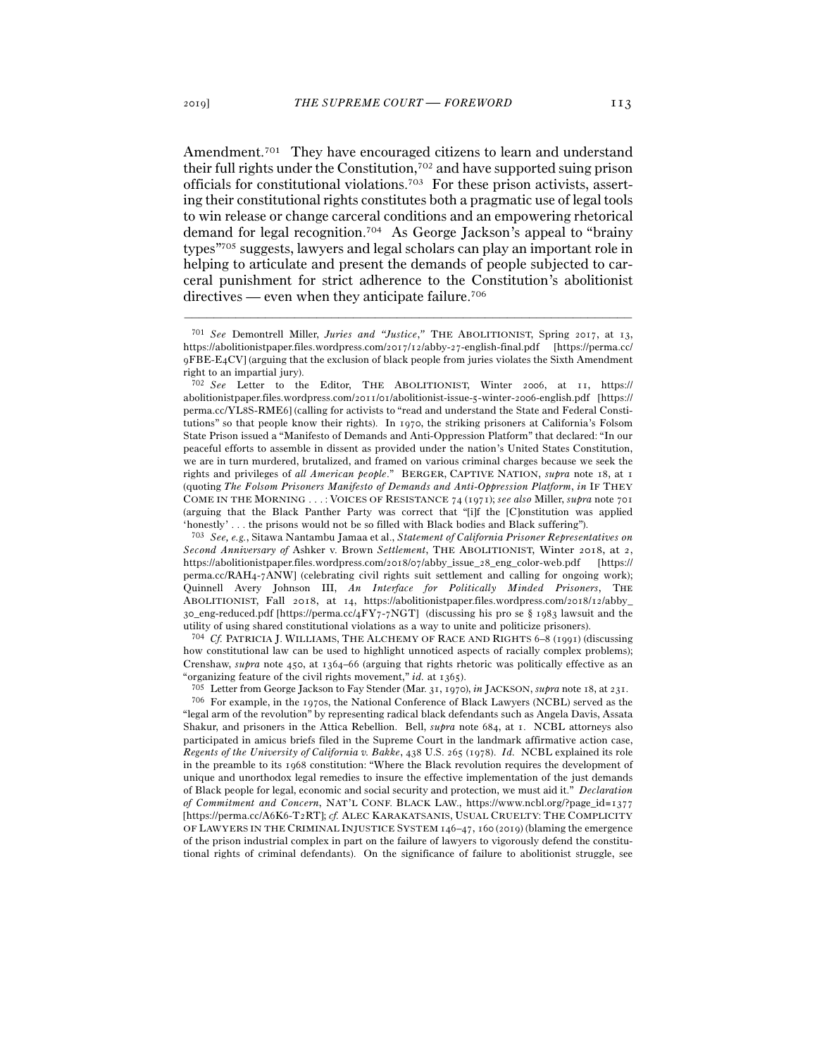Amendment.<sup>701</sup> They have encouraged citizens to learn and understand their full rights under the Constitution,<sup>702</sup> and have supported suing prison officials for constitutional violations.703 For these prison activists, asserting their constitutional rights constitutes both a pragmatic use of legal tools to win release or change carceral conditions and an empowering rhetorical demand for legal recognition.704 As George Jackson's appeal to "brainy types"705 suggests, lawyers and legal scholars can play an important role in helping to articulate and present the demands of people subjected to carceral punishment for strict adherence to the Constitution's abolitionist directives — even when they anticipate failure.<sup>706</sup>

–––––––––––––––––––––––––––––––––––––––––––––––––––––––––––––

703 *See, e.g.*, Sitawa Nantambu Jamaa et al., *Statement of California Prisoner Representatives on Second Anniversary of* Ashker v. Brown *Settlement*, THE ABOLITIONIST, Winter 2018, at 2, https://abolitionistpaper.files.wordpress.com/2018/07/abby\_issue\_28\_eng\_color-web.pdf [https:// perma.cc/RAH4-7ANW] (celebrating civil rights suit settlement and calling for ongoing work); Quinnell Avery Johnson III, *An Interface for Politically Minded Prisoners*, The ABOLITIONIST, Fall 2018, at 14, https://abolitionistpaper.files.wordpress.com/2018/12/abby\_  $30$  eng-reduced.pdf [https://perma.cc/4FY7-7NGT] (discussing his pro se § 1983 lawsuit and the utility of using shared constitutional violations as a way to unite and politicize prisoners). 704 *Cf.* PATRICIA J. WILLIAMS, THE ALCHEMY OF RACE AND RIGHTS <sup>6</sup>–8 (1991) (discussing

how constitutional law can be used to highlight unnoticed aspects of racially complex problems); Crenshaw, *supra* note 450, at 1364–66 (arguing that rights rhetoric was politically effective as an

"organizing feature of the civil rights movement," *id.* at 1365).<br><sup>705</sup> Letter from George Jackson to Fay Stender (Mar. 31, 1970), *in* JACKSON, *supra* note 18, at 231.<br><sup>706</sup> For example, in the 1970s, the National Conf "legal arm of the revolution" by representing radical black defendants such as Angela Davis, Assata Shakur, and prisoners in the Attica Rebellion. Bell, *supra* note 684, at 1. NCBL attorneys also participated in amicus briefs filed in the Supreme Court in the landmark affirmative action case, *Regents of the University of California v. Bakke*, 438 U.S. 265 (1978). *Id.* NCBL explained its role in the preamble to its 1968 constitution: "Where the Black revolution requires the development of unique and unorthodox legal remedies to insure the effective implementation of the just demands of Black people for legal, economic and social security and protection, we must aid it." *Declaration of Commitment and Concern*, NAT'L CONF. BLACK LAW., https://www.ncbl.org/?page\_id=1377 [https://perma.cc/A6K6-T2RT]; *cf.* ALEC KARAKATSANIS, USUAL CRUELTY: THE COMPLICITY OF LAWYERS IN THE CRIMINAL INJUSTICE SYSTEM 146–47, 160 (2019) (blaming the emergence of the prison industrial complex in part on the failure of lawyers to vigorously defend the constitutional rights of criminal defendants). On the significance of failure to abolitionist struggle, see

<sup>701</sup> *See* Demontrell Miller, *Juries and "Justice*,*"* THE ABOLITIONIST, Spring 2017, at 13, https://abolitionistpaper.files.wordpress.com/2017/12/abby-27-english-final.pdf [https://perma.cc/ 9FBE-E4CV] (arguing that the exclusion of black people from juries violates the Sixth Amendment right to an impartial jury).

<sup>702</sup> *See* Letter to the Editor, THE ABOLITIONIST, Winter 2006, at 11, https:// abolitionistpaper.files.wordpress.com/2011/01/abolitionist-issue-5-winter-2006-english.pdf [https:// perma.cc/YL8S-RME6] (calling for activists to "read and understand the State and Federal Constitutions" so that people know their rights). In 1970, the striking prisoners at California's Folsom State Prison issued a "Manifesto of Demands and Anti-Oppression Platform" that declared: "In our peaceful efforts to assemble in dissent as provided under the nation's United States Constitution, we are in turn murdered, brutalized, and framed on various criminal charges because we seek the rights and privileges of *all American people*." BERGER, CAPTIVE NATION, *supra* note 18, at 1 (quoting *The Folsom Prisoners Manifesto of Demands and Anti-Oppression Platform*, *in* IF THEY COME IN THE MORNING . . . : VOICES OF RESISTANCE 74 (1971); *see also* Miller, *supra* note 701 (arguing that the Black Panther Party was correct that "[i]f the [C]onstitution was applied 'honestly' . . . the prisons would not be so filled with Black bodies and Black suffering").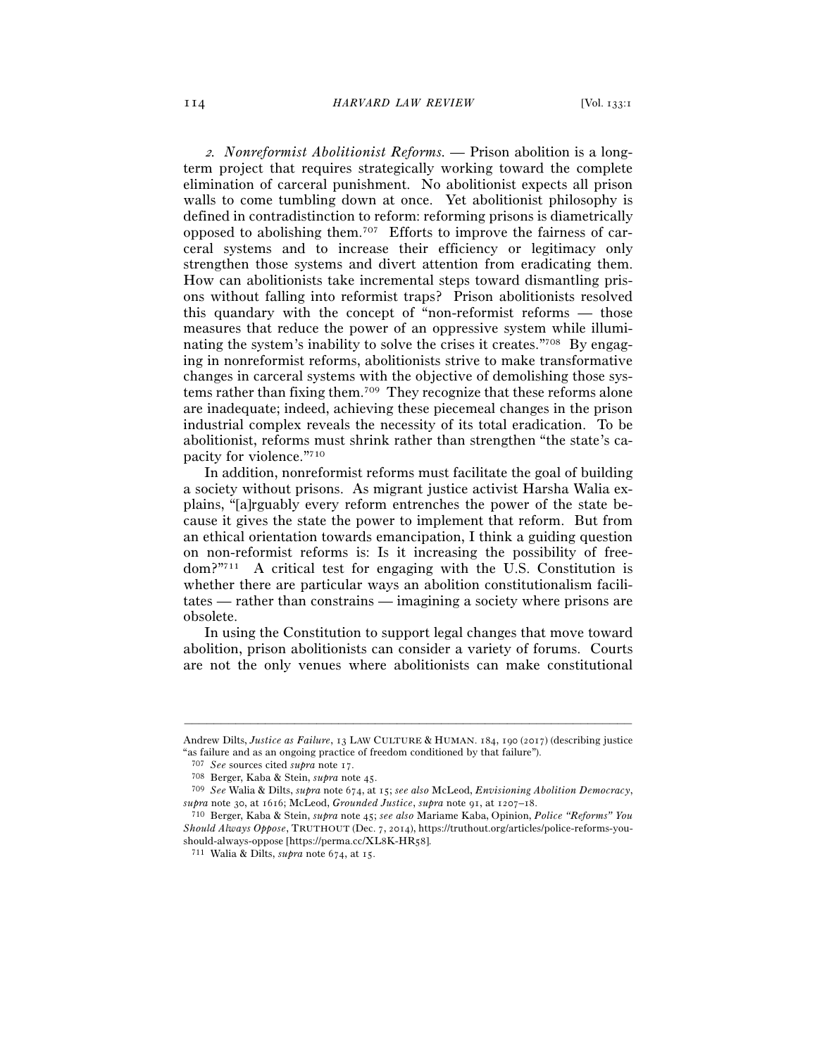<sup>2</sup>*. Nonreformist Abolitionist Reforms. —* Prison abolition is a longterm project that requires strategically working toward the complete elimination of carceral punishment. No abolitionist expects all prison walls to come tumbling down at once. Yet abolitionist philosophy is defined in contradistinction to reform: reforming prisons is diametrically opposed to abolishing them.707 Efforts to improve the fairness of carceral systems and to increase their efficiency or legitimacy only strengthen those systems and divert attention from eradicating them. How can abolitionists take incremental steps toward dismantling prisons without falling into reformist traps? Prison abolitionists resolved this quandary with the concept of "non-reformist reforms — those measures that reduce the power of an oppressive system while illuminating the system's inability to solve the crises it creates."<sup>708</sup> By engaging in nonreformist reforms, abolitionists strive to make transformative changes in carceral systems with the objective of demolishing those systems rather than fixing them.709 They recognize that these reforms alone are inadequate; indeed, achieving these piecemeal changes in the prison industrial complex reveals the necessity of its total eradication. To be abolitionist, reforms must shrink rather than strengthen "the state's capacity for violence."710

In addition, nonreformist reforms must facilitate the goal of building a society without prisons. As migrant justice activist Harsha Walia explains, "[a]rguably every reform entrenches the power of the state because it gives the state the power to implement that reform. But from an ethical orientation towards emancipation, I think a guiding question on non-reformist reforms is: Is it increasing the possibility of freedom?"711 A critical test for engaging with the U.S. Constitution is whether there are particular ways an abolition constitutionalism facilitates — rather than constrains — imagining a society where prisons are obsolete.

In using the Constitution to support legal changes that move toward abolition, prison abolitionists can consider a variety of forums. Courts are not the only venues where abolitionists can make constitutional

<sup>–––––––––––––––––––––––––––––––––––––––––––––––––––––––––––––</sup> Andrew Dilts, *Justice as Failure*, 13 LAW CULTURE & HUMAN. 184, 190 (2017) (describing justice "as failure and as an ongoing practice of freedom conditioned by that failure").

<sup>707</sup> *See* sources cited *supra* note <sup>17</sup>. 708 Berger, Kaba & Stein, *supra* note <sup>45</sup>. 709 *See* Walia & Dilts, *supra* note 674, at <sup>15</sup>; *see also* McLeod, *Envisioning Abolition Democracy*, *supra* note 30, at 1616; McLeod, *Grounded Justice*, *supra* note 91, at 1207–<sup>18</sup>. 710 Berger, Kaba & Stein, *supra* note 45; *see also* Mariame Kaba, Opinion, *Police "Reforms" You* 

*Should Always Oppose*, TRUTHOUT (Dec. 7, 2014), https://truthout.org/articles/police-reforms-youshould-always-oppose [https://perma.cc/XL8K-HR<sup>58</sup>]. 711 Walia & Dilts, *supra* note 674, at 15.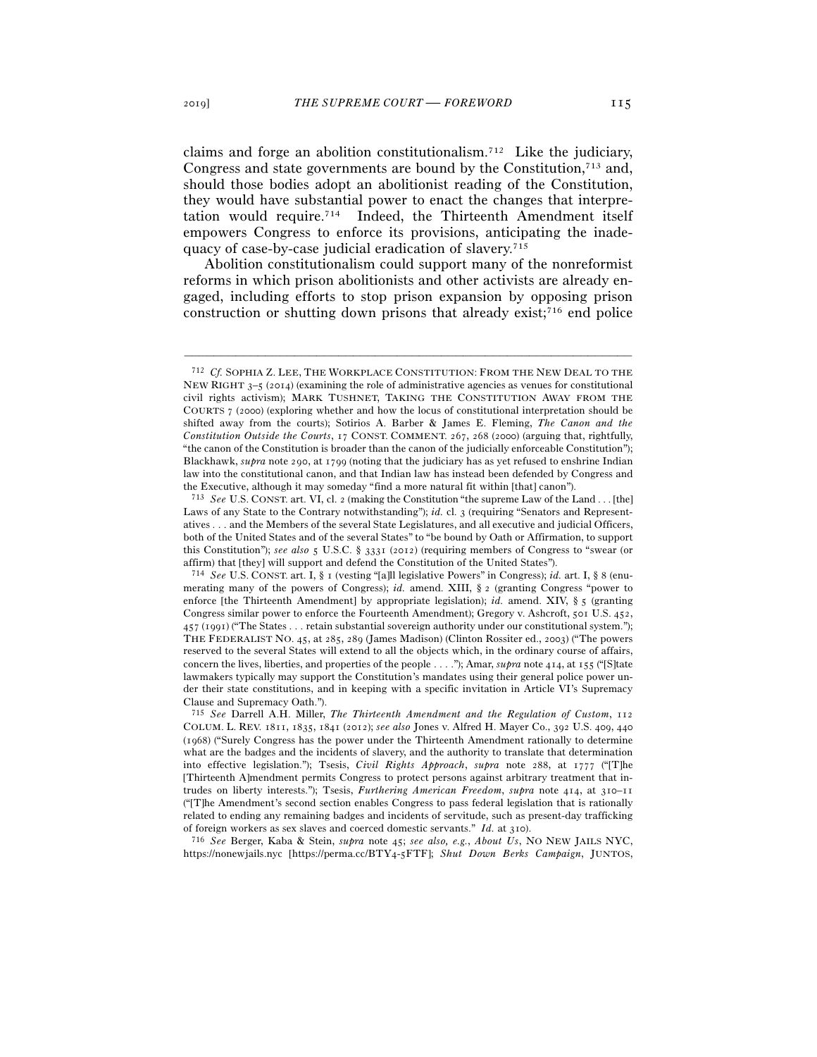claims and forge an abolition constitutionalism.712 Like the judiciary, Congress and state governments are bound by the Constitution,<sup>713</sup> and, should those bodies adopt an abolitionist reading of the Constitution, they would have substantial power to enact the changes that interpretation would require.714 Indeed, the Thirteenth Amendment itself empowers Congress to enforce its provisions, anticipating the inadequacy of case-by-case judicial eradication of slavery.715

Abolition constitutionalism could support many of the nonreformist reforms in which prison abolitionists and other activists are already engaged, including efforts to stop prison expansion by opposing prison construction or shutting down prisons that already exist;716 end police

–––––––––––––––––––––––––––––––––––––––––––––––––––––––––––––

https://nonewjails.nyc [https://perma.cc/BTY4-5FTF]; *Shut Down Berks Campaign*, JUNTOS,

<sup>712</sup> *Cf.* SOPHIA Z. LEE, THE WORKPLACE CONSTITUTION: FROM THE NEW DEAL TO THE NEW RIGHT  $3-5$  (2014) (examining the role of administrative agencies as venues for constitutional civil rights activism); MARK TUSHNET, TAKING THE CONSTITUTION AWAY FROM THE COURTS 7 (2000) (exploring whether and how the locus of constitutional interpretation should be shifted away from the courts); Sotirios A. Barber & James E. Fleming, *The Canon and the Constitution Outside the Courts*, 17 CONST. COMMENT. 267, 268 (2000) (arguing that, rightfully, "the canon of the Constitution is broader than the canon of the judicially enforceable Constitution"); Blackhawk, *supra* note 290, at 1799 (noting that the judiciary has as yet refused to enshrine Indian law into the constitutional canon, and that Indian law has instead been defended by Congress and the Executive, although it may someday "find a more natural fit within [that] canon").

<sup>713</sup> *See* U.S. CONST. art. VI, cl. 2 (making the Constitution "the supreme Law of the Land . . . [the] Laws of any State to the Contrary notwithstanding"); *id.* cl. 3 (requiring "Senators and Representatives . . . and the Members of the several State Legislatures, and all executive and judicial Officers, both of the United States and of the several States" to "be bound by Oath or Affirmation, to support this Constitution"); *see also* 5 U.S.C. § 3331 (2012) (requiring members of Congress to "swear (or affirm) that [they] will support and defend the Constitution of the United States").<br><sup>714</sup> *See* U.S. CONST. art. I, § 1 (vesting "[a]ll legislative Powers" in Congress); *id.* art. I, § 8 (enu-

merating many of the powers of Congress); *id.* amend. XIII, § 2 (granting Congress "power to enforce [the Thirteenth Amendment] by appropriate legislation); *id.* amend. XIV, § 5 (granting Congress similar power to enforce the Fourteenth Amendment); Gregory v. Ashcroft, 501 U.S. 452, 457 (1991) ("The States . . . retain substantial sovereign authority under our constitutional system."); THE FEDERALIST NO. 45, at 285, 289 (James Madison) (Clinton Rossiter ed., 2003) ("The powers reserved to the several States will extend to all the objects which, in the ordinary course of affairs, concern the lives, liberties, and properties of the people . . . ."); Amar, *supra* note 414, at 155 ("[S]tate lawmakers typically may support the Constitution's mandates using their general police power under their state constitutions, and in keeping with a specific invitation in Article VI's Supremacy Clause and Supremacy Oath.").

<sup>715</sup> *See* Darrell A.H. Miller, *The Thirteenth Amendment and the Regulation of Custom*, 112 COLUM. L. REV. 1811, 1835, 1841 (2012); *see also* Jones v. Alfred H. Mayer Co., 392 U.S. 409, 440 (1968) ("Surely Congress has the power under the Thirteenth Amendment rationally to determine what are the badges and the incidents of slavery, and the authority to translate that determination into effective legislation."); Tsesis, *Civil Rights Approach*, *supra* note 288, at 1777 ("[T]he [Thirteenth A]mendment permits Congress to protect persons against arbitrary treatment that intrudes on liberty interests."); Tsesis, *Furthering American Freedom*, *supra* note 414, at 310–11 ("[T]he Amendment's second section enables Congress to pass federal legislation that is rationally related to ending any remaining badges and incidents of servitude, such as present-day trafficking of foreign workers as sex slaves and coerced domestic servants." *Id.* at <sup>310</sup>). 716 *See* Berger, Kaba & Stein, *supra* note 45; *see also, e.g.*, *About Us*, NO NEW JAILS NYC,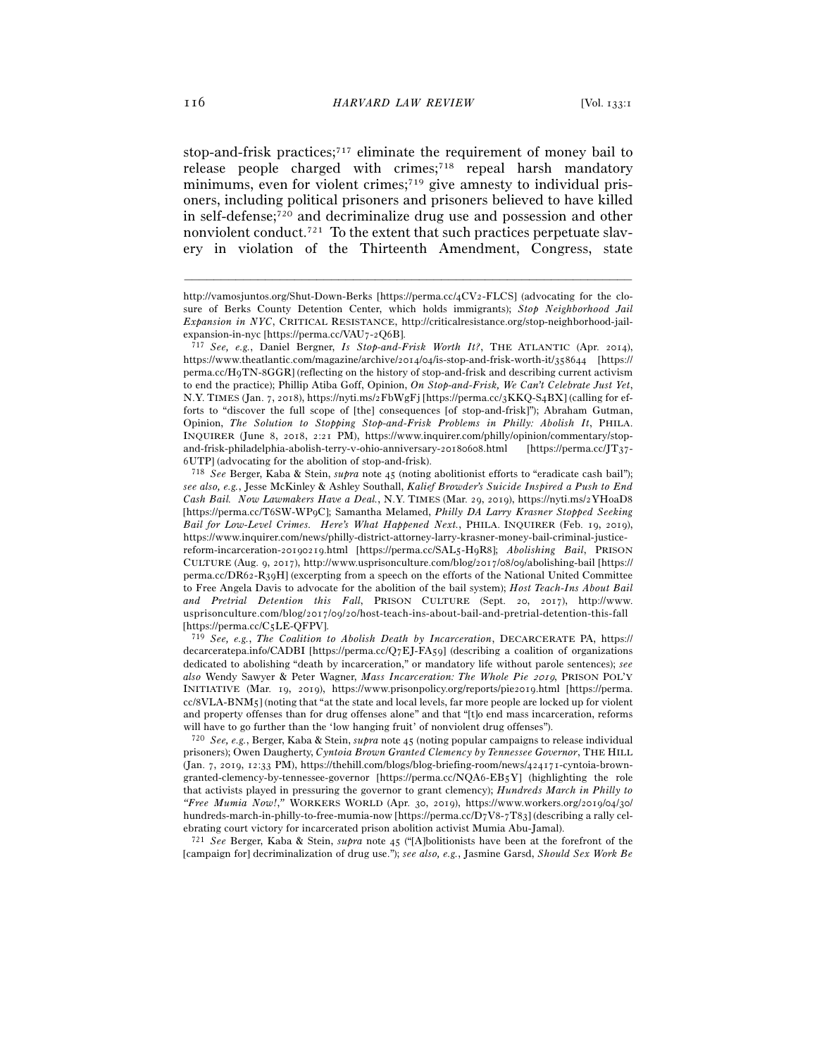stop-and-frisk practices;<sup>717</sup> eliminate the requirement of money bail to release people charged with crimes;<sup>718</sup> repeal harsh mandatory minimums, even for violent crimes;<sup>719</sup> give amnesty to individual prisoners, including political prisoners and prisoners believed to have killed in self-defense;720 and decriminalize drug use and possession and other nonviolent conduct.721 To the extent that such practices perpetuate slavery in violation of the Thirteenth Amendment, Congress, state

–––––––––––––––––––––––––––––––––––––––––––––––––––––––––––––

<sup>718</sup> *See* Berger, Kaba & Stein, *supra* note 45 (noting abolitionist efforts to "eradicate cash bail"); *see also, e.g.*, Jesse McKinley & Ashley Southall, *Kalief Browder's Suicide Inspired a Push to End Cash Bail. Now Lawmakers Have a Deal.*, N.Y. TIMES (Mar. 29, 2019), https://nyti.ms/2YHoaD8 [https://perma.cc/T6SW-WP9C]; Samantha Melamed, *Philly DA Larry Krasner Stopped Seeking Bail for Low-Level Crimes. Here's What Happened Next.*, PHILA. INQUIRER (Feb. 19, 2019), https://www.inquirer.com/news/philly-district-attorney-larry-krasner-money-bail-criminal-justicereform-incarceration-20190219.html [https://perma.cc/SAL5-H9R8]; *Abolishing Bail*, PRISON CULTURE (Aug. 9, 2017), http://www.usprisonculture.com/blog/2017/08/09/abolishing-bail [https:// perma.cc/DR62-R39H] (excerpting from a speech on the efforts of the National United Committee to Free Angela Davis to advocate for the abolition of the bail system); *Host Teach-Ins About Bail and Pretrial Detention this Fall*, PRISON CULTURE (Sept. 20, 2017), http://www. usprisonculture.com/blog/2017/09/20/host-teach-ins-about-bail-and-pretrial-detention-this-fall [https://perma.cc/C5LE-QFPV].

719 *See, e.g.*, *The Coalition to Abolish Death by Incarceration*, DECARCERATE PA, https:// decarceratepa.info/CADBI [https://perma.cc/Q7EJ-FA59] (describing a coalition of organizations dedicated to abolishing "death by incarceration," or mandatory life without parole sentences); *see also* Wendy Sawyer & Peter Wagner, *Mass Incarceration: The Whole Pie* 2019, PRISON POL'Y INITIATIVE (Mar. 19, 2019), https://www.prisonpolicy.org/reports/pie2019.html [https://perma. cc/8VLA-BNM5] (noting that "at the state and local levels, far more people are locked up for violent and property offenses than for drug offenses alone" and that "[t]o end mass incarceration, reforms will have to go further than the 'low hanging fruit' of nonviolent drug offenses").

<sup>720</sup> *See, e.g.*, Berger, Kaba & Stein, *supra* note 45 (noting popular campaigns to release individual prisoners); Owen Daugherty, *Cyntoia Brown Granted Clemency by Tennessee Governor*, THE HILL (Jan. 7, 2019, 12:33 PM), https://thehill.com/blogs/blog-briefing-room/news/424171-cyntoia-browngranted-clemency-by-tennessee-governor [https://perma.cc/NQA6-EB5Y] (highlighting the role that activists played in pressuring the governor to grant clemency); *Hundreds March in Philly to "Free Mumia Now!*,*"* WORKERS WORLD (Apr. 30, 2019), https://www.workers.org/2019/04/30/ hundreds-march-in-philly-to-free-mumia-now [https://perma.cc/D7V8-7T83] (describing a rally celebrating court victory for incarcerated prison abolition activist Mumia Abu-Jamal).

<sup>721</sup> *See* Berger, Kaba & Stein, *supra* note 45 ("[A]bolitionists have been at the forefront of the [campaign for] decriminalization of drug use."); *see also, e.g.*, Jasmine Garsd, *Should Sex Work Be* 

http://vamosjuntos.org/Shut-Down-Berks [https://perma.cc/4CV2-FLCS] (advocating for the closure of Berks County Detention Center, which holds immigrants); *Stop Neighborhood Jail Expansion in NYC*, CRITICAL RESISTANCE, http://criticalresistance.org/stop-neighborhood-jailexpansion-in-nyc [https://perma.cc/VAU7-2Q<sup>6</sup>B]. 717 *See, e.g.*, Daniel Bergner, *Is Stop-and-Frisk Worth It?*, THE ATLANTIC (Apr. 2014),

https://www.theatlantic.com/magazine/archive/2014/04/is-stop-and-frisk-worth-it/358644 [https:// perma.cc/H9TN-8GGR] (reflecting on the history of stop-and-frisk and describing current activism to end the practice); Phillip Atiba Goff, Opinion, *On Stop-and-Frisk, We Can't Celebrate Just Yet*, N.Y. TIMES (Jan. 7, 2018), https://nyti.ms/2FbWgFj [https://perma.cc/3KKQ-S4BX] (calling for efforts to "discover the full scope of [the] consequences [of stop-and-frisk]"); Abraham Gutman, Opinion, *The Solution to Stopping Stop-and-Frisk Problems in Philly: Abolish It*, PHILA. INQUIRER (June 8, 2018, 2:21 PM), https://www.inquirer.com/philly/opinion/commentary/stopand-frisk-philadelphia-abolish-terry-v-ohio-anniversary-20180608.html [https://perma.cc/JT37- 6UTP] (advocating for the abolition of stop-and-frisk).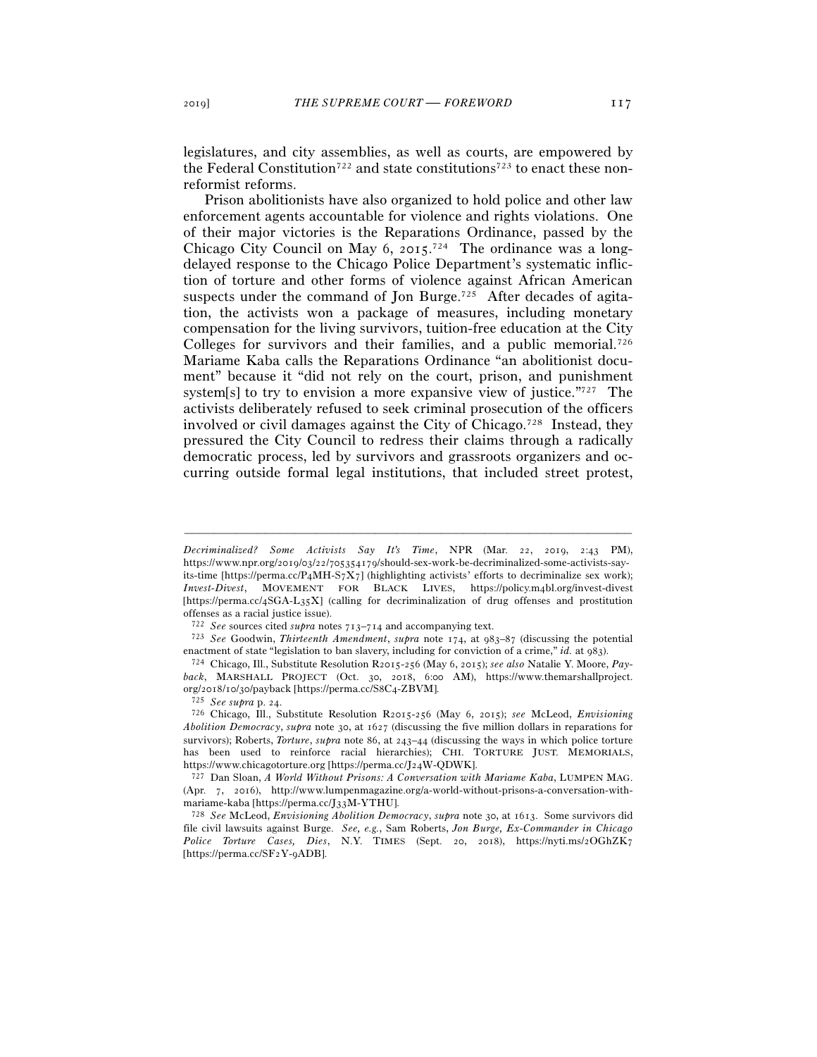legislatures, and city assemblies, as well as courts, are empowered by the Federal Constitution<sup>722</sup> and state constitutions<sup>723</sup> to enact these nonreformist reforms.

Prison abolitionists have also organized to hold police and other law enforcement agents accountable for violence and rights violations. One of their major victories is the Reparations Ordinance, passed by the Chicago City Council on May 6, 2015.<sup>724</sup> The ordinance was a longdelayed response to the Chicago Police Department's systematic infliction of torture and other forms of violence against African American suspects under the command of Jon Burge.<sup>725</sup> After decades of agitation, the activists won a package of measures, including monetary compensation for the living survivors, tuition-free education at the City Colleges for survivors and their families, and a public memorial.<sup>726</sup> Mariame Kaba calls the Reparations Ordinance "an abolitionist document" because it "did not rely on the court, prison, and punishment system[s] to try to envision a more expansive view of justice."727 The activists deliberately refused to seek criminal prosecution of the officers involved or civil damages against the City of Chicago.<sup>728</sup> Instead, they pressured the City Council to redress their claims through a radically democratic process, led by survivors and grassroots organizers and occurring outside formal legal institutions, that included street protest,

*Decriminalized? Some Activists Say It's Time*, NPR (Mar. 22, 2019, 2:43 PM), https://www.npr.org/2019/03/22/705354179/should-sex-work-be-decriminalized-some-activists-sayits-time [https://perma.cc/P4MH-S7X7] (highlighting activists' efforts to decriminalize sex work); *Invest-Divest*, MOVEMENT FOR BLACK LIVES, https://policy.m4bl.org/invest-divest [https://perma.cc/4SGA-L35X] (calling for decriminalization of drug offenses and prostitution offenses as a racial justice issue).<br>  $722\,$   $See$  sources cited  $suppa$  notes  $713–714$  and accompanying text.

<sup>722</sup> *See* sources cited *supra* notes 713–<sup>714</sup> and accompanying text. 723 *See* Goodwin, *Thirteenth Amendment*, *supra* note 174, at 983–87 (discussing the potential enactment of state "legislation to ban slavery, including for conviction of a crime," *id.* at <sup>983</sup>). 724 Chicago, Ill., Substitute Resolution R2015-256 (May 6, 2015); *see also* Natalie Y. Moore, *Pay-*

*back*, MARSHALL PROJECT (Oct. 30, 2018, 6:00 AM), https://www.themarshallproject. org/2018/10/30/payback [https://perma.cc/S8C<sup>4</sup>-ZBVM]. 725 *See supra* p. <sup>24</sup>. 726 Chicago, Ill., Substitute Resolution R2015-256 (May 6, 2015); *see* McLeod, *Envisioning* 

*Abolition Democracy*, *supra* note 30, at 1627 (discussing the five million dollars in reparations for survivors); Roberts, *Torture*, *supra* note 86, at 243–44 (discussing the ways in which police torture has been used to reinforce racial hierarchies); CHI. TORTURE JUST. MEMORIALS, https://www.chicagotorture.org [https://perma.cc/J<sup>24</sup>W-QDWK]. 727 Dan Sloan, *A World Without Prisons: A Conversation with Mariame Kaba*, LUMPEN MAG.

<sup>(</sup>Apr. 7, 2016), http://www.lumpenmagazine.org/a-world-without-prisons-a-conversation-withmariame-kaba [https://perma.cc/J<sup>33</sup>M-YTHU]. 728 *See* McLeod, *Envisioning Abolition Democracy*, *supra* note 30, at 1613. Some survivors did

file civil lawsuits against Burge. *See, e.g.*, Sam Roberts, *Jon Burge, Ex-Commander in Chicago Police Torture Cases, Dies*, N.Y. TIMES (Sept. 20, 2018), https://nyti.ms/2OGhZK7 [https://perma.cc/SF2Y-9ADB].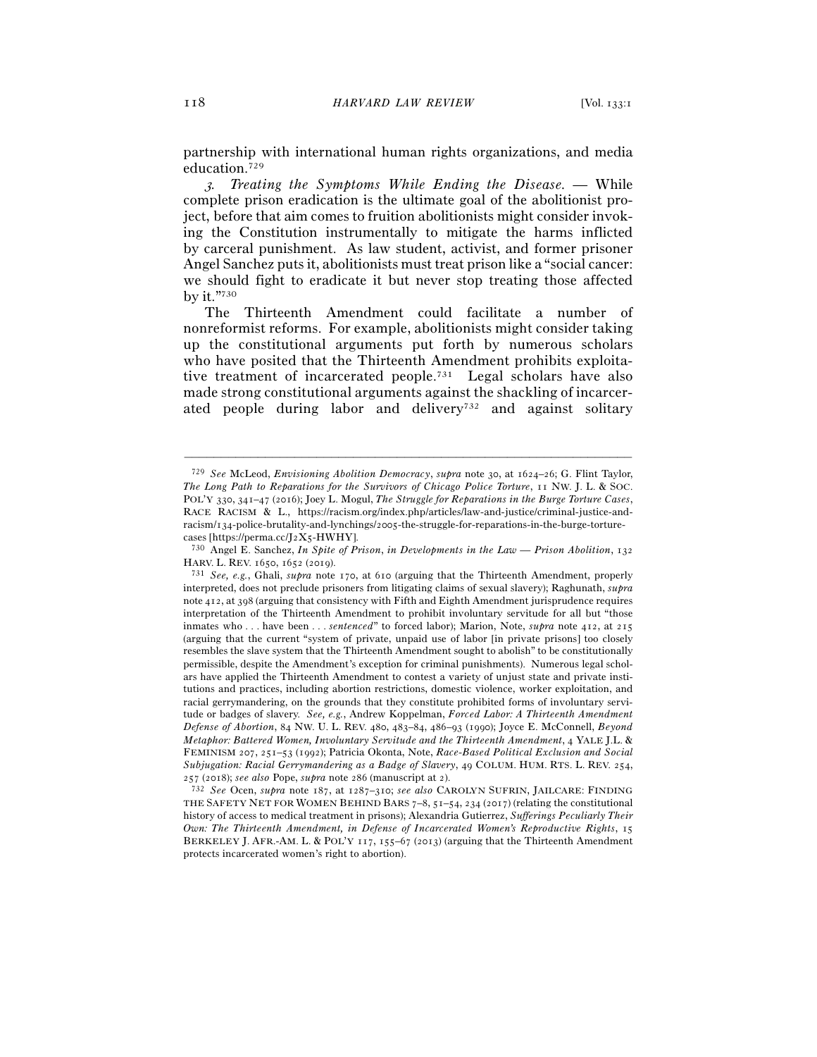partnership with international human rights organizations, and media education.729

<sup>3</sup>*. Treating the Symptoms While Ending the Disease. —* While complete prison eradication is the ultimate goal of the abolitionist project, before that aim comes to fruition abolitionists might consider invoking the Constitution instrumentally to mitigate the harms inflicted by carceral punishment. As law student, activist, and former prisoner Angel Sanchez puts it, abolitionists must treat prison like a "social cancer: we should fight to eradicate it but never stop treating those affected by it."730

The Thirteenth Amendment could facilitate a number of nonreformist reforms. For example, abolitionists might consider taking up the constitutional arguments put forth by numerous scholars who have posited that the Thirteenth Amendment prohibits exploitative treatment of incarcerated people.731 Legal scholars have also made strong constitutional arguments against the shackling of incarcerated people during labor and delivery<sup>732</sup> and against solitary

<sup>729</sup> *See* McLeod, *Envisioning Abolition Democracy*, *supra* note 30, at 1624–26; G. Flint Taylor, *The Long Path to Reparations for the Survivors of Chicago Police Torture*, 11 NW. J. L. & SOC. POL'Y 330, 341–47 (2016); Joey L. Mogul, *The Struggle for Reparations in the Burge Torture Cases*, RACE RACISM & L., https://racism.org/index.php/articles/law-and-justice/criminal-justice-andracism/134-police-brutality-and-lynchings/2005-the-struggle-for-reparations-in-the-burge-torturecases [https://perma.cc/J2X<sup>5</sup>-HWHY]. 730 Angel E. Sanchez, *In Spite of Prison*, *in Developments in the Law — Prison Abolition*, <sup>132</sup>

HARV. L. REV. 1650, 1652 (<sup>2019</sup>). 731 *See, e.g.*, Ghali, *supra* note 170, at 610 (arguing that the Thirteenth Amendment, properly

interpreted, does not preclude prisoners from litigating claims of sexual slavery); Raghunath, *supra*  note 412, at 398 (arguing that consistency with Fifth and Eighth Amendment jurisprudence requires interpretation of the Thirteenth Amendment to prohibit involuntary servitude for all but "those inmates who . . . have been . . . *sentenced*" to forced labor); Marion, Note, *supra* note 412, at 215 (arguing that the current "system of private, unpaid use of labor [in private prisons] too closely resembles the slave system that the Thirteenth Amendment sought to abolish" to be constitutionally permissible, despite the Amendment's exception for criminal punishments). Numerous legal scholars have applied the Thirteenth Amendment to contest a variety of unjust state and private institutions and practices, including abortion restrictions, domestic violence, worker exploitation, and racial gerrymandering, on the grounds that they constitute prohibited forms of involuntary servitude or badges of slavery. *See, e.g.*, Andrew Koppelman, *Forced Labor: A Thirteenth Amendment Defense of Abortion*, 84 NW. U. L. REV. 480, 483–84, 486–93 (1990); Joyce E. McConnell, *Beyond Metaphor: Battered Women, Involuntary Servitude and the Thirteenth Amendment*, 4 YALE J.L. & FEMINISM 207, 251–53 (1992); Patricia Okonta, Note, *Race-Based Political Exclusion and Social Subjugation: Racial Gerrymandering as a Badge of Slavery*, 49 COLUM. HUM. RTS. L. REV. 254,

<sup>257</sup> (2018); *see also* Pope, *supra* note 286 (manuscript at 2). 732 *See* Ocen, *supra* note 187, at 1287–310; *see also* CAROLYN SUFRIN, JAILCARE: FINDING THE SAFETY NET FOR WOMEN BEHIND BARS  $7-8$ ,  $51-54$ ,  $234$  ( $2017$ ) (relating the constitutional history of access to medical treatment in prisons); Alexandria Gutierrez, *Sufferings Peculiarly Their Own: The Thirteenth Amendment, in Defense of Incarcerated Women's Reproductive Rights*, 15 BERKELEY J. AFR.-AM. L. & POL'Y 117, 155–67 (2013) (arguing that the Thirteenth Amendment protects incarcerated women's right to abortion).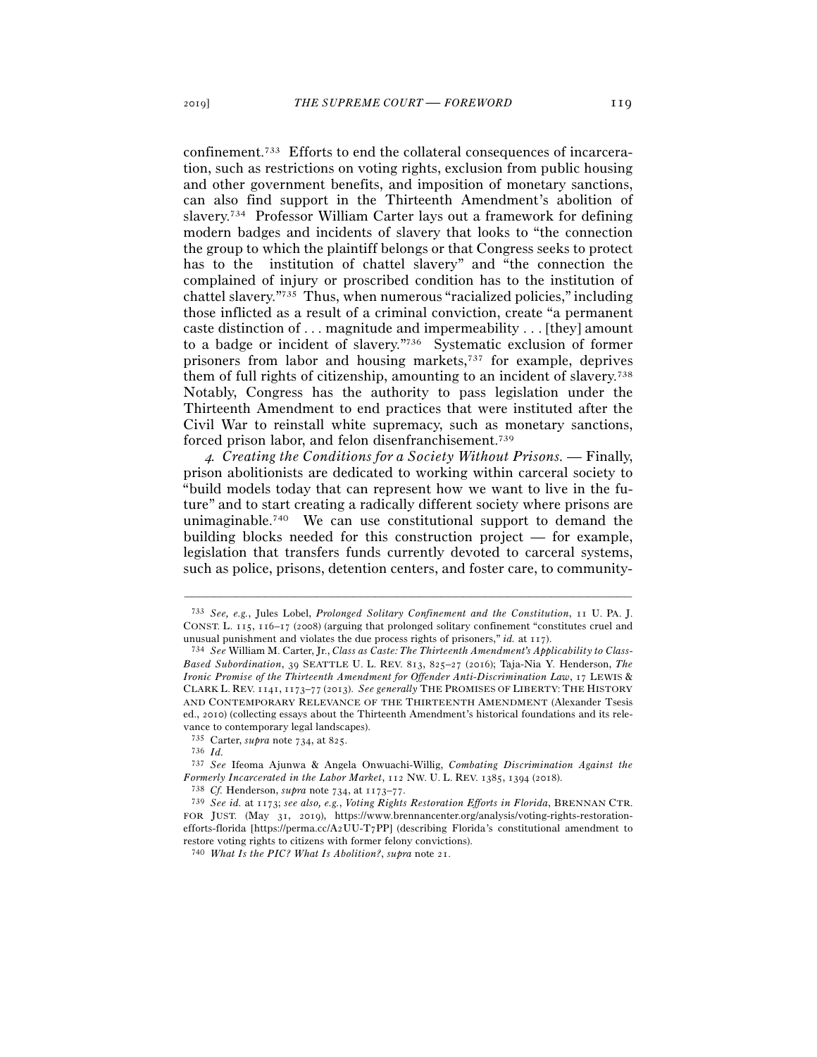confinement.733 Efforts to end the collateral consequences of incarceration, such as restrictions on voting rights, exclusion from public housing and other government benefits, and imposition of monetary sanctions, can also find support in the Thirteenth Amendment's abolition of slavery.734 Professor William Carter lays out a framework for defining modern badges and incidents of slavery that looks to "the connection the group to which the plaintiff belongs or that Congress seeks to protect has to the institution of chattel slavery" and "the connection the complained of injury or proscribed condition has to the institution of chattel slavery."735 Thus, when numerous "racialized policies," including those inflicted as a result of a criminal conviction, create "a permanent caste distinction of . . . magnitude and impermeability . . . [they] amount to a badge or incident of slavery."736 Systematic exclusion of former prisoners from labor and housing markets,737 for example, deprives them of full rights of citizenship, amounting to an incident of slavery.738 Notably, Congress has the authority to pass legislation under the Thirteenth Amendment to end practices that were instituted after the Civil War to reinstall white supremacy, such as monetary sanctions, forced prison labor, and felon disenfranchisement.739

<sup>4</sup>*. Creating the Conditions for a Society Without Prisons. —* Finally, prison abolitionists are dedicated to working within carceral society to "build models today that can represent how we want to live in the future" and to start creating a radically different society where prisons are unimaginable.740 We can use constitutional support to demand the building blocks needed for this construction project — for example, legislation that transfers funds currently devoted to carceral systems, such as police, prisons, detention centers, and foster care, to community-

<sup>733</sup> *See, e.g.*, Jules Lobel, *Prolonged Solitary Confinement and the Constitution*, 11 U. PA. J. CONST. L. 115, 116–17 (2008) (arguing that prolonged solitary confinement "constitutes cruel and unusual punishment and violates the due process rights of prisoners," *id.* at <sup>117</sup>). 734 *See* William M. Carter, Jr., *Class as Caste: The Thirteenth Amendment's Applicability to Class-*

*Based Subordination*, 39 SEATTLE U. L. REV. 813, 825–27 (2016); Taja-Nia Y. Henderson, *The Ironic Promise of the Thirteenth Amendment for Offender Anti-Discrimination Law*, 17 LEWIS & CLARK L. REV. 1141, 1173–77 (2013). *See generally* THE PROMISES OF LIBERTY: THE HISTORY AND CONTEMPORARY RELEVANCE OF THE THIRTEENTH AMENDMENT (Alexander Tsesis ed., 2010) (collecting essays about the Thirteenth Amendment's historical foundations and its relevance to contemporary legal landscapes).

<sup>735</sup> Carter, *supra* note 734, at 825.

<sup>736</sup> *Id.*

<sup>737</sup> *See* Ifeoma Ajunwa & Angela Onwuachi-Willig, *Combating Discrimination Against the Formerly Incarcerated in the Labor Market*, 112 NW. U. L. REV. 1385, 1394 (<sup>2018</sup>). 738 *Cf.* Henderson, *supra* note 734, at 1173–77.

<sup>739</sup> *See id.* at 1173; *see also, e.g.*, *Voting Rights Restoration Efforts in Florida*, BRENNAN CTR. FOR JUST. (May 31, 2019), https://www.brennancenter.org/analysis/voting-rights-restorationefforts-florida [https://perma.cc/A2UU-T7PP] (describing Florida's constitutional amendment to

restore voting rights to citizens with former felony convictions). 740 *What Is the PIC? What Is Abolition?*, *supra* note 21.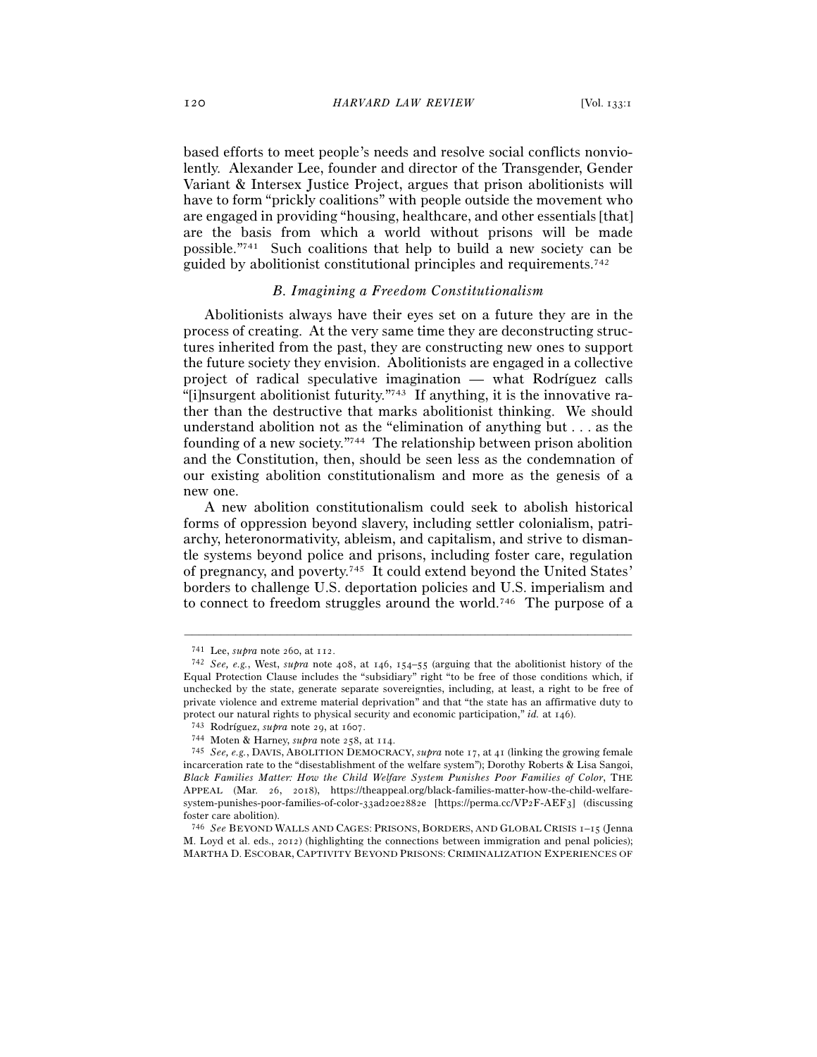based efforts to meet people's needs and resolve social conflicts nonviolently. Alexander Lee, founder and director of the Transgender, Gender Variant & Intersex Justice Project, argues that prison abolitionists will have to form "prickly coalitions" with people outside the movement who are engaged in providing "housing, healthcare, and other essentials [that] are the basis from which a world without prisons will be made possible."741 Such coalitions that help to build a new society can be guided by abolitionist constitutional principles and requirements.742

## *B. Imagining a Freedom Constitutionalism*

Abolitionists always have their eyes set on a future they are in the process of creating. At the very same time they are deconstructing structures inherited from the past, they are constructing new ones to support the future society they envision. Abolitionists are engaged in a collective project of radical speculative imagination — what Rodríguez calls "[i]nsurgent abolitionist futurity."743 If anything, it is the innovative rather than the destructive that marks abolitionist thinking. We should understand abolition not as the "elimination of anything but . . . as the founding of a new society."744 The relationship between prison abolition and the Constitution, then, should be seen less as the condemnation of our existing abolition constitutionalism and more as the genesis of a new one.

A new abolition constitutionalism could seek to abolish historical forms of oppression beyond slavery, including settler colonialism, patriarchy, heteronormativity, ableism, and capitalism, and strive to dismantle systems beyond police and prisons, including foster care, regulation of pregnancy, and poverty.745 It could extend beyond the United States' borders to challenge U.S. deportation policies and U.S. imperialism and to connect to freedom struggles around the world.746 The purpose of a

<sup>&</sup>lt;sup>741</sup> Lee, *supra* note 260, at 112.<br><sup>742</sup> *See, e.g.*, West, *supra* note 408, at 146, 154–55 (arguing that the abolitionist history of the Equal Protection Clause includes the "subsidiary" right "to be free of those conditions which, if unchecked by the state, generate separate sovereignties, including, at least, a right to be free of private violence and extreme material deprivation" and that "the state has an affirmative duty to protect our natural rights to physical security and economic participation," *id.* at 146).<br><sup>743</sup> Rodríguez, *supra* note 29, at 1607.<br><sup>744</sup> Moten & Harney, *supra* note 258, at 114.<br><sup>745</sup> *See, e.g.*, DAVIS, ABOLITION DEM

incarceration rate to the "disestablishment of the welfare system"); Dorothy Roberts & Lisa Sangoi, *Black Families Matter: How the Child Welfare System Punishes Poor Families of Color*, THE APPEAL (Mar. 26, 2018), https://theappeal.org/black-families-matter-how-the-child-welfaresystem-punishes-poor-families-of-color-33ad20e2882e [https://perma.cc/VP2F-AEF3] (discussing foster care abolition).

<sup>746</sup> *See* BEYOND WALLS AND CAGES: PRISONS, BORDERS, AND GLOBAL CRISIS 1–15 (Jenna M. Loyd et al. eds., 2012) (highlighting the connections between immigration and penal policies); MARTHA D. ESCOBAR, CAPTIVITY BEYOND PRISONS: CRIMINALIZATION EXPERIENCES OF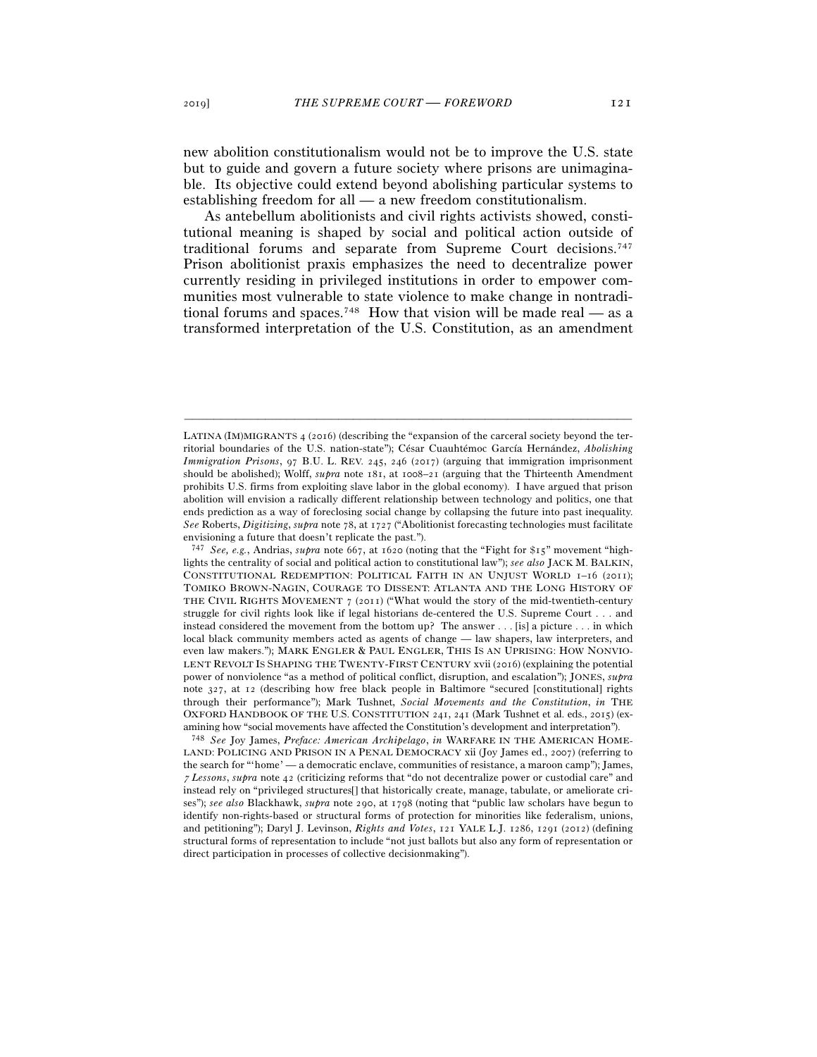new abolition constitutionalism would not be to improve the U.S. state but to guide and govern a future society where prisons are unimaginable. Its objective could extend beyond abolishing particular systems to establishing freedom for all — a new freedom constitutionalism.

As antebellum abolitionists and civil rights activists showed, constitutional meaning is shaped by social and political action outside of traditional forums and separate from Supreme Court decisions.747 Prison abolitionist praxis emphasizes the need to decentralize power currently residing in privileged institutions in order to empower communities most vulnerable to state violence to make change in nontraditional forums and spaces.<sup>748</sup> How that vision will be made real — as a transformed interpretation of the U.S. Constitution, as an amendment

LATINA (IM)MIGRANTS 4 (2016) (describing the "expansion of the carceral society beyond the territorial boundaries of the U.S. nation-state"); César Cuauhtémoc García Hernández, *Abolishing Immigration Prisons*, 97 B.U. L. REV. 245, 246 (2017) (arguing that immigration imprisonment should be abolished); Wolff, *supra* note 181, at 1008–21 (arguing that the Thirteenth Amendment prohibits U.S. firms from exploiting slave labor in the global economy). I have argued that prison abolition will envision a radically different relationship between technology and politics, one that ends prediction as a way of foreclosing social change by collapsing the future into past inequality. *See* Roberts, *Digitizing*, *supra* note 78, at 1727 ("Abolitionist forecasting technologies must facilitate envisioning a future that doesn't replicate the past.").

<sup>747</sup> *See, e.g.*, Andrias, *supra* note 667, at 1620 (noting that the "Fight for \$15" movement "highlights the centrality of social and political action to constitutional law"); *see also* JACK M. BALKIN, CONSTITUTIONAL REDEMPTION: POLITICAL FAITH IN AN UNJUST WORLD 1–16 (2011); TOMIKO BROWN-NAGIN, COURAGE TO DISSENT: ATLANTA AND THE LONG HISTORY OF THE CIVIL RIGHTS MOVEMENT 7 (2011) ("What would the story of the mid-twentieth-century struggle for civil rights look like if legal historians de-centered the U.S. Supreme Court . . . and instead considered the movement from the bottom up? The answer . . . [is] a picture . . . in which local black community members acted as agents of change — law shapers, law interpreters, and even law makers."); MARK ENGLER & PAUL ENGLER, THIS IS AN UPRISING: HOW NONVIO-LENT REVOLT IS SHAPING THE TWENTY-FIRST CENTURY xvii (2016) (explaining the potential power of nonviolence "as a method of political conflict, disruption, and escalation"); JONES, *supra* note 327, at 12 (describing how free black people in Baltimore "secured [constitutional] rights through their performance"); Mark Tushnet, *Social Movements and the Constitution*, *in* THE OXFORD HANDBOOK OF THE U.S. CONSTITUTION 241, 241 (Mark Tushnet et al. eds., 2015) (examining how "social movements have affected the Constitution's development and interpretation").

<sup>748</sup> *See* Joy James, *Preface: American Archipelago*, *in* WARFARE IN THE AMERICAN HOME-LAND: POLICING AND PRISON IN A PENAL DEMOCRACY xii (Joy James ed., 2007) (referring to the search for "'home' — a democratic enclave, communities of resistance, a maroon camp"); James, <sup>7</sup> *Lessons*, *supra* note 42 (criticizing reforms that "do not decentralize power or custodial care" and instead rely on "privileged structures[] that historically create, manage, tabulate, or ameliorate crises"); *see also* Blackhawk, *supra* note 290, at 1798 (noting that "public law scholars have begun to identify non-rights-based or structural forms of protection for minorities like federalism, unions, and petitioning"); Daryl J. Levinson, *Rights and Votes*, 121 YALE L.J. 1286, 1291 (2012) (defining structural forms of representation to include "not just ballots but also any form of representation or direct participation in processes of collective decisionmaking").